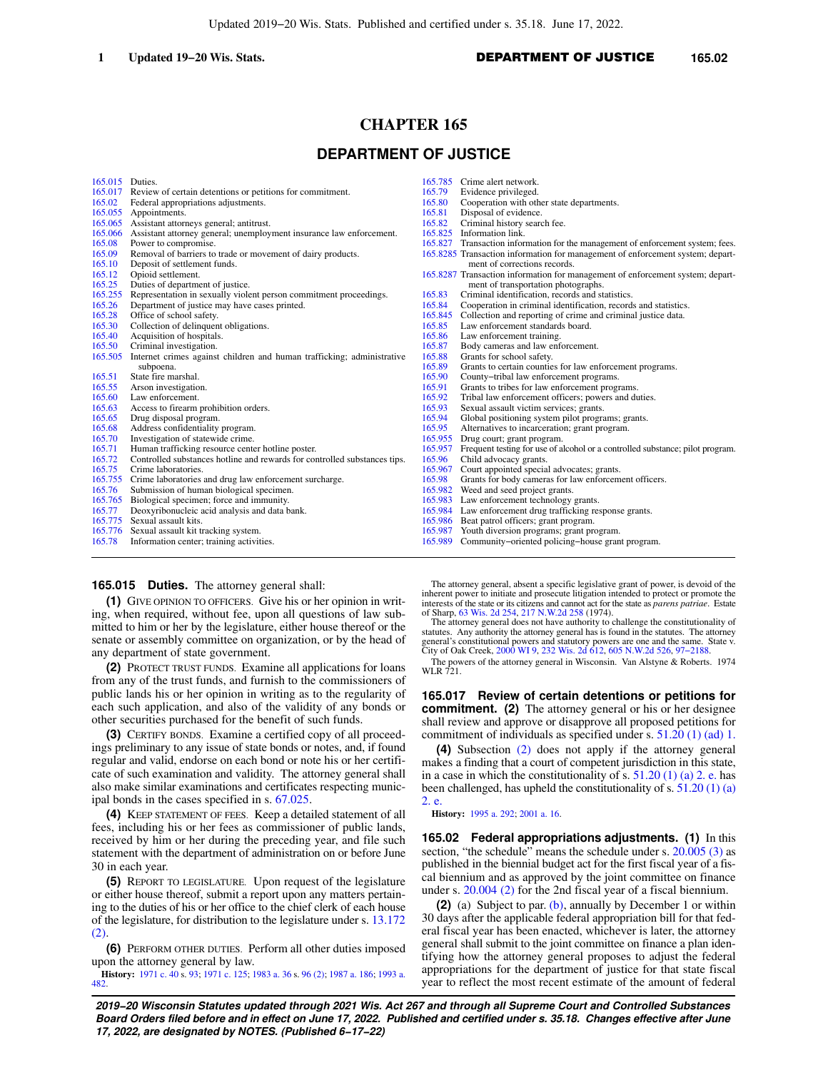# **CHAPTER 165**

# **DEPARTMENT OF JUSTICE**

[165.015](https://docs.legis.wisconsin.gov/document/statutes/165.015) Duties.<br>165.017 Review [165.017](https://docs.legis.wisconsin.gov/document/statutes/165.017) Review of certain detentions or petitions for commitment.<br>165.02 Federal appropriations adjustments. [165.02](https://docs.legis.wisconsin.gov/document/statutes/165.02) Federal appropriations adjustments.<br>165.055 Appointments [165.055](https://docs.legis.wisconsin.gov/document/statutes/165.055) Appointments.<br>165.065 Assistant attorn [165.065](https://docs.legis.wisconsin.gov/document/statutes/165.065) Assistant attorneys general; antitrust.<br>165.066 Assistant attorney general: unemploy [165.066](https://docs.legis.wisconsin.gov/document/statutes/165.066) Assistant attorney general; unemployment insurance law enforcement. [165.08](https://docs.legis.wisconsin.gov/document/statutes/165.08) Power to compromise.<br>165.09 Removal of barriers to [165.09](https://docs.legis.wisconsin.gov/document/statutes/165.09) Removal of barriers to trade or movement of dairy products.<br>165.10 Deposit of settlement funds. [165.10](https://docs.legis.wisconsin.gov/document/statutes/165.10) Deposit of settlement funds.<br>165.12 Opioid settlement. [165.12](https://docs.legis.wisconsin.gov/document/statutes/165.12) Opioid settlement.<br>165.25 Duties of departme [165.25](https://docs.legis.wisconsin.gov/document/statutes/165.25) Duties of department of justice.<br>165.255 Representation in sexually viole [165.255](https://docs.legis.wisconsin.gov/document/statutes/165.255) Representation in sexually violent person commitment proceedings.<br>165.26 Department of justice may have cases printed. [165.26](https://docs.legis.wisconsin.gov/document/statutes/165.26) Department of justice may have cases printed.<br>165.28 Office of school safety. Office of school safety. [165.30](https://docs.legis.wisconsin.gov/document/statutes/165.30) Collection of delinquent obligations. [165.40](https://docs.legis.wisconsin.gov/document/statutes/165.40) Acquisition of hospitals.<br>165.50 Criminal investigation. [165.50](https://docs.legis.wisconsin.gov/document/statutes/165.50) Criminal investigation.<br>165.505 Internet crimes agains Internet crimes against children and human trafficking; administrative subpoena. [165.51](https://docs.legis.wisconsin.gov/document/statutes/165.51) State fire marshal.<br>165.55 Arson investigation [165.55](https://docs.legis.wisconsin.gov/document/statutes/165.55) Arson investigation.<br>165.60 Law enforcement. Law enforcement. [165.63](https://docs.legis.wisconsin.gov/document/statutes/165.63) Access to firearm prohibition orders.<br>165.65 Drug disposal program. [165.65](https://docs.legis.wisconsin.gov/document/statutes/165.65) Drug disposal program.<br>165.68 Address confidentiality [165.68](https://docs.legis.wisconsin.gov/document/statutes/165.68) Address confidentiality program.<br>165.70 Investigation of statewide crime. [165.70](https://docs.legis.wisconsin.gov/document/statutes/165.70) Investigation of statewide crime.<br>165.71 Human trafficking resource cents [165.71](https://docs.legis.wisconsin.gov/document/statutes/165.71) Human trafficking resource center hotline poster.<br>165.72 Controlled substances hotline and rewards for co [165.72](https://docs.legis.wisconsin.gov/document/statutes/165.72) Controlled substances hotline and rewards for controlled substances tips. [165.75](https://docs.legis.wisconsin.gov/document/statutes/165.75) Crime laboratories.<br>165.755 Crime laboratories Crime laboratories and drug law enforcement surcharge. [165.76](https://docs.legis.wisconsin.gov/document/statutes/165.76) Submission of human biological specimen. [165.765](https://docs.legis.wisconsin.gov/document/statutes/165.765) Biological specimen; force and immunity.<br>165.77 Deoxyribonucleic acid analysis and data b [165.77](https://docs.legis.wisconsin.gov/document/statutes/165.77) Deoxyribonucleic acid analysis and data bank. [165.775](https://docs.legis.wisconsin.gov/document/statutes/165.775) Sexual assault kits.<br>165.776 Sexual assault kit to

- [165.785](https://docs.legis.wisconsin.gov/document/statutes/165.785) Crime alert network<br>165.79 Evidence privileged [165.79](https://docs.legis.wisconsin.gov/document/statutes/165.79) Evidence privileged.<br>165.80 Cooperation with other
- [165.80](https://docs.legis.wisconsin.gov/document/statutes/165.80) Cooperation with other state departments.<br>165.81 Disposal of evidence.
- [165.81](https://docs.legis.wisconsin.gov/document/statutes/165.81) Disposal of evidence.<br>165.82 Criminal history sears
- [165.82](https://docs.legis.wisconsin.gov/document/statutes/165.82) Criminal history search fee.<br>165.825 Information link.
- [165.825](https://docs.legis.wisconsin.gov/document/statutes/165.825) Information link.<br>165.827 Transaction infor Transaction information for the management of enforcement system; fees.
- [165.8285](https://docs.legis.wisconsin.gov/document/statutes/165.8285) Transaction information for management of enforcement system; department of corrections records.
- [165.8287](https://docs.legis.wisconsin.gov/document/statutes/165.8287) Transaction information for management of enforcement system; department of transportation photographs.
- [165.83](https://docs.legis.wisconsin.gov/document/statutes/165.83) Criminal identification, records and statistics.<br>165.84 Cooperation in criminal identification record
- [165.84](https://docs.legis.wisconsin.gov/document/statutes/165.84) Cooperation in criminal identification, records and statistics.<br>165.845 Collection and reporting of crime and criminal justice data.
- Collection and reporting of crime and criminal justice data.
- [165.85](https://docs.legis.wisconsin.gov/document/statutes/165.85) Law enforcement standards board.
- 
- [165.86](https://docs.legis.wisconsin.gov/document/statutes/165.86) Law enforcement training<br>165.87 Body cameras and law enf [165.87](https://docs.legis.wisconsin.gov/document/statutes/165.87) Body cameras and law enforcement.<br>165.88 Grants for school safety.
- [165.88](https://docs.legis.wisconsin.gov/document/statutes/165.88) Grants for school safety.<br>165.89 Grants to certain countie
- [165.89](https://docs.legis.wisconsin.gov/document/statutes/165.89) Grants to certain counties for law enforcement programs.<br>165.90 County-tribal law enforcement programs.
- [165.90](https://docs.legis.wisconsin.gov/document/statutes/165.90) County−tribal law enforcement programs.
- [165.91](https://docs.legis.wisconsin.gov/document/statutes/165.91) Grants to tribes for law enforcement programs.<br>165.92 Tribal law enforcement officers: nowers and div
- [165.92](https://docs.legis.wisconsin.gov/document/statutes/165.92) Tribal law enforcement officers; powers and duties.<br>165.93 Sexual assault victim services: grants.
- [165.93](https://docs.legis.wisconsin.gov/document/statutes/165.93) Sexual assault victim services; grants.<br>165.94 Global positioning system pilot program
- [165.94](https://docs.legis.wisconsin.gov/document/statutes/165.94) Global positioning system pilot programs; grants.<br>165.95 Alternatives to incarceration; grant program.
- [165.95](https://docs.legis.wisconsin.gov/document/statutes/165.95) Alternatives to incarceration; grant program.<br>165.955 Drug court: grant program.
- [165.955](https://docs.legis.wisconsin.gov/document/statutes/165.955) Drug court; grant program.<br>165.957 Frequent testing for use of a
- [165.957](https://docs.legis.wisconsin.gov/document/statutes/165.957) Frequent testing for use of alcohol or a controlled substance; pilot program.
- [165.96](https://docs.legis.wisconsin.gov/document/statutes/165.96) Child advocacy grants.<br>165.967 Court appointed special
- [165.967](https://docs.legis.wisconsin.gov/document/statutes/165.967) Court appointed special advocates; grants.<br>165.98 Grants for body cameras for law enforcem
- Grants for body cameras for law enforcement officers.
- [165.982](https://docs.legis.wisconsin.gov/document/statutes/165.982) Weed and seed project grants.
- [165.983](https://docs.legis.wisconsin.gov/document/statutes/165.983) Law enforcement technology grants.<br>165.984 Law enforcement drug trafficking res
- [165.984](https://docs.legis.wisconsin.gov/document/statutes/165.984) Law enforcement drug trafficking response grants.<br>165.986 Beat patrol officers: grant program.
- [165.986](https://docs.legis.wisconsin.gov/document/statutes/165.986) Beat patrol officers; grant program.<br>165.987 Youth diversion programs; grant pro
- [165.987](https://docs.legis.wisconsin.gov/document/statutes/165.987) Youth diversion programs; grant program.<br>165.989 Community–oriented policing–house gran
- [165.989](https://docs.legis.wisconsin.gov/document/statutes/165.989) Community−oriented policing−house grant program.

# **165.015 Duties.** The attorney general shall:

[165.776](https://docs.legis.wisconsin.gov/document/statutes/165.776) Sexual assault kit tracking system.<br>165.78 Information center: training activity Information center; training activities.

**(1)** GIVE OPINION TO OFFICERS. Give his or her opinion in writing, when required, without fee, upon all questions of law submitted to him or her by the legislature, either house thereof or the senate or assembly committee on organization, or by the head of any department of state government.

**(2)** PROTECT TRUST FUNDS. Examine all applications for loans from any of the trust funds, and furnish to the commissioners of public lands his or her opinion in writing as to the regularity of each such application, and also of the validity of any bonds or other securities purchased for the benefit of such funds.

**(3)** CERTIFY BONDS. Examine a certified copy of all proceedings preliminary to any issue of state bonds or notes, and, if found regular and valid, endorse on each bond or note his or her certificate of such examination and validity. The attorney general shall also make similar examinations and certificates respecting municipal bonds in the cases specified in s. [67.025.](https://docs.legis.wisconsin.gov/document/statutes/67.025)

**(4)** KEEP STATEMENT OF FEES. Keep a detailed statement of all fees, including his or her fees as commissioner of public lands, received by him or her during the preceding year, and file such statement with the department of administration on or before June 30 in each year.

**(5)** REPORT TO LEGISLATURE. Upon request of the legislature or either house thereof, submit a report upon any matters pertaining to the duties of his or her office to the chief clerk of each house of the legislature, for distribution to the legislature under s. [13.172](https://docs.legis.wisconsin.gov/document/statutes/13.172(2)) [\(2\)](https://docs.legis.wisconsin.gov/document/statutes/13.172(2)).

**(6)** PERFORM OTHER DUTIES. Perform all other duties imposed upon the attorney general by law.

**History:** [1971 c. 40](https://docs.legis.wisconsin.gov/document/acts/1971/40) s. [93;](https://docs.legis.wisconsin.gov/document/acts/1971/40,%20s.%2093) [1971 c. 125](https://docs.legis.wisconsin.gov/document/acts/1971/125); [1983 a. 36](https://docs.legis.wisconsin.gov/document/acts/1983/36) s. [96 \(2\);](https://docs.legis.wisconsin.gov/document/acts/1983/36,%20s.%2096) [1987 a. 186](https://docs.legis.wisconsin.gov/document/acts/1987/186); [1993 a.](https://docs.legis.wisconsin.gov/document/acts/1993/482) [482](https://docs.legis.wisconsin.gov/document/acts/1993/482).

The attorney general, absent a specific legislative grant of power, is devoid of the inherent power to initiate and prosecute litigation intended to protect or promote the interests of the state or its citizens and cannot act for the state as *parens patriae*. Estate of Sharp, [63 Wis. 2d 254,](https://docs.legis.wisconsin.gov/document/courts/63%20Wis.%202d%20254) [217 N.W.2d 258](https://docs.legis.wisconsin.gov/document/courts/217%20N.W.2d%20258) (1974).

The attorney general does not have authority to challenge the constitutionality of statutes. Any authority the attorney general has is found in the statutes. The attorney general's constitutional powers and statutory powers are one and the same. State v. general's constitutional powers and statutory powers are one and the same. State v. City of Oak Creek, [2000 WI 9](https://docs.legis.wisconsin.gov/document/courts/2000%20WI%209), [232 Wis. 2d 612,](https://docs.legis.wisconsin.gov/document/courts/232%20Wis.%202d%20612) [605 N.W.2d 526](https://docs.legis.wisconsin.gov/document/courts/605%20N.W.2d%20526), [97−2188](https://docs.legis.wisconsin.gov/document/wisupremecourt/97-2188).

The powers of the attorney general in Wisconsin. Van Alstyne & Roberts. 1974 WLR 721.

**165.017 Review of certain detentions or petitions for commitment. (2)** The attorney general or his or her designee shall review and approve or disapprove all proposed petitions for commitment of individuals as specified under s. [51.20 \(1\) \(ad\) 1.](https://docs.legis.wisconsin.gov/document/statutes/51.20(1)(ad)1.)

**(4)** Subsection [\(2\)](https://docs.legis.wisconsin.gov/document/statutes/165.017(2)) does not apply if the attorney general makes a finding that a court of competent jurisdiction in this state, in a case in which the constitutionality of s.  $51.20(1)(a)$  2. e. has been challenged, has upheld the constitutionality of s. [51.20 \(1\) \(a\)](https://docs.legis.wisconsin.gov/document/statutes/51.20(1)(a)2.e.) [2. e.](https://docs.legis.wisconsin.gov/document/statutes/51.20(1)(a)2.e.)

**History:** [1995 a. 292;](https://docs.legis.wisconsin.gov/document/acts/1995/292) [2001 a. 16.](https://docs.legis.wisconsin.gov/document/acts/2001/16)

**165.02 Federal appropriations adjustments. (1)** In this section, "the schedule" means the schedule under s. [20.005 \(3\)](https://docs.legis.wisconsin.gov/document/statutes/20.005(3)) as published in the biennial budget act for the first fiscal year of a fiscal biennium and as approved by the joint committee on finance under s. [20.004 \(2\)](https://docs.legis.wisconsin.gov/document/statutes/20.004(2)) for the 2nd fiscal year of a fiscal biennium.

**(2)** (a) Subject to par. [\(b\),](https://docs.legis.wisconsin.gov/document/statutes/165.02(2)(b)) annually by December 1 or within 30 days after the applicable federal appropriation bill for that federal fiscal year has been enacted, whichever is later, the attorney general shall submit to the joint committee on finance a plan identifying how the attorney general proposes to adjust the federal appropriations for the department of justice for that state fiscal year to reflect the most recent estimate of the amount of federal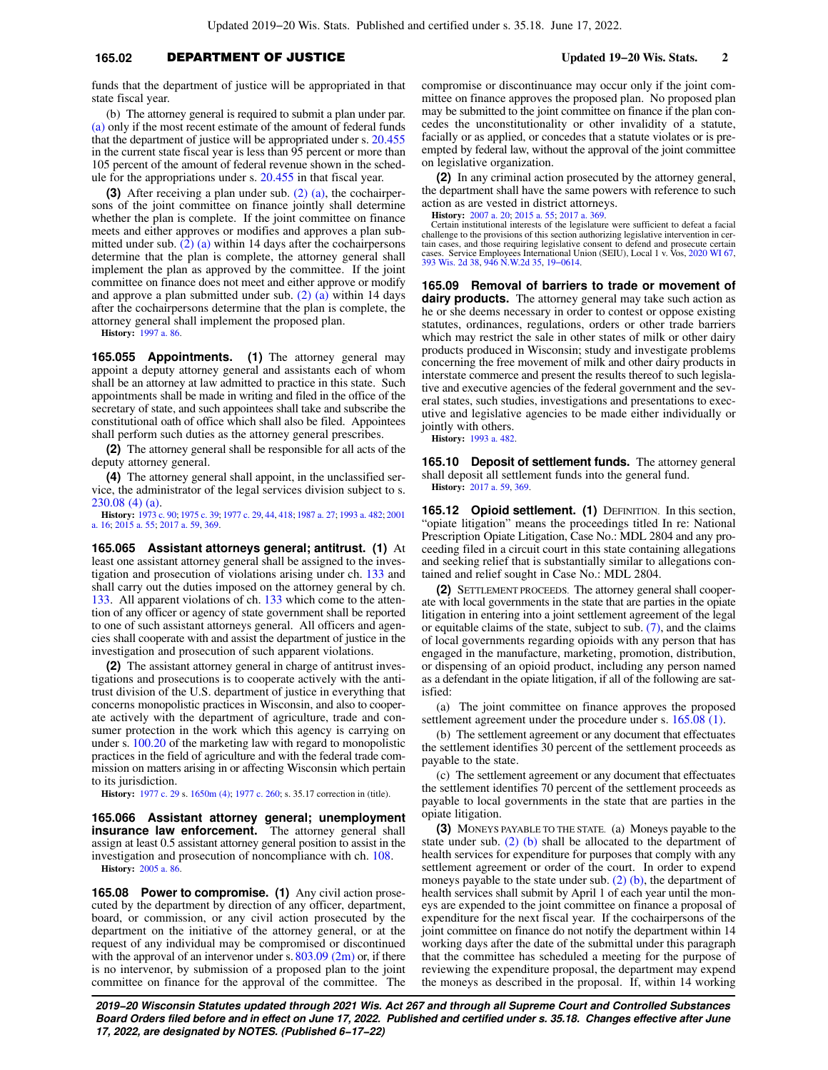### **165.02** DEPARTMENT OF JUSTICE **Updated 19−20 Wis. Stats. 2**

funds that the department of justice will be appropriated in that state fiscal year.

(b) The attorney general is required to submit a plan under par. [\(a\)](https://docs.legis.wisconsin.gov/document/statutes/165.02(2)(a)) only if the most recent estimate of the amount of federal funds that the department of justice will be appropriated under s. [20.455](https://docs.legis.wisconsin.gov/document/statutes/20.455) in the current state fiscal year is less than 95 percent or more than 105 percent of the amount of federal revenue shown in the schedule for the appropriations under s. [20.455](https://docs.legis.wisconsin.gov/document/statutes/20.455) in that fiscal year.

**(3)** After receiving a plan under sub. [\(2\) \(a\)](https://docs.legis.wisconsin.gov/document/statutes/165.02(2)(a)), the cochairpersons of the joint committee on finance jointly shall determine whether the plan is complete. If the joint committee on finance meets and either approves or modifies and approves a plan submitted under sub.  $(2)$  (a) within 14 days after the cochairpersons determine that the plan is complete, the attorney general shall implement the plan as approved by the committee. If the joint committee on finance does not meet and either approve or modify and approve a plan submitted under sub. [\(2\) \(a\)](https://docs.legis.wisconsin.gov/document/statutes/165.02(2)(a)) within 14 days after the cochairpersons determine that the plan is complete, the attorney general shall implement the proposed plan.

**History:** [1997 a. 86.](https://docs.legis.wisconsin.gov/document/acts/1997/86)

**165.055 Appointments. (1)** The attorney general may appoint a deputy attorney general and assistants each of whom shall be an attorney at law admitted to practice in this state. Such appointments shall be made in writing and filed in the office of the secretary of state, and such appointees shall take and subscribe the constitutional oath of office which shall also be filed. Appointees shall perform such duties as the attorney general prescribes.

**(2)** The attorney general shall be responsible for all acts of the deputy attorney general.

**(4)** The attorney general shall appoint, in the unclassified service, the administrator of the legal services division subject to s. [230.08 \(4\) \(a\).](https://docs.legis.wisconsin.gov/document/statutes/230.08(4)(a))

**History:** [1973 c. 90](https://docs.legis.wisconsin.gov/document/acts/1973/90); [1975 c. 39;](https://docs.legis.wisconsin.gov/document/acts/1975/39) [1977 c. 29](https://docs.legis.wisconsin.gov/document/acts/1977/29), [44](https://docs.legis.wisconsin.gov/document/acts/1977/44), [418;](https://docs.legis.wisconsin.gov/document/acts/1977/418) [1987 a. 27;](https://docs.legis.wisconsin.gov/document/acts/1987/27) [1993 a. 482;](https://docs.legis.wisconsin.gov/document/acts/1993/482) [2001](https://docs.legis.wisconsin.gov/document/acts/2001/16) [a. 16](https://docs.legis.wisconsin.gov/document/acts/2001/16); [2015 a. 55;](https://docs.legis.wisconsin.gov/document/acts/2015/55) [2017 a. 59,](https://docs.legis.wisconsin.gov/document/acts/2017/59) [369.](https://docs.legis.wisconsin.gov/document/acts/2017/369)

**165.065 Assistant attorneys general; antitrust. (1)** At least one assistant attorney general shall be assigned to the investigation and prosecution of violations arising under ch. [133](https://docs.legis.wisconsin.gov/document/statutes/ch.%20133) and shall carry out the duties imposed on the attorney general by ch. [133](https://docs.legis.wisconsin.gov/document/statutes/ch.%20133). All apparent violations of ch. [133](https://docs.legis.wisconsin.gov/document/statutes/ch.%20133) which come to the attention of any officer or agency of state government shall be reported to one of such assistant attorneys general. All officers and agencies shall cooperate with and assist the department of justice in the investigation and prosecution of such apparent violations.

**(2)** The assistant attorney general in charge of antitrust investigations and prosecutions is to cooperate actively with the antitrust division of the U.S. department of justice in everything that concerns monopolistic practices in Wisconsin, and also to cooperate actively with the department of agriculture, trade and consumer protection in the work which this agency is carrying on under s. [100.20](https://docs.legis.wisconsin.gov/document/statutes/100.20) of the marketing law with regard to monopolistic practices in the field of agriculture and with the federal trade commission on matters arising in or affecting Wisconsin which pertain to its jurisdiction.

**History:** [1977 c. 29](https://docs.legis.wisconsin.gov/document/acts/1977/29) s. [1650m \(4\)](https://docs.legis.wisconsin.gov/document/acts/1977/29,%20s.%201650m); [1977 c. 260;](https://docs.legis.wisconsin.gov/document/acts/1977/260) s. 35.17 correction in (title).

**165.066 Assistant attorney general; unemployment insurance law enforcement.** The attorney general shall assign at least 0.5 assistant attorney general position to assist in the investigation and prosecution of noncompliance with ch. [108](https://docs.legis.wisconsin.gov/document/statutes/ch.%20108).

**History:** [2005 a. 86.](https://docs.legis.wisconsin.gov/document/acts/2005/86)

**165.08 Power to compromise. (1)** Any civil action prosecuted by the department by direction of any officer, department, board, or commission, or any civil action prosecuted by the department on the initiative of the attorney general, or at the request of any individual may be compromised or discontinued with the approval of an intervenor under s.  $803.09$  (2m) or, if there is no intervenor, by submission of a proposed plan to the joint committee on finance for the approval of the committee. The

compromise or discontinuance may occur only if the joint committee on finance approves the proposed plan. No proposed plan may be submitted to the joint committee on finance if the plan concedes the unconstitutionality or other invalidity of a statute, facially or as applied, or concedes that a statute violates or is preempted by federal law, without the approval of the joint committee on legislative organization.

**(2)** In any criminal action prosecuted by the attorney general, the department shall have the same powers with reference to such action as are vested in district attorneys.

**History:** [2007 a. 20](https://docs.legis.wisconsin.gov/document/acts/2007/20); [2015 a. 55](https://docs.legis.wisconsin.gov/document/acts/2015/55); [2017 a. 369.](https://docs.legis.wisconsin.gov/document/acts/2017/369) Certain institutional interests of the legislature were sufficient to defeat a facial challenge to the provisions of this section authorizing legislative intervention in certain cases, and those requiring legislative consent to defend and prosecute certain cases. Service Employees International Union (SEIU), Local 1 v. Vos, [2020 WI 67](https://docs.legis.wisconsin.gov/document/courts/2020%20WI%2067), [393 Wis. 2d 38,](https://docs.legis.wisconsin.gov/document/courts/393%20Wis.%202d%2038) [946 N.W.2d 35,](https://docs.legis.wisconsin.gov/document/courts/946%20N.W.2d%2035) [19−0614.](https://docs.legis.wisconsin.gov/document/wisupremecourt/19-0614)

**165.09 Removal of barriers to trade or movement of dairy products.** The attorney general may take such action as he or she deems necessary in order to contest or oppose existing statutes, ordinances, regulations, orders or other trade barriers which may restrict the sale in other states of milk or other dairy products produced in Wisconsin; study and investigate problems concerning the free movement of milk and other dairy products in interstate commerce and present the results thereof to such legislative and executive agencies of the federal government and the several states, such studies, investigations and presentations to executive and legislative agencies to be made either individually or jointly with others.

**History:** [1993 a. 482.](https://docs.legis.wisconsin.gov/document/acts/1993/482)

**165.10 Deposit of settlement funds.** The attorney general shall deposit all settlement funds into the general fund. **History:** [2017 a. 59](https://docs.legis.wisconsin.gov/document/acts/2017/59), [369](https://docs.legis.wisconsin.gov/document/acts/2017/369).

**165.12 Opioid settlement. (1)** DEFINITION. In this section, "opiate litigation" means the proceedings titled In re: National Prescription Opiate Litigation, Case No.: MDL 2804 and any proceeding filed in a circuit court in this state containing allegations and seeking relief that is substantially similar to allegations contained and relief sought in Case No.: MDL 2804.

**(2)** SETTLEMENT PROCEEDS. The attorney general shall cooperate with local governments in the state that are parties in the opiate litigation in entering into a joint settlement agreement of the legal or equitable claims of the state, subject to sub. [\(7\),](https://docs.legis.wisconsin.gov/document/statutes/165.12(7)) and the claims of local governments regarding opioids with any person that has engaged in the manufacture, marketing, promotion, distribution, or dispensing of an opioid product, including any person named as a defendant in the opiate litigation, if all of the following are satisfied:

(a) The joint committee on finance approves the proposed settlement agreement under the procedure under s. [165.08 \(1\).](https://docs.legis.wisconsin.gov/document/statutes/165.08(1))

(b) The settlement agreement or any document that effectuates the settlement identifies 30 percent of the settlement proceeds as payable to the state.

(c) The settlement agreement or any document that effectuates the settlement identifies 70 percent of the settlement proceeds as payable to local governments in the state that are parties in the opiate litigation.

**(3)** MONEYS PAYABLE TO THE STATE. (a) Moneys payable to the state under sub. [\(2\) \(b\)](https://docs.legis.wisconsin.gov/document/statutes/165.12(2)(b)) shall be allocated to the department of health services for expenditure for purposes that comply with any settlement agreement or order of the court. In order to expend moneys payable to the state under sub.  $(2)$  (b), the department of health services shall submit by April 1 of each year until the moneys are expended to the joint committee on finance a proposal of expenditure for the next fiscal year. If the cochairpersons of the joint committee on finance do not notify the department within 14 working days after the date of the submittal under this paragraph that the committee has scheduled a meeting for the purpose of reviewing the expenditure proposal, the department may expend the moneys as described in the proposal. If, within 14 working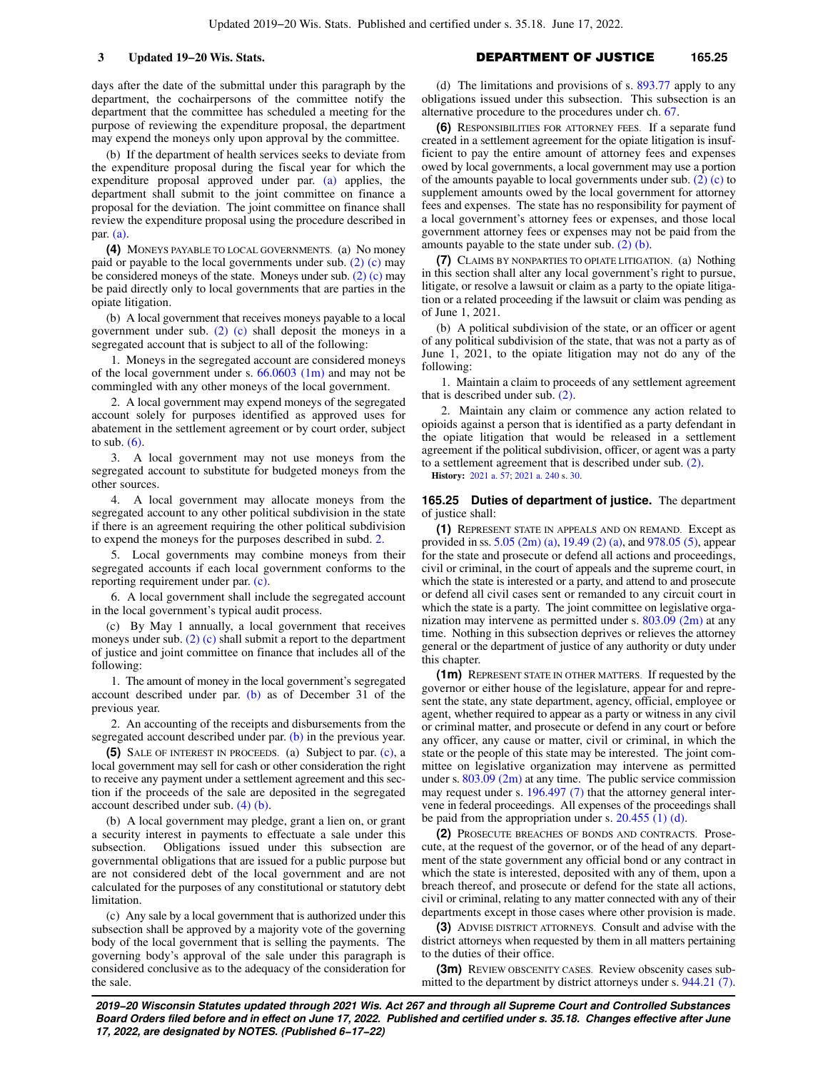days after the date of the submittal under this paragraph by the department, the cochairpersons of the committee notify the department that the committee has scheduled a meeting for the purpose of reviewing the expenditure proposal, the department may expend the moneys only upon approval by the committee.

(b) If the department of health services seeks to deviate from the expenditure proposal during the fiscal year for which the expenditure proposal approved under par. [\(a\)](https://docs.legis.wisconsin.gov/document/statutes/165.12(3)(a)) applies, the department shall submit to the joint committee on finance a proposal for the deviation. The joint committee on finance shall review the expenditure proposal using the procedure described in par. [\(a\)](https://docs.legis.wisconsin.gov/document/statutes/165.12(3)(a)).

**(4)** MONEYS PAYABLE TO LOCAL GOVERNMENTS. (a) No money paid or payable to the local governments under sub.  $(2)$  (c) may be considered moneys of the state. Moneys under sub.  $(2)$  (c) may be paid directly only to local governments that are parties in the opiate litigation.

(b) A local government that receives moneys payable to a local government under sub. [\(2\) \(c\)](https://docs.legis.wisconsin.gov/document/statutes/165.12(2)(c)) shall deposit the moneys in a segregated account that is subject to all of the following:

1. Moneys in the segregated account are considered moneys of the local government under s. [66.0603 \(1m\)](https://docs.legis.wisconsin.gov/document/statutes/66.0603(1m)) and may not be commingled with any other moneys of the local government.

2. A local government may expend moneys of the segregated account solely for purposes identified as approved uses for abatement in the settlement agreement or by court order, subject to sub.  $(6)$ .

3. A local government may not use moneys from the segregated account to substitute for budgeted moneys from the other sources.

4. A local government may allocate moneys from the segregated account to any other political subdivision in the state if there is an agreement requiring the other political subdivision to expend the moneys for the purposes described in subd. [2.](https://docs.legis.wisconsin.gov/document/statutes/165.12(4)(b)2.)

5. Local governments may combine moneys from their segregated accounts if each local government conforms to the reporting requirement under par. [\(c\).](https://docs.legis.wisconsin.gov/document/statutes/165.12(4)(c))

6. A local government shall include the segregated account in the local government's typical audit process.

(c) By May 1 annually, a local government that receives moneys under sub.  $(2)$  (c) shall submit a report to the department of justice and joint committee on finance that includes all of the following:

1. The amount of money in the local government's segregated account described under par. [\(b\)](https://docs.legis.wisconsin.gov/document/statutes/165.12(4)(b)) as of December 31 of the previous year.

2. An accounting of the receipts and disbursements from the segregated account described under par. [\(b\)](https://docs.legis.wisconsin.gov/document/statutes/165.12(4)(b)) in the previous year.

**(5)** SALE OF INTEREST IN PROCEEDS. (a) Subject to par. [\(c\)](https://docs.legis.wisconsin.gov/document/statutes/165.12(5)(c)), a local government may sell for cash or other consideration the right to receive any payment under a settlement agreement and this section if the proceeds of the sale are deposited in the segregated account described under sub. [\(4\) \(b\).](https://docs.legis.wisconsin.gov/document/statutes/165.12(4)(b))

(b) A local government may pledge, grant a lien on, or grant a security interest in payments to effectuate a sale under this subsection. Obligations issued under this subsection are governmental obligations that are issued for a public purpose but are not considered debt of the local government and are not calculated for the purposes of any constitutional or statutory debt limitation.

(c) Any sale by a local government that is authorized under this subsection shall be approved by a majority vote of the governing body of the local government that is selling the payments. The governing body's approval of the sale under this paragraph is considered conclusive as to the adequacy of the consideration for the sale.

(d) The limitations and provisions of s. [893.77](https://docs.legis.wisconsin.gov/document/statutes/893.77) apply to any obligations issued under this subsection. This subsection is an alternative procedure to the procedures under ch. [67.](https://docs.legis.wisconsin.gov/document/statutes/ch.%2067)

**(6)** RESPONSIBILITIES FOR ATTORNEY FEES. If a separate fund created in a settlement agreement for the opiate litigation is insufficient to pay the entire amount of attorney fees and expenses owed by local governments, a local government may use a portion of the amounts payable to local governments under sub. [\(2\) \(c\)](https://docs.legis.wisconsin.gov/document/statutes/165.12(2)(c)) to supplement amounts owed by the local government for attorney fees and expenses. The state has no responsibility for payment of a local government's attorney fees or expenses, and those local government attorney fees or expenses may not be paid from the amounts payable to the state under sub. [\(2\) \(b\)](https://docs.legis.wisconsin.gov/document/statutes/165.12(2)(b)).

**(7)** CLAIMS BY NONPARTIES TO OPIATE LITIGATION. (a) Nothing in this section shall alter any local government's right to pursue, litigate, or resolve a lawsuit or claim as a party to the opiate litigation or a related proceeding if the lawsuit or claim was pending as of June 1, 2021.

(b) A political subdivision of the state, or an officer or agent of any political subdivision of the state, that was not a party as of June 1, 2021, to the opiate litigation may not do any of the following:

1. Maintain a claim to proceeds of any settlement agreement that is described under sub. [\(2\).](https://docs.legis.wisconsin.gov/document/statutes/165.12(2))

2. Maintain any claim or commence any action related to opioids against a person that is identified as a party defendant in the opiate litigation that would be released in a settlement agreement if the political subdivision, officer, or agent was a party to a settlement agreement that is described under sub. [\(2\).](https://docs.legis.wisconsin.gov/document/statutes/165.12(2))

**History:** [2021 a. 57](https://docs.legis.wisconsin.gov/document/acts/2021/57); [2021 a. 240](https://docs.legis.wisconsin.gov/document/acts/2021/240) s. [30.](https://docs.legis.wisconsin.gov/document/acts/2021/240,%20s.%2030)

#### **165.25 Duties of department of justice.** The department of justice shall:

**(1)** REPRESENT STATE IN APPEALS AND ON REMAND. Except as provided in ss. [5.05 \(2m\) \(a\)](https://docs.legis.wisconsin.gov/document/statutes/5.05(2m)(a)), [19.49 \(2\) \(a\)](https://docs.legis.wisconsin.gov/document/statutes/19.49(2)(a)), and [978.05 \(5\)](https://docs.legis.wisconsin.gov/document/statutes/978.05(5)), appear for the state and prosecute or defend all actions and proceedings, civil or criminal, in the court of appeals and the supreme court, in which the state is interested or a party, and attend to and prosecute or defend all civil cases sent or remanded to any circuit court in which the state is a party. The joint committee on legislative organization may intervene as permitted under s. [803.09 \(2m\)](https://docs.legis.wisconsin.gov/document/statutes/803.09(2m)) at any time. Nothing in this subsection deprives or relieves the attorney general or the department of justice of any authority or duty under this chapter.

**(1m)** REPRESENT STATE IN OTHER MATTERS. If requested by the governor or either house of the legislature, appear for and represent the state, any state department, agency, official, employee or agent, whether required to appear as a party or witness in any civil or criminal matter, and prosecute or defend in any court or before any officer, any cause or matter, civil or criminal, in which the state or the people of this state may be interested. The joint committee on legislative organization may intervene as permitted under s.  $803.09$  (2m) at any time. The public service commission may request under s. [196.497 \(7\)](https://docs.legis.wisconsin.gov/document/statutes/196.497(7)) that the attorney general intervene in federal proceedings. All expenses of the proceedings shall be paid from the appropriation under s. [20.455 \(1\) \(d\)](https://docs.legis.wisconsin.gov/document/statutes/20.455(1)(d)).

**(2)** PROSECUTE BREACHES OF BONDS AND CONTRACTS. Prosecute, at the request of the governor, or of the head of any department of the state government any official bond or any contract in which the state is interested, deposited with any of them, upon a breach thereof, and prosecute or defend for the state all actions, civil or criminal, relating to any matter connected with any of their departments except in those cases where other provision is made.

**(3)** ADVISE DISTRICT ATTORNEYS. Consult and advise with the district attorneys when requested by them in all matters pertaining to the duties of their office.

**(3m)** REVIEW OBSCENITY CASES. Review obscenity cases submitted to the department by district attorneys under s. [944.21 \(7\).](https://docs.legis.wisconsin.gov/document/statutes/944.21(7))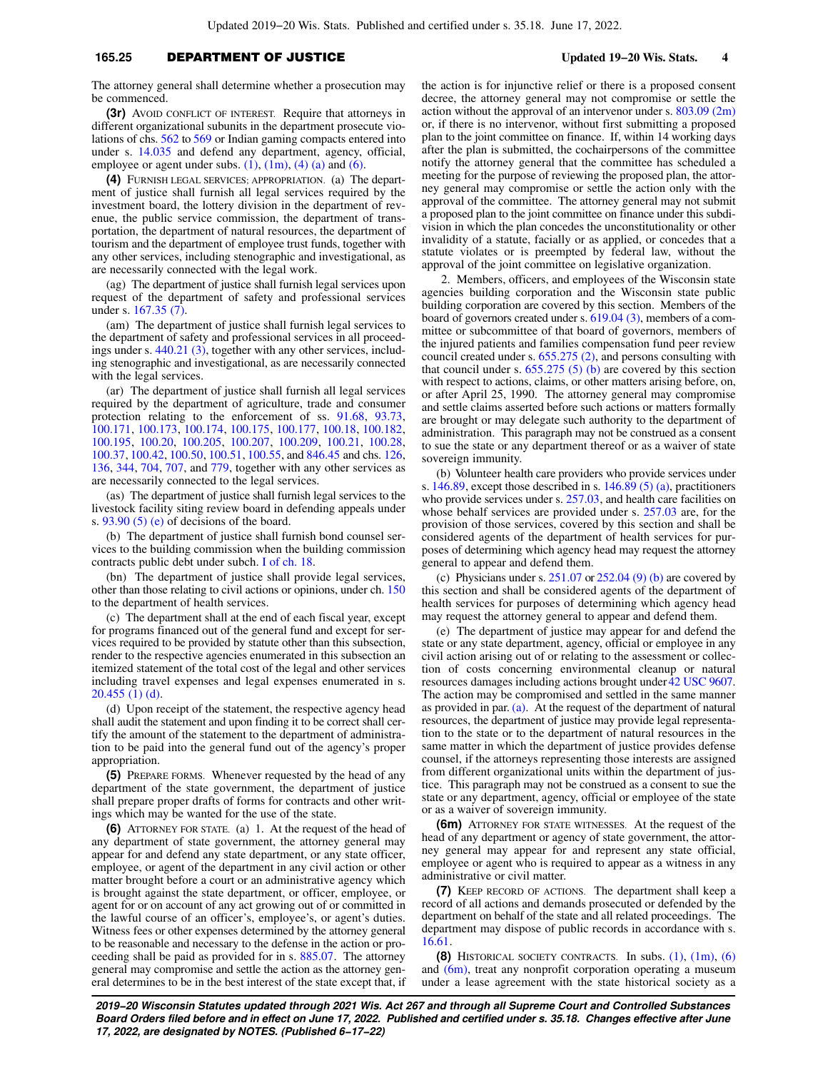### **165.25** DEPARTMENT OF JUSTICE **Updated 19−20 Wis. Stats. 4**

The attorney general shall determine whether a prosecution may be commenced.

**(3r)** AVOID CONFLICT OF INTEREST. Require that attorneys in different organizational subunits in the department prosecute violations of chs. [562](https://docs.legis.wisconsin.gov/document/statutes/ch.%20562) to [569](https://docs.legis.wisconsin.gov/document/statutes/ch.%20569) or Indian gaming compacts entered into under s. [14.035](https://docs.legis.wisconsin.gov/document/statutes/14.035) and defend any department, agency, official, employee or agent under subs.  $(1)$ ,  $(1m)$ ,  $(4)$   $(a)$  and  $(6)$ .

**(4)** FURNISH LEGAL SERVICES; APPROPRIATION. (a) The department of justice shall furnish all legal services required by the investment board, the lottery division in the department of revenue, the public service commission, the department of transportation, the department of natural resources, the department of tourism and the department of employee trust funds, together with any other services, including stenographic and investigational, as are necessarily connected with the legal work.

(ag) The department of justice shall furnish legal services upon request of the department of safety and professional services under s. [167.35 \(7\)](https://docs.legis.wisconsin.gov/document/statutes/167.35(7)).

(am) The department of justice shall furnish legal services to the department of safety and professional services in all proceedings under s. [440.21 \(3\)](https://docs.legis.wisconsin.gov/document/statutes/440.21(3)), together with any other services, including stenographic and investigational, as are necessarily connected with the legal services.

(ar) The department of justice shall furnish all legal services required by the department of agriculture, trade and consumer protection relating to the enforcement of ss. [91.68,](https://docs.legis.wisconsin.gov/document/statutes/91.68) [93.73,](https://docs.legis.wisconsin.gov/document/statutes/93.73) [100.171](https://docs.legis.wisconsin.gov/document/statutes/100.171), [100.173](https://docs.legis.wisconsin.gov/document/statutes/100.173), [100.174,](https://docs.legis.wisconsin.gov/document/statutes/100.174) [100.175,](https://docs.legis.wisconsin.gov/document/statutes/100.175) [100.177,](https://docs.legis.wisconsin.gov/document/statutes/100.177) [100.18,](https://docs.legis.wisconsin.gov/document/statutes/100.18) [100.182,](https://docs.legis.wisconsin.gov/document/statutes/100.182) [100.195](https://docs.legis.wisconsin.gov/document/statutes/100.195), [100.20](https://docs.legis.wisconsin.gov/document/statutes/100.20), [100.205](https://docs.legis.wisconsin.gov/document/statutes/100.205), [100.207,](https://docs.legis.wisconsin.gov/document/statutes/100.207) [100.209](https://docs.legis.wisconsin.gov/document/statutes/100.209), [100.21,](https://docs.legis.wisconsin.gov/document/statutes/100.21) [100.28,](https://docs.legis.wisconsin.gov/document/statutes/100.28) [100.37,](https://docs.legis.wisconsin.gov/document/statutes/100.37) [100.42,](https://docs.legis.wisconsin.gov/document/statutes/100.42) [100.50](https://docs.legis.wisconsin.gov/document/statutes/100.50), [100.51](https://docs.legis.wisconsin.gov/document/statutes/100.51), [100.55](https://docs.legis.wisconsin.gov/document/statutes/100.55), and [846.45](https://docs.legis.wisconsin.gov/document/statutes/846.45) and chs. [126,](https://docs.legis.wisconsin.gov/document/statutes/ch.%20126) [136](https://docs.legis.wisconsin.gov/document/statutes/ch.%20136), [344,](https://docs.legis.wisconsin.gov/document/statutes/ch.%20344) [704,](https://docs.legis.wisconsin.gov/document/statutes/ch.%20704) [707,](https://docs.legis.wisconsin.gov/document/statutes/ch.%20707) and [779,](https://docs.legis.wisconsin.gov/document/statutes/ch.%20779) together with any other services as are necessarily connected to the legal services.

(as) The department of justice shall furnish legal services to the livestock facility siting review board in defending appeals under s.  $93.90(5)$  (e) of decisions of the board.

(b) The department of justice shall furnish bond counsel services to the building commission when the building commission contracts public debt under subch. [I of ch. 18](https://docs.legis.wisconsin.gov/document/statutes/subch.%20I%20of%20ch.%2018).

(bn) The department of justice shall provide legal services, other than those relating to civil actions or opinions, under ch. [150](https://docs.legis.wisconsin.gov/document/statutes/ch.%20150) to the department of health services.

(c) The department shall at the end of each fiscal year, except for programs financed out of the general fund and except for services required to be provided by statute other than this subsection, render to the respective agencies enumerated in this subsection an itemized statement of the total cost of the legal and other services including travel expenses and legal expenses enumerated in s. [20.455 \(1\) \(d\)](https://docs.legis.wisconsin.gov/document/statutes/20.455(1)(d)).

(d) Upon receipt of the statement, the respective agency head shall audit the statement and upon finding it to be correct shall certify the amount of the statement to the department of administration to be paid into the general fund out of the agency's proper appropriation.

**(5)** PREPARE FORMS. Whenever requested by the head of any department of the state government, the department of justice shall prepare proper drafts of forms for contracts and other writings which may be wanted for the use of the state.

**(6)** ATTORNEY FOR STATE. (a) 1. At the request of the head of any department of state government, the attorney general may appear for and defend any state department, or any state officer, employee, or agent of the department in any civil action or other matter brought before a court or an administrative agency which is brought against the state department, or officer, employee, or agent for or on account of any act growing out of or committed in the lawful course of an officer's, employee's, or agent's duties. Witness fees or other expenses determined by the attorney general to be reasonable and necessary to the defense in the action or proceeding shall be paid as provided for in s. [885.07.](https://docs.legis.wisconsin.gov/document/statutes/885.07) The attorney general may compromise and settle the action as the attorney general determines to be in the best interest of the state except that, if the action is for injunctive relief or there is a proposed consent decree, the attorney general may not compromise or settle the action without the approval of an intervenor under s. [803.09 \(2m\)](https://docs.legis.wisconsin.gov/document/statutes/803.09(2m)) or, if there is no intervenor, without first submitting a proposed plan to the joint committee on finance. If, within 14 working days after the plan is submitted, the cochairpersons of the committee notify the attorney general that the committee has scheduled a meeting for the purpose of reviewing the proposed plan, the attorney general may compromise or settle the action only with the approval of the committee. The attorney general may not submit a proposed plan to the joint committee on finance under this subdivision in which the plan concedes the unconstitutionality or other invalidity of a statute, facially or as applied, or concedes that a statute violates or is preempted by federal law, without the approval of the joint committee on legislative organization.

2. Members, officers, and employees of the Wisconsin state agencies building corporation and the Wisconsin state public building corporation are covered by this section. Members of the board of governors created under s. [619.04 \(3\),](https://docs.legis.wisconsin.gov/document/statutes/619.04(3)) members of a committee or subcommittee of that board of governors, members of the injured patients and families compensation fund peer review council created under s. [655.275 \(2\)](https://docs.legis.wisconsin.gov/document/statutes/655.275(2)), and persons consulting with that council under s.  $655.275$  (5) (b) are covered by this section with respect to actions, claims, or other matters arising before, on, or after April 25, 1990. The attorney general may compromise and settle claims asserted before such actions or matters formally are brought or may delegate such authority to the department of administration. This paragraph may not be construed as a consent to sue the state or any department thereof or as a waiver of state sovereign immunity.

(b) Volunteer health care providers who provide services under s.  $146.89$ , except those described in s.  $146.89$  (5) (a), practitioners who provide services under s. [257.03,](https://docs.legis.wisconsin.gov/document/statutes/257.03) and health care facilities on whose behalf services are provided under s. [257.03](https://docs.legis.wisconsin.gov/document/statutes/257.03) are, for the provision of those services, covered by this section and shall be considered agents of the department of health services for purposes of determining which agency head may request the attorney general to appear and defend them.

(c) Physicians under s.  $251.07$  or  $252.04$  (9) (b) are covered by this section and shall be considered agents of the department of health services for purposes of determining which agency head may request the attorney general to appear and defend them.

(e) The department of justice may appear for and defend the state or any state department, agency, official or employee in any civil action arising out of or relating to the assessment or collection of costs concerning environmental cleanup or natural resources damages including actions brought under [42 USC 9607.](https://docs.legis.wisconsin.gov/document/usc/42%20USC%209607) The action may be compromised and settled in the same manner as provided in par. [\(a\).](https://docs.legis.wisconsin.gov/document/statutes/165.25(6)(a)) At the request of the department of natural resources, the department of justice may provide legal representation to the state or to the department of natural resources in the same matter in which the department of justice provides defense counsel, if the attorneys representing those interests are assigned from different organizational units within the department of justice. This paragraph may not be construed as a consent to sue the state or any department, agency, official or employee of the state or as a waiver of sovereign immunity.

**(6m)** ATTORNEY FOR STATE WITNESSES. At the request of the head of any department or agency of state government, the attorney general may appear for and represent any state official, employee or agent who is required to appear as a witness in any administrative or civil matter.

**(7)** KEEP RECORD OF ACTIONS. The department shall keep a record of all actions and demands prosecuted or defended by the department on behalf of the state and all related proceedings. The department may dispose of public records in accordance with s. [16.61](https://docs.legis.wisconsin.gov/document/statutes/16.61).

**(8)** HISTORICAL SOCIETY CONTRACTS. In subs. [\(1\),](https://docs.legis.wisconsin.gov/document/statutes/165.25(1)) [\(1m\)](https://docs.legis.wisconsin.gov/document/statutes/165.25(1m)), [\(6\)](https://docs.legis.wisconsin.gov/document/statutes/165.25(6)) and  $(6m)$ , treat any nonprofit corporation operating a museum under a lease agreement with the state historical society as a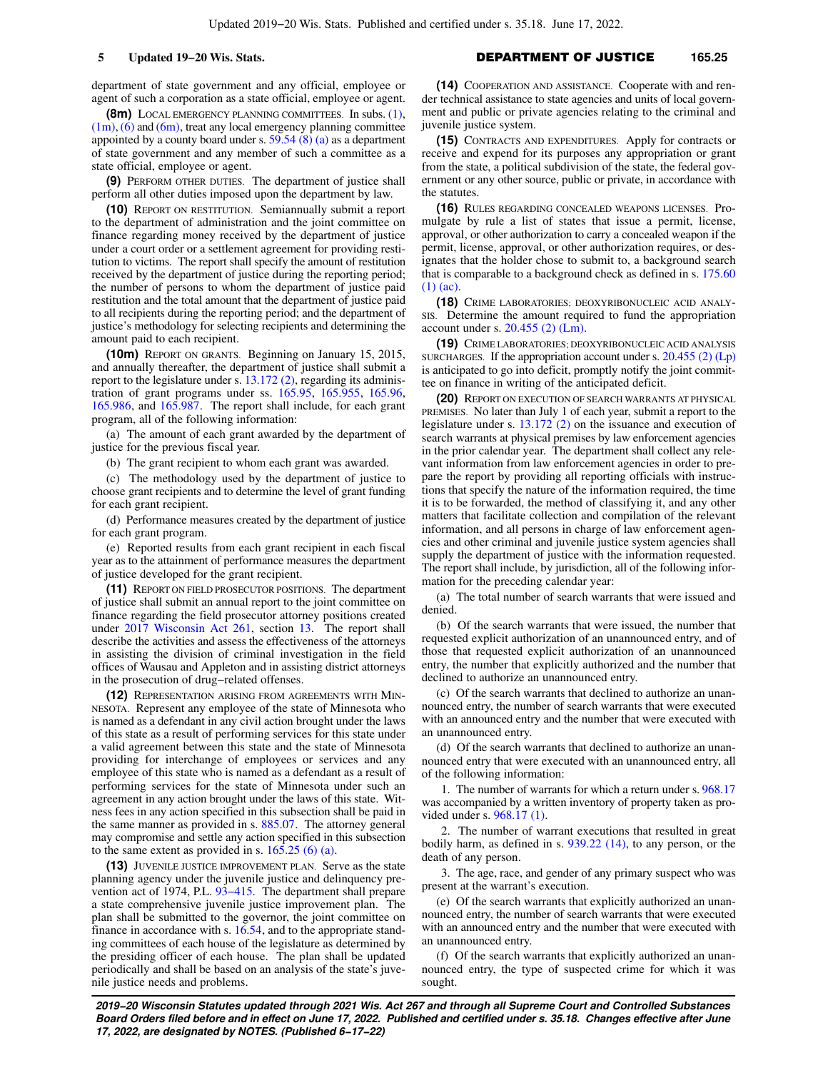department of state government and any official, employee or agent of such a corporation as a state official, employee or agent.

**(8m)** LOCAL EMERGENCY PLANNING COMMITTEES. In subs. [\(1\),](https://docs.legis.wisconsin.gov/document/statutes/165.25(1))  $(1m)$ ,  $(6)$  and  $(6m)$ , treat any local emergency planning committee appointed by a county board under s.  $59.54(8)(a)$  as a department of state government and any member of such a committee as a state official, employee or agent.

**(9)** PERFORM OTHER DUTIES. The department of justice shall perform all other duties imposed upon the department by law.

**(10)** REPORT ON RESTITUTION. Semiannually submit a report to the department of administration and the joint committee on finance regarding money received by the department of justice under a court order or a settlement agreement for providing restitution to victims. The report shall specify the amount of restitution received by the department of justice during the reporting period; the number of persons to whom the department of justice paid restitution and the total amount that the department of justice paid to all recipients during the reporting period; and the department of justice's methodology for selecting recipients and determining the amount paid to each recipient.

**(10m)** REPORT ON GRANTS. Beginning on January 15, 2015, and annually thereafter, the department of justice shall submit a report to the legislature under s. [13.172 \(2\)](https://docs.legis.wisconsin.gov/document/statutes/13.172(2)), regarding its administration of grant programs under ss. [165.95,](https://docs.legis.wisconsin.gov/document/statutes/165.95) [165.955,](https://docs.legis.wisconsin.gov/document/statutes/165.955) [165.96,](https://docs.legis.wisconsin.gov/document/statutes/165.96) [165.986](https://docs.legis.wisconsin.gov/document/statutes/165.986), and [165.987.](https://docs.legis.wisconsin.gov/document/statutes/165.987) The report shall include, for each grant program, all of the following information:

(a) The amount of each grant awarded by the department of justice for the previous fiscal year.

(b) The grant recipient to whom each grant was awarded.

(c) The methodology used by the department of justice to choose grant recipients and to determine the level of grant funding for each grant recipient.

(d) Performance measures created by the department of justice for each grant program.

(e) Reported results from each grant recipient in each fiscal year as to the attainment of performance measures the department of justice developed for the grant recipient.

**(11)** REPORT ON FIELD PROSECUTOR POSITIONS. The department of justice shall submit an annual report to the joint committee on finance regarding the field prosecutor attorney positions created under [2017 Wisconsin Act 261,](https://docs.legis.wisconsin.gov/document/acts/2017/261) section [13](https://docs.legis.wisconsin.gov/document/acts/2017/261,%20s.%2013). The report shall describe the activities and assess the effectiveness of the attorneys in assisting the division of criminal investigation in the field offices of Wausau and Appleton and in assisting district attorneys in the prosecution of drug−related offenses.

**(12)** REPRESENTATION ARISING FROM AGREEMENTS WITH MIN-NESOTA. Represent any employee of the state of Minnesota who is named as a defendant in any civil action brought under the laws of this state as a result of performing services for this state under a valid agreement between this state and the state of Minnesota providing for interchange of employees or services and any employee of this state who is named as a defendant as a result of performing services for the state of Minnesota under such an agreement in any action brought under the laws of this state. Witness fees in any action specified in this subsection shall be paid in the same manner as provided in s. [885.07](https://docs.legis.wisconsin.gov/document/statutes/885.07). The attorney general may compromise and settle any action specified in this subsection to the same extent as provided in s.  $165.25(6)(a)$ .

**(13)** JUVENILE JUSTICE IMPROVEMENT PLAN. Serve as the state planning agency under the juvenile justice and delinquency prevention act of 1974, P.L. [93−415.](https://docs.legis.wisconsin.gov/document/publiclaw/93-415) The department shall prepare a state comprehensive juvenile justice improvement plan. The plan shall be submitted to the governor, the joint committee on finance in accordance with s.  $16.54$ , and to the appropriate standing committees of each house of the legislature as determined by the presiding officer of each house. The plan shall be updated periodically and shall be based on an analysis of the state's juvenile justice needs and problems.

**(14)** COOPERATION AND ASSISTANCE. Cooperate with and render technical assistance to state agencies and units of local government and public or private agencies relating to the criminal and juvenile justice system.

**(15)** CONTRACTS AND EXPENDITURES. Apply for contracts or receive and expend for its purposes any appropriation or grant from the state, a political subdivision of the state, the federal government or any other source, public or private, in accordance with the statutes.

**(16)** RULES REGARDING CONCEALED WEAPONS LICENSES. Promulgate by rule a list of states that issue a permit, license, approval, or other authorization to carry a concealed weapon if the permit, license, approval, or other authorization requires, or designates that the holder chose to submit to, a background search that is comparable to a background check as defined in s. [175.60](https://docs.legis.wisconsin.gov/document/statutes/175.60(1)(ac)) [\(1\) \(ac\).](https://docs.legis.wisconsin.gov/document/statutes/175.60(1)(ac))

**(18)** CRIME LABORATORIES; DEOXYRIBONUCLEIC ACID ANALY-SIS. Determine the amount required to fund the appropriation account under s. [20.455 \(2\) \(Lm\).](https://docs.legis.wisconsin.gov/document/statutes/20.455(2)(Lm))

**(19)** CRIME LABORATORIES; DEOXYRIBONUCLEIC ACID ANALYSIS SURCHARGES. If the appropriation account under s. [20.455 \(2\) \(Lp\)](https://docs.legis.wisconsin.gov/document/statutes/20.455(2)(Lp)) is anticipated to go into deficit, promptly notify the joint committee on finance in writing of the anticipated deficit.

**(20)** REPORT ON EXECUTION OF SEARCH WARRANTS AT PHYSICAL PREMISES. No later than July 1 of each year, submit a report to the legislature under s. [13.172 \(2\)](https://docs.legis.wisconsin.gov/document/statutes/13.172(2)) on the issuance and execution of search warrants at physical premises by law enforcement agencies in the prior calendar year. The department shall collect any relevant information from law enforcement agencies in order to prepare the report by providing all reporting officials with instructions that specify the nature of the information required, the time it is to be forwarded, the method of classifying it, and any other matters that facilitate collection and compilation of the relevant information, and all persons in charge of law enforcement agencies and other criminal and juvenile justice system agencies shall supply the department of justice with the information requested. The report shall include, by jurisdiction, all of the following information for the preceding calendar year:

(a) The total number of search warrants that were issued and denied.

(b) Of the search warrants that were issued, the number that requested explicit authorization of an unannounced entry, and of those that requested explicit authorization of an unannounced entry, the number that explicitly authorized and the number that declined to authorize an unannounced entry.

(c) Of the search warrants that declined to authorize an unannounced entry, the number of search warrants that were executed with an announced entry and the number that were executed with an unannounced entry.

(d) Of the search warrants that declined to authorize an unannounced entry that were executed with an unannounced entry, all of the following information:

1. The number of warrants for which a return under s. [968.17](https://docs.legis.wisconsin.gov/document/statutes/968.17) was accompanied by a written inventory of property taken as provided under s. [968.17 \(1\)](https://docs.legis.wisconsin.gov/document/statutes/968.17(1)).

2. The number of warrant executions that resulted in great bodily harm, as defined in s. [939.22 \(14\),](https://docs.legis.wisconsin.gov/document/statutes/939.22(14)) to any person, or the death of any person.

3. The age, race, and gender of any primary suspect who was present at the warrant's execution.

(e) Of the search warrants that explicitly authorized an unannounced entry, the number of search warrants that were executed with an announced entry and the number that were executed with an unannounced entry.

(f) Of the search warrants that explicitly authorized an unannounced entry, the type of suspected crime for which it was sought.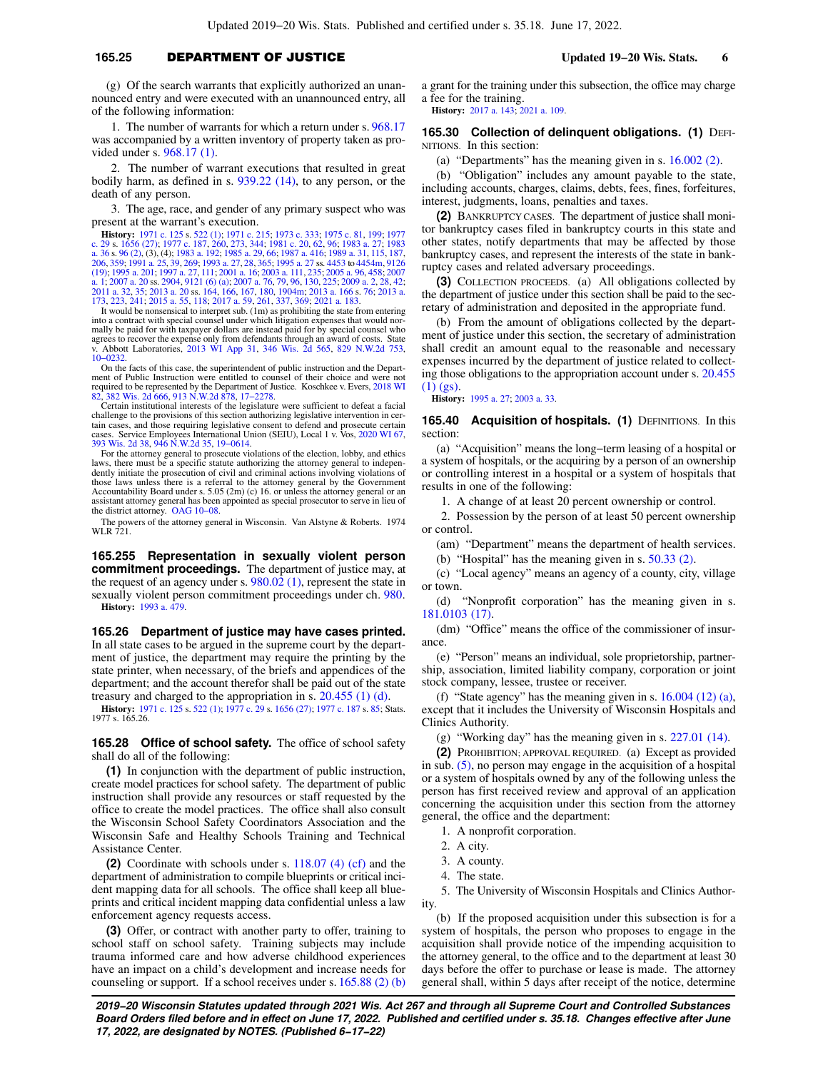# **165.25** DEPARTMENT OF JUSTICE **Updated 19−20 Wis. Stats. 6**

(g) Of the search warrants that explicitly authorized an unannounced entry and were executed with an unannounced entry, all of the following information:

1. The number of warrants for which a return under s. [968.17](https://docs.legis.wisconsin.gov/document/statutes/968.17) was accompanied by a written inventory of property taken as provided under s. [968.17 \(1\).](https://docs.legis.wisconsin.gov/document/statutes/968.17(1))

2. The number of warrant executions that resulted in great bodily harm, as defined in s. [939.22 \(14\),](https://docs.legis.wisconsin.gov/document/statutes/939.22(14)) to any person, or the death of any person.

3. The age, race, and gender of any primary suspect who was present at the warrant's execution.

**History:** [1971 c. 125](https://docs.legis.wisconsin.gov/document/acts/1971/125) s. [522 \(1\);](https://docs.legis.wisconsin.gov/document/acts/1971/125,%20s.%20522) [1971 c. 215;](https://docs.legis.wisconsin.gov/document/acts/1971/215) [1973 c. 333;](https://docs.legis.wisconsin.gov/document/acts/1973/333) [1975 c. 81,](https://docs.legis.wisconsin.gov/document/acts/1975/81) [199;](https://docs.legis.wisconsin.gov/document/acts/1975/199) [1977](https://docs.legis.wisconsin.gov/document/acts/1977/29)<br>[c. 29](https://docs.legis.wisconsin.gov/document/acts/1977/29) s. [1656 \(27\);](https://docs.legis.wisconsin.gov/document/acts/1977/29,%20s.%201656) [1977 c. 187](https://docs.legis.wisconsin.gov/document/acts/1977/187), [260](https://docs.legis.wisconsin.gov/document/acts/1977/260), [273](https://docs.legis.wisconsin.gov/document/acts/1977/273), [344](https://docs.legis.wisconsin.gov/document/acts/1977/344); [1981 c. 20](https://docs.legis.wisconsin.gov/document/acts/1981/20), [62,](https://docs.legis.wisconsin.gov/document/acts/1981/62) [96](https://docs.legis.wisconsin.gov/document/acts/1981/96); [1983 a. 27](https://docs.legis.wisconsin.gov/document/acts/1983/27); [1983](https://docs.legis.wisconsin.gov/document/acts/1983/36)<br>[a. 36](https://docs.legis.wisconsin.gov/document/acts/1983/36) s. [96 \(2\),](https://docs.legis.wisconsin.gov/document/acts/1983/36,%20s.%2096) (3), (4); [1983 a. 192](https://docs.legis.wisconsin.gov/document/acts/1983/192); [1985 a. 29](https://docs.legis.wisconsin.gov/document/acts/1985/29), [66](https://docs.legis.wisconsin.gov/document/acts/1985/66) [206](https://docs.legis.wisconsin.gov/document/acts/1989/206), [359;](https://docs.legis.wisconsin.gov/document/acts/1989/359) [1991 a. 25](https://docs.legis.wisconsin.gov/document/acts/1991/25), [39,](https://docs.legis.wisconsin.gov/document/acts/1991/39) [269](https://docs.legis.wisconsin.gov/document/acts/1991/269); [1993 a. 27,](https://docs.legis.wisconsin.gov/document/acts/1993/27) [28,](https://docs.legis.wisconsin.gov/document/acts/1993/28) [365](https://docs.legis.wisconsin.gov/document/acts/1993/365); [1995 a. 27](https://docs.legis.wisconsin.gov/document/acts/1995/27) ss. [4453](https://docs.legis.wisconsin.gov/document/acts/1995/27,%20s.%204453) to [4454m](https://docs.legis.wisconsin.gov/document/acts/1995/27,%20s.%204454m), [9126](https://docs.legis.wisconsin.gov/document/acts/1995/27,%20s.%209126)<br>[\(19\)](https://docs.legis.wisconsin.gov/document/acts/1995/27,%20s.%209126); [1995 a. 201](https://docs.legis.wisconsin.gov/document/acts/1995/201); [1997 a. 27,](https://docs.legis.wisconsin.gov/document/acts/1997/27) [111;](https://docs.legis.wisconsin.gov/document/acts/1997/111) [2001 a. 16](https://docs.legis.wisconsin.gov/document/acts/2001/16); [2003 a. 111,](https://docs.legis.wisconsin.gov/document/acts/2003/111) [235](https://docs.legis.wisconsin.gov/document/acts/2003/235); [2005 a. 96](https://docs.legis.wisconsin.gov/document/acts/2005/96), [458;](https://docs.legis.wisconsin.gov/document/acts/2005/458) [2007](https://docs.legis.wisconsin.gov/document/acts/2007/1)<br>[a. 1](https://docs.legis.wisconsin.gov/document/acts/2007/1); [2007 a. 20](https://docs.legis.wisconsin.gov/document/acts/2007/20) ss. [2904,](https://docs.legis.wisconsin.gov/document/acts/2007/20,%20s.%202904) [9121 \(6\) \(a\)](https://docs.legis.wisconsin.gov/document/acts/2007/20,%20s.%209121); 2007 a

It would be nonsensical to interpret sub. (1m) as prohibiting the state from entering into a contract with special counsel under which litigation expenses that would nor-mally be paid for with taxpayer dollars are instead paid for by special counsel who<br>agrees to recover the expense only from defendants through an award of costs. State<br>v. Abbott Laboratories, [2013 WI App 31,](https://docs.legis.wisconsin.gov/document/courts/2013%20WI%20App%2031) 346 Wis. 2d 56 [10−0232](https://docs.legis.wisconsin.gov/document/wicourtofappeals/10-0232).

On the facts of this case, the superintendent of public instruction and the Department of Public Instruction were entitled to counsel of their choice and were not required to be represented by the Department of Justice. Koschkee v. Evers, [2018 WI](https://docs.legis.wisconsin.gov/document/courts/2018%20WI%2082) [82,](https://docs.legis.wisconsin.gov/document/courts/2018%20WI%2082) [382 Wis. 2d 666](https://docs.legis.wisconsin.gov/document/courts/382%20Wis.%202d%20666), [913 N.W.2d 878](https://docs.legis.wisconsin.gov/document/courts/913%20N.W.2d%20878), [17−2278](https://docs.legis.wisconsin.gov/document/wisupremecourt/17-2278).

Certain institutional interests of the legislature were sufficient to defeat a facial challenge to the provisions of this section authorizing legislative intervention in certain cases, and those requiring legislative consent to defend and prosecute certain cases. Service Employees International Union (SEIU), Local 1 v. Vos, [2020 WI 67](https://docs.legis.wisconsin.gov/document/courts/2020%20WI%2067), [393 Wis. 2d 38](https://docs.legis.wisconsin.gov/document/courts/393%20Wis.%202d%2038), [946 N.W.2d 35](https://docs.legis.wisconsin.gov/document/courts/946%20N.W.2d%2035), [19−0614.](https://docs.legis.wisconsin.gov/document/wisupremecourt/19-0614)

For the attorney general to prosecute violations of the election, lobby, and ethics laws, there must be a specific statute authorizing the attorney general to independently initiate the prosecution of civil and criminal actions involving violations of<br>those laws unless there is a referral to the attorney general by the Government<br>Accountability Board under s. 5.05 (2m) (c) 16. or unles assistant attorney general has been appointed as special prosecutor to serve in lieu of the district attorney. [OAG 10−08](https://docs.legis.wisconsin.gov/document/oag/oag10-08).

The powers of the attorney general in Wisconsin. Van Alstyne & Roberts. 1974 WLR 721.

**165.255 Representation in sexually violent person commitment proceedings.** The department of justice may, at the request of an agency under s.  $980.02$  (1), represent the state in sexually violent person commitment proceedings under ch. [980.](https://docs.legis.wisconsin.gov/document/statutes/ch.%20980) **History:** [1993 a. 479](https://docs.legis.wisconsin.gov/document/acts/1993/479).

**165.26 Department of justice may have cases printed.** In all state cases to be argued in the supreme court by the department of justice, the department may require the printing by the state printer, when necessary, of the briefs and appendices of the department; and the account therefor shall be paid out of the state treasury and charged to the appropriation in s. [20.455 \(1\) \(d\).](https://docs.legis.wisconsin.gov/document/statutes/20.455(1)(d))

**History:** [1971 c. 125](https://docs.legis.wisconsin.gov/document/acts/1971/125) s. [522 \(1\)](https://docs.legis.wisconsin.gov/document/acts/1971/125,%20s.%20522); [1977 c. 29](https://docs.legis.wisconsin.gov/document/acts/1977/29) s. [1656 \(27\);](https://docs.legis.wisconsin.gov/document/acts/1977/29,%20s.%201656) [1977 c. 187](https://docs.legis.wisconsin.gov/document/acts/1977/187) s. [85](https://docs.legis.wisconsin.gov/document/acts/1977/187,%20s.%2085); Stats. 1977 s. 165.26.

**165.28 Office of school safety.** The office of school safety shall do all of the following:

**(1)** In conjunction with the department of public instruction, create model practices for school safety. The department of public instruction shall provide any resources or staff requested by the office to create the model practices. The office shall also consult the Wisconsin School Safety Coordinators Association and the Wisconsin Safe and Healthy Schools Training and Technical Assistance Center.

**(2)** Coordinate with schools under s. [118.07 \(4\) \(cf\)](https://docs.legis.wisconsin.gov/document/statutes/118.07(4)(cf)) and the department of administration to compile blueprints or critical incident mapping data for all schools. The office shall keep all blueprints and critical incident mapping data confidential unless a law enforcement agency requests access.

**(3)** Offer, or contract with another party to offer, training to school staff on school safety. Training subjects may include trauma informed care and how adverse childhood experiences have an impact on a child's development and increase needs for counseling or support. If a school receives under s.  $165.88$  (2) (b)

a grant for the training under this subsection, the office may charge a fee for the training.

**History:** [2017 a. 143;](https://docs.legis.wisconsin.gov/document/acts/2017/143) [2021 a. 109](https://docs.legis.wisconsin.gov/document/acts/2021/109).

#### **165.30 Collection of delinquent obligations. (1) DEFI-**NITIONS. In this section:

(a) "Departments" has the meaning given in s. [16.002 \(2\).](https://docs.legis.wisconsin.gov/document/statutes/16.002(2))

(b) "Obligation" includes any amount payable to the state, including accounts, charges, claims, debts, fees, fines, forfeitures, interest, judgments, loans, penalties and taxes.

**(2)** BANKRUPTCY CASES. The department of justice shall monitor bankruptcy cases filed in bankruptcy courts in this state and other states, notify departments that may be affected by those bankruptcy cases, and represent the interests of the state in bankruptcy cases and related adversary proceedings.

**(3)** COLLECTION PROCEEDS. (a) All obligations collected by the department of justice under this section shall be paid to the secretary of administration and deposited in the appropriate fund.

(b) From the amount of obligations collected by the department of justice under this section, the secretary of administration shall credit an amount equal to the reasonable and necessary expenses incurred by the department of justice related to collecting those obligations to the appropriation account under s. [20.455](https://docs.legis.wisconsin.gov/document/statutes/20.455(1)(gs))  $(1)$  (gs).

**History:** [1995 a. 27](https://docs.legis.wisconsin.gov/document/acts/1995/27); [2003 a. 33](https://docs.legis.wisconsin.gov/document/acts/2003/33).

**165.40 Acquisition of hospitals. (1) DEFINITIONS. In this** section:

(a) "Acquisition" means the long−term leasing of a hospital or a system of hospitals, or the acquiring by a person of an ownership or controlling interest in a hospital or a system of hospitals that results in one of the following:

1. A change of at least 20 percent ownership or control.

2. Possession by the person of at least 50 percent ownership or control.

(am) "Department" means the department of health services.

(b) "Hospital" has the meaning given in s. [50.33 \(2\).](https://docs.legis.wisconsin.gov/document/statutes/50.33(2))

(c) "Local agency" means an agency of a county, city, village or town.

(d) "Nonprofit corporation" has the meaning given in s. [181.0103 \(17\)](https://docs.legis.wisconsin.gov/document/statutes/181.0103(17)).

(dm) "Office" means the office of the commissioner of insurance.

(e) "Person" means an individual, sole proprietorship, partnership, association, limited liability company, corporation or joint stock company, lessee, trustee or receiver.

(f) "State agency" has the meaning given in s.  $16.004$  (12) (a), except that it includes the University of Wisconsin Hospitals and Clinics Authority.

(g) "Working day" has the meaning given in s. [227.01 \(14\)](https://docs.legis.wisconsin.gov/document/statutes/227.01(14)).

**(2)** PROHIBITION; APPROVAL REQUIRED. (a) Except as provided in sub. [\(5\),](https://docs.legis.wisconsin.gov/document/statutes/165.40(5)) no person may engage in the acquisition of a hospital or a system of hospitals owned by any of the following unless the person has first received review and approval of an application concerning the acquisition under this section from the attorney general, the office and the department:

1. A nonprofit corporation.

- 2. A city.
- 3. A county.
- 4. The state.
- 

5. The University of Wisconsin Hospitals and Clinics Authority.

(b) If the proposed acquisition under this subsection is for a system of hospitals, the person who proposes to engage in the acquisition shall provide notice of the impending acquisition to the attorney general, to the office and to the department at least 30 days before the offer to purchase or lease is made. The attorney general shall, within 5 days after receipt of the notice, determine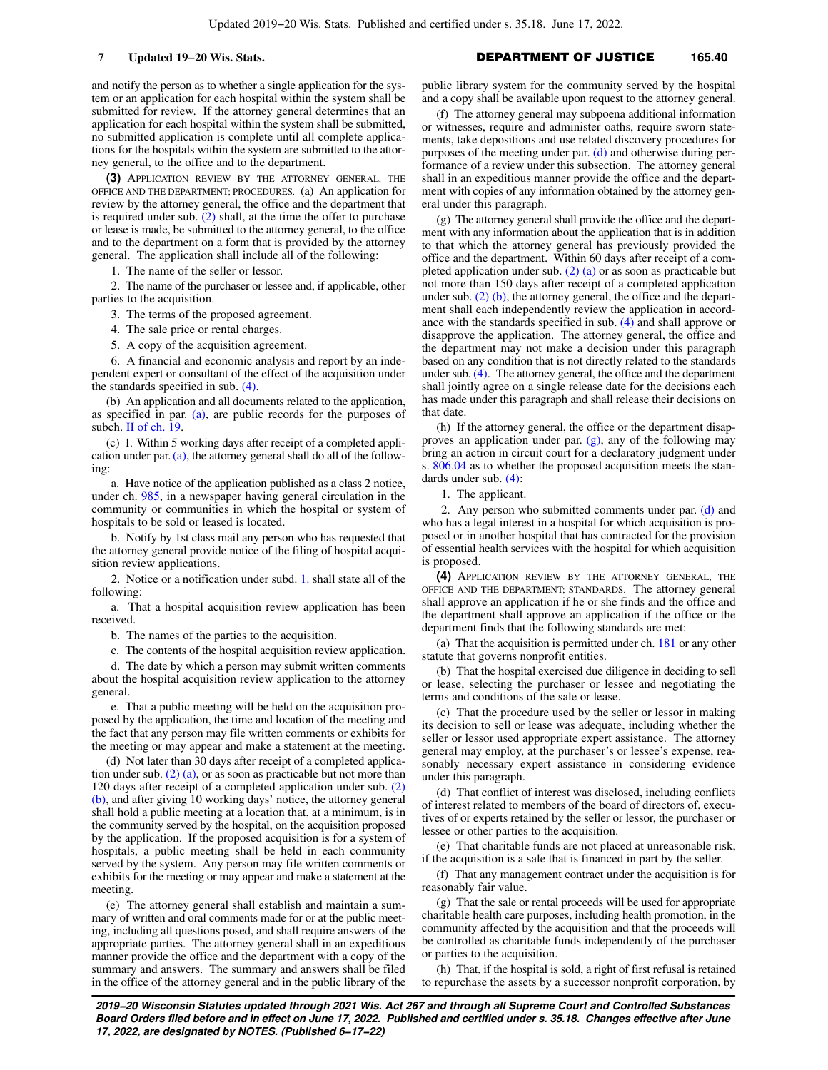and notify the person as to whether a single application for the system or an application for each hospital within the system shall be submitted for review. If the attorney general determines that an application for each hospital within the system shall be submitted, no submitted application is complete until all complete applications for the hospitals within the system are submitted to the attorney general, to the office and to the department.

**(3)** APPLICATION REVIEW BY THE ATTORNEY GENERAL, THE OFFICE AND THE DEPARTMENT; PROCEDURES. (a) An application for review by the attorney general, the office and the department that is required under sub.  $(2)$  shall, at the time the offer to purchase or lease is made, be submitted to the attorney general, to the office and to the department on a form that is provided by the attorney general. The application shall include all of the following:

1. The name of the seller or lessor.

2. The name of the purchaser or lessee and, if applicable, other parties to the acquisition.

3. The terms of the proposed agreement.

4. The sale price or rental charges.

5. A copy of the acquisition agreement.

6. A financial and economic analysis and report by an independent expert or consultant of the effect of the acquisition under the standards specified in sub. [\(4\)](https://docs.legis.wisconsin.gov/document/statutes/165.40(4)).

(b) An application and all documents related to the application, as specified in par. [\(a\)](https://docs.legis.wisconsin.gov/document/statutes/165.40(3)(a)), are public records for the purposes of subch. [II of ch. 19.](https://docs.legis.wisconsin.gov/document/statutes/subch.%20II%20of%20ch.%2019)

(c) 1. Within 5 working days after receipt of a completed application under par. [\(a\),](https://docs.legis.wisconsin.gov/document/statutes/165.40(3)(a)) the attorney general shall do all of the following:

a. Have notice of the application published as a class 2 notice, under ch. [985](https://docs.legis.wisconsin.gov/document/statutes/ch.%20985), in a newspaper having general circulation in the community or communities in which the hospital or system of hospitals to be sold or leased is located.

b. Notify by 1st class mail any person who has requested that the attorney general provide notice of the filing of hospital acquisition review applications.

2. Notice or a notification under subd. [1.](https://docs.legis.wisconsin.gov/document/statutes/165.40(3)(c)1.) shall state all of the following:

a. That a hospital acquisition review application has been received.

b. The names of the parties to the acquisition.

c. The contents of the hospital acquisition review application.

d. The date by which a person may submit written comments about the hospital acquisition review application to the attorney general.

e. That a public meeting will be held on the acquisition proposed by the application, the time and location of the meeting and the fact that any person may file written comments or exhibits for the meeting or may appear and make a statement at the meeting.

(d) Not later than 30 days after receipt of a completed application under sub.  $(2)$  (a), or as soon as practicable but not more than 120 days after receipt of a completed application under sub. [\(2\)](https://docs.legis.wisconsin.gov/document/statutes/165.40(2)(b)) [\(b\)](https://docs.legis.wisconsin.gov/document/statutes/165.40(2)(b)), and after giving 10 working days' notice, the attorney general shall hold a public meeting at a location that, at a minimum, is in the community served by the hospital, on the acquisition proposed by the application. If the proposed acquisition is for a system of hospitals, a public meeting shall be held in each community served by the system. Any person may file written comments or exhibits for the meeting or may appear and make a statement at the meeting.

(e) The attorney general shall establish and maintain a summary of written and oral comments made for or at the public meeting, including all questions posed, and shall require answers of the appropriate parties. The attorney general shall in an expeditious manner provide the office and the department with a copy of the summary and answers. The summary and answers shall be filed in the office of the attorney general and in the public library of the

public library system for the community served by the hospital and a copy shall be available upon request to the attorney general.

(f) The attorney general may subpoena additional information or witnesses, require and administer oaths, require sworn statements, take depositions and use related discovery procedures for purposes of the meeting under par. [\(d\)](https://docs.legis.wisconsin.gov/document/statutes/165.40(3)(d)) and otherwise during performance of a review under this subsection. The attorney general shall in an expeditious manner provide the office and the department with copies of any information obtained by the attorney general under this paragraph.

(g) The attorney general shall provide the office and the department with any information about the application that is in addition to that which the attorney general has previously provided the office and the department. Within 60 days after receipt of a completed application under sub.  $(2)$  (a) or as soon as practicable but not more than 150 days after receipt of a completed application under sub. [\(2\) \(b\),](https://docs.legis.wisconsin.gov/document/statutes/165.40(2)(b)) the attorney general, the office and the department shall each independently review the application in accordance with the standards specified in sub. [\(4\)](https://docs.legis.wisconsin.gov/document/statutes/165.40(4)) and shall approve or disapprove the application. The attorney general, the office and the department may not make a decision under this paragraph based on any condition that is not directly related to the standards under sub. [\(4\).](https://docs.legis.wisconsin.gov/document/statutes/165.40(4)) The attorney general, the office and the department shall jointly agree on a single release date for the decisions each has made under this paragraph and shall release their decisions on that date.

(h) If the attorney general, the office or the department disapproves an application under par. [\(g\)](https://docs.legis.wisconsin.gov/document/statutes/165.40(3)(g)), any of the following may bring an action in circuit court for a declaratory judgment under s. [806.04](https://docs.legis.wisconsin.gov/document/statutes/806.04) as to whether the proposed acquisition meets the standards under sub. [\(4\)](https://docs.legis.wisconsin.gov/document/statutes/165.40(4)):

1. The applicant.

2. Any person who submitted comments under par. [\(d\)](https://docs.legis.wisconsin.gov/document/statutes/165.40(3)(d)) and who has a legal interest in a hospital for which acquisition is proposed or in another hospital that has contracted for the provision of essential health services with the hospital for which acquisition is proposed.

**(4)** APPLICATION REVIEW BY THE ATTORNEY GENERAL, THE OFFICE AND THE DEPARTMENT; STANDARDS. The attorney general shall approve an application if he or she finds and the office and the department shall approve an application if the office or the department finds that the following standards are met:

(a) That the acquisition is permitted under ch. [181](https://docs.legis.wisconsin.gov/document/statutes/ch.%20181) or any other statute that governs nonprofit entities.

(b) That the hospital exercised due diligence in deciding to sell or lease, selecting the purchaser or lessee and negotiating the terms and conditions of the sale or lease.

(c) That the procedure used by the seller or lessor in making its decision to sell or lease was adequate, including whether the seller or lessor used appropriate expert assistance. The attorney general may employ, at the purchaser's or lessee's expense, reasonably necessary expert assistance in considering evidence under this paragraph.

(d) That conflict of interest was disclosed, including conflicts of interest related to members of the board of directors of, executives of or experts retained by the seller or lessor, the purchaser or lessee or other parties to the acquisition.

(e) That charitable funds are not placed at unreasonable risk, if the acquisition is a sale that is financed in part by the seller.

(f) That any management contract under the acquisition is for reasonably fair value.

(g) That the sale or rental proceeds will be used for appropriate charitable health care purposes, including health promotion, in the community affected by the acquisition and that the proceeds will be controlled as charitable funds independently of the purchaser or parties to the acquisition.

(h) That, if the hospital is sold, a right of first refusal is retained to repurchase the assets by a successor nonprofit corporation, by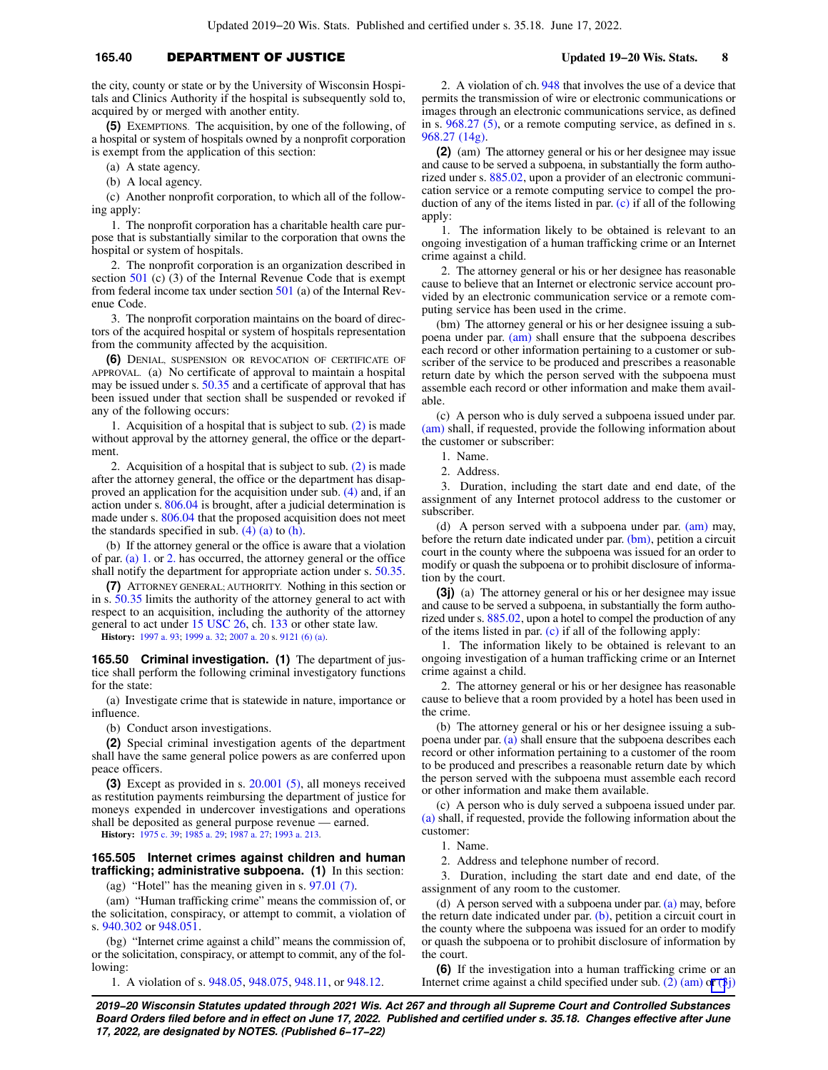### **165.40** DEPARTMENT OF JUSTICE **Updated 19−20 Wis. Stats. 8**

the city, county or state or by the University of Wisconsin Hospitals and Clinics Authority if the hospital is subsequently sold to, acquired by or merged with another entity.

**(5)** EXEMPTIONS. The acquisition, by one of the following, of a hospital or system of hospitals owned by a nonprofit corporation is exempt from the application of this section:

(a) A state agency.

(b) A local agency.

(c) Another nonprofit corporation, to which all of the following apply:

1. The nonprofit corporation has a charitable health care purpose that is substantially similar to the corporation that owns the hospital or system of hospitals.

2. The nonprofit corporation is an organization described in section [501](https://docs.legis.wisconsin.gov/document/usc/26%20USC%20501) (c) (3) of the Internal Revenue Code that is exempt from federal income tax under section [501](https://docs.legis.wisconsin.gov/document/usc/26%20USC%20501) (a) of the Internal Revenue Code.

3. The nonprofit corporation maintains on the board of directors of the acquired hospital or system of hospitals representation from the community affected by the acquisition.

**(6)** DENIAL, SUSPENSION OR REVOCATION OF CERTIFICATE OF APPROVAL. (a) No certificate of approval to maintain a hospital may be issued under s. [50.35](https://docs.legis.wisconsin.gov/document/statutes/50.35) and a certificate of approval that has been issued under that section shall be suspended or revoked if any of the following occurs:

1. Acquisition of a hospital that is subject to sub. [\(2\)](https://docs.legis.wisconsin.gov/document/statutes/165.40(2)) is made without approval by the attorney general, the office or the department.

2. Acquisition of a hospital that is subject to sub. [\(2\)](https://docs.legis.wisconsin.gov/document/statutes/165.40(2)) is made after the attorney general, the office or the department has disapproved an application for the acquisition under sub. [\(4\)](https://docs.legis.wisconsin.gov/document/statutes/165.40(4)) and, if an action under s. [806.04](https://docs.legis.wisconsin.gov/document/statutes/806.04) is brought, after a judicial determination is made under s. [806.04](https://docs.legis.wisconsin.gov/document/statutes/806.04) that the proposed acquisition does not meet the standards specified in sub.  $(4)$  (a) to [\(h\).](https://docs.legis.wisconsin.gov/document/statutes/165.40(4)(h))

(b) If the attorney general or the office is aware that a violation of par. [\(a\) 1.](https://docs.legis.wisconsin.gov/document/statutes/165.40(6)(a)1.) or [2.](https://docs.legis.wisconsin.gov/document/statutes/165.40(6)(a)2.) has occurred, the attorney general or the office shall notify the department for appropriate action under s. [50.35.](https://docs.legis.wisconsin.gov/document/statutes/50.35)

**(7)** ATTORNEY GENERAL; AUTHORITY. Nothing in this section or in s. [50.35](https://docs.legis.wisconsin.gov/document/statutes/50.35) limits the authority of the attorney general to act with respect to an acquisition, including the authority of the attorney general to act under [15 USC 26,](https://docs.legis.wisconsin.gov/document/usc/15%20USC%2026) ch. [133](https://docs.legis.wisconsin.gov/document/usc/15%20USC%20133) or other state law.

**History:** [1997 a. 93;](https://docs.legis.wisconsin.gov/document/acts/1997/93) [1999 a. 32;](https://docs.legis.wisconsin.gov/document/acts/1999/32) [2007 a. 20](https://docs.legis.wisconsin.gov/document/acts/2007/20) s. [9121 \(6\) \(a\).](https://docs.legis.wisconsin.gov/document/acts/2007/20,%20s.%209121)

**165.50 Criminal investigation. (1)** The department of justice shall perform the following criminal investigatory functions for the state:

(a) Investigate crime that is statewide in nature, importance or influence.

(b) Conduct arson investigations.

**(2)** Special criminal investigation agents of the department shall have the same general police powers as are conferred upon peace officers.

**(3)** Except as provided in s. [20.001 \(5\)](https://docs.legis.wisconsin.gov/document/statutes/20.001(5)), all moneys received as restitution payments reimbursing the department of justice for moneys expended in undercover investigations and operations shall be deposited as general purpose revenue — earned.

**History:** [1975 c. 39;](https://docs.legis.wisconsin.gov/document/acts/1975/39) [1985 a. 29;](https://docs.legis.wisconsin.gov/document/acts/1985/29) [1987 a. 27](https://docs.legis.wisconsin.gov/document/acts/1987/27); [1993 a. 213.](https://docs.legis.wisconsin.gov/document/acts/1993/213)

#### **165.505 Internet crimes against children and human trafficking; administrative subpoena. (1)** In this section:

(ag) "Hotel" has the meaning given in s. [97.01 \(7\)](https://docs.legis.wisconsin.gov/document/statutes/97.01(7)).

(am) "Human trafficking crime" means the commission of, or the solicitation, conspiracy, or attempt to commit, a violation of s. [940.302](https://docs.legis.wisconsin.gov/document/statutes/940.302) or [948.051.](https://docs.legis.wisconsin.gov/document/statutes/948.051)

(bg) "Internet crime against a child" means the commission of, or the solicitation, conspiracy, or attempt to commit, any of the following:

1. A violation of s. [948.05](https://docs.legis.wisconsin.gov/document/statutes/948.05), [948.075,](https://docs.legis.wisconsin.gov/document/statutes/948.075) [948.11,](https://docs.legis.wisconsin.gov/document/statutes/948.11) or [948.12.](https://docs.legis.wisconsin.gov/document/statutes/948.12)

2. A violation of ch. [948](https://docs.legis.wisconsin.gov/document/statutes/ch.%20948) that involves the use of a device that permits the transmission of wire or electronic communications or images through an electronic communications service, as defined in s.  $968.27$  (5), or a remote computing service, as defined in s. [968.27 \(14g\).](https://docs.legis.wisconsin.gov/document/statutes/968.27(14g))

**(2)** (am) The attorney general or his or her designee may issue and cause to be served a subpoena, in substantially the form authorized under s. [885.02](https://docs.legis.wisconsin.gov/document/statutes/885.02), upon a provider of an electronic communication service or a remote computing service to compel the production of any of the items listed in par. [\(c\)](https://docs.legis.wisconsin.gov/document/statutes/165.505(2)(c)) if all of the following apply:

1. The information likely to be obtained is relevant to an ongoing investigation of a human trafficking crime or an Internet crime against a child.

2. The attorney general or his or her designee has reasonable cause to believe that an Internet or electronic service account provided by an electronic communication service or a remote computing service has been used in the crime.

(bm) The attorney general or his or her designee issuing a subpoena under par. [\(am\)](https://docs.legis.wisconsin.gov/document/statutes/165.505(2)(am)) shall ensure that the subpoena describes each record or other information pertaining to a customer or subscriber of the service to be produced and prescribes a reasonable return date by which the person served with the subpoena must assemble each record or other information and make them available.

(c) A person who is duly served a subpoena issued under par. [\(am\)](https://docs.legis.wisconsin.gov/document/statutes/165.505(2)(am)) shall, if requested, provide the following information about the customer or subscriber:

1. Name.

2. Address.

3. Duration, including the start date and end date, of the assignment of any Internet protocol address to the customer or subscriber.

(d) A person served with a subpoena under par. [\(am\)](https://docs.legis.wisconsin.gov/document/statutes/165.505(2)(am)) may, before the return date indicated under par. [\(bm\)](https://docs.legis.wisconsin.gov/document/statutes/165.505(2)(bm)), petition a circuit court in the county where the subpoena was issued for an order to modify or quash the subpoena or to prohibit disclosure of information by the court.

**(3j)** (a) The attorney general or his or her designee may issue and cause to be served a subpoena, in substantially the form authorized under s. [885.02](https://docs.legis.wisconsin.gov/document/statutes/885.02), upon a hotel to compel the production of any of the items listed in par. [\(c\)](https://docs.legis.wisconsin.gov/document/statutes/165.505(3j)(c)) if all of the following apply:

1. The information likely to be obtained is relevant to an ongoing investigation of a human trafficking crime or an Internet crime against a child.

2. The attorney general or his or her designee has reasonable cause to believe that a room provided by a hotel has been used in the crime.

(b) The attorney general or his or her designee issuing a subpoena under par. [\(a\)](https://docs.legis.wisconsin.gov/document/statutes/165.505(3j)(a)) shall ensure that the subpoena describes each record or other information pertaining to a customer of the room to be produced and prescribes a reasonable return date by which the person served with the subpoena must assemble each record or other information and make them available.

(c) A person who is duly served a subpoena issued under par. [\(a\)](https://docs.legis.wisconsin.gov/document/statutes/165.505(3j)(a)) shall, if requested, provide the following information about the customer:

1. Name.

2. Address and telephone number of record.

3. Duration, including the start date and end date, of the assignment of any room to the customer.

(d) A person served with a subpoena under par. [\(a\)](https://docs.legis.wisconsin.gov/document/statutes/165.505(3j)(a)) may, before the return date indicated under par. [\(b\),](https://docs.legis.wisconsin.gov/document/statutes/165.505(3j)(b)) petition a circuit court in the county where the subpoena was issued for an order to modify or quash the subpoena or to prohibit disclosure of information by the court.

**(6)** If the investigation into a human trafficking crime or an Internet crime against a child specified under sub.  $(2)$  (am) or  $(3j)$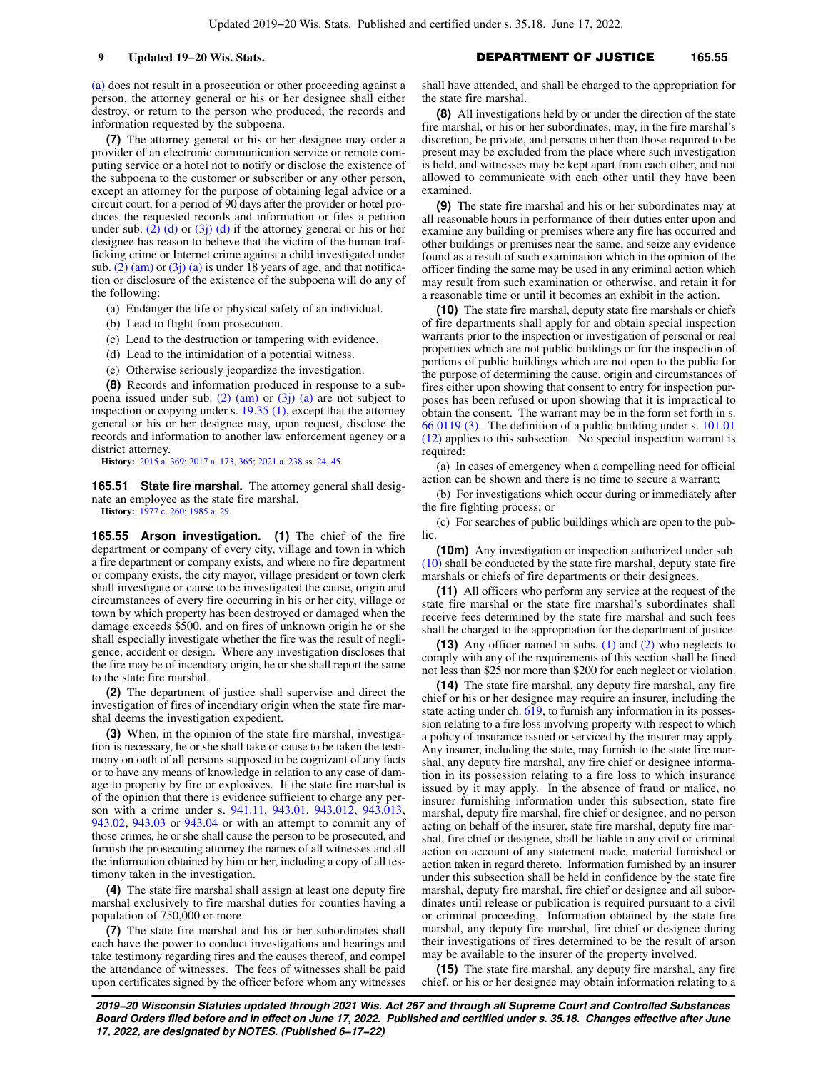[\(a\)](https://docs.legis.wisconsin.gov/document/statutes/165.505(3j)(a)) does not result in a prosecution or other proceeding against a person, the attorney general or his or her designee shall either destroy, or return to the person who produced, the records and information requested by the subpoena.

**(7)** The attorney general or his or her designee may order a provider of an electronic communication service or remote computing service or a hotel not to notify or disclose the existence of the subpoena to the customer or subscriber or any other person, except an attorney for the purpose of obtaining legal advice or a circuit court, for a period of 90 days after the provider or hotel produces the requested records and information or files a petition under sub. [\(2\) \(d\)](https://docs.legis.wisconsin.gov/document/statutes/165.505(2)(d)) or [\(3j\) \(d\)](https://docs.legis.wisconsin.gov/document/statutes/165.505(3j)(d)) if the attorney general or his or her designee has reason to believe that the victim of the human trafficking crime or Internet crime against a child investigated under sub.  $(2)$  (am) or  $(3j)$  (a) is under 18 years of age, and that notification or disclosure of the existence of the subpoena will do any of the following:

(a) Endanger the life or physical safety of an individual.

- (b) Lead to flight from prosecution.
- (c) Lead to the destruction or tampering with evidence.
- (d) Lead to the intimidation of a potential witness.

(e) Otherwise seriously jeopardize the investigation.

**(8)** Records and information produced in response to a sub-poena issued under sub. [\(2\) \(am\)](https://docs.legis.wisconsin.gov/document/statutes/165.505(2)(am)) or  $(3j)$  (a) are not subject to inspection or copying under s. [19.35 \(1\),](https://docs.legis.wisconsin.gov/document/statutes/19.35(1)) except that the attorney general or his or her designee may, upon request, disclose the records and information to another law enforcement agency or a district attorney.

**History:** [2015 a. 369](https://docs.legis.wisconsin.gov/document/acts/2015/369); [2017 a. 173](https://docs.legis.wisconsin.gov/document/acts/2017/173), [365](https://docs.legis.wisconsin.gov/document/acts/2017/365); [2021 a. 238](https://docs.legis.wisconsin.gov/document/acts/2021/238) ss. [24,](https://docs.legis.wisconsin.gov/document/acts/2021/238,%20s.%2024) [45](https://docs.legis.wisconsin.gov/document/acts/2021/238,%20s.%2045).

**165.51 State fire marshal.** The attorney general shall designate an employee as the state fire marshal.

**History:** [1977 c. 260](https://docs.legis.wisconsin.gov/document/acts/1977/260); [1985 a. 29.](https://docs.legis.wisconsin.gov/document/acts/1985/29)

**165.55 Arson investigation. (1)** The chief of the fire department or company of every city, village and town in which a fire department or company exists, and where no fire department or company exists, the city mayor, village president or town clerk shall investigate or cause to be investigated the cause, origin and circumstances of every fire occurring in his or her city, village or town by which property has been destroyed or damaged when the damage exceeds \$500, and on fires of unknown origin he or she shall especially investigate whether the fire was the result of negligence, accident or design. Where any investigation discloses that the fire may be of incendiary origin, he or she shall report the same to the state fire marshal.

**(2)** The department of justice shall supervise and direct the investigation of fires of incendiary origin when the state fire marshal deems the investigation expedient.

**(3)** When, in the opinion of the state fire marshal, investigation is necessary, he or she shall take or cause to be taken the testimony on oath of all persons supposed to be cognizant of any facts or to have any means of knowledge in relation to any case of damage to property by fire or explosives. If the state fire marshal is of the opinion that there is evidence sufficient to charge any per-son with a crime under s. [941.11](https://docs.legis.wisconsin.gov/document/statutes/941.11), [943.01](https://docs.legis.wisconsin.gov/document/statutes/943.01), [943.012](https://docs.legis.wisconsin.gov/document/statutes/943.012), [943.013,](https://docs.legis.wisconsin.gov/document/statutes/943.013) [943.02,](https://docs.legis.wisconsin.gov/document/statutes/943.02) [943.03](https://docs.legis.wisconsin.gov/document/statutes/943.03) or [943.04](https://docs.legis.wisconsin.gov/document/statutes/943.04) or with an attempt to commit any of those crimes, he or she shall cause the person to be prosecuted, and furnish the prosecuting attorney the names of all witnesses and all the information obtained by him or her, including a copy of all testimony taken in the investigation.

**(4)** The state fire marshal shall assign at least one deputy fire marshal exclusively to fire marshal duties for counties having a population of 750,000 or more.

**(7)** The state fire marshal and his or her subordinates shall each have the power to conduct investigations and hearings and take testimony regarding fires and the causes thereof, and compel the attendance of witnesses. The fees of witnesses shall be paid upon certificates signed by the officer before whom any witnesses shall have attended, and shall be charged to the appropriation for the state fire marshal.

**(8)** All investigations held by or under the direction of the state fire marshal, or his or her subordinates, may, in the fire marshal's discretion, be private, and persons other than those required to be present may be excluded from the place where such investigation is held, and witnesses may be kept apart from each other, and not allowed to communicate with each other until they have been examined.

**(9)** The state fire marshal and his or her subordinates may at all reasonable hours in performance of their duties enter upon and examine any building or premises where any fire has occurred and other buildings or premises near the same, and seize any evidence found as a result of such examination which in the opinion of the officer finding the same may be used in any criminal action which may result from such examination or otherwise, and retain it for a reasonable time or until it becomes an exhibit in the action.

**(10)** The state fire marshal, deputy state fire marshals or chiefs of fire departments shall apply for and obtain special inspection warrants prior to the inspection or investigation of personal or real properties which are not public buildings or for the inspection of portions of public buildings which are not open to the public for the purpose of determining the cause, origin and circumstances of fires either upon showing that consent to entry for inspection purposes has been refused or upon showing that it is impractical to obtain the consent. The warrant may be in the form set forth in s. [66.0119 \(3\).](https://docs.legis.wisconsin.gov/document/statutes/66.0119(3)) The definition of a public building under s. [101.01](https://docs.legis.wisconsin.gov/document/statutes/101.01(12)) [\(12\)](https://docs.legis.wisconsin.gov/document/statutes/101.01(12)) applies to this subsection. No special inspection warrant is required:

(a) In cases of emergency when a compelling need for official action can be shown and there is no time to secure a warrant;

(b) For investigations which occur during or immediately after the fire fighting process; or

(c) For searches of public buildings which are open to the public.

**(10m)** Any investigation or inspection authorized under sub. [\(10\)](https://docs.legis.wisconsin.gov/document/statutes/165.55(10)) shall be conducted by the state fire marshal, deputy state fire marshals or chiefs of fire departments or their designees.

**(11)** All officers who perform any service at the request of the state fire marshal or the state fire marshal's subordinates shall receive fees determined by the state fire marshal and such fees shall be charged to the appropriation for the department of justice.

**(13)** Any officer named in subs. [\(1\)](https://docs.legis.wisconsin.gov/document/statutes/165.55(1)) and [\(2\)](https://docs.legis.wisconsin.gov/document/statutes/165.55(2)) who neglects to comply with any of the requirements of this section shall be fined not less than \$25 nor more than \$200 for each neglect or violation.

**(14)** The state fire marshal, any deputy fire marshal, any fire chief or his or her designee may require an insurer, including the state acting under ch. [619](https://docs.legis.wisconsin.gov/document/statutes/ch.%20619), to furnish any information in its possession relating to a fire loss involving property with respect to which a policy of insurance issued or serviced by the insurer may apply. Any insurer, including the state, may furnish to the state fire marshal, any deputy fire marshal, any fire chief or designee information in its possession relating to a fire loss to which insurance issued by it may apply. In the absence of fraud or malice, no insurer furnishing information under this subsection, state fire marshal, deputy fire marshal, fire chief or designee, and no person acting on behalf of the insurer, state fire marshal, deputy fire marshal, fire chief or designee, shall be liable in any civil or criminal action on account of any statement made, material furnished or action taken in regard thereto. Information furnished by an insurer under this subsection shall be held in confidence by the state fire marshal, deputy fire marshal, fire chief or designee and all subordinates until release or publication is required pursuant to a civil or criminal proceeding. Information obtained by the state fire marshal, any deputy fire marshal, fire chief or designee during their investigations of fires determined to be the result of arson may be available to the insurer of the property involved.

**(15)** The state fire marshal, any deputy fire marshal, any fire chief, or his or her designee may obtain information relating to a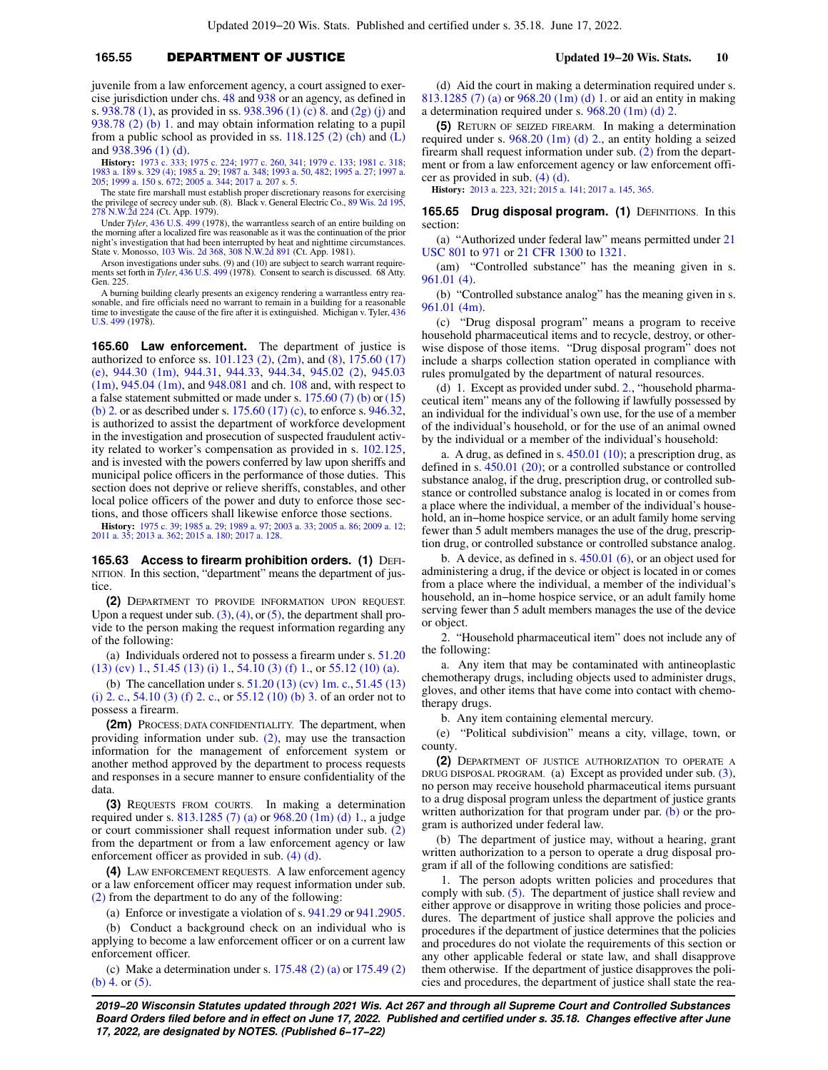### **165.55** DEPARTMENT OF JUSTICE **Updated 19−20 Wis. Stats. 10**

juvenile from a law enforcement agency, a court assigned to exercise jurisdiction under chs. [48](https://docs.legis.wisconsin.gov/document/statutes/ch.%2048) and [938](https://docs.legis.wisconsin.gov/document/statutes/ch.%20938) or an agency, as defined in s. [938.78 \(1\),](https://docs.legis.wisconsin.gov/document/statutes/938.78(1)) as provided in ss. [938.396 \(1\) \(c\) 8.](https://docs.legis.wisconsin.gov/document/statutes/938.396(1)(c)8.) and [\(2g\) \(j\)](https://docs.legis.wisconsin.gov/document/statutes/938.396(2g)(j)) and [938.78 \(2\) \(b\) 1.](https://docs.legis.wisconsin.gov/document/statutes/938.78(2)(b)1.) and may obtain information relating to a pupil from a public school as provided in ss.  $118.125$  (2) (ch) and [\(L\)](https://docs.legis.wisconsin.gov/document/statutes/118.125(2)(L)) and [938.396 \(1\) \(d\)](https://docs.legis.wisconsin.gov/document/statutes/938.396(1)(d)).

**History:** [1973 c. 333;](https://docs.legis.wisconsin.gov/document/acts/1973/333) [1975 c. 224](https://docs.legis.wisconsin.gov/document/acts/1975/224); [1977 c. 260](https://docs.legis.wisconsin.gov/document/acts/1977/260), [341](https://docs.legis.wisconsin.gov/document/acts/1977/341); [1979 c. 133](https://docs.legis.wisconsin.gov/document/acts/1979/133); [1981 c. 318](https://docs.legis.wisconsin.gov/document/acts/1981/318);<br>[1983 a. 189](https://docs.legis.wisconsin.gov/document/acts/1983/189) s. [329 \(4\)](https://docs.legis.wisconsin.gov/document/acts/1983/189,%20s.%20329); [1985 a. 29;](https://docs.legis.wisconsin.gov/document/acts/1985/29) [1987 a. 348](https://docs.legis.wisconsin.gov/document/acts/1987/348); [1993 a. 50,](https://docs.legis.wisconsin.gov/document/acts/1993/50) [482](https://docs.legis.wisconsin.gov/document/acts/1993/482); [1995 a. 27](https://docs.legis.wisconsin.gov/document/acts/1995/27); [1997 a.](https://docs.legis.wisconsin.gov/document/acts/1997/205)<br>[205](https://docs.legis.wisconsin.gov/document/acts/1997/205); [1999 a. 150](https://docs.legis.wisconsin.gov/document/acts/1999/150) s. [672;](https://docs.legis.wisconsin.gov/document/acts/1999/150,%20s.%20672) [2005 a. 344](https://docs.legis.wisconsin.gov/document/acts/2005/344); [2017 a. 207](https://docs.legis.wisconsin.gov/document/acts/2017/207) s. [5](https://docs.legis.wisconsin.gov/document/acts/2017/207,%20s.%205).

The state fire marshall must establish proper discretionary reasons for exercising<br>the privilege of secrecy under sub. (8). Black v. General Electric Co., [89 Wis. 2d 195](https://docs.legis.wisconsin.gov/document/courts/89%20Wis.%202d%20195),<br>[278 N.W.2d 224](https://docs.legis.wisconsin.gov/document/courts/278%20N.W.2d%20224) (Ct. App. 1979).

Under *Tyler*, [436 U.S. 499](https://docs.legis.wisconsin.gov/document/courts/436%20U.S.%20499) (1978), the warrantless search of an entire building on the morning after a localized fire was reasonable as it was the continuation of the prior night's investigation that had been interrupted by heat and nighttime circumstances. State v. Monosso, [103 Wis. 2d 368](https://docs.legis.wisconsin.gov/document/courts/103%20Wis.%202d%20368), [308 N.W.2d 891](https://docs.legis.wisconsin.gov/document/courts/308%20N.W.2d%20891) (Ct. App. 1981).

Arson investigations under subs. (9) and (10) are subject to search warrant requirements set forth in *Tyler*, [436 U.S. 499](https://docs.legis.wisconsin.gov/document/courts/436%20U.S.%20499) (1978). Consent to search is discussed. 68 Atty. Gen. 225.

A burning building clearly presents an exigency rendering a warrantless entry rea-sonable, and fire officials need no warrant to remain in a building for a reasonable time to investigate the cause of the fire after it is extinguished. Michigan v. Tyler, [436](https://docs.legis.wisconsin.gov/document/courts/436%20U.S.%20499) [U.S. 499](https://docs.legis.wisconsin.gov/document/courts/436%20U.S.%20499) (1978).

165.60 Law enforcement. The department of justice is authorized to enforce ss. [101.123 \(2\),](https://docs.legis.wisconsin.gov/document/statutes/101.123(2)) [\(2m\),](https://docs.legis.wisconsin.gov/document/statutes/101.123(2m)) and [\(8\)](https://docs.legis.wisconsin.gov/document/statutes/101.123(8)), [175.60 \(17\)](https://docs.legis.wisconsin.gov/document/statutes/175.60(17)(e)) [\(e\),](https://docs.legis.wisconsin.gov/document/statutes/175.60(17)(e)) [944.30 \(1m\)](https://docs.legis.wisconsin.gov/document/statutes/944.30(1m)), [944.31](https://docs.legis.wisconsin.gov/document/statutes/944.31), [944.33](https://docs.legis.wisconsin.gov/document/statutes/944.33), [944.34](https://docs.legis.wisconsin.gov/document/statutes/944.34), [945.02 \(2\),](https://docs.legis.wisconsin.gov/document/statutes/945.02(2)) [945.03](https://docs.legis.wisconsin.gov/document/statutes/945.03(1m))  $(1m)$ , 945.04  $(1m)$ , and [948.081](https://docs.legis.wisconsin.gov/document/statutes/948.081) and ch. [108](https://docs.legis.wisconsin.gov/document/statutes/ch.%20108) and, with respect to a false statement submitted or made under s. [175.60 \(7\) \(b\)](https://docs.legis.wisconsin.gov/document/statutes/175.60(7)(b)) or [\(15\)](https://docs.legis.wisconsin.gov/document/statutes/175.60(15)(b)2.) [\(b\) 2.](https://docs.legis.wisconsin.gov/document/statutes/175.60(15)(b)2.) or as described under s. [175.60 \(17\) \(c\),](https://docs.legis.wisconsin.gov/document/statutes/175.60(17)(c)) to enforce s. [946.32,](https://docs.legis.wisconsin.gov/document/statutes/946.32) is authorized to assist the department of workforce development in the investigation and prosecution of suspected fraudulent activity related to worker's compensation as provided in s. [102.125,](https://docs.legis.wisconsin.gov/document/statutes/102.125) and is invested with the powers conferred by law upon sheriffs and municipal police officers in the performance of those duties. This section does not deprive or relieve sheriffs, constables, and other local police officers of the power and duty to enforce those sections, and those officers shall likewise enforce those sections.

**History:** [1975 c. 39;](https://docs.legis.wisconsin.gov/document/acts/1975/39) [1985 a. 29;](https://docs.legis.wisconsin.gov/document/acts/1985/29) [1989 a. 97;](https://docs.legis.wisconsin.gov/document/acts/1989/97) [2003 a. 33;](https://docs.legis.wisconsin.gov/document/acts/2003/33) [2005 a. 86](https://docs.legis.wisconsin.gov/document/acts/2005/86); [2009 a. 12](https://docs.legis.wisconsin.gov/document/acts/2009/12); [2011 a. 35;](https://docs.legis.wisconsin.gov/document/acts/2011/35) [2013 a. 362;](https://docs.legis.wisconsin.gov/document/acts/2013/362) [2015 a. 180](https://docs.legis.wisconsin.gov/document/acts/2015/180); [2017 a. 128.](https://docs.legis.wisconsin.gov/document/acts/2017/128)

**165.63 Access to firearm prohibition orders. (1) DEFI-**NITION. In this section, "department" means the department of justice

**(2)** DEPARTMENT TO PROVIDE INFORMATION UPON REQUEST. Upon a request under sub.  $(3)$ ,  $(4)$ , or  $(5)$ , the department shall provide to the person making the request information regarding any of the following:

(a) Individuals ordered not to possess a firearm under s. [51.20](https://docs.legis.wisconsin.gov/document/statutes/51.20(13)(cv)1.) [\(13\) \(cv\) 1.,](https://docs.legis.wisconsin.gov/document/statutes/51.20(13)(cv)1.) [51.45 \(13\) \(i\) 1.,](https://docs.legis.wisconsin.gov/document/statutes/51.45(13)(i)1.) [54.10 \(3\) \(f\) 1.,](https://docs.legis.wisconsin.gov/document/statutes/54.10(3)(f)1.) or [55.12 \(10\) \(a\)](https://docs.legis.wisconsin.gov/document/statutes/55.12(10)(a)).

(b) The cancellation under s. [51.20 \(13\) \(cv\) 1m. c.](https://docs.legis.wisconsin.gov/document/statutes/51.20(13)(cv)1m.c.), [51.45 \(13\)](https://docs.legis.wisconsin.gov/document/statutes/51.45(13)(i)2.c.) [\(i\) 2. c.,](https://docs.legis.wisconsin.gov/document/statutes/51.45(13)(i)2.c.) [54.10 \(3\) \(f\) 2. c.,](https://docs.legis.wisconsin.gov/document/statutes/54.10(3)(f)2.c.) or [55.12 \(10\) \(b\) 3.](https://docs.legis.wisconsin.gov/document/statutes/55.12(10)(b)3.) of an order not to possess a firearm.

**(2m)** PROCESS; DATA CONFIDENTIALITY. The department, when providing information under sub. [\(2\),](https://docs.legis.wisconsin.gov/document/statutes/165.63(2)) may use the transaction information for the management of enforcement system or another method approved by the department to process requests and responses in a secure manner to ensure confidentiality of the data.

**(3)** REQUESTS FROM COURTS. In making a determination required under s. [813.1285 \(7\) \(a\)](https://docs.legis.wisconsin.gov/document/statutes/813.1285(7)(a)) or [968.20 \(1m\) \(d\) 1.](https://docs.legis.wisconsin.gov/document/statutes/968.20(1m)(d)1.), a judge or court commissioner shall request information under sub. [\(2\)](https://docs.legis.wisconsin.gov/document/statutes/165.63(2)) from the department or from a law enforcement agency or law enforcement officer as provided in sub. [\(4\) \(d\).](https://docs.legis.wisconsin.gov/document/statutes/165.63(4)(d))

**(4)** LAW ENFORCEMENT REQUESTS. A law enforcement agency or a law enforcement officer may request information under sub. [\(2\)](https://docs.legis.wisconsin.gov/document/statutes/165.63(2)) from the department to do any of the following:

(a) Enforce or investigate a violation of s. [941.29](https://docs.legis.wisconsin.gov/document/statutes/941.29) or [941.2905.](https://docs.legis.wisconsin.gov/document/statutes/941.2905)

(b) Conduct a background check on an individual who is applying to become a law enforcement officer or on a current law enforcement officer.

(c) Make a determination under s.  $175.48$  (2) (a) or  $175.49$  (2) [\(b\) 4.](https://docs.legis.wisconsin.gov/document/statutes/175.49(2)(b)4.) or [\(5\).](https://docs.legis.wisconsin.gov/document/statutes/175.49(5))

(d) Aid the court in making a determination required under s. [813.1285 \(7\) \(a\)](https://docs.legis.wisconsin.gov/document/statutes/813.1285(7)(a)) or [968.20 \(1m\) \(d\) 1.](https://docs.legis.wisconsin.gov/document/statutes/968.20(1m)(d)1.) or aid an entity in making a determination required under s. [968.20 \(1m\) \(d\) 2.](https://docs.legis.wisconsin.gov/document/statutes/968.20(1m)(d)2.)

**(5)** RETURN OF SEIZED FIREARM. In making a determination required under s. [968.20 \(1m\) \(d\) 2.,](https://docs.legis.wisconsin.gov/document/statutes/968.20(1m)(d)2.) an entity holding a seized firearm shall request information under sub. [\(2\)](https://docs.legis.wisconsin.gov/document/statutes/165.63(2)) from the department or from a law enforcement agency or law enforcement officer as provided in sub. [\(4\) \(d\)](https://docs.legis.wisconsin.gov/document/statutes/165.63(4)(d)).

**History:** [2013 a. 223,](https://docs.legis.wisconsin.gov/document/acts/2013/223) [321;](https://docs.legis.wisconsin.gov/document/acts/2013/321) [2015 a. 141](https://docs.legis.wisconsin.gov/document/acts/2015/141); [2017 a. 145](https://docs.legis.wisconsin.gov/document/acts/2017/145), [365](https://docs.legis.wisconsin.gov/document/acts/2017/365).

**165.65 Drug disposal program. (1)** DEFINITIONS. In this section:

(a) "Authorized under federal law" means permitted under [21](https://docs.legis.wisconsin.gov/document/usc/21%20USC%20801) [USC 801](https://docs.legis.wisconsin.gov/document/usc/21%20USC%20801) to [971](https://docs.legis.wisconsin.gov/document/usc/21%20USC%20971) or [21 CFR 1300](https://docs.legis.wisconsin.gov/document/cfr/21%20CFR%201300) to [1321](https://docs.legis.wisconsin.gov/document/cfr/21%20CFR%201321).

(am) "Controlled substance" has the meaning given in s. [961.01 \(4\).](https://docs.legis.wisconsin.gov/document/statutes/961.01(4))

(b) "Controlled substance analog" has the meaning given in s. [961.01 \(4m\).](https://docs.legis.wisconsin.gov/document/statutes/961.01(4m))

(c) "Drug disposal program" means a program to receive household pharmaceutical items and to recycle, destroy, or otherwise dispose of those items. "Drug disposal program" does not include a sharps collection station operated in compliance with rules promulgated by the department of natural resources.

(d) 1. Except as provided under subd. [2.](https://docs.legis.wisconsin.gov/document/statutes/165.65(1)(d)2.), "household pharmaceutical item" means any of the following if lawfully possessed by an individual for the individual's own use, for the use of a member of the individual's household, or for the use of an animal owned by the individual or a member of the individual's household:

a. A drug, as defined in s. [450.01 \(10\)](https://docs.legis.wisconsin.gov/document/statutes/450.01(10)); a prescription drug, as defined in s. [450.01 \(20\);](https://docs.legis.wisconsin.gov/document/statutes/450.01(20)) or a controlled substance or controlled substance analog, if the drug, prescription drug, or controlled substance or controlled substance analog is located in or comes from a place where the individual, a member of the individual's household, an in−home hospice service, or an adult family home serving fewer than 5 adult members manages the use of the drug, prescription drug, or controlled substance or controlled substance analog.

b. A device, as defined in s. [450.01 \(6\),](https://docs.legis.wisconsin.gov/document/statutes/450.01(6)) or an object used for administering a drug, if the device or object is located in or comes from a place where the individual, a member of the individual's household, an in−home hospice service, or an adult family home serving fewer than 5 adult members manages the use of the device or object.

2. "Household pharmaceutical item" does not include any of the following:

a. Any item that may be contaminated with antineoplastic chemotherapy drugs, including objects used to administer drugs, gloves, and other items that have come into contact with chemotherapy drugs.

b. Any item containing elemental mercury.

(e) "Political subdivision" means a city, village, town, or county.

**(2)** DEPARTMENT OF JUSTICE AUTHORIZATION TO OPERATE A DRUG DISPOSAL PROGRAM. (a) Except as provided under sub. [\(3\),](https://docs.legis.wisconsin.gov/document/statutes/165.65(3)) no person may receive household pharmaceutical items pursuant to a drug disposal program unless the department of justice grants written authorization for that program under par. [\(b\)](https://docs.legis.wisconsin.gov/document/statutes/165.65(2)(b)) or the program is authorized under federal law.

(b) The department of justice may, without a hearing, grant written authorization to a person to operate a drug disposal program if all of the following conditions are satisfied:

1. The person adopts written policies and procedures that comply with sub. [\(5\)](https://docs.legis.wisconsin.gov/document/statutes/165.65(5)). The department of justice shall review and either approve or disapprove in writing those policies and procedures. The department of justice shall approve the policies and procedures if the department of justice determines that the policies and procedures do not violate the requirements of this section or any other applicable federal or state law, and shall disapprove them otherwise. If the department of justice disapproves the policies and procedures, the department of justice shall state the rea-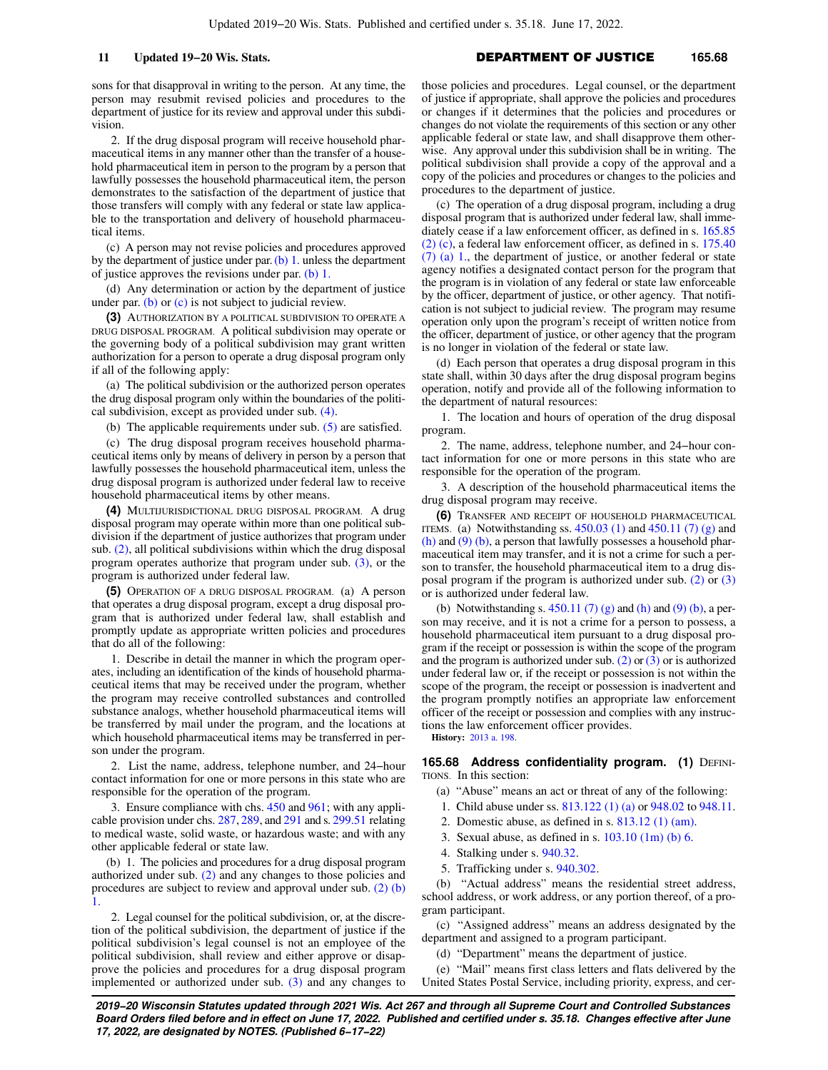sons for that disapproval in writing to the person. At any time, the person may resubmit revised policies and procedures to the department of justice for its review and approval under this subdivision.

2. If the drug disposal program will receive household pharmaceutical items in any manner other than the transfer of a household pharmaceutical item in person to the program by a person that lawfully possesses the household pharmaceutical item, the person demonstrates to the satisfaction of the department of justice that those transfers will comply with any federal or state law applicable to the transportation and delivery of household pharmaceutical items.

(c) A person may not revise policies and procedures approved by the department of justice under par. [\(b\) 1.](https://docs.legis.wisconsin.gov/document/statutes/165.65(2)(b)1.) unless the department of justice approves the revisions under par. [\(b\) 1.](https://docs.legis.wisconsin.gov/document/statutes/165.65(2)(b)1.)

(d) Any determination or action by the department of justice under par. [\(b\)](https://docs.legis.wisconsin.gov/document/statutes/165.65(2)(b)) or [\(c\)](https://docs.legis.wisconsin.gov/document/statutes/165.65(2)(c)) is not subject to judicial review.

**(3)** AUTHORIZATION BY A POLITICAL SUBDIVISION TO OPERATE A DRUG DISPOSAL PROGRAM. A political subdivision may operate or the governing body of a political subdivision may grant written authorization for a person to operate a drug disposal program only if all of the following apply:

(a) The political subdivision or the authorized person operates the drug disposal program only within the boundaries of the political subdivision, except as provided under sub. [\(4\).](https://docs.legis.wisconsin.gov/document/statutes/165.65(4))

(b) The applicable requirements under sub. [\(5\)](https://docs.legis.wisconsin.gov/document/statutes/165.65(5)) are satisfied.

(c) The drug disposal program receives household pharmaceutical items only by means of delivery in person by a person that lawfully possesses the household pharmaceutical item, unless the drug disposal program is authorized under federal law to receive household pharmaceutical items by other means.

**(4)** MULTIJURISDICTIONAL DRUG DISPOSAL PROGRAM. A drug disposal program may operate within more than one political subdivision if the department of justice authorizes that program under sub. [\(2\)](https://docs.legis.wisconsin.gov/document/statutes/165.65(2)), all political subdivisions within which the drug disposal program operates authorize that program under sub. [\(3\)](https://docs.legis.wisconsin.gov/document/statutes/165.65(3)), or the program is authorized under federal law.

**(5)** OPERATION OF A DRUG DISPOSAL PROGRAM. (a) A person that operates a drug disposal program, except a drug disposal program that is authorized under federal law, shall establish and promptly update as appropriate written policies and procedures that do all of the following:

1. Describe in detail the manner in which the program operates, including an identification of the kinds of household pharmaceutical items that may be received under the program, whether the program may receive controlled substances and controlled substance analogs, whether household pharmaceutical items will be transferred by mail under the program, and the locations at which household pharmaceutical items may be transferred in person under the program.

2. List the name, address, telephone number, and 24−hour contact information for one or more persons in this state who are responsible for the operation of the program.

3. Ensure compliance with chs. [450](https://docs.legis.wisconsin.gov/document/statutes/ch.%20450) and [961;](https://docs.legis.wisconsin.gov/document/statutes/ch.%20961) with any applicable provision under chs. [287,](https://docs.legis.wisconsin.gov/document/statutes/ch.%20287) [289,](https://docs.legis.wisconsin.gov/document/statutes/ch.%20289) and [291](https://docs.legis.wisconsin.gov/document/statutes/ch.%20291) and s. [299.51](https://docs.legis.wisconsin.gov/document/statutes/299.51) relating to medical waste, solid waste, or hazardous waste; and with any other applicable federal or state law.

(b) 1. The policies and procedures for a drug disposal program authorized under sub. [\(2\)](https://docs.legis.wisconsin.gov/document/statutes/165.65(2)) and any changes to those policies and procedures are subject to review and approval under sub. [\(2\) \(b\)](https://docs.legis.wisconsin.gov/document/statutes/165.65(2)(b)1.) [1.](https://docs.legis.wisconsin.gov/document/statutes/165.65(2)(b)1.)

2. Legal counsel for the political subdivision, or, at the discretion of the political subdivision, the department of justice if the political subdivision's legal counsel is not an employee of the political subdivision, shall review and either approve or disapprove the policies and procedures for a drug disposal program implemented or authorized under sub. [\(3\)](https://docs.legis.wisconsin.gov/document/statutes/165.65(3)) and any changes to those policies and procedures. Legal counsel, or the department of justice if appropriate, shall approve the policies and procedures or changes if it determines that the policies and procedures or changes do not violate the requirements of this section or any other applicable federal or state law, and shall disapprove them otherwise. Any approval under this subdivision shall be in writing. The political subdivision shall provide a copy of the approval and a copy of the policies and procedures or changes to the policies and procedures to the department of justice.

(c) The operation of a drug disposal program, including a drug disposal program that is authorized under federal law, shall immediately cease if a law enforcement officer, as defined in s. [165.85](https://docs.legis.wisconsin.gov/document/statutes/165.85(2)(c)) [\(2\) \(c\),](https://docs.legis.wisconsin.gov/document/statutes/165.85(2)(c)) a federal law enforcement officer, as defined in s. [175.40](https://docs.legis.wisconsin.gov/document/statutes/175.40(7)(a)1.) [\(7\) \(a\) 1.](https://docs.legis.wisconsin.gov/document/statutes/175.40(7)(a)1.), the department of justice, or another federal or state agency notifies a designated contact person for the program that the program is in violation of any federal or state law enforceable by the officer, department of justice, or other agency. That notification is not subject to judicial review. The program may resume operation only upon the program's receipt of written notice from the officer, department of justice, or other agency that the program is no longer in violation of the federal or state law.

(d) Each person that operates a drug disposal program in this state shall, within 30 days after the drug disposal program begins operation, notify and provide all of the following information to the department of natural resources:

1. The location and hours of operation of the drug disposal program.

2. The name, address, telephone number, and 24−hour contact information for one or more persons in this state who are responsible for the operation of the program.

3. A description of the household pharmaceutical items the drug disposal program may receive.

**(6)** TRANSFER AND RECEIPT OF HOUSEHOLD PHARMACEUTICAL ITEMS. (a) Notwithstanding ss. [450.03 \(1\)](https://docs.legis.wisconsin.gov/document/statutes/450.03(1)) and [450.11 \(7\) \(g\)](https://docs.legis.wisconsin.gov/document/statutes/450.11(7)(g)) and [\(h\)](https://docs.legis.wisconsin.gov/document/statutes/450.11(7)(h)) and [\(9\) \(b\),](https://docs.legis.wisconsin.gov/document/statutes/450.11(9)(b)) a person that lawfully possesses a household pharmaceutical item may transfer, and it is not a crime for such a person to transfer, the household pharmaceutical item to a drug disposal program if the program is authorized under sub. [\(2\)](https://docs.legis.wisconsin.gov/document/statutes/165.65(2)) or [\(3\)](https://docs.legis.wisconsin.gov/document/statutes/165.65(3)) or is authorized under federal law.

(b) Notwithstanding s.  $450.11$  (7) (g) and [\(h\)](https://docs.legis.wisconsin.gov/document/statutes/450.11(7)(h)) and [\(9\) \(b\)](https://docs.legis.wisconsin.gov/document/statutes/450.11(9)(b)), a person may receive, and it is not a crime for a person to possess, a household pharmaceutical item pursuant to a drug disposal program if the receipt or possession is within the scope of the program and the program is authorized under sub.  $(2)$  or  $(3)$  or is authorized under federal law or, if the receipt or possession is not within the scope of the program, the receipt or possession is inadvertent and the program promptly notifies an appropriate law enforcement officer of the receipt or possession and complies with any instructions the law enforcement officer provides.

**History:** [2013 a. 198.](https://docs.legis.wisconsin.gov/document/acts/2013/198)

**165.68 Address confidentiality program. (1) DEFINI-**TIONS. In this section:

(a) "Abuse" means an act or threat of any of the following:

1. Child abuse under ss. [813.122 \(1\) \(a\)](https://docs.legis.wisconsin.gov/document/statutes/813.122(1)(a)) or [948.02](https://docs.legis.wisconsin.gov/document/statutes/948.02) to [948.11.](https://docs.legis.wisconsin.gov/document/statutes/948.11)

- 2. Domestic abuse, as defined in s. [813.12 \(1\) \(am\)](https://docs.legis.wisconsin.gov/document/statutes/813.12(1)(am)).
- 3. Sexual abuse, as defined in s. [103.10 \(1m\) \(b\) 6.](https://docs.legis.wisconsin.gov/document/statutes/103.10(1m)(b)6.)
- 4. Stalking under s. [940.32.](https://docs.legis.wisconsin.gov/document/statutes/940.32)
- 5. Trafficking under s. [940.302](https://docs.legis.wisconsin.gov/document/statutes/940.302).

(b) "Actual address" means the residential street address, school address, or work address, or any portion thereof, of a program participant.

(c) "Assigned address" means an address designated by the department and assigned to a program participant.

(d) "Department" means the department of justice.

(e) "Mail" means first class letters and flats delivered by the United States Postal Service, including priority, express, and cer-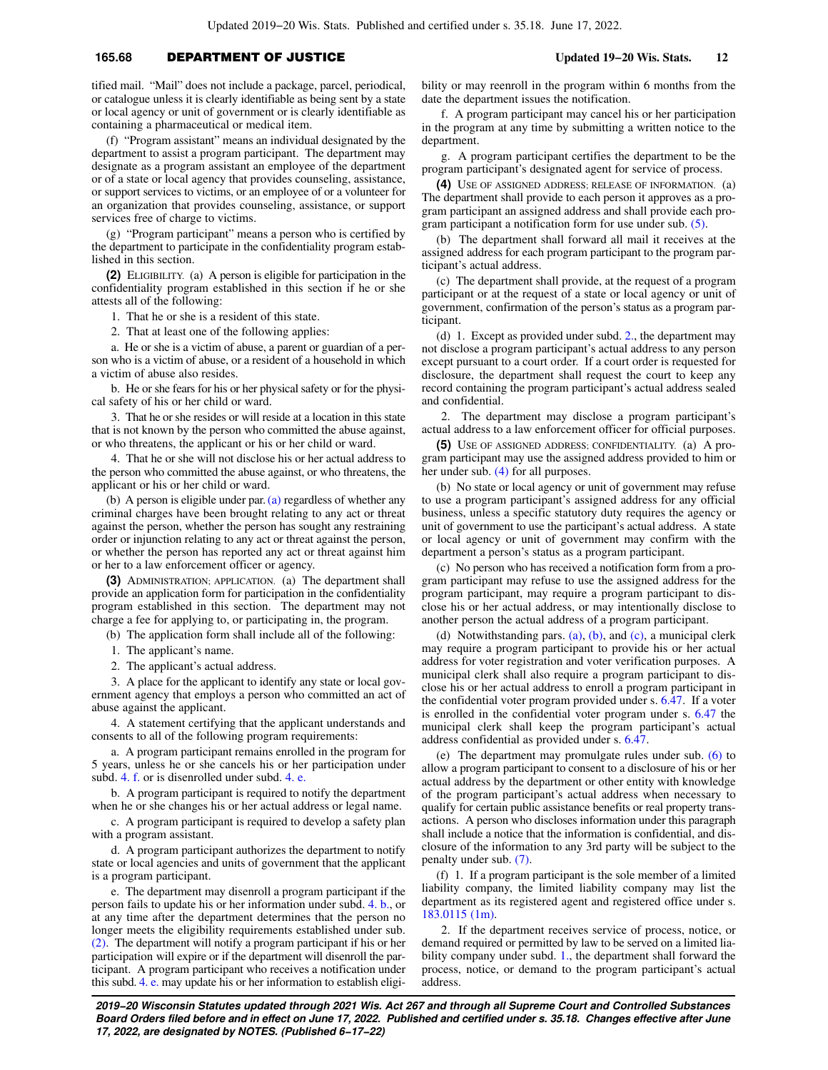### **165.68** DEPARTMENT OF JUSTICE **Updated 19−20 Wis. Stats. 12**

tified mail. "Mail" does not include a package, parcel, periodical, or catalogue unless it is clearly identifiable as being sent by a state or local agency or unit of government or is clearly identifiable as containing a pharmaceutical or medical item.

(f) "Program assistant" means an individual designated by the department to assist a program participant. The department may designate as a program assistant an employee of the department or of a state or local agency that provides counseling, assistance, or support services to victims, or an employee of or a volunteer for an organization that provides counseling, assistance, or support services free of charge to victims.

(g) "Program participant" means a person who is certified by the department to participate in the confidentiality program established in this section.

**(2)** ELIGIBILITY. (a) A person is eligible for participation in the confidentiality program established in this section if he or she attests all of the following:

1. That he or she is a resident of this state.

2. That at least one of the following applies:

a. He or she is a victim of abuse, a parent or guardian of a person who is a victim of abuse, or a resident of a household in which a victim of abuse also resides.

b. He or she fears for his or her physical safety or for the physical safety of his or her child or ward.

3. That he or she resides or will reside at a location in this state that is not known by the person who committed the abuse against, or who threatens, the applicant or his or her child or ward.

4. That he or she will not disclose his or her actual address to the person who committed the abuse against, or who threatens, the applicant or his or her child or ward.

(b) A person is eligible under par. [\(a\)](https://docs.legis.wisconsin.gov/document/statutes/165.68(2)(a)) regardless of whether any criminal charges have been brought relating to any act or threat against the person, whether the person has sought any restraining order or injunction relating to any act or threat against the person, or whether the person has reported any act or threat against him or her to a law enforcement officer or agency.

**(3)** ADMINISTRATION; APPLICATION. (a) The department shall provide an application form for participation in the confidentiality program established in this section. The department may not charge a fee for applying to, or participating in, the program.

(b) The application form shall include all of the following:

1. The applicant's name.

2. The applicant's actual address.

3. A place for the applicant to identify any state or local government agency that employs a person who committed an act of abuse against the applicant.

4. A statement certifying that the applicant understands and consents to all of the following program requirements:

a. A program participant remains enrolled in the program for 5 years, unless he or she cancels his or her participation under subd. [4. f.](https://docs.legis.wisconsin.gov/document/statutes/165.68(3)(b)4.f.) or is disenrolled under subd. [4. e.](https://docs.legis.wisconsin.gov/document/statutes/165.68(3)(b)4.e.)

b. A program participant is required to notify the department when he or she changes his or her actual address or legal name.

c. A program participant is required to develop a safety plan with a program assistant.

d. A program participant authorizes the department to notify state or local agencies and units of government that the applicant is a program participant.

e. The department may disenroll a program participant if the person fails to update his or her information under subd. [4. b.](https://docs.legis.wisconsin.gov/document/statutes/165.68(3)(b)4.b.), or at any time after the department determines that the person no longer meets the eligibility requirements established under sub. [\(2\)](https://docs.legis.wisconsin.gov/document/statutes/165.68(2)). The department will notify a program participant if his or her participation will expire or if the department will disenroll the participant. A program participant who receives a notification under this subd. [4. e.](https://docs.legis.wisconsin.gov/document/statutes/165.68(3)(b)4.e.) may update his or her information to establish eligibility or may reenroll in the program within 6 months from the date the department issues the notification.

f. A program participant may cancel his or her participation in the program at any time by submitting a written notice to the department.

g. A program participant certifies the department to be the program participant's designated agent for service of process.

**(4)** USE OF ASSIGNED ADDRESS; RELEASE OF INFORMATION. (a) The department shall provide to each person it approves as a program participant an assigned address and shall provide each program participant a notification form for use under sub. [\(5\).](https://docs.legis.wisconsin.gov/document/statutes/165.68(5))

(b) The department shall forward all mail it receives at the assigned address for each program participant to the program participant's actual address.

(c) The department shall provide, at the request of a program participant or at the request of a state or local agency or unit of government, confirmation of the person's status as a program participant.

(d) 1. Except as provided under subd. [2.,](https://docs.legis.wisconsin.gov/document/statutes/165.68(4)(d)2.) the department may not disclose a program participant's actual address to any person except pursuant to a court order. If a court order is requested for disclosure, the department shall request the court to keep any record containing the program participant's actual address sealed and confidential.

2. The department may disclose a program participant's actual address to a law enforcement officer for official purposes.

**(5)** USE OF ASSIGNED ADDRESS; CONFIDENTIALITY. (a) A program participant may use the assigned address provided to him or her under sub. [\(4\)](https://docs.legis.wisconsin.gov/document/statutes/165.68(4)) for all purposes.

(b) No state or local agency or unit of government may refuse to use a program participant's assigned address for any official business, unless a specific statutory duty requires the agency or unit of government to use the participant's actual address. A state or local agency or unit of government may confirm with the department a person's status as a program participant.

(c) No person who has received a notification form from a program participant may refuse to use the assigned address for the program participant, may require a program participant to disclose his or her actual address, or may intentionally disclose to another person the actual address of a program participant.

(d) Notwithstanding pars. [\(a\),](https://docs.legis.wisconsin.gov/document/statutes/165.68(5)(a)) [\(b\)](https://docs.legis.wisconsin.gov/document/statutes/165.68(5)(b)), and [\(c\)](https://docs.legis.wisconsin.gov/document/statutes/165.68(5)(c)), a municipal clerk may require a program participant to provide his or her actual address for voter registration and voter verification purposes. A municipal clerk shall also require a program participant to disclose his or her actual address to enroll a program participant in the confidential voter program provided under s. [6.47.](https://docs.legis.wisconsin.gov/document/statutes/6.47) If a voter is enrolled in the confidential voter program under s. [6.47](https://docs.legis.wisconsin.gov/document/statutes/6.47) the municipal clerk shall keep the program participant's actual address confidential as provided under s. [6.47.](https://docs.legis.wisconsin.gov/document/statutes/6.47)

(e) The department may promulgate rules under sub. [\(6\)](https://docs.legis.wisconsin.gov/document/statutes/165.68(6)) to allow a program participant to consent to a disclosure of his or her actual address by the department or other entity with knowledge of the program participant's actual address when necessary to qualify for certain public assistance benefits or real property transactions. A person who discloses information under this paragraph shall include a notice that the information is confidential, and disclosure of the information to any 3rd party will be subject to the penalty under sub. [\(7\)](https://docs.legis.wisconsin.gov/document/statutes/165.68(7)).

(f) 1. If a program participant is the sole member of a limited liability company, the limited liability company may list the department as its registered agent and registered office under s. [183.0115 \(1m\)](https://docs.legis.wisconsin.gov/document/statutes/183.0115(1m)).

2. If the department receives service of process, notice, or demand required or permitted by law to be served on a limited liability company under subd. [1.](https://docs.legis.wisconsin.gov/document/statutes/165.68(5)(f)1.), the department shall forward the process, notice, or demand to the program participant's actual address.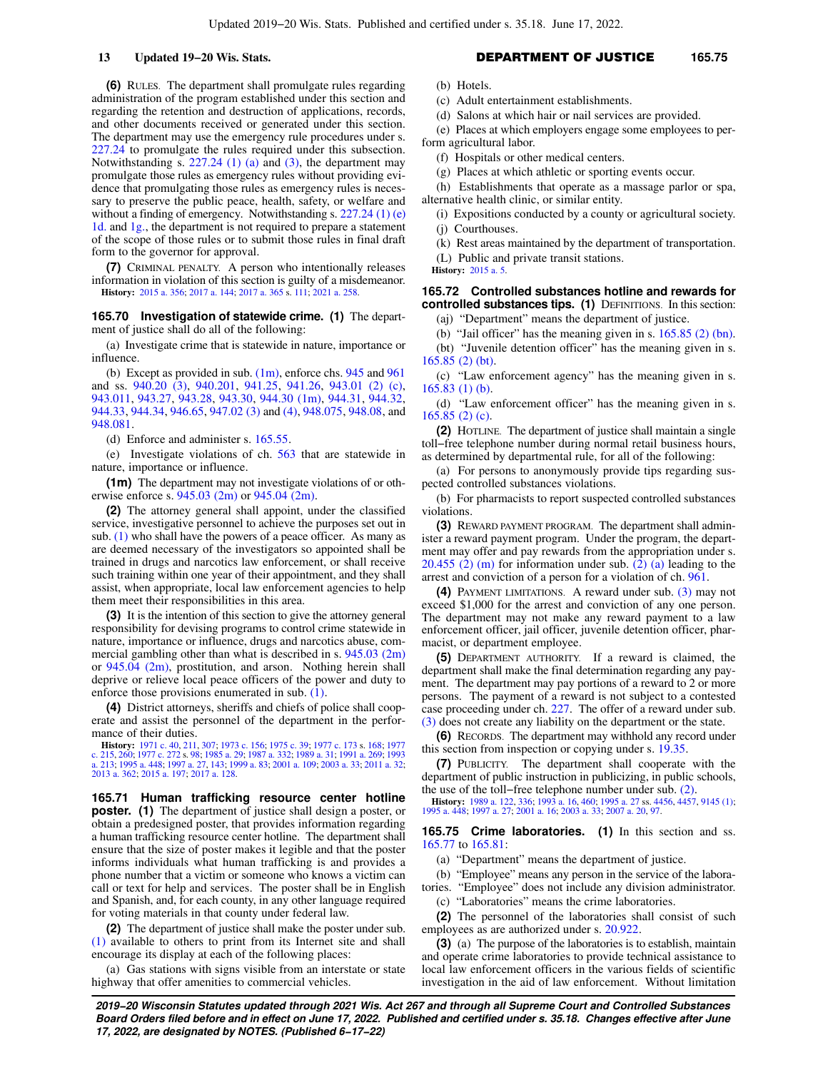**(6)** RULES. The department shall promulgate rules regarding administration of the program established under this section and regarding the retention and destruction of applications, records, and other documents received or generated under this section. The department may use the emergency rule procedures under s. [227.24](https://docs.legis.wisconsin.gov/document/statutes/227.24) to promulgate the rules required under this subsection. Notwithstanding s. [227.24 \(1\) \(a\)](https://docs.legis.wisconsin.gov/document/statutes/227.24(1)(a)) and [\(3\)](https://docs.legis.wisconsin.gov/document/statutes/227.24(3)), the department may promulgate those rules as emergency rules without providing evidence that promulgating those rules as emergency rules is necessary to preserve the public peace, health, safety, or welfare and without a finding of emergency. Notwithstanding s. [227.24 \(1\) \(e\)](https://docs.legis.wisconsin.gov/document/statutes/227.24(1)(e)1d.) [1d.](https://docs.legis.wisconsin.gov/document/statutes/227.24(1)(e)1d.) and [1g.](https://docs.legis.wisconsin.gov/document/statutes/227.24(1)(e)1g.), the department is not required to prepare a statement of the scope of those rules or to submit those rules in final draft form to the governor for approval.

**(7)** CRIMINAL PENALTY. A person who intentionally releases information in violation of this section is guilty of a misdemeanor. **History:** [2015 a. 356](https://docs.legis.wisconsin.gov/document/acts/2015/356); [2017 a. 144](https://docs.legis.wisconsin.gov/document/acts/2017/144); [2017 a. 365](https://docs.legis.wisconsin.gov/document/acts/2017/365) s. [111;](https://docs.legis.wisconsin.gov/document/acts/2017/365,%20s.%20111) [2021 a. 258](https://docs.legis.wisconsin.gov/document/acts/2021/258).

**165.70 Investigation of statewide crime. (1)** The department of justice shall do all of the following:

(a) Investigate crime that is statewide in nature, importance or influence.

(b) Except as provided in sub.  $(1m)$ , enforce chs. [945](https://docs.legis.wisconsin.gov/document/statutes/ch.%20945) and [961](https://docs.legis.wisconsin.gov/document/statutes/ch.%20961) and ss. [940.20 \(3\)](https://docs.legis.wisconsin.gov/document/statutes/940.20(3)), [940.201](https://docs.legis.wisconsin.gov/document/statutes/940.201), [941.25,](https://docs.legis.wisconsin.gov/document/statutes/941.25) [941.26](https://docs.legis.wisconsin.gov/document/statutes/941.26), [943.01 \(2\) \(c\),](https://docs.legis.wisconsin.gov/document/statutes/943.01(2)(c)) [943.011,](https://docs.legis.wisconsin.gov/document/statutes/943.011) [943.27,](https://docs.legis.wisconsin.gov/document/statutes/943.27) [943.28](https://docs.legis.wisconsin.gov/document/statutes/943.28), [943.30](https://docs.legis.wisconsin.gov/document/statutes/943.30), [944.30 \(1m\),](https://docs.legis.wisconsin.gov/document/statutes/944.30(1m)) [944.31,](https://docs.legis.wisconsin.gov/document/statutes/944.31) [944.32,](https://docs.legis.wisconsin.gov/document/statutes/944.32) [944.33,](https://docs.legis.wisconsin.gov/document/statutes/944.33) [944.34,](https://docs.legis.wisconsin.gov/document/statutes/944.34) [946.65,](https://docs.legis.wisconsin.gov/document/statutes/946.65) [947.02 \(3\)](https://docs.legis.wisconsin.gov/document/statutes/947.02(3)) and [\(4\)](https://docs.legis.wisconsin.gov/document/statutes/947.02(4)), [948.075,](https://docs.legis.wisconsin.gov/document/statutes/948.075) [948.08,](https://docs.legis.wisconsin.gov/document/statutes/948.08) and [948.081](https://docs.legis.wisconsin.gov/document/statutes/948.081).

(d) Enforce and administer s. [165.55](https://docs.legis.wisconsin.gov/document/statutes/165.55).

(e) Investigate violations of ch. [563](https://docs.legis.wisconsin.gov/document/statutes/ch.%20563) that are statewide in nature, importance or influence.

**(1m)** The department may not investigate violations of or otherwise enforce s. [945.03 \(2m\)](https://docs.legis.wisconsin.gov/document/statutes/945.03(2m)) or [945.04 \(2m\).](https://docs.legis.wisconsin.gov/document/statutes/945.04(2m))

**(2)** The attorney general shall appoint, under the classified service, investigative personnel to achieve the purposes set out in sub. [\(1\)](https://docs.legis.wisconsin.gov/document/statutes/165.70(1)) who shall have the powers of a peace officer. As many as are deemed necessary of the investigators so appointed shall be trained in drugs and narcotics law enforcement, or shall receive such training within one year of their appointment, and they shall assist, when appropriate, local law enforcement agencies to help them meet their responsibilities in this area.

**(3)** It is the intention of this section to give the attorney general responsibility for devising programs to control crime statewide in nature, importance or influence, drugs and narcotics abuse, commercial gambling other than what is described in s. [945.03 \(2m\)](https://docs.legis.wisconsin.gov/document/statutes/945.03(2m)) or [945.04 \(2m\),](https://docs.legis.wisconsin.gov/document/statutes/945.04(2m)) prostitution, and arson. Nothing herein shall deprive or relieve local peace officers of the power and duty to enforce those provisions enumerated in sub. [\(1\).](https://docs.legis.wisconsin.gov/document/statutes/165.70(1))

**(4)** District attorneys, sheriffs and chiefs of police shall cooperate and assist the personnel of the department in the performance of their duties.

**History:** [1971 c. 40](https://docs.legis.wisconsin.gov/document/acts/1971/40), [211,](https://docs.legis.wisconsin.gov/document/acts/1971/211) [307;](https://docs.legis.wisconsin.gov/document/acts/1971/307) [1973 c. 156;](https://docs.legis.wisconsin.gov/document/acts/1973/156) [1975 c. 39](https://docs.legis.wisconsin.gov/document/acts/1975/39); [1977 c. 173](https://docs.legis.wisconsin.gov/document/acts/1977/173) s. [168;](https://docs.legis.wisconsin.gov/document/acts/1977/173,%20s.%20168) [1977](https://docs.legis.wisconsin.gov/document/acts/1977/215) [c. 215,](https://docs.legis.wisconsin.gov/document/acts/1977/215) [260](https://docs.legis.wisconsin.gov/document/acts/1977/260); [1977 c. 272](https://docs.legis.wisconsin.gov/document/acts/1977/272) s. [98;](https://docs.legis.wisconsin.gov/document/acts/1977/272,%20s.%2098) [1985 a. 29;](https://docs.legis.wisconsin.gov/document/acts/1985/29) [1987 a. 332](https://docs.legis.wisconsin.gov/document/acts/1987/332); [1989 a. 31](https://docs.legis.wisconsin.gov/document/acts/1989/31); [1991 a. 269;](https://docs.legis.wisconsin.gov/document/acts/1991/269) [1993](https://docs.legis.wisconsin.gov/document/acts/1993/213) [a. 213;](https://docs.legis.wisconsin.gov/document/acts/1993/213) [1995 a. 448](https://docs.legis.wisconsin.gov/document/acts/1995/448); [1997 a. 27](https://docs.legis.wisconsin.gov/document/acts/1997/27), [143](https://docs.legis.wisconsin.gov/document/acts/1997/143); [1999 a. 83](https://docs.legis.wisconsin.gov/document/acts/1999/83); [2001 a. 109;](https://docs.legis.wisconsin.gov/document/acts/2001/109) [2003 a. 33](https://docs.legis.wisconsin.gov/document/acts/2003/33); [2011 a. 32](https://docs.legis.wisconsin.gov/document/acts/2011/32); [2013 a. 362;](https://docs.legis.wisconsin.gov/document/acts/2013/362) [2015 a. 197](https://docs.legis.wisconsin.gov/document/acts/2015/197); [2017 a. 128](https://docs.legis.wisconsin.gov/document/acts/2017/128).

**165.71 Human trafficking resource center hotline poster. (1)** The department of justice shall design a poster, or obtain a predesigned poster, that provides information regarding a human trafficking resource center hotline. The department shall ensure that the size of poster makes it legible and that the poster informs individuals what human trafficking is and provides a phone number that a victim or someone who knows a victim can call or text for help and services. The poster shall be in English and Spanish, and, for each county, in any other language required for voting materials in that county under federal law.

**(2)** The department of justice shall make the poster under sub. [\(1\)](https://docs.legis.wisconsin.gov/document/statutes/165.71(1)) available to others to print from its Internet site and shall encourage its display at each of the following places:

(a) Gas stations with signs visible from an interstate or state highway that offer amenities to commercial vehicles.

### **13 Updated 19−20 Wis. Stats.** DEPARTMENT OF JUSTICE **165.75**

(b) Hotels.

(c) Adult entertainment establishments.

(d) Salons at which hair or nail services are provided.

(e) Places at which employers engage some employees to perform agricultural labor.

(f) Hospitals or other medical centers.

(g) Places at which athletic or sporting events occur.

(h) Establishments that operate as a massage parlor or spa, alternative health clinic, or similar entity.

(i) Expositions conducted by a county or agricultural society. (j) Courthouses.

(k) Rest areas maintained by the department of transportation.

(L) Public and private transit stations.

**History:** [2015 a. 5.](https://docs.legis.wisconsin.gov/document/acts/2015/5)

**165.72 Controlled substances hotline and rewards for controlled substances tips. (1)** DEFINITIONS. In this section:

(aj) "Department" means the department of justice.

(b) "Jail officer" has the meaning given in s.  $165.85$  (2) (bn).

(bt) "Juvenile detention officer" has the meaning given in s. [165.85 \(2\) \(bt\)](https://docs.legis.wisconsin.gov/document/statutes/165.85(2)(bt)).

(c) "Law enforcement agency" has the meaning given in s. [165.83 \(1\) \(b\).](https://docs.legis.wisconsin.gov/document/statutes/165.83(1)(b))

(d) "Law enforcement officer" has the meaning given in s. [165.85 \(2\) \(c\)](https://docs.legis.wisconsin.gov/document/statutes/165.85(2)(c)).

**(2)** HOTLINE. The department of justice shall maintain a single toll−free telephone number during normal retail business hours, as determined by departmental rule, for all of the following:

(a) For persons to anonymously provide tips regarding suspected controlled substances violations.

(b) For pharmacists to report suspected controlled substances violations.

**(3)** REWARD PAYMENT PROGRAM. The department shall administer a reward payment program. Under the program, the department may offer and pay rewards from the appropriation under s. [20.455 \(2\) \(m\)](https://docs.legis.wisconsin.gov/document/statutes/20.455(2)(m)) for information under sub. [\(2\) \(a\)](https://docs.legis.wisconsin.gov/document/statutes/165.72(2)(a)) leading to the arrest and conviction of a person for a violation of ch. [961.](https://docs.legis.wisconsin.gov/document/statutes/ch.%20961)

**(4)** PAYMENT LIMITATIONS. A reward under sub. [\(3\)](https://docs.legis.wisconsin.gov/document/statutes/165.72(3)) may not exceed \$1,000 for the arrest and conviction of any one person. The department may not make any reward payment to a law enforcement officer, jail officer, juvenile detention officer, pharmacist, or department employee.

**(5)** DEPARTMENT AUTHORITY. If a reward is claimed, the department shall make the final determination regarding any payment. The department may pay portions of a reward to 2 or more persons. The payment of a reward is not subject to a contested case proceeding under ch. [227](https://docs.legis.wisconsin.gov/document/statutes/ch.%20227). The offer of a reward under sub. [\(3\)](https://docs.legis.wisconsin.gov/document/statutes/165.72(3)) does not create any liability on the department or the state.

**(6)** RECORDS. The department may withhold any record under this section from inspection or copying under s. [19.35](https://docs.legis.wisconsin.gov/document/statutes/19.35).

**(7)** PUBLICITY. The department shall cooperate with the department of public instruction in publicizing, in public schools, the use of the toll−free telephone number under sub. [\(2\).](https://docs.legis.wisconsin.gov/document/statutes/165.72(2))

**History:** [1989 a. 122,](https://docs.legis.wisconsin.gov/document/acts/1989/122) [336;](https://docs.legis.wisconsin.gov/document/acts/1989/336) [1993 a. 16,](https://docs.legis.wisconsin.gov/document/acts/1993/16) [460](https://docs.legis.wisconsin.gov/document/acts/1993/460); [1995 a. 27](https://docs.legis.wisconsin.gov/document/acts/1995/27) ss. [4456,](https://docs.legis.wisconsin.gov/document/acts/1995/27,%20s.%204456) [4457](https://docs.legis.wisconsin.gov/document/acts/1995/27,%20s.%204457), [9145 \(1\)](https://docs.legis.wisconsin.gov/document/acts/1995/27,%20s.%209145); [1995 a. 448;](https://docs.legis.wisconsin.gov/document/acts/1995/448) [1997 a. 27](https://docs.legis.wisconsin.gov/document/acts/1997/27); [2001 a. 16](https://docs.legis.wisconsin.gov/document/acts/2001/16); [2003 a. 33](https://docs.legis.wisconsin.gov/document/acts/2003/33); [2007 a. 20,](https://docs.legis.wisconsin.gov/document/acts/2007/20) [97](https://docs.legis.wisconsin.gov/document/acts/2007/97).

**165.75 Crime laboratories. (1)** In this section and ss. [165.77](https://docs.legis.wisconsin.gov/document/statutes/165.77) to [165.81](https://docs.legis.wisconsin.gov/document/statutes/165.81):

(a) "Department" means the department of justice.

(b) "Employee" means any person in the service of the labora-

tories. "Employee" does not include any division administrator.

(c) "Laboratories" means the crime laboratories.

**(2)** The personnel of the laboratories shall consist of such employees as are authorized under s. [20.922](https://docs.legis.wisconsin.gov/document/statutes/20.922).

**(3)** (a) The purpose of the laboratories is to establish, maintain and operate crime laboratories to provide technical assistance to local law enforcement officers in the various fields of scientific investigation in the aid of law enforcement. Without limitation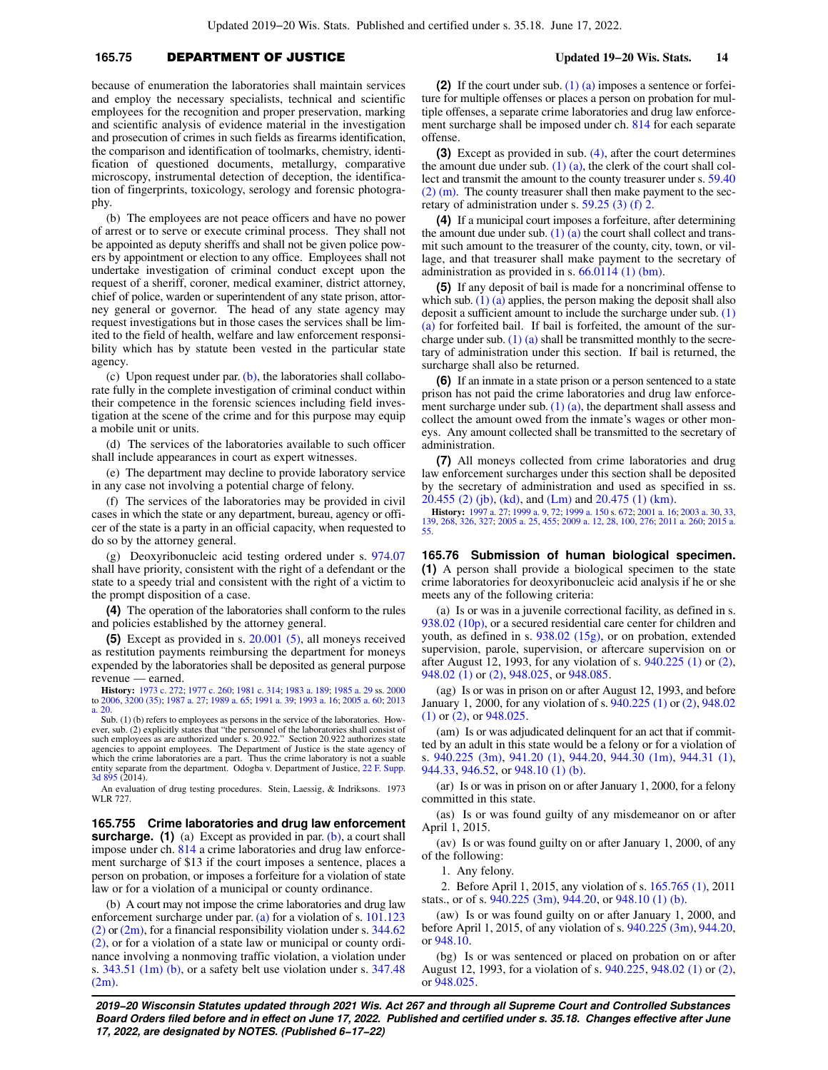### **165.75** DEPARTMENT OF JUSTICE **Updated 19−20 Wis. Stats. 14**

because of enumeration the laboratories shall maintain services and employ the necessary specialists, technical and scientific employees for the recognition and proper preservation, marking and scientific analysis of evidence material in the investigation and prosecution of crimes in such fields as firearms identification, the comparison and identification of toolmarks, chemistry, identification of questioned documents, metallurgy, comparative microscopy, instrumental detection of deception, the identification of fingerprints, toxicology, serology and forensic photography.

(b) The employees are not peace officers and have no power of arrest or to serve or execute criminal process. They shall not be appointed as deputy sheriffs and shall not be given police powers by appointment or election to any office. Employees shall not undertake investigation of criminal conduct except upon the request of a sheriff, coroner, medical examiner, district attorney, chief of police, warden or superintendent of any state prison, attorney general or governor. The head of any state agency may request investigations but in those cases the services shall be limited to the field of health, welfare and law enforcement responsibility which has by statute been vested in the particular state agency.

(c) Upon request under par. [\(b\)](https://docs.legis.wisconsin.gov/document/statutes/165.75(3)(b)), the laboratories shall collaborate fully in the complete investigation of criminal conduct within their competence in the forensic sciences including field investigation at the scene of the crime and for this purpose may equip a mobile unit or units.

(d) The services of the laboratories available to such officer shall include appearances in court as expert witnesses.

(e) The department may decline to provide laboratory service in any case not involving a potential charge of felony.

(f) The services of the laboratories may be provided in civil cases in which the state or any department, bureau, agency or officer of the state is a party in an official capacity, when requested to do so by the attorney general.

(g) Deoxyribonucleic acid testing ordered under s. [974.07](https://docs.legis.wisconsin.gov/document/statutes/974.07) shall have priority, consistent with the right of a defendant or the state to a speedy trial and consistent with the right of a victim to the prompt disposition of a case.

**(4)** The operation of the laboratories shall conform to the rules and policies established by the attorney general.

**(5)** Except as provided in s. [20.001 \(5\)](https://docs.legis.wisconsin.gov/document/statutes/20.001(5)), all moneys received as restitution payments reimbursing the department for moneys expended by the laboratories shall be deposited as general purpose revenue — earned.

**History:** [1973 c. 272](https://docs.legis.wisconsin.gov/document/acts/1973/272); [1977 c. 260](https://docs.legis.wisconsin.gov/document/acts/1977/260); [1981 c. 314](https://docs.legis.wisconsin.gov/document/acts/1981/314); [1983 a. 189](https://docs.legis.wisconsin.gov/document/acts/1983/189); [1985 a. 29](https://docs.legis.wisconsin.gov/document/acts/1985/29) ss. [2000](https://docs.legis.wisconsin.gov/document/acts/1985/29,%20s.%202000) to [2006,](https://docs.legis.wisconsin.gov/document/acts/1985/29,%20s.%202006) [3200 \(35\);](https://docs.legis.wisconsin.gov/document/acts/1985/29,%20s.%203200) [1987 a. 27](https://docs.legis.wisconsin.gov/document/acts/1987/27); [1989 a. 65;](https://docs.legis.wisconsin.gov/document/acts/1989/65) [1991 a. 39](https://docs.legis.wisconsin.gov/document/acts/1991/39); [1993 a. 16;](https://docs.legis.wisconsin.gov/document/acts/1993/16) [2005 a. 60;](https://docs.legis.wisconsin.gov/document/acts/2005/60) [2013](https://docs.legis.wisconsin.gov/document/acts/2013/20) [a. 20](https://docs.legis.wisconsin.gov/document/acts/2013/20).

Sub. (1) (b) refers to employees as persons in the service of the laboratories. How-<br>ever, sub. (2) explicitly states that "the personnel of the laboratories shall consist of<br>such employees as are authorized under s. 20.92 agencies to appoint employees. The Department of Justice is the state agency of which the crime laboratories are a part. Thus the crime laboratory is not a suable entity separate from the department. Odogba v. Department of Justice, [22 F. Supp.](https://docs.legis.wisconsin.gov/document/courts/22%20F.%20Supp.%203d%20895) [3d 895](https://docs.legis.wisconsin.gov/document/courts/22%20F.%20Supp.%203d%20895) (2014).

An evaluation of drug testing procedures. Stein, Laessig, & Indriksons. 1973 WLR 727.

**165.755 Crime laboratories and drug law enforcement surcharge.** (1) (a) Except as provided in par. [\(b\)](https://docs.legis.wisconsin.gov/document/statutes/165.755(1)(b)), a court shall impose under ch. [814](https://docs.legis.wisconsin.gov/document/statutes/ch.%20814) a crime laboratories and drug law enforcement surcharge of \$13 if the court imposes a sentence, places a person on probation, or imposes a forfeiture for a violation of state law or for a violation of a municipal or county ordinance.

(b) A court may not impose the crime laboratories and drug law enforcement surcharge under par. [\(a\)](https://docs.legis.wisconsin.gov/document/statutes/165.755(1)(a)) for a violation of s. [101.123](https://docs.legis.wisconsin.gov/document/statutes/101.123(2))  $(2)$  or  $(2m)$ , for a financial responsibility violation under s. [344.62](https://docs.legis.wisconsin.gov/document/statutes/344.62(2)) [\(2\)](https://docs.legis.wisconsin.gov/document/statutes/344.62(2)), or for a violation of a state law or municipal or county ordinance involving a nonmoving traffic violation, a violation under s. [343.51 \(1m\) \(b\),](https://docs.legis.wisconsin.gov/document/statutes/343.51(1m)(b)) or a safety belt use violation under s. [347.48](https://docs.legis.wisconsin.gov/document/statutes/347.48(2m)) [\(2m\)](https://docs.legis.wisconsin.gov/document/statutes/347.48(2m)).

**(2)** If the court under sub. [\(1\) \(a\)](https://docs.legis.wisconsin.gov/document/statutes/165.755(1)(a)) imposes a sentence or forfeiture for multiple offenses or places a person on probation for multiple offenses, a separate crime laboratories and drug law enforcement surcharge shall be imposed under ch. [814](https://docs.legis.wisconsin.gov/document/statutes/ch.%20814) for each separate offense.

**(3)** Except as provided in sub. [\(4\),](https://docs.legis.wisconsin.gov/document/statutes/165.755(4)) after the court determines the amount due under sub. [\(1\) \(a\),](https://docs.legis.wisconsin.gov/document/statutes/165.755(1)(a)) the clerk of the court shall collect and transmit the amount to the county treasurer under s. [59.40](https://docs.legis.wisconsin.gov/document/statutes/59.40(2)(m)) [\(2\) \(m\)](https://docs.legis.wisconsin.gov/document/statutes/59.40(2)(m)). The county treasurer shall then make payment to the secretary of administration under s. [59.25 \(3\) \(f\) 2.](https://docs.legis.wisconsin.gov/document/statutes/59.25(3)(f)2.)

**(4)** If a municipal court imposes a forfeiture, after determining the amount due under sub.  $(1)$   $(a)$  the court shall collect and transmit such amount to the treasurer of the county, city, town, or village, and that treasurer shall make payment to the secretary of administration as provided in s.  $66.0114$  (1) (bm).

**(5)** If any deposit of bail is made for a noncriminal offense to which sub.  $(1)$  (a) applies, the person making the deposit shall also deposit a sufficient amount to include the surcharge under sub. [\(1\)](https://docs.legis.wisconsin.gov/document/statutes/165.755(1)(a)) [\(a\)](https://docs.legis.wisconsin.gov/document/statutes/165.755(1)(a)) for forfeited bail. If bail is forfeited, the amount of the surcharge under sub.  $(1)$  (a) shall be transmitted monthly to the secretary of administration under this section. If bail is returned, the surcharge shall also be returned.

**(6)** If an inmate in a state prison or a person sentenced to a state prison has not paid the crime laboratories and drug law enforcement surcharge under sub. [\(1\) \(a\),](https://docs.legis.wisconsin.gov/document/statutes/165.755(1)(a)) the department shall assess and collect the amount owed from the inmate's wages or other moneys. Any amount collected shall be transmitted to the secretary of administration.

**(7)** All moneys collected from crime laboratories and drug law enforcement surcharges under this section shall be deposited by the secretary of administration and used as specified in ss. [20.455 \(2\) \(jb\)](https://docs.legis.wisconsin.gov/document/statutes/20.455(2)(jb)), [\(kd\),](https://docs.legis.wisconsin.gov/document/statutes/20.455(2)(kd)) and [\(Lm\)](https://docs.legis.wisconsin.gov/document/statutes/20.455(2)(Lm)) and [20.475 \(1\) \(km\)](https://docs.legis.wisconsin.gov/document/statutes/20.475(1)(km)).

**History:** [1997 a. 27;](https://docs.legis.wisconsin.gov/document/acts/1997/27) [1999 a. 9](https://docs.legis.wisconsin.gov/document/acts/1999/9), [72;](https://docs.legis.wisconsin.gov/document/acts/1999/72) [1999 a. 150](https://docs.legis.wisconsin.gov/document/acts/1999/150) s. [672](https://docs.legis.wisconsin.gov/document/acts/1999/150,%20s.%20672); [2001 a. 16](https://docs.legis.wisconsin.gov/document/acts/2001/16); [2003 a. 30](https://docs.legis.wisconsin.gov/document/acts/2003/30), [33](https://docs.legis.wisconsin.gov/document/acts/2003/33), [139,](https://docs.legis.wisconsin.gov/document/acts/2003/139) [268,](https://docs.legis.wisconsin.gov/document/acts/2003/268) [326,](https://docs.legis.wisconsin.gov/document/acts/2003/326) [327;](https://docs.legis.wisconsin.gov/document/acts/2003/327) [2005 a. 25,](https://docs.legis.wisconsin.gov/document/acts/2005/25) [455;](https://docs.legis.wisconsin.gov/document/acts/2005/455) [2009 a. 12](https://docs.legis.wisconsin.gov/document/acts/2009/12), [28,](https://docs.legis.wisconsin.gov/document/acts/2009/28) [100,](https://docs.legis.wisconsin.gov/document/acts/2009/100) [276;](https://docs.legis.wisconsin.gov/document/acts/2009/276) [2011 a. 260;](https://docs.legis.wisconsin.gov/document/acts/2011/260) [2015 a.](https://docs.legis.wisconsin.gov/document/acts/2015/55) [55](https://docs.legis.wisconsin.gov/document/acts/2015/55).

**165.76 Submission of human biological specimen. (1)** A person shall provide a biological specimen to the state crime laboratories for deoxyribonucleic acid analysis if he or she meets any of the following criteria:

(a) Is or was in a juvenile correctional facility, as defined in s. [938.02 \(10p\)](https://docs.legis.wisconsin.gov/document/statutes/938.02(10p)), or a secured residential care center for children and youth, as defined in s. [938.02 \(15g\)](https://docs.legis.wisconsin.gov/document/statutes/938.02(15g)), or on probation, extended supervision, parole, supervision, or aftercare supervision on or after August 12, 1993, for any violation of s. [940.225 \(1\)](https://docs.legis.wisconsin.gov/document/statutes/940.225(1)) or [\(2\),](https://docs.legis.wisconsin.gov/document/statutes/940.225(2)) [948.02 \(1\)](https://docs.legis.wisconsin.gov/document/statutes/948.02(1)) or [\(2\)](https://docs.legis.wisconsin.gov/document/statutes/948.02(2)), [948.025](https://docs.legis.wisconsin.gov/document/statutes/948.025), or [948.085](https://docs.legis.wisconsin.gov/document/statutes/948.085).

(ag) Is or was in prison on or after August 12, 1993, and before January 1, 2000, for any violation of s. [940.225 \(1\)](https://docs.legis.wisconsin.gov/document/statutes/940.225(1)) or [\(2\)](https://docs.legis.wisconsin.gov/document/statutes/940.225(2)), [948.02](https://docs.legis.wisconsin.gov/document/statutes/948.02(1)) [\(1\)](https://docs.legis.wisconsin.gov/document/statutes/948.02(1)) or [\(2\)](https://docs.legis.wisconsin.gov/document/statutes/948.02(2)), or [948.025.](https://docs.legis.wisconsin.gov/document/statutes/948.025)

(am) Is or was adjudicated delinquent for an act that if committed by an adult in this state would be a felony or for a violation of s. [940.225 \(3m\)](https://docs.legis.wisconsin.gov/document/statutes/940.225(3m)), [941.20 \(1\),](https://docs.legis.wisconsin.gov/document/statutes/941.20(1)) [944.20](https://docs.legis.wisconsin.gov/document/statutes/944.20), [944.30 \(1m\),](https://docs.legis.wisconsin.gov/document/statutes/944.30(1m)) [944.31 \(1\),](https://docs.legis.wisconsin.gov/document/statutes/944.31(1)) [944.33,](https://docs.legis.wisconsin.gov/document/statutes/944.33) [946.52](https://docs.legis.wisconsin.gov/document/statutes/946.52), or [948.10 \(1\) \(b\)](https://docs.legis.wisconsin.gov/document/statutes/948.10(1)(b)).

(ar) Is or was in prison on or after January 1, 2000, for a felony committed in this state.

(as) Is or was found guilty of any misdemeanor on or after April 1, 2015.

(av) Is or was found guilty on or after January 1, 2000, of any of the following:

1. Any felony.

2. Before April 1, 2015, any violation of s. [165.765 \(1\)](https://docs.legis.wisconsin.gov/document/statutes/2011/165.765(1)), 2011 stats., or of s. [940.225 \(3m\),](https://docs.legis.wisconsin.gov/document/statutes/940.225(3m)) [944.20](https://docs.legis.wisconsin.gov/document/statutes/944.20), or [948.10 \(1\) \(b\)](https://docs.legis.wisconsin.gov/document/statutes/948.10(1)(b)).

(aw) Is or was found guilty on or after January 1, 2000, and before April 1, 2015, of any violation of s. [940.225 \(3m\),](https://docs.legis.wisconsin.gov/document/statutes/940.225(3m)) [944.20,](https://docs.legis.wisconsin.gov/document/statutes/944.20) or [948.10.](https://docs.legis.wisconsin.gov/document/statutes/948.10)

(bg) Is or was sentenced or placed on probation on or after August 12, 1993, for a violation of s. [940.225](https://docs.legis.wisconsin.gov/document/statutes/940.225), [948.02 \(1\)](https://docs.legis.wisconsin.gov/document/statutes/948.02(1)) or [\(2\),](https://docs.legis.wisconsin.gov/document/statutes/948.02(2)) or [948.025](https://docs.legis.wisconsin.gov/document/statutes/948.025).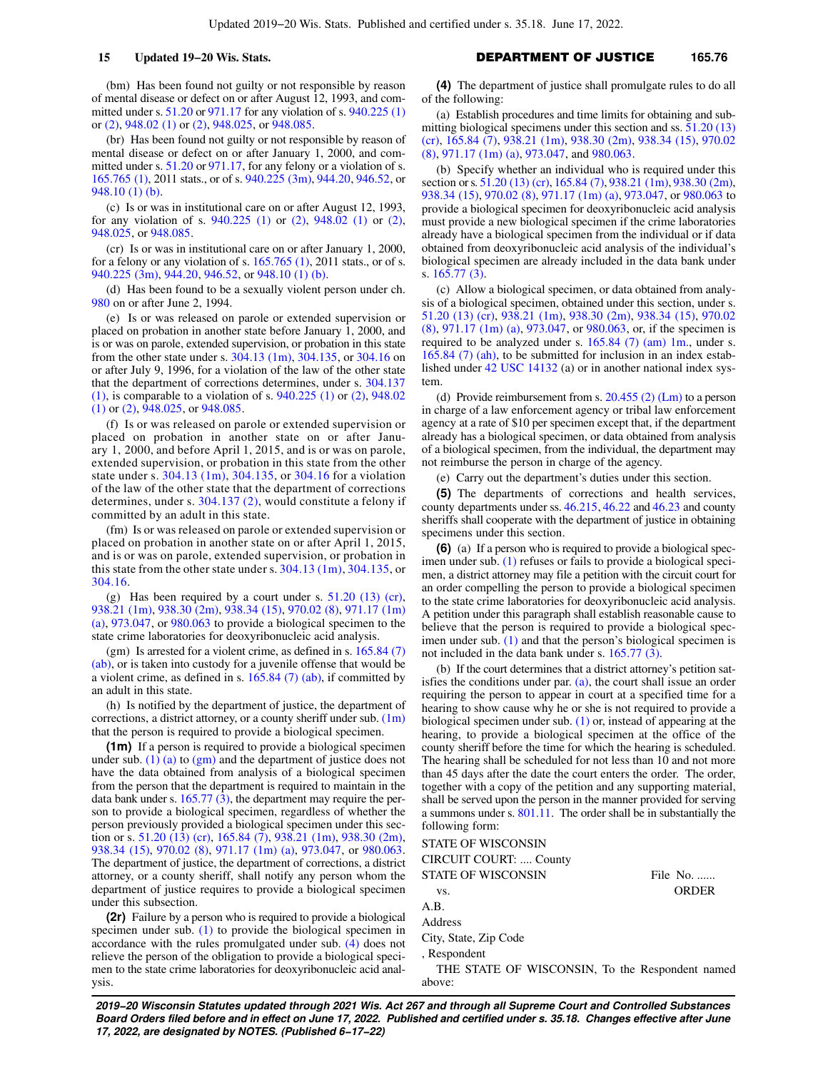(bm) Has been found not guilty or not responsible by reason of mental disease or defect on or after August 12, 1993, and committed under s. [51.20](https://docs.legis.wisconsin.gov/document/statutes/51.20) or [971.17](https://docs.legis.wisconsin.gov/document/statutes/971.17) for any violation of s. [940.225 \(1\)](https://docs.legis.wisconsin.gov/document/statutes/940.225(1)) or [\(2\)](https://docs.legis.wisconsin.gov/document/statutes/940.225(2)), [948.02 \(1\)](https://docs.legis.wisconsin.gov/document/statutes/948.02(1)) or [\(2\)](https://docs.legis.wisconsin.gov/document/statutes/948.02(2)), [948.025](https://docs.legis.wisconsin.gov/document/statutes/948.025), or [948.085.](https://docs.legis.wisconsin.gov/document/statutes/948.085)

(br) Has been found not guilty or not responsible by reason of mental disease or defect on or after January 1, 2000, and com-mitted under s. [51.20](https://docs.legis.wisconsin.gov/document/statutes/51.20) or [971.17](https://docs.legis.wisconsin.gov/document/statutes/971.17), for any felony or a violation of s. [165.765 \(1\),](https://docs.legis.wisconsin.gov/document/statutes/2011/165.765(1)) 2011 stats., or of s. [940.225 \(3m\)](https://docs.legis.wisconsin.gov/document/statutes/940.225(3m)), [944.20](https://docs.legis.wisconsin.gov/document/statutes/944.20), [946.52](https://docs.legis.wisconsin.gov/document/statutes/946.52), or [948.10 \(1\) \(b\)](https://docs.legis.wisconsin.gov/document/statutes/948.10(1)(b)).

(c) Is or was in institutional care on or after August 12, 1993, for any violation of s. [940.225 \(1\)](https://docs.legis.wisconsin.gov/document/statutes/940.225(1)) or [\(2\)](https://docs.legis.wisconsin.gov/document/statutes/940.225(2)), [948.02 \(1\)](https://docs.legis.wisconsin.gov/document/statutes/948.02(1)) or [\(2\),](https://docs.legis.wisconsin.gov/document/statutes/948.02(2)) [948.025](https://docs.legis.wisconsin.gov/document/statutes/948.025), or [948.085](https://docs.legis.wisconsin.gov/document/statutes/948.085).

(cr) Is or was in institutional care on or after January 1, 2000, for a felony or any violation of s.  $165.765$  (1), 2011 stats., or of s. [940.225 \(3m\)](https://docs.legis.wisconsin.gov/document/statutes/940.225(3m)), [944.20,](https://docs.legis.wisconsin.gov/document/statutes/944.20) [946.52](https://docs.legis.wisconsin.gov/document/statutes/946.52), or [948.10 \(1\) \(b\).](https://docs.legis.wisconsin.gov/document/statutes/948.10(1)(b))

(d) Has been found to be a sexually violent person under ch. [980](https://docs.legis.wisconsin.gov/document/statutes/ch.%20980) on or after June 2, 1994.

(e) Is or was released on parole or extended supervision or placed on probation in another state before January 1, 2000, and is or was on parole, extended supervision, or probation in this state from the other state under s. [304.13 \(1m\),](https://docs.legis.wisconsin.gov/document/statutes/304.13(1m)) [304.135,](https://docs.legis.wisconsin.gov/document/statutes/304.135) or [304.16](https://docs.legis.wisconsin.gov/document/statutes/304.16) on or after July 9, 1996, for a violation of the law of the other state that the department of corrections determines, under s. [304.137](https://docs.legis.wisconsin.gov/document/statutes/304.137(1)) [\(1\)](https://docs.legis.wisconsin.gov/document/statutes/304.137(1)), is comparable to a violation of s. [940.225 \(1\)](https://docs.legis.wisconsin.gov/document/statutes/940.225(1)) or [\(2\)](https://docs.legis.wisconsin.gov/document/statutes/940.225(2)), [948.02](https://docs.legis.wisconsin.gov/document/statutes/948.02(1)) [\(1\)](https://docs.legis.wisconsin.gov/document/statutes/948.02(1)) or [\(2\),](https://docs.legis.wisconsin.gov/document/statutes/948.02(2)) [948.025,](https://docs.legis.wisconsin.gov/document/statutes/948.025) or [948.085.](https://docs.legis.wisconsin.gov/document/statutes/948.085)

(f) Is or was released on parole or extended supervision or placed on probation in another state on or after January 1, 2000, and before April 1, 2015, and is or was on parole, extended supervision, or probation in this state from the other state under s. [304.13 \(1m\)](https://docs.legis.wisconsin.gov/document/statutes/304.13(1m)), [304.135,](https://docs.legis.wisconsin.gov/document/statutes/304.135) or [304.16](https://docs.legis.wisconsin.gov/document/statutes/304.16) for a violation of the law of the other state that the department of corrections determines, under s. [304.137 \(2\)](https://docs.legis.wisconsin.gov/document/statutes/304.137(2)), would constitute a felony if committed by an adult in this state.

(fm) Is or was released on parole or extended supervision or placed on probation in another state on or after April 1, 2015, and is or was on parole, extended supervision, or probation in this state from the other state under s.  $304.13$  (1m),  $304.135$ , or [304.16](https://docs.legis.wisconsin.gov/document/statutes/304.16).

(g) Has been required by a court under s.  $51.20$  (13) (cr), [938.21 \(1m\)](https://docs.legis.wisconsin.gov/document/statutes/938.21(1m)), [938.30 \(2m\),](https://docs.legis.wisconsin.gov/document/statutes/938.30(2m)) [938.34 \(15\),](https://docs.legis.wisconsin.gov/document/statutes/938.34(15)) [970.02 \(8\),](https://docs.legis.wisconsin.gov/document/statutes/970.02(8)) [971.17 \(1m\)](https://docs.legis.wisconsin.gov/document/statutes/971.17(1m)(a)) [\(a\),](https://docs.legis.wisconsin.gov/document/statutes/971.17(1m)(a)) [973.047,](https://docs.legis.wisconsin.gov/document/statutes/973.047) or [980.063](https://docs.legis.wisconsin.gov/document/statutes/980.063) to provide a biological specimen to the state crime laboratories for deoxyribonucleic acid analysis.

(gm) Is arrested for a violent crime, as defined in s. [165.84 \(7\)](https://docs.legis.wisconsin.gov/document/statutes/165.84(7)(ab)) [\(ab\)](https://docs.legis.wisconsin.gov/document/statutes/165.84(7)(ab)), or is taken into custody for a juvenile offense that would be a violent crime, as defined in s. [165.84 \(7\) \(ab\),](https://docs.legis.wisconsin.gov/document/statutes/165.84(7)(ab)) if committed by an adult in this state.

(h) Is notified by the department of justice, the department of corrections, a district attorney, or a county sheriff under sub.  $(1m)$ that the person is required to provide a biological specimen.

**(1m)** If a person is required to provide a biological specimen under sub. [\(1\) \(a\)](https://docs.legis.wisconsin.gov/document/statutes/165.76(1)(a)) to  $(gm)$  and the department of justice does not have the data obtained from analysis of a biological specimen from the person that the department is required to maintain in the data bank under s. [165.77 \(3\)](https://docs.legis.wisconsin.gov/document/statutes/165.77(3)), the department may require the person to provide a biological specimen, regardless of whether the person previously provided a biological specimen under this section or s. [51.20 \(13\) \(cr\),](https://docs.legis.wisconsin.gov/document/statutes/51.20(13)(cr)) [165.84 \(7\)](https://docs.legis.wisconsin.gov/document/statutes/165.84(7)), [938.21 \(1m\)](https://docs.legis.wisconsin.gov/document/statutes/938.21(1m)), [938.30 \(2m\),](https://docs.legis.wisconsin.gov/document/statutes/938.30(2m)) [938.34 \(15\),](https://docs.legis.wisconsin.gov/document/statutes/938.34(15)) [970.02 \(8\)](https://docs.legis.wisconsin.gov/document/statutes/970.02(8)), [971.17 \(1m\) \(a\),](https://docs.legis.wisconsin.gov/document/statutes/971.17(1m)(a)) [973.047,](https://docs.legis.wisconsin.gov/document/statutes/973.047) or [980.063.](https://docs.legis.wisconsin.gov/document/statutes/980.063) The department of justice, the department of corrections, a district attorney, or a county sheriff, shall notify any person whom the department of justice requires to provide a biological specimen under this subsection.

**(2r)** Failure by a person who is required to provide a biological specimen under sub.  $(1)$  to provide the biological specimen in accordance with the rules promulgated under sub. [\(4\)](https://docs.legis.wisconsin.gov/document/statutes/165.76(4)) does not relieve the person of the obligation to provide a biological specimen to the state crime laboratories for deoxyribonucleic acid analysis.

# **15 Updated 19−20 Wis. Stats.** DEPARTMENT OF JUSTICE **165.76**

**(4)** The department of justice shall promulgate rules to do all of the following:

(a) Establish procedures and time limits for obtaining and submitting biological specimens under this section and ss. [51.20 \(13\)](https://docs.legis.wisconsin.gov/document/statutes/51.20(13)(cr)) [\(cr\)](https://docs.legis.wisconsin.gov/document/statutes/51.20(13)(cr)), [165.84 \(7\),](https://docs.legis.wisconsin.gov/document/statutes/165.84(7)) [938.21 \(1m\),](https://docs.legis.wisconsin.gov/document/statutes/938.21(1m)) [938.30 \(2m\)](https://docs.legis.wisconsin.gov/document/statutes/938.30(2m)), [938.34 \(15\),](https://docs.legis.wisconsin.gov/document/statutes/938.34(15)) [970.02](https://docs.legis.wisconsin.gov/document/statutes/970.02(8)) [\(8\),](https://docs.legis.wisconsin.gov/document/statutes/970.02(8)) [971.17 \(1m\) \(a\)](https://docs.legis.wisconsin.gov/document/statutes/971.17(1m)(a)), [973.047](https://docs.legis.wisconsin.gov/document/statutes/973.047), and [980.063.](https://docs.legis.wisconsin.gov/document/statutes/980.063)

(b) Specify whether an individual who is required under this section or s. [51.20 \(13\) \(cr\)](https://docs.legis.wisconsin.gov/document/statutes/51.20(13)(cr)), [165.84 \(7\),](https://docs.legis.wisconsin.gov/document/statutes/165.84(7)) [938.21 \(1m\)](https://docs.legis.wisconsin.gov/document/statutes/938.21(1m)), [938.30 \(2m\),](https://docs.legis.wisconsin.gov/document/statutes/938.30(2m)) [938.34 \(15\)](https://docs.legis.wisconsin.gov/document/statutes/938.34(15)), [970.02 \(8\)](https://docs.legis.wisconsin.gov/document/statutes/970.02(8)), [971.17 \(1m\) \(a\),](https://docs.legis.wisconsin.gov/document/statutes/971.17(1m)(a)) [973.047](https://docs.legis.wisconsin.gov/document/statutes/973.047), or [980.063](https://docs.legis.wisconsin.gov/document/statutes/980.063) to provide a biological specimen for deoxyribonucleic acid analysis must provide a new biological specimen if the crime laboratories already have a biological specimen from the individual or if data obtained from deoxyribonucleic acid analysis of the individual's biological specimen are already included in the data bank under s. [165.77 \(3\).](https://docs.legis.wisconsin.gov/document/statutes/165.77(3))

(c) Allow a biological specimen, or data obtained from analysis of a biological specimen, obtained under this section, under s. [51.20 \(13\) \(cr\),](https://docs.legis.wisconsin.gov/document/statutes/51.20(13)(cr)) [938.21 \(1m\)](https://docs.legis.wisconsin.gov/document/statutes/938.21(1m)), [938.30 \(2m\),](https://docs.legis.wisconsin.gov/document/statutes/938.30(2m)) [938.34 \(15\)](https://docs.legis.wisconsin.gov/document/statutes/938.34(15)), [970.02](https://docs.legis.wisconsin.gov/document/statutes/970.02(8)) [\(8\),](https://docs.legis.wisconsin.gov/document/statutes/970.02(8)) [971.17 \(1m\) \(a\),](https://docs.legis.wisconsin.gov/document/statutes/971.17(1m)(a)) [973.047](https://docs.legis.wisconsin.gov/document/statutes/973.047), or [980.063](https://docs.legis.wisconsin.gov/document/statutes/980.063), or, if the specimen is required to be analyzed under s. [165.84 \(7\) \(am\) 1m.,](https://docs.legis.wisconsin.gov/document/statutes/165.84(7)(am)1m.) under s. [165.84 \(7\) \(ah\)](https://docs.legis.wisconsin.gov/document/statutes/165.84(7)(ah)), to be submitted for inclusion in an index established under [42 USC 14132](https://docs.legis.wisconsin.gov/document/usc/42%20USC%2014132) (a) or in another national index system.

(d) Provide reimbursement from s.  $20.455$  (2) (Lm) to a person in charge of a law enforcement agency or tribal law enforcement agency at a rate of \$10 per specimen except that, if the department already has a biological specimen, or data obtained from analysis of a biological specimen, from the individual, the department may not reimburse the person in charge of the agency.

(e) Carry out the department's duties under this section.

**(5)** The departments of corrections and health services, county departments under ss. [46.215](https://docs.legis.wisconsin.gov/document/statutes/46.215), [46.22](https://docs.legis.wisconsin.gov/document/statutes/46.22) and [46.23](https://docs.legis.wisconsin.gov/document/statutes/46.23) and county sheriffs shall cooperate with the department of justice in obtaining specimens under this section.

**(6)** (a) If a person who is required to provide a biological specimen under sub. [\(1\)](https://docs.legis.wisconsin.gov/document/statutes/165.76(1)) refuses or fails to provide a biological specimen, a district attorney may file a petition with the circuit court for an order compelling the person to provide a biological specimen to the state crime laboratories for deoxyribonucleic acid analysis. A petition under this paragraph shall establish reasonable cause to believe that the person is required to provide a biological specimen under sub. [\(1\)](https://docs.legis.wisconsin.gov/document/statutes/165.76(1)) and that the person's biological specimen is not included in the data bank under s. [165.77 \(3\).](https://docs.legis.wisconsin.gov/document/statutes/165.77(3))

(b) If the court determines that a district attorney's petition satisfies the conditions under par.  $(a)$ , the court shall issue an order requiring the person to appear in court at a specified time for a hearing to show cause why he or she is not required to provide a biological specimen under sub. [\(1\)](https://docs.legis.wisconsin.gov/document/statutes/165.76(1)) or, instead of appearing at the hearing, to provide a biological specimen at the office of the county sheriff before the time for which the hearing is scheduled. The hearing shall be scheduled for not less than 10 and not more than 45 days after the date the court enters the order. The order, together with a copy of the petition and any supporting material, shall be served upon the person in the manner provided for serving a summons under s. [801.11.](https://docs.legis.wisconsin.gov/document/statutes/801.11) The order shall be in substantially the following form:

STATE OF WISCONSIN CIRCUIT COURT: .... County

STATE OF WISCONSIN File No. ......

vs. ORDER

A.B. Address

- City, State, Zip Code
- 

, Respondent

THE STATE OF WISCONSIN, To the Respondent named above: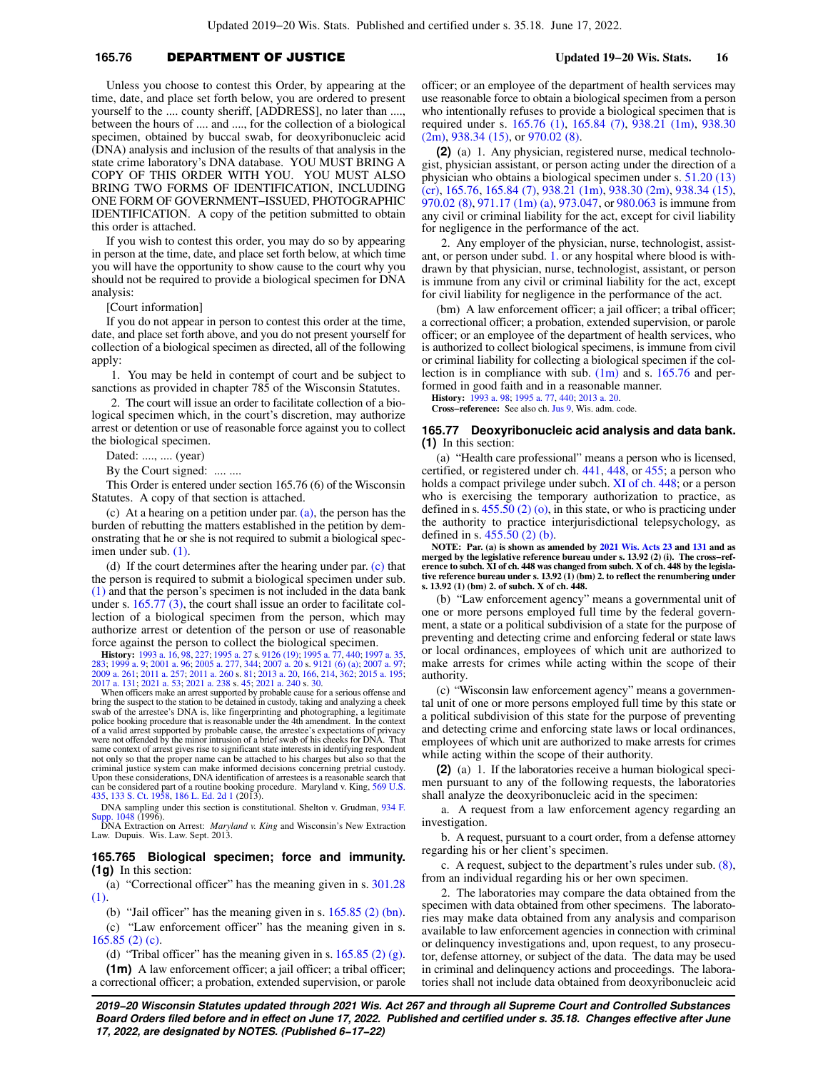### **165.76 DEPARTMENT OF JUSTICE Updated 19−20 Wis. Stats.** 16

Unless you choose to contest this Order, by appearing at the time, date, and place set forth below, you are ordered to present yourself to the .... county sheriff, [ADDRESS], no later than ... between the hours of .... and ...., for the collection of a biological specimen, obtained by buccal swab, for deoxyribonucleic acid (DNA) analysis and inclusion of the results of that analysis in the state crime laboratory's DNA database. YOU MUST BRING A COPY OF THIS ORDER WITH YOU. YOU MUST ALSO BRING TWO FORMS OF IDENTIFICATION, INCLUDING ONE FORM OF GOVERNMENT−ISSUED, PHOTOGRAPHIC IDENTIFICATION. A copy of the petition submitted to obtain this order is attached.

If you wish to contest this order, you may do so by appearing in person at the time, date, and place set forth below, at which time you will have the opportunity to show cause to the court why you should not be required to provide a biological specimen for DNA analysis:

[Court information]

If you do not appear in person to contest this order at the time, date, and place set forth above, and you do not present yourself for collection of a biological specimen as directed, all of the following apply:

1. You may be held in contempt of court and be subject to sanctions as provided in chapter 785 of the Wisconsin Statutes.

2. The court will issue an order to facilitate collection of a biological specimen which, in the court's discretion, may authorize arrest or detention or use of reasonable force against you to collect the biological specimen.

Dated: ...., .... (year)

By the Court signed: .... ....

This Order is entered under section 165.76 (6) of the Wisconsin Statutes. A copy of that section is attached.

(c) At a hearing on a petition under par. [\(a\)](https://docs.legis.wisconsin.gov/document/statutes/165.76(6)(a)), the person has the burden of rebutting the matters established in the petition by demonstrating that he or she is not required to submit a biological specimen under sub. [\(1\).](https://docs.legis.wisconsin.gov/document/statutes/165.76(1))

(d) If the court determines after the hearing under par. [\(c\)](https://docs.legis.wisconsin.gov/document/statutes/165.76(6)(c)) that the person is required to submit a biological specimen under sub. [\(1\)](https://docs.legis.wisconsin.gov/document/statutes/165.76(1)) and that the person's specimen is not included in the data bank under s. [165.77 \(3\)](https://docs.legis.wisconsin.gov/document/statutes/165.77(3)), the court shall issue an order to facilitate collection of a biological specimen from the person, which may authorize arrest or detention of the person or use of reasonable force against the person to collect the biological specimen.

**History:** [1993 a. 16](https://docs.legis.wisconsin.gov/document/acts/1993/16), [98](https://docs.legis.wisconsin.gov/document/acts/1993/98), [227;](https://docs.legis.wisconsin.gov/document/acts/1993/227) [1995 a. 27](https://docs.legis.wisconsin.gov/document/acts/1995/27) s. [9126 \(19\);](https://docs.legis.wisconsin.gov/document/acts/1995/27,%20s.%209126) [1995 a. 77,](https://docs.legis.wisconsin.gov/document/acts/1995/77) [440](https://docs.legis.wisconsin.gov/document/acts/1995/440); [1997 a. 35](https://docs.legis.wisconsin.gov/document/acts/1997/35), 1999 a. 9, [2001 a. 96;](https://docs.legis.wisconsin.gov/document/acts/2001/96) 2003 a. 277, [344](https://docs.legis.wisconsin.gov/document/acts/2005/344); [2007 a. 20](https://docs.legis.wisconsin.gov/document/acts/2007/20)12 (6) (a); [2007 a. 97](https://docs.legis.wisconsin.gov/document/acts/2007/97); 2010 a. 95; [2011 a. 257;](https://docs.legis.wisconsin.gov/document/acts/2011/257) 2011 a. 266 s. [81](https://docs.legis.wisconsin.gov/document/acts/2011/260,%20s.%2081); [2013 a. 20](https://docs.legis.wisconsin.gov/document/acts/2013/20), [166](https://docs.legis.wisconsin.gov/document/acts/2013/166),

When officers make an arrest supported by probable cause for a serious offense and bring the suspect to the station to be detained in custody, taking and analyzing a cheek swab of the arrestee's DNA is, like fingerprinting and photographing, a legitimate police booking procedure that is reasonable under the 4th amendment. In the context<br>of a valid arrest supported by probable cause, the arrestee's expectations of privacy<br>were not offended by the minor intrusion of a brief same context of arrest gives rise to significant state interests in identifying respondent not only so that the proper name can be attached to his charges but also so that the criminal justice system can make informed decisions concerning pretrial custody. Upon these considerations, DNA identification of arrestees is a reasonable search that can be considered part of a routine booking procedure. Maryland v. King, [569 U.S.](https://docs.legis.wisconsin.gov/document/courts/569%20U.S.%20435) [435](https://docs.legis.wisconsin.gov/document/courts/569%20U.S.%20435), [133 S. Ct. 1958,](https://docs.legis.wisconsin.gov/document/courts/133%20S.%20Ct.%201958) [186 L. Ed. 2d 1](https://docs.legis.wisconsin.gov/document/courts/186%20L.%20Ed.%202d%201) (2013).

DNA sampling under this section is constitutional. Shelton v. Grudman, [934 F.](https://docs.legis.wisconsin.gov/document/courts/934%20F.%20Supp.%201048) [Supp. 1048](https://docs.legis.wisconsin.gov/document/courts/934%20F.%20Supp.%201048) (1996). DNA Extraction on Arrest: *Maryland v. King* and Wisconsin's New Extraction

Law. Dupuis. Wis. Law. Sept. 2013.

#### **165.765 Biological specimen; force and immunity. (1g)** In this section:

(a) "Correctional officer" has the meaning given in s. [301.28](https://docs.legis.wisconsin.gov/document/statutes/301.28(1)) [\(1\)](https://docs.legis.wisconsin.gov/document/statutes/301.28(1)).

(b) "Jail officer" has the meaning given in s. [165.85 \(2\) \(bn\).](https://docs.legis.wisconsin.gov/document/statutes/165.85(2)(bn))

(c) "Law enforcement officer" has the meaning given in s. [165.85 \(2\) \(c\).](https://docs.legis.wisconsin.gov/document/statutes/165.85(2)(c))

(d) "Tribal officer" has the meaning given in s.  $165.85$  (2) (g). **(1m)** A law enforcement officer; a jail officer; a tribal officer; a correctional officer; a probation, extended supervision, or parole officer; or an employee of the department of health services may use reasonable force to obtain a biological specimen from a person who intentionally refuses to provide a biological specimen that is required under s. [165.76 \(1\),](https://docs.legis.wisconsin.gov/document/statutes/165.76(1)) [165.84 \(7\)](https://docs.legis.wisconsin.gov/document/statutes/165.84(7)), [938.21 \(1m\),](https://docs.legis.wisconsin.gov/document/statutes/938.21(1m)) [938.30](https://docs.legis.wisconsin.gov/document/statutes/938.30(2m)) [\(2m\),](https://docs.legis.wisconsin.gov/document/statutes/938.30(2m)) [938.34 \(15\)](https://docs.legis.wisconsin.gov/document/statutes/938.34(15)), or [970.02 \(8\)](https://docs.legis.wisconsin.gov/document/statutes/970.02(8)).

**(2)** (a) 1. Any physician, registered nurse, medical technologist, physician assistant, or person acting under the direction of a physician who obtains a biological specimen under s. [51.20 \(13\)](https://docs.legis.wisconsin.gov/document/statutes/51.20(13)(cr)) [\(cr\)](https://docs.legis.wisconsin.gov/document/statutes/51.20(13)(cr)), [165.76](https://docs.legis.wisconsin.gov/document/statutes/165.76), [165.84 \(7\),](https://docs.legis.wisconsin.gov/document/statutes/165.84(7)) [938.21 \(1m\),](https://docs.legis.wisconsin.gov/document/statutes/938.21(1m)) [938.30 \(2m\)](https://docs.legis.wisconsin.gov/document/statutes/938.30(2m)), [938.34 \(15\),](https://docs.legis.wisconsin.gov/document/statutes/938.34(15)) [970.02 \(8\)](https://docs.legis.wisconsin.gov/document/statutes/970.02(8)), [971.17 \(1m\) \(a\)](https://docs.legis.wisconsin.gov/document/statutes/971.17(1m)(a)), [973.047,](https://docs.legis.wisconsin.gov/document/statutes/973.047) or [980.063](https://docs.legis.wisconsin.gov/document/statutes/980.063) is immune from any civil or criminal liability for the act, except for civil liability for negligence in the performance of the act.

2. Any employer of the physician, nurse, technologist, assistant, or person under subd. [1.](https://docs.legis.wisconsin.gov/document/statutes/165.765(2)(a)1.) or any hospital where blood is withdrawn by that physician, nurse, technologist, assistant, or person is immune from any civil or criminal liability for the act, except for civil liability for negligence in the performance of the act.

(bm) A law enforcement officer; a jail officer; a tribal officer; a correctional officer; a probation, extended supervision, or parole officer; or an employee of the department of health services, who is authorized to collect biological specimens, is immune from civil or criminal liability for collecting a biological specimen if the collection is in compliance with sub. [\(1m\)](https://docs.legis.wisconsin.gov/document/statutes/165.765(1m)) and s. [165.76](https://docs.legis.wisconsin.gov/document/statutes/165.76) and performed in good faith and in a reasonable manner.

**History:** [1993 a. 98](https://docs.legis.wisconsin.gov/document/acts/1993/98); [1995 a. 77](https://docs.legis.wisconsin.gov/document/acts/1995/77), [440](https://docs.legis.wisconsin.gov/document/acts/1995/440); [2013 a. 20](https://docs.legis.wisconsin.gov/document/acts/2013/20).

**Cross−reference:** See also ch. [Jus 9,](https://docs.legis.wisconsin.gov/document/administrativecode/ch.%20Jus%209) Wis. adm. code.

#### **165.77 Deoxyribonucleic acid analysis and data bank. (1)** In this section:

(a) "Health care professional" means a person who is licensed, certified, or registered under ch. [441,](https://docs.legis.wisconsin.gov/document/statutes/ch.%20441) [448,](https://docs.legis.wisconsin.gov/document/statutes/ch.%20448) or [455;](https://docs.legis.wisconsin.gov/document/statutes/ch.%20455) a person who holds a compact privilege under subch. [XI of ch. 448;](https://docs.legis.wisconsin.gov/document/statutes/subch.%20XI%20of%20ch.%20448) or a person who is exercising the temporary authorization to practice, as defined in s.  $455.50(2)(o)$ , in this state, or who is practicing under the authority to practice interjurisdictional telepsychology, as defined in s. [455.50 \(2\) \(b\)](https://docs.legis.wisconsin.gov/document/statutes/455.50(2)(b)).

**NOTE: Par. (a) is shown as amended by [2021 Wis. Acts 23](https://docs.legis.wisconsin.gov/document/acts/2021/23) and [131](https://docs.legis.wisconsin.gov/document/acts/2021/131) and as merged by the legislative reference bureau under s. 13.92 (2) (i). The cross−ref-erence to subch. XI of ch. 448 was changed from subch. X of ch. 448 by the legislative reference bureau under s. 13.92 (1) (bm) 2. to reflect the renumbering under s. 13.92 (1) (bm) 2. of subch. X of ch. 448.**

(b) "Law enforcement agency" means a governmental unit of one or more persons employed full time by the federal government, a state or a political subdivision of a state for the purpose of preventing and detecting crime and enforcing federal or state laws or local ordinances, employees of which unit are authorized to make arrests for crimes while acting within the scope of their authority.

(c) "Wisconsin law enforcement agency" means a governmental unit of one or more persons employed full time by this state or a political subdivision of this state for the purpose of preventing and detecting crime and enforcing state laws or local ordinances, employees of which unit are authorized to make arrests for crimes while acting within the scope of their authority.

**(2)** (a) 1. If the laboratories receive a human biological specimen pursuant to any of the following requests, the laboratories shall analyze the deoxyribonucleic acid in the specimen:

a. A request from a law enforcement agency regarding an investigation.

b. A request, pursuant to a court order, from a defense attorney regarding his or her client's specimen.

c. A request, subject to the department's rules under sub.  $(8)$ , from an individual regarding his or her own specimen.

2. The laboratories may compare the data obtained from the specimen with data obtained from other specimens. The laboratories may make data obtained from any analysis and comparison available to law enforcement agencies in connection with criminal or delinquency investigations and, upon request, to any prosecutor, defense attorney, or subject of the data. The data may be used in criminal and delinquency actions and proceedings. The laboratories shall not include data obtained from deoxyribonucleic acid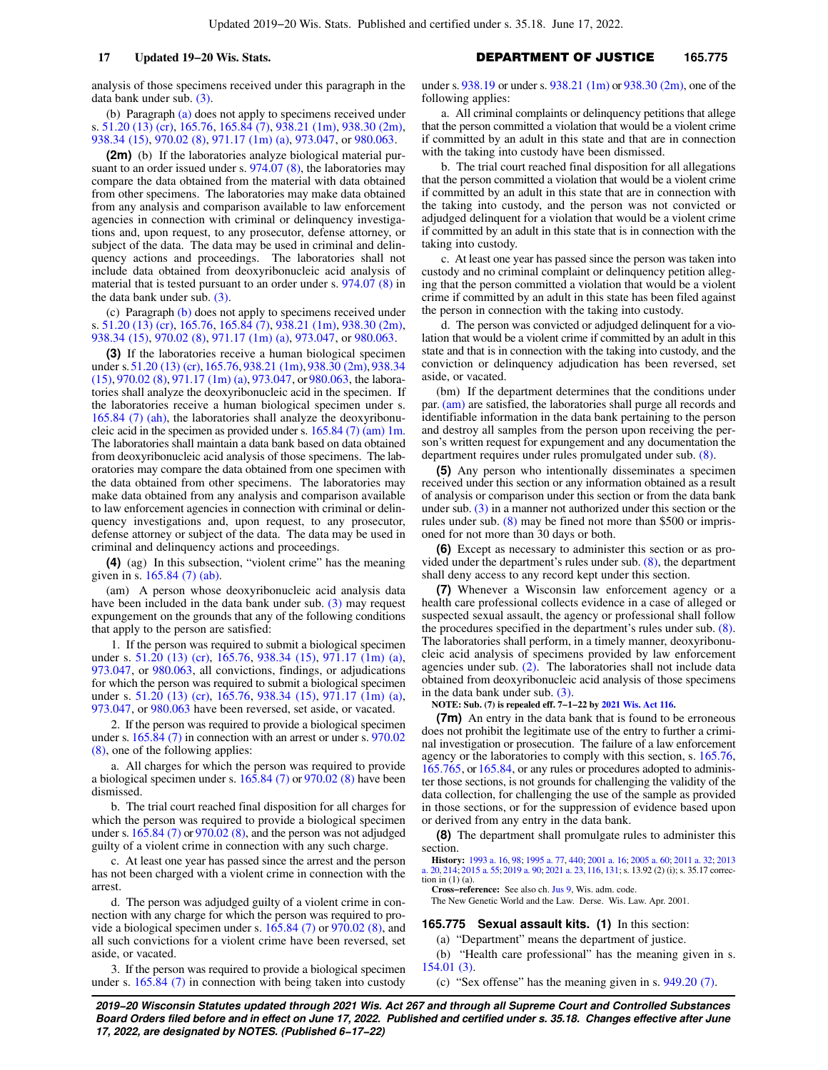analysis of those specimens received under this paragraph in the data bank under sub. [\(3\).](https://docs.legis.wisconsin.gov/document/statutes/165.77(3))

(b) Paragraph [\(a\)](https://docs.legis.wisconsin.gov/document/statutes/165.77(2)(a)) does not apply to specimens received under s. [51.20 \(13\) \(cr\)](https://docs.legis.wisconsin.gov/document/statutes/51.20(13)(cr)), [165.76,](https://docs.legis.wisconsin.gov/document/statutes/165.76) [165.84 \(7\),](https://docs.legis.wisconsin.gov/document/statutes/165.84(7)) [938.21 \(1m\),](https://docs.legis.wisconsin.gov/document/statutes/938.21(1m)) [938.30 \(2m\),](https://docs.legis.wisconsin.gov/document/statutes/938.30(2m)) [938.34 \(15\)](https://docs.legis.wisconsin.gov/document/statutes/938.34(15)), [970.02 \(8\)](https://docs.legis.wisconsin.gov/document/statutes/970.02(8)), [971.17 \(1m\) \(a\),](https://docs.legis.wisconsin.gov/document/statutes/971.17(1m)(a)) [973.047,](https://docs.legis.wisconsin.gov/document/statutes/973.047) or [980.063.](https://docs.legis.wisconsin.gov/document/statutes/980.063)

**(2m)** (b) If the laboratories analyze biological material pursuant to an order issued under s. [974.07 \(8\)](https://docs.legis.wisconsin.gov/document/statutes/974.07(8)), the laboratories may compare the data obtained from the material with data obtained from other specimens. The laboratories may make data obtained from any analysis and comparison available to law enforcement agencies in connection with criminal or delinquency investigations and, upon request, to any prosecutor, defense attorney, or subject of the data. The data may be used in criminal and delinquency actions and proceedings. The laboratories shall not include data obtained from deoxyribonucleic acid analysis of material that is tested pursuant to an order under s. [974.07 \(8\)](https://docs.legis.wisconsin.gov/document/statutes/974.07(8)) in the data bank under sub. [\(3\).](https://docs.legis.wisconsin.gov/document/statutes/165.77(3))

(c) Paragraph [\(b\)](https://docs.legis.wisconsin.gov/document/statutes/165.77(2m)(b)) does not apply to specimens received under s. [51.20 \(13\) \(cr\)](https://docs.legis.wisconsin.gov/document/statutes/51.20(13)(cr)), [165.76,](https://docs.legis.wisconsin.gov/document/statutes/165.76) [165.84 \(7\),](https://docs.legis.wisconsin.gov/document/statutes/165.84(7)) [938.21 \(1m\),](https://docs.legis.wisconsin.gov/document/statutes/938.21(1m)) [938.30 \(2m\),](https://docs.legis.wisconsin.gov/document/statutes/938.30(2m)) [938.34 \(15\)](https://docs.legis.wisconsin.gov/document/statutes/938.34(15)), [970.02 \(8\)](https://docs.legis.wisconsin.gov/document/statutes/970.02(8)), [971.17 \(1m\) \(a\),](https://docs.legis.wisconsin.gov/document/statutes/971.17(1m)(a)) [973.047,](https://docs.legis.wisconsin.gov/document/statutes/973.047) or [980.063.](https://docs.legis.wisconsin.gov/document/statutes/980.063)

**(3)** If the laboratories receive a human biological specimen under s.[51.20 \(13\) \(cr\)](https://docs.legis.wisconsin.gov/document/statutes/51.20(13)(cr)), [165.76,](https://docs.legis.wisconsin.gov/document/statutes/165.76) [938.21 \(1m\)](https://docs.legis.wisconsin.gov/document/statutes/938.21(1m)), [938.30 \(2m\),](https://docs.legis.wisconsin.gov/document/statutes/938.30(2m)) [938.34](https://docs.legis.wisconsin.gov/document/statutes/938.34(15)) [\(15\),](https://docs.legis.wisconsin.gov/document/statutes/938.34(15)) [970.02 \(8\),](https://docs.legis.wisconsin.gov/document/statutes/970.02(8)) [971.17 \(1m\) \(a\),](https://docs.legis.wisconsin.gov/document/statutes/971.17(1m)(a)) [973.047](https://docs.legis.wisconsin.gov/document/statutes/973.047), or [980.063](https://docs.legis.wisconsin.gov/document/statutes/980.063), the laboratories shall analyze the deoxyribonucleic acid in the specimen. If the laboratories receive a human biological specimen under s. [165.84 \(7\) \(ah\)](https://docs.legis.wisconsin.gov/document/statutes/165.84(7)(ah)), the laboratories shall analyze the deoxyribonucleic acid in the specimen as provided under s. [165.84 \(7\) \(am\) 1m.](https://docs.legis.wisconsin.gov/document/statutes/165.84(7)(am)1m.) The laboratories shall maintain a data bank based on data obtained from deoxyribonucleic acid analysis of those specimens. The laboratories may compare the data obtained from one specimen with the data obtained from other specimens. The laboratories may make data obtained from any analysis and comparison available to law enforcement agencies in connection with criminal or delinquency investigations and, upon request, to any prosecutor, defense attorney or subject of the data. The data may be used in criminal and delinquency actions and proceedings.

**(4)** (ag) In this subsection, "violent crime" has the meaning given in s. [165.84 \(7\) \(ab\)](https://docs.legis.wisconsin.gov/document/statutes/165.84(7)(ab)).

(am) A person whose deoxyribonucleic acid analysis data have been included in the data bank under sub. [\(3\)](https://docs.legis.wisconsin.gov/document/statutes/165.77(3)) may request expungement on the grounds that any of the following conditions that apply to the person are satisfied:

1. If the person was required to submit a biological specimen under s. [51.20 \(13\) \(cr\),](https://docs.legis.wisconsin.gov/document/statutes/51.20(13)(cr)) [165.76](https://docs.legis.wisconsin.gov/document/statutes/165.76), [938.34 \(15\),](https://docs.legis.wisconsin.gov/document/statutes/938.34(15)) [971.17 \(1m\) \(a\),](https://docs.legis.wisconsin.gov/document/statutes/971.17(1m)(a)) [973.047](https://docs.legis.wisconsin.gov/document/statutes/973.047), or [980.063](https://docs.legis.wisconsin.gov/document/statutes/980.063), all convictions, findings, or adjudications for which the person was required to submit a biological specimen under s. [51.20 \(13\) \(cr\),](https://docs.legis.wisconsin.gov/document/statutes/51.20(13)(cr)) [165.76](https://docs.legis.wisconsin.gov/document/statutes/165.76), [938.34 \(15\),](https://docs.legis.wisconsin.gov/document/statutes/938.34(15)) [971.17 \(1m\) \(a\),](https://docs.legis.wisconsin.gov/document/statutes/971.17(1m)(a)) [973.047](https://docs.legis.wisconsin.gov/document/statutes/973.047), or [980.063](https://docs.legis.wisconsin.gov/document/statutes/980.063) have been reversed, set aside, or vacated.

2. If the person was required to provide a biological specimen under s. [165.84 \(7\)](https://docs.legis.wisconsin.gov/document/statutes/165.84(7)) in connection with an arrest or under s. [970.02](https://docs.legis.wisconsin.gov/document/statutes/970.02(8)) [\(8\)](https://docs.legis.wisconsin.gov/document/statutes/970.02(8)), one of the following applies:

a. All charges for which the person was required to provide a biological specimen under s. [165.84 \(7\)](https://docs.legis.wisconsin.gov/document/statutes/165.84(7)) or [970.02 \(8\)](https://docs.legis.wisconsin.gov/document/statutes/970.02(8)) have been dismissed.

b. The trial court reached final disposition for all charges for which the person was required to provide a biological specimen under s. [165.84 \(7\)](https://docs.legis.wisconsin.gov/document/statutes/165.84(7)) or [970.02 \(8\),](https://docs.legis.wisconsin.gov/document/statutes/970.02(8)) and the person was not adjudged guilty of a violent crime in connection with any such charge.

c. At least one year has passed since the arrest and the person has not been charged with a violent crime in connection with the arrest.

d. The person was adjudged guilty of a violent crime in connection with any charge for which the person was required to provide a biological specimen under s. [165.84 \(7\)](https://docs.legis.wisconsin.gov/document/statutes/165.84(7)) or [970.02 \(8\),](https://docs.legis.wisconsin.gov/document/statutes/970.02(8)) and all such convictions for a violent crime have been reversed, set aside, or vacated.

3. If the person was required to provide a biological specimen under s.  $165.84$  (7) in connection with being taken into custody under s. [938.19](https://docs.legis.wisconsin.gov/document/statutes/938.19) or under s. [938.21 \(1m\)](https://docs.legis.wisconsin.gov/document/statutes/938.21(1m)) or [938.30 \(2m\),](https://docs.legis.wisconsin.gov/document/statutes/938.30(2m)) one of the following applies:

a. All criminal complaints or delinquency petitions that allege that the person committed a violation that would be a violent crime if committed by an adult in this state and that are in connection with the taking into custody have been dismissed.

b. The trial court reached final disposition for all allegations that the person committed a violation that would be a violent crime if committed by an adult in this state that are in connection with the taking into custody, and the person was not convicted or adjudged delinquent for a violation that would be a violent crime if committed by an adult in this state that is in connection with the taking into custody.

c. At least one year has passed since the person was taken into custody and no criminal complaint or delinquency petition alleging that the person committed a violation that would be a violent crime if committed by an adult in this state has been filed against the person in connection with the taking into custody.

d. The person was convicted or adjudged delinquent for a violation that would be a violent crime if committed by an adult in this state and that is in connection with the taking into custody, and the conviction or delinquency adjudication has been reversed, set aside, or vacated.

(bm) If the department determines that the conditions under par. [\(am\)](https://docs.legis.wisconsin.gov/document/statutes/165.77(4)(am)) are satisfied, the laboratories shall purge all records and identifiable information in the data bank pertaining to the person and destroy all samples from the person upon receiving the person's written request for expungement and any documentation the department requires under rules promulgated under sub. [\(8\).](https://docs.legis.wisconsin.gov/document/statutes/165.77(8))

**(5)** Any person who intentionally disseminates a specimen received under this section or any information obtained as a result of analysis or comparison under this section or from the data bank under sub. [\(3\)](https://docs.legis.wisconsin.gov/document/statutes/165.77(3)) in a manner not authorized under this section or the rules under sub. [\(8\)](https://docs.legis.wisconsin.gov/document/statutes/165.77(8)) may be fined not more than \$500 or imprisoned for not more than 30 days or both.

**(6)** Except as necessary to administer this section or as provided under the department's rules under sub. [\(8\),](https://docs.legis.wisconsin.gov/document/statutes/165.77(8)) the department shall deny access to any record kept under this section.

**(7)** Whenever a Wisconsin law enforcement agency or a health care professional collects evidence in a case of alleged or suspected sexual assault, the agency or professional shall follow the procedures specified in the department's rules under sub. [\(8\).](https://docs.legis.wisconsin.gov/document/statutes/165.77(8)) The laboratories shall perform, in a timely manner, deoxyribonucleic acid analysis of specimens provided by law enforcement agencies under sub. [\(2\).](https://docs.legis.wisconsin.gov/document/statutes/165.77(2)) The laboratories shall not include data obtained from deoxyribonucleic acid analysis of those specimens in the data bank under sub. [\(3\)](https://docs.legis.wisconsin.gov/document/statutes/165.77(3)).

**NOTE: Sub. (7) is repealed eff. 7−1−22 by [2021 Wis. Act 116](https://docs.legis.wisconsin.gov/document/acts/2021/116).**

**(7m)** An entry in the data bank that is found to be erroneous does not prohibit the legitimate use of the entry to further a criminal investigation or prosecution. The failure of a law enforcement agency or the laboratories to comply with this section, s. [165.76,](https://docs.legis.wisconsin.gov/document/statutes/165.76) [165.765](https://docs.legis.wisconsin.gov/document/statutes/165.765), or [165.84,](https://docs.legis.wisconsin.gov/document/statutes/165.84) or any rules or procedures adopted to administer those sections, is not grounds for challenging the validity of the data collection, for challenging the use of the sample as provided in those sections, or for the suppression of evidence based upon or derived from any entry in the data bank.

**(8)** The department shall promulgate rules to administer this section.

**History:** [1993 a. 16](https://docs.legis.wisconsin.gov/document/acts/1993/16), [98;](https://docs.legis.wisconsin.gov/document/acts/1993/98) [1995 a. 77,](https://docs.legis.wisconsin.gov/document/acts/1995/77) [440](https://docs.legis.wisconsin.gov/document/acts/1995/440); [2001 a. 16](https://docs.legis.wisconsin.gov/document/acts/2001/16); [2005 a. 60](https://docs.legis.wisconsin.gov/document/acts/2005/60); [2011 a. 32;](https://docs.legis.wisconsin.gov/document/acts/2011/32) [2013](https://docs.legis.wisconsin.gov/document/acts/2013/20) [a. 20,](https://docs.legis.wisconsin.gov/document/acts/2013/20) [214](https://docs.legis.wisconsin.gov/document/acts/2013/214); [2015 a. 55](https://docs.legis.wisconsin.gov/document/acts/2015/55); [2019 a. 90](https://docs.legis.wisconsin.gov/document/acts/2019/90); [2021 a. 23](https://docs.legis.wisconsin.gov/document/acts/2021/23), [116,](https://docs.legis.wisconsin.gov/document/acts/2021/116) [131;](https://docs.legis.wisconsin.gov/document/acts/2021/131) s. 13.92 (2) (i); s. 35.17 correction in  $(1)$   $(a)$ .

**Cross−reference:** See also ch. [Jus 9,](https://docs.legis.wisconsin.gov/document/administrativecode/ch.%20Jus%209) Wis. adm. code. The New Genetic World and the Law. Derse. Wis. Law. Apr. 2001.

**165.775 Sexual assault kits. (1)** In this section:

(a) "Department" means the department of justice.

(b) "Health care professional" has the meaning given in s. [154.01 \(3\).](https://docs.legis.wisconsin.gov/document/statutes/154.01(3))

(c) "Sex offense" has the meaning given in s. [949.20 \(7\).](https://docs.legis.wisconsin.gov/document/statutes/949.20(7))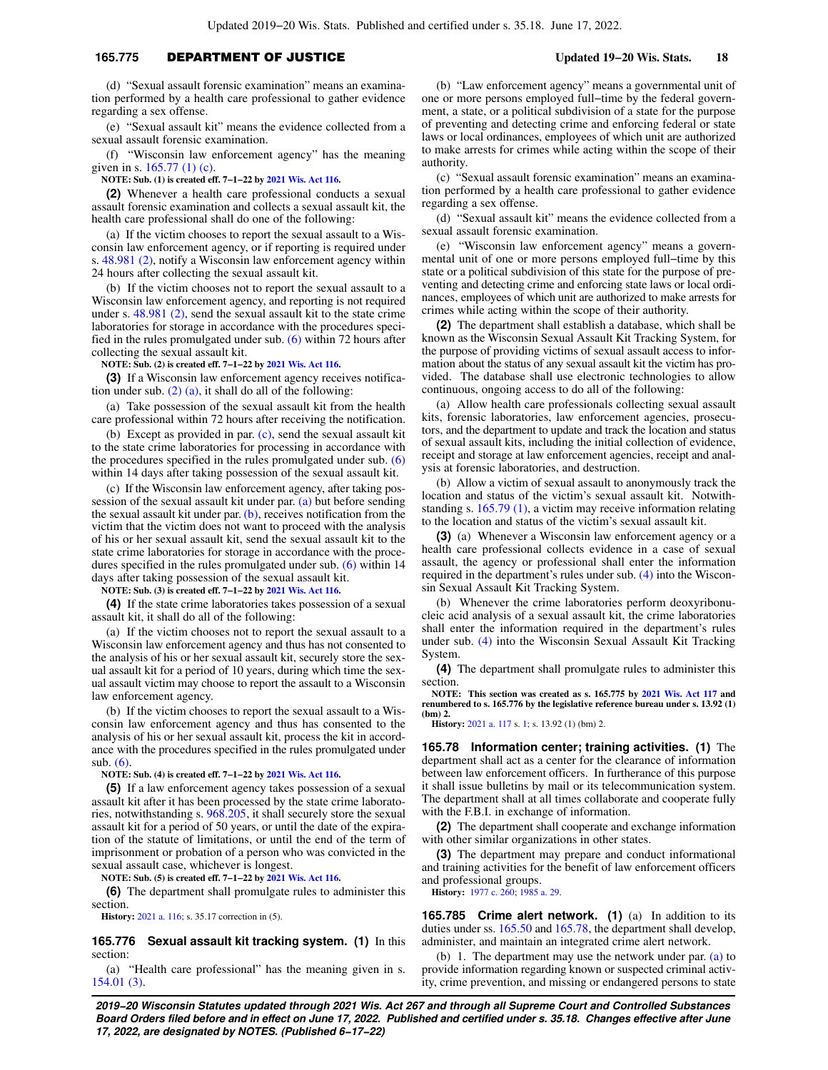### **165.775** DEPARTMENT OF JUSTICE **Updated 19−20 Wis. Stats. 18**

(d) "Sexual assault forensic examination" means an examination performed by a health care professional to gather evidence regarding a sex offense.

(e) "Sexual assault kit" means the evidence collected from a sexual assault forensic examination.

(f) "Wisconsin law enforcement agency" has the meaning given in s. [165.77 \(1\) \(c\).](https://docs.legis.wisconsin.gov/document/statutes/165.77(1)(c))

**NOTE: Sub. (1) is created eff. 7−1−22 by [2021 Wis. Act 116.](https://docs.legis.wisconsin.gov/document/acts/2021/116)**

**(2)** Whenever a health care professional conducts a sexual assault forensic examination and collects a sexual assault kit, the health care professional shall do one of the following:

(a) If the victim chooses to report the sexual assault to a Wisconsin law enforcement agency, or if reporting is required under s. [48.981 \(2\)](https://docs.legis.wisconsin.gov/document/statutes/48.981(2)), notify a Wisconsin law enforcement agency within 24 hours after collecting the sexual assault kit.

(b) If the victim chooses not to report the sexual assault to a Wisconsin law enforcement agency, and reporting is not required under s. [48.981 \(2\),](https://docs.legis.wisconsin.gov/document/statutes/48.981(2)) send the sexual assault kit to the state crime laboratories for storage in accordance with the procedures specified in the rules promulgated under sub. [\(6\)](https://docs.legis.wisconsin.gov/document/statutes/165.775(6)) within 72 hours after collecting the sexual assault kit.

**NOTE: Sub. (2) is created eff. 7−1−22 by [2021 Wis. Act 116.](https://docs.legis.wisconsin.gov/document/acts/2021/116)**

**(3)** If a Wisconsin law enforcement agency receives notification under sub. [\(2\) \(a\),](https://docs.legis.wisconsin.gov/document/statutes/165.775(2)(a)) it shall do all of the following:

(a) Take possession of the sexual assault kit from the health care professional within 72 hours after receiving the notification.

(b) Except as provided in par. [\(c\)](https://docs.legis.wisconsin.gov/document/statutes/165.775(3)(c)), send the sexual assault kit to the state crime laboratories for processing in accordance with the procedures specified in the rules promulgated under sub.  $(6)$ within 14 days after taking possession of the sexual assault kit.

(c) If the Wisconsin law enforcement agency, after taking pos-session of the sexual assault kit under par. [\(a\)](https://docs.legis.wisconsin.gov/document/statutes/165.775(3)(a)) but before sending the sexual assault kit under par.  $(b)$ , receives notification from the victim that the victim does not want to proceed with the analysis of his or her sexual assault kit, send the sexual assault kit to the state crime laboratories for storage in accordance with the procedures specified in the rules promulgated under sub. [\(6\)](https://docs.legis.wisconsin.gov/document/statutes/165.775(6)) within 14 days after taking possession of the sexual assault kit.

**NOTE: Sub. (3) is created eff. 7−1−22 by [2021 Wis. Act 116.](https://docs.legis.wisconsin.gov/document/acts/2021/116)**

**(4)** If the state crime laboratories takes possession of a sexual assault kit, it shall do all of the following:

(a) If the victim chooses not to report the sexual assault to a Wisconsin law enforcement agency and thus has not consented to the analysis of his or her sexual assault kit, securely store the sexual assault kit for a period of 10 years, during which time the sexual assault victim may choose to report the assault to a Wisconsin law enforcement agency.

(b) If the victim chooses to report the sexual assault to a Wisconsin law enforcement agency and thus has consented to the analysis of his or her sexual assault kit, process the kit in accordance with the procedures specified in the rules promulgated under sub. [\(6\)](https://docs.legis.wisconsin.gov/document/statutes/165.775(6)).

**NOTE: Sub. (4) is created eff. 7−1−22 by [2021 Wis. Act 116.](https://docs.legis.wisconsin.gov/document/acts/2021/116)**

**(5)** If a law enforcement agency takes possession of a sexual assault kit after it has been processed by the state crime laboratories, notwithstanding s. [968.205](https://docs.legis.wisconsin.gov/document/statutes/968.205), it shall securely store the sexual assault kit for a period of 50 years, or until the date of the expiration of the statute of limitations, or until the end of the term of imprisonment or probation of a person who was convicted in the sexual assault case, whichever is longest.

**NOTE: Sub. (5) is created eff. 7−1−22 by [2021 Wis. Act 116.](https://docs.legis.wisconsin.gov/document/acts/2021/116)**

**(6)** The department shall promulgate rules to administer this section.

**History:** [2021 a. 116](https://docs.legis.wisconsin.gov/document/acts/2021/116); s. 35.17 correction in (5).

**165.776 Sexual assault kit tracking system. (1)** In this section:

(a) "Health care professional" has the meaning given in s. [154.01 \(3\).](https://docs.legis.wisconsin.gov/document/statutes/154.01(3))

(b) "Law enforcement agency" means a governmental unit of one or more persons employed full−time by the federal government, a state, or a political subdivision of a state for the purpose of preventing and detecting crime and enforcing federal or state laws or local ordinances, employees of which unit are authorized to make arrests for crimes while acting within the scope of their authority.

(c) "Sexual assault forensic examination" means an examination performed by a health care professional to gather evidence regarding a sex offense.

(d) "Sexual assault kit" means the evidence collected from a sexual assault forensic examination.

(e) "Wisconsin law enforcement agency" means a governmental unit of one or more persons employed full−time by this state or a political subdivision of this state for the purpose of preventing and detecting crime and enforcing state laws or local ordinances, employees of which unit are authorized to make arrests for crimes while acting within the scope of their authority.

**(2)** The department shall establish a database, which shall be known as the Wisconsin Sexual Assault Kit Tracking System, for the purpose of providing victims of sexual assault access to information about the status of any sexual assault kit the victim has provided. The database shall use electronic technologies to allow continuous, ongoing access to do all of the following:

(a) Allow health care professionals collecting sexual assault kits, forensic laboratories, law enforcement agencies, prosecutors, and the department to update and track the location and status of sexual assault kits, including the initial collection of evidence, receipt and storage at law enforcement agencies, receipt and analysis at forensic laboratories, and destruction.

(b) Allow a victim of sexual assault to anonymously track the location and status of the victim's sexual assault kit. Notwithstanding s. [165.79 \(1\)](https://docs.legis.wisconsin.gov/document/statutes/165.79(1)), a victim may receive information relating to the location and status of the victim's sexual assault kit.

**(3)** (a) Whenever a Wisconsin law enforcement agency or a health care professional collects evidence in a case of sexual assault, the agency or professional shall enter the information required in the department's rules under sub. [\(4\)](https://docs.legis.wisconsin.gov/document/statutes/165.776(4)) into the Wisconsin Sexual Assault Kit Tracking System.

(b) Whenever the crime laboratories perform deoxyribonucleic acid analysis of a sexual assault kit, the crime laboratories shall enter the information required in the department's rules under sub. [\(4\)](https://docs.legis.wisconsin.gov/document/statutes/165.776(4)) into the Wisconsin Sexual Assault Kit Tracking System.

**(4)** The department shall promulgate rules to administer this section.

**NOTE: This section was created as s. 165.775 by [2021 Wis. Act 117](https://docs.legis.wisconsin.gov/document/acts/2021/117) and renumbered to s. 165.776 by the legislative reference bureau under s. 13.92 (1) (bm) 2.**

**History:** [2021 a. 117](https://docs.legis.wisconsin.gov/document/acts/2021/117) s. [1](https://docs.legis.wisconsin.gov/document/acts/2021/117,%20s.%201); s. 13.92 (1) (bm) 2.

**165.78 Information center; training activities. (1)** The department shall act as a center for the clearance of information between law enforcement officers. In furtherance of this purpose it shall issue bulletins by mail or its telecommunication system. The department shall at all times collaborate and cooperate fully with the F.B.I. in exchange of information.

**(2)** The department shall cooperate and exchange information with other similar organizations in other states.

**(3)** The department may prepare and conduct informational and training activities for the benefit of law enforcement officers and professional groups.

**History:** [1977 c. 260;](https://docs.legis.wisconsin.gov/document/acts/1977/260) [1985 a. 29.](https://docs.legis.wisconsin.gov/document/acts/1985/29)

**165.785 Crime alert network. (1)** (a) In addition to its duties under ss. [165.50](https://docs.legis.wisconsin.gov/document/statutes/165.50) and [165.78](https://docs.legis.wisconsin.gov/document/statutes/165.78), the department shall develop, administer, and maintain an integrated crime alert network.

(b) 1. The department may use the network under par. [\(a\)](https://docs.legis.wisconsin.gov/document/statutes/165.785(1)(a)) to provide information regarding known or suspected criminal activity, crime prevention, and missing or endangered persons to state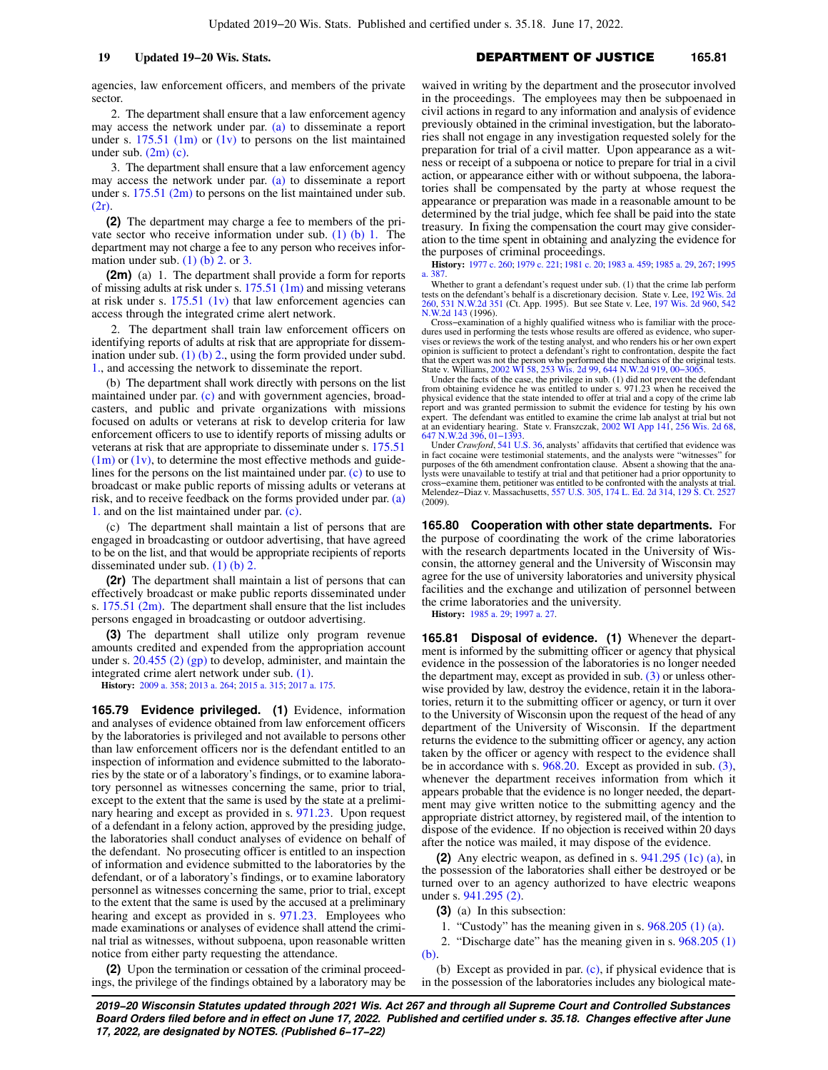agencies, law enforcement officers, and members of the private sector

2. The department shall ensure that a law enforcement agency may access the network under par. [\(a\)](https://docs.legis.wisconsin.gov/document/statutes/165.785(1)(a)) to disseminate a report under s.  $175.51$  (1m) or [\(1v\)](https://docs.legis.wisconsin.gov/document/statutes/175.51(1v)) to persons on the list maintained under sub.  $(2m)$  (c).

3. The department shall ensure that a law enforcement agency may access the network under par. [\(a\)](https://docs.legis.wisconsin.gov/document/statutes/165.785(1)(a)) to disseminate a report under s.  $175.51$  (2m) to persons on the list maintained under sub. [\(2r\)](https://docs.legis.wisconsin.gov/document/statutes/165.785(2r)).

**(2)** The department may charge a fee to members of the private sector who receive information under sub.  $(1)$  (b) 1. The department may not charge a fee to any person who receives information under sub.  $(1)$  (b) 2. or [3.](https://docs.legis.wisconsin.gov/document/statutes/165.785(1)(b)3.)

**(2m)** (a) 1. The department shall provide a form for reports of missing adults at risk under s.  $175.51$  (1m) and missing veterans at risk under s.  $175.51$  (1v) that law enforcement agencies can access through the integrated crime alert network.

2. The department shall train law enforcement officers on identifying reports of adults at risk that are appropriate for dissemination under sub.  $(1)$  (b) 2., using the form provided under subd. [1.,](https://docs.legis.wisconsin.gov/document/statutes/165.785(2m)(a)1.) and accessing the network to disseminate the report.

(b) The department shall work directly with persons on the list maintained under par. [\(c\)](https://docs.legis.wisconsin.gov/document/statutes/165.785(2m)(c)) and with government agencies, broadcasters, and public and private organizations with missions focused on adults or veterans at risk to develop criteria for law enforcement officers to use to identify reports of missing adults or veterans at risk that are appropriate to disseminate under s. [175.51](https://docs.legis.wisconsin.gov/document/statutes/175.51(1m))  $(1m)$  or  $(1v)$ , to determine the most effective methods and guidelines for the persons on the list maintained under par. [\(c\)](https://docs.legis.wisconsin.gov/document/statutes/165.785(2m)(c)) to use to broadcast or make public reports of missing adults or veterans at risk, and to receive feedback on the forms provided under par. [\(a\)](https://docs.legis.wisconsin.gov/document/statutes/165.785(2m)(a)1.) [1.](https://docs.legis.wisconsin.gov/document/statutes/165.785(2m)(a)1.) and on the list maintained under par. [\(c\)](https://docs.legis.wisconsin.gov/document/statutes/165.785(2m)(c)).

(c) The department shall maintain a list of persons that are engaged in broadcasting or outdoor advertising, that have agreed to be on the list, and that would be appropriate recipients of reports disseminated under sub. [\(1\) \(b\) 2.](https://docs.legis.wisconsin.gov/document/statutes/165.785(1)(b)2.)

**(2r)** The department shall maintain a list of persons that can effectively broadcast or make public reports disseminated under s. [175.51 \(2m\).](https://docs.legis.wisconsin.gov/document/statutes/175.51(2m)) The department shall ensure that the list includes persons engaged in broadcasting or outdoor advertising.

**(3)** The department shall utilize only program revenue amounts credited and expended from the appropriation account under s. [20.455 \(2\) \(gp\)](https://docs.legis.wisconsin.gov/document/statutes/20.455(2)(gp)) to develop, administer, and maintain the integrated crime alert network under sub. [\(1\).](https://docs.legis.wisconsin.gov/document/statutes/165.785(1))

**History:** [2009 a. 358](https://docs.legis.wisconsin.gov/document/acts/2009/358); [2013 a. 264](https://docs.legis.wisconsin.gov/document/acts/2013/264); [2015 a. 315;](https://docs.legis.wisconsin.gov/document/acts/2015/315) [2017 a. 175](https://docs.legis.wisconsin.gov/document/acts/2017/175).

**165.79 Evidence privileged. (1)** Evidence, information and analyses of evidence obtained from law enforcement officers by the laboratories is privileged and not available to persons other than law enforcement officers nor is the defendant entitled to an inspection of information and evidence submitted to the laboratories by the state or of a laboratory's findings, or to examine laboratory personnel as witnesses concerning the same, prior to trial, except to the extent that the same is used by the state at a preliminary hearing and except as provided in s. [971.23](https://docs.legis.wisconsin.gov/document/statutes/971.23). Upon request of a defendant in a felony action, approved by the presiding judge, the laboratories shall conduct analyses of evidence on behalf of the defendant. No prosecuting officer is entitled to an inspection of information and evidence submitted to the laboratories by the defendant, or of a laboratory's findings, or to examine laboratory personnel as witnesses concerning the same, prior to trial, except to the extent that the same is used by the accused at a preliminary hearing and except as provided in s. [971.23](https://docs.legis.wisconsin.gov/document/statutes/971.23). Employees who made examinations or analyses of evidence shall attend the criminal trial as witnesses, without subpoena, upon reasonable written notice from either party requesting the attendance.

waived in writing by the department and the prosecutor involved in the proceedings. The employees may then be subpoenaed in civil actions in regard to any information and analysis of evidence previously obtained in the criminal investigation, but the laboratories shall not engage in any investigation requested solely for the preparation for trial of a civil matter. Upon appearance as a witness or receipt of a subpoena or notice to prepare for trial in a civil action, or appearance either with or without subpoena, the laboratories shall be compensated by the party at whose request the appearance or preparation was made in a reasonable amount to be determined by the trial judge, which fee shall be paid into the state treasury. In fixing the compensation the court may give consideration to the time spent in obtaining and analyzing the evidence for the purposes of criminal proceedings.

**History:** [1977 c. 260;](https://docs.legis.wisconsin.gov/document/acts/1977/260) [1979 c. 221](https://docs.legis.wisconsin.gov/document/acts/1979/221); [1981 c. 20](https://docs.legis.wisconsin.gov/document/acts/1981/20); [1983 a. 459](https://docs.legis.wisconsin.gov/document/acts/1983/459); [1985 a. 29](https://docs.legis.wisconsin.gov/document/acts/1985/29), [267;](https://docs.legis.wisconsin.gov/document/acts/1985/267) [1995](https://docs.legis.wisconsin.gov/document/acts/1995/387) [a. 387](https://docs.legis.wisconsin.gov/document/acts/1995/387).

Whether to grant a defendant's request under sub. (1) that the crime lab perform tests on the defendant's behalf is a discretionary decision. State v. Lee, [192 Wis. 2d](https://docs.legis.wisconsin.gov/document/courts/192%20Wis.%202d%20260) [260,](https://docs.legis.wisconsin.gov/document/courts/192%20Wis.%202d%20260) [531 N.W.2d 351](https://docs.legis.wisconsin.gov/document/courts/531%20N.W.2d%20351) (Ct. App. 1995). But see State v. Lee, [197 Wis. 2d 960](https://docs.legis.wisconsin.gov/document/courts/197%20Wis.%202d%20960), [542](https://docs.legis.wisconsin.gov/document/courts/542%20N.W.2d%20143) [N.W.2d 143](https://docs.legis.wisconsin.gov/document/courts/542%20N.W.2d%20143) (1996).

Cross-examination of a highly qualified witness who is familiar with the proce-<br>dures used in performing the tests whose results are offered as evidence, who super-<br>vises or reviews the work of the testing analyst, and who opinion is sufficient to protect a defendant's right to confrontation, despite the fact that the expert was not the person who performed the mechanics of the original tests. State v. Williams, [2002 WI 58,](https://docs.legis.wisconsin.gov/document/courts/2002%20WI%2058) [253 Wis. 2d 99,](https://docs.legis.wisconsin.gov/document/courts/253%20Wis.%202d%2099) [644 N.W.2d 919](https://docs.legis.wisconsin.gov/document/courts/644%20N.W.2d%20919), [00−3065](https://docs.legis.wisconsin.gov/document/wisupremecourt/00-3065).

Under the facts of the case, the privilege in sub. (1) did not prevent the defendant from obtaining evidence he was entitled to under s. 971.23 when he received the physical evidence that the state intended to offer at trial and a copy of the crime lab report and was granted permission to submit the evidence for testing by his own expert. The defendant was entitled to examine the crime lab analyst at trial but not at an evidentiary hearing. State v. Franszczak, [2002 WI App 141](https://docs.legis.wisconsin.gov/document/courts/2002%20WI%20App%20141), [256 Wis. 2d 68](https://docs.legis.wisconsin.gov/document/courts/256%20Wis.%202d%2068), [647 N.W.2d 396](https://docs.legis.wisconsin.gov/document/courts/647%20N.W.2d%20396), [01−1393](https://docs.legis.wisconsin.gov/document/wicourtofappeals/01-1393).

Under *Crawford*, [541 U.S. 36](https://docs.legis.wisconsin.gov/document/courts/541%20U.S.%2036), analysts' affidavits that certified that evidence was in fact cocaine were testimonial statements, and the analysts were "witnesses" for purposes of the 6th amendment confrontation clause. Absent a showing that the analysts were unavailable to testify at trial and that petitioner had a prior opportunity to cross−examine them, petitioner was entitled to be confronted with the analysts at trial. Melendez−Diaz v. Massachusetts, [557 U.S. 305,](https://docs.legis.wisconsin.gov/document/courts/557%20U.S.%20305) [174 L. Ed. 2d 314,](https://docs.legis.wisconsin.gov/document/courts/174%20L.%20Ed.%202d%20314) [129 S. Ct. 2527](https://docs.legis.wisconsin.gov/document/courts/129%20S.%20Ct.%202527) (2009).

**165.80 Cooperation with other state departments.** For the purpose of coordinating the work of the crime laboratories with the research departments located in the University of Wisconsin, the attorney general and the University of Wisconsin may agree for the use of university laboratories and university physical facilities and the exchange and utilization of personnel between the crime laboratories and the university. **History:** [1985 a. 29](https://docs.legis.wisconsin.gov/document/acts/1985/29); [1997 a. 27](https://docs.legis.wisconsin.gov/document/acts/1997/27).

**165.81 Disposal of evidence. (1)** Whenever the department is informed by the submitting officer or agency that physical evidence in the possession of the laboratories is no longer needed the department may, except as provided in sub. [\(3\)](https://docs.legis.wisconsin.gov/document/statutes/165.81(3)) or unless otherwise provided by law, destroy the evidence, retain it in the laboratories, return it to the submitting officer or agency, or turn it over to the University of Wisconsin upon the request of the head of any department of the University of Wisconsin. If the department returns the evidence to the submitting officer or agency, any action taken by the officer or agency with respect to the evidence shall be in accordance with s. [968.20](https://docs.legis.wisconsin.gov/document/statutes/968.20). Except as provided in sub. [\(3\),](https://docs.legis.wisconsin.gov/document/statutes/165.81(3)) whenever the department receives information from which it appears probable that the evidence is no longer needed, the department may give written notice to the submitting agency and the appropriate district attorney, by registered mail, of the intention to dispose of the evidence. If no objection is received within 20 days after the notice was mailed, it may dispose of the evidence.

**(2)** Any electric weapon, as defined in s. [941.295 \(1c\) \(a\),](https://docs.legis.wisconsin.gov/document/statutes/941.295(1c)(a)) in the possession of the laboratories shall either be destroyed or be turned over to an agency authorized to have electric weapons under s. [941.295 \(2\)](https://docs.legis.wisconsin.gov/document/statutes/941.295(2)).

**(3)** (a) In this subsection:

1. "Custody" has the meaning given in s. [968.205 \(1\) \(a\).](https://docs.legis.wisconsin.gov/document/statutes/968.205(1)(a))

2. "Discharge date" has the meaning given in s. [968.205 \(1\)](https://docs.legis.wisconsin.gov/document/statutes/968.205(1)(b)) [\(b\).](https://docs.legis.wisconsin.gov/document/statutes/968.205(1)(b))

**(2)** Upon the termination or cessation of the criminal proceedings, the privilege of the findings obtained by a laboratory may be

(b) Except as provided in par. [\(c\),](https://docs.legis.wisconsin.gov/document/statutes/165.81(3)(c)) if physical evidence that is in the possession of the laboratories includes any biological mate-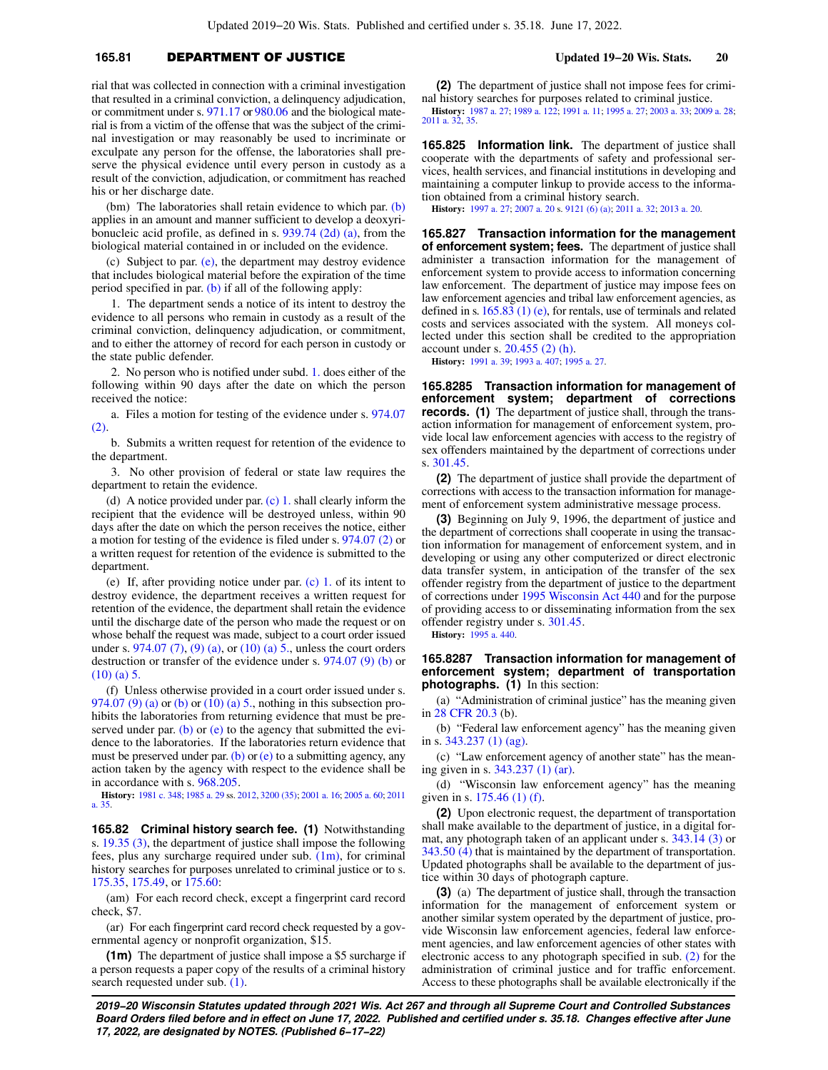### **165.81** DEPARTMENT OF JUSTICE **Updated 19−20 Wis. Stats. 20**

rial that was collected in connection with a criminal investigation that resulted in a criminal conviction, a delinquency adjudication, or commitment under s. [971.17](https://docs.legis.wisconsin.gov/document/statutes/971.17) or [980.06](https://docs.legis.wisconsin.gov/document/statutes/980.06) and the biological material is from a victim of the offense that was the subject of the criminal investigation or may reasonably be used to incriminate or exculpate any person for the offense, the laboratories shall preserve the physical evidence until every person in custody as a result of the conviction, adjudication, or commitment has reached his or her discharge date.

(bm) The laboratories shall retain evidence to which par. [\(b\)](https://docs.legis.wisconsin.gov/document/statutes/165.81(3)(b)) applies in an amount and manner sufficient to develop a deoxyribonucleic acid profile, as defined in s. [939.74 \(2d\) \(a\)](https://docs.legis.wisconsin.gov/document/statutes/939.74(2d)(a)), from the biological material contained in or included on the evidence.

(c) Subject to par. [\(e\),](https://docs.legis.wisconsin.gov/document/statutes/165.81(3)(e)) the department may destroy evidence that includes biological material before the expiration of the time period specified in par. [\(b\)](https://docs.legis.wisconsin.gov/document/statutes/165.81(3)(b)) if all of the following apply:

1. The department sends a notice of its intent to destroy the evidence to all persons who remain in custody as a result of the criminal conviction, delinquency adjudication, or commitment, and to either the attorney of record for each person in custody or the state public defender.

2. No person who is notified under subd. [1.](https://docs.legis.wisconsin.gov/document/statutes/165.81(3)(c)1.) does either of the following within 90 days after the date on which the person received the notice:

a. Files a motion for testing of the evidence under s. [974.07](https://docs.legis.wisconsin.gov/document/statutes/974.07(2)) [\(2\)](https://docs.legis.wisconsin.gov/document/statutes/974.07(2)).

b. Submits a written request for retention of the evidence to the department.

3. No other provision of federal or state law requires the department to retain the evidence.

(d) A notice provided under par. [\(c\) 1.](https://docs.legis.wisconsin.gov/document/statutes/165.81(3)(c)1.) shall clearly inform the recipient that the evidence will be destroyed unless, within 90 days after the date on which the person receives the notice, either a motion for testing of the evidence is filed under s. [974.07 \(2\)](https://docs.legis.wisconsin.gov/document/statutes/974.07(2)) or a written request for retention of the evidence is submitted to the department.

(e) If, after providing notice under par. [\(c\) 1.](https://docs.legis.wisconsin.gov/document/statutes/165.81(3)(c)1.) of its intent to destroy evidence, the department receives a written request for retention of the evidence, the department shall retain the evidence until the discharge date of the person who made the request or on whose behalf the request was made, subject to a court order issued under s. [974.07 \(7\)](https://docs.legis.wisconsin.gov/document/statutes/974.07(7)), [\(9\) \(a\),](https://docs.legis.wisconsin.gov/document/statutes/974.07(9)(a)) or [\(10\) \(a\) 5.](https://docs.legis.wisconsin.gov/document/statutes/974.07(10)(a)5.), unless the court orders destruction or transfer of the evidence under s. [974.07 \(9\) \(b\)](https://docs.legis.wisconsin.gov/document/statutes/974.07(9)(b)) or  $(10)$  (a) 5.

(f) Unless otherwise provided in a court order issued under s. [974.07 \(9\) \(a\)](https://docs.legis.wisconsin.gov/document/statutes/974.07(9)(a)) or [\(b\)](https://docs.legis.wisconsin.gov/document/statutes/974.07(9)(b)) or [\(10\) \(a\) 5.,](https://docs.legis.wisconsin.gov/document/statutes/974.07(10)(a)5.) nothing in this subsection prohibits the laboratories from returning evidence that must be pre-served under par. [\(b\)](https://docs.legis.wisconsin.gov/document/statutes/165.81(3)(b)) or  $(e)$  to the agency that submitted the evidence to the laboratories. If the laboratories return evidence that must be preserved under par. [\(b\)](https://docs.legis.wisconsin.gov/document/statutes/165.81(3)(b)) or  $(e)$  to a submitting agency, any action taken by the agency with respect to the evidence shall be in accordance with s. [968.205.](https://docs.legis.wisconsin.gov/document/statutes/968.205)

**History:** [1981 c. 348](https://docs.legis.wisconsin.gov/document/acts/1981/348); [1985 a. 29](https://docs.legis.wisconsin.gov/document/acts/1985/29) ss. [2012,](https://docs.legis.wisconsin.gov/document/acts/1985/29,%20s.%202012) [3200 \(35\);](https://docs.legis.wisconsin.gov/document/acts/1985/29,%20s.%203200) [2001 a. 16](https://docs.legis.wisconsin.gov/document/acts/2001/16); [2005 a. 60](https://docs.legis.wisconsin.gov/document/acts/2005/60); [2011](https://docs.legis.wisconsin.gov/document/acts/2011/35) [a. 35](https://docs.legis.wisconsin.gov/document/acts/2011/35).

**165.82 Criminal history search fee. (1)** Notwithstanding s. [19.35 \(3\),](https://docs.legis.wisconsin.gov/document/statutes/19.35(3)) the department of justice shall impose the following fees, plus any surcharge required under sub.  $(1m)$ , for criminal history searches for purposes unrelated to criminal justice or to s. [175.35,](https://docs.legis.wisconsin.gov/document/statutes/175.35) [175.49](https://docs.legis.wisconsin.gov/document/statutes/175.49), or [175.60](https://docs.legis.wisconsin.gov/document/statutes/175.60):

(am) For each record check, except a fingerprint card record check, \$7.

(ar) For each fingerprint card record check requested by a governmental agency or nonprofit organization, \$15.

**(1m)** The department of justice shall impose a \$5 surcharge if a person requests a paper copy of the results of a criminal history search requested under sub. [\(1\).](https://docs.legis.wisconsin.gov/document/statutes/165.82(1))

**(2)** The department of justice shall not impose fees for criminal history searches for purposes related to criminal justice. **History:** [1987 a. 27](https://docs.legis.wisconsin.gov/document/acts/1987/27); [1989 a. 122](https://docs.legis.wisconsin.gov/document/acts/1989/122); [1991 a. 11;](https://docs.legis.wisconsin.gov/document/acts/1991/11) [1995 a. 27](https://docs.legis.wisconsin.gov/document/acts/1995/27); [2003 a. 33;](https://docs.legis.wisconsin.gov/document/acts/2003/33) [2009 a. 28](https://docs.legis.wisconsin.gov/document/acts/2009/28); [2011 a. 32](https://docs.legis.wisconsin.gov/document/acts/2011/32), [35.](https://docs.legis.wisconsin.gov/document/acts/2011/35)

**165.825 Information link.** The department of justice shall cooperate with the departments of safety and professional services, health services, and financial institutions in developing and maintaining a computer linkup to provide access to the information obtained from a criminal history search.

**History:** [1997 a. 27](https://docs.legis.wisconsin.gov/document/acts/1997/27); [2007 a. 20](https://docs.legis.wisconsin.gov/document/acts/2007/20) s. [9121 \(6\) \(a\);](https://docs.legis.wisconsin.gov/document/acts/2007/20,%20s.%209121) [2011 a. 32;](https://docs.legis.wisconsin.gov/document/acts/2011/32) [2013 a. 20.](https://docs.legis.wisconsin.gov/document/acts/2013/20)

**165.827 Transaction information for the management of enforcement system; fees.** The department of justice shall administer a transaction information for the management of enforcement system to provide access to information concerning law enforcement. The department of justice may impose fees on law enforcement agencies and tribal law enforcement agencies, as defined in s. [165.83 \(1\) \(e\)](https://docs.legis.wisconsin.gov/document/statutes/165.83(1)(e)), for rentals, use of terminals and related costs and services associated with the system. All moneys collected under this section shall be credited to the appropriation account under s. [20.455 \(2\) \(h\).](https://docs.legis.wisconsin.gov/document/statutes/20.455(2)(h))

**History:** [1991 a. 39](https://docs.legis.wisconsin.gov/document/acts/1991/39); [1993 a. 407;](https://docs.legis.wisconsin.gov/document/acts/1993/407) [1995 a. 27.](https://docs.legis.wisconsin.gov/document/acts/1995/27)

**165.8285 Transaction information for management of enforcement system; department of corrections records.** (1) The department of justice shall, through the transaction information for management of enforcement system, provide local law enforcement agencies with access to the registry of sex offenders maintained by the department of corrections under s. [301.45.](https://docs.legis.wisconsin.gov/document/statutes/301.45)

**(2)** The department of justice shall provide the department of corrections with access to the transaction information for management of enforcement system administrative message process.

**(3)** Beginning on July 9, 1996, the department of justice and the department of corrections shall cooperate in using the transaction information for management of enforcement system, and in developing or using any other computerized or direct electronic data transfer system, in anticipation of the transfer of the sex offender registry from the department of justice to the department of corrections under [1995 Wisconsin Act 440](https://docs.legis.wisconsin.gov/document/acts/1995/440) and for the purpose of providing access to or disseminating information from the sex offender registry under s. [301.45.](https://docs.legis.wisconsin.gov/document/statutes/301.45)

**History:** [1995 a. 440.](https://docs.legis.wisconsin.gov/document/acts/1995/440)

#### **165.8287 Transaction information for management of enforcement system; department of transportation photographs. (1)** In this section:

(a) "Administration of criminal justice" has the meaning given in [28 CFR 20.3](https://docs.legis.wisconsin.gov/document/cfr/28%20CFR%2020.3) (b).

(b) "Federal law enforcement agency" has the meaning given in s. [343.237 \(1\) \(ag\)](https://docs.legis.wisconsin.gov/document/statutes/343.237(1)(ag)).

(c) "Law enforcement agency of another state" has the meaning given in s. [343.237 \(1\) \(ar\)](https://docs.legis.wisconsin.gov/document/statutes/343.237(1)(ar)).

(d) "Wisconsin law enforcement agency" has the meaning given in s. [175.46 \(1\) \(f\).](https://docs.legis.wisconsin.gov/document/statutes/175.46(1)(f))

**(2)** Upon electronic request, the department of transportation shall make available to the department of justice, in a digital format, any photograph taken of an applicant under s. [343.14 \(3\)](https://docs.legis.wisconsin.gov/document/statutes/343.14(3)) or [343.50 \(4\)](https://docs.legis.wisconsin.gov/document/statutes/343.50(4)) that is maintained by the department of transportation. Updated photographs shall be available to the department of justice within 30 days of photograph capture.

**(3)** (a) The department of justice shall, through the transaction information for the management of enforcement system or another similar system operated by the department of justice, provide Wisconsin law enforcement agencies, federal law enforcement agencies, and law enforcement agencies of other states with electronic access to any photograph specified in sub. [\(2\)](https://docs.legis.wisconsin.gov/document/statutes/165.8287(2)) for the administration of criminal justice and for traffic enforcement. Access to these photographs shall be available electronically if the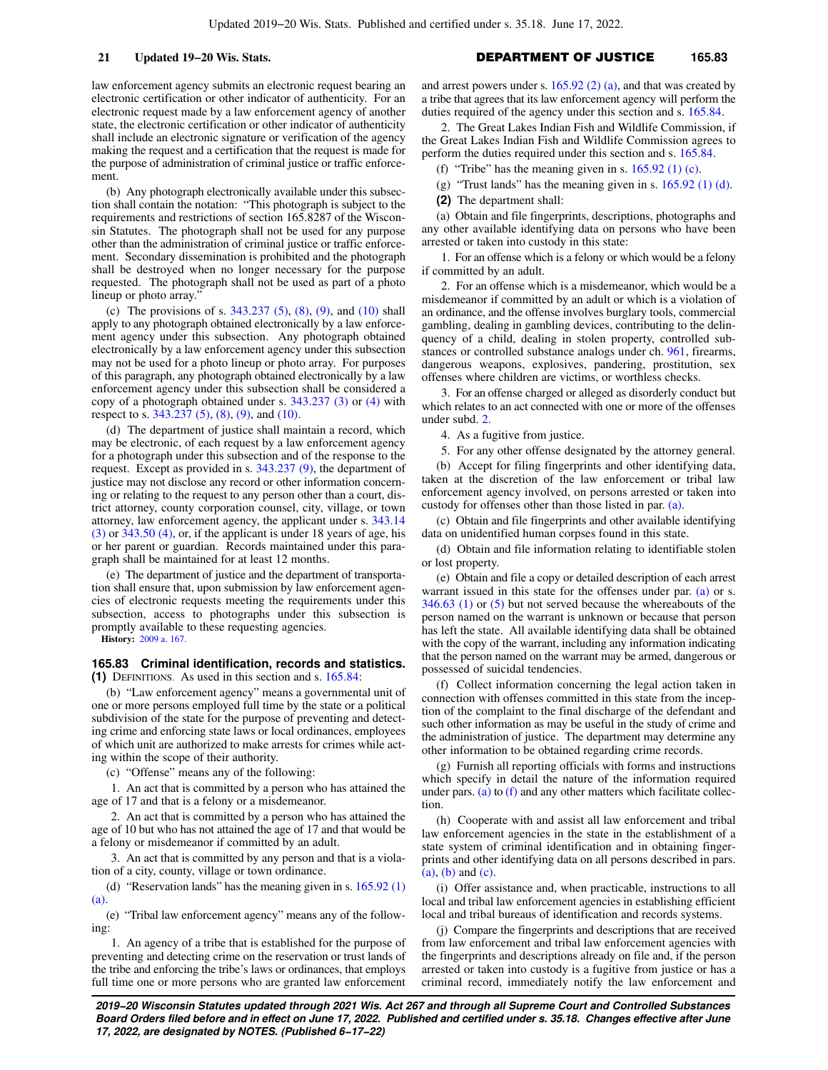law enforcement agency submits an electronic request bearing an electronic certification or other indicator of authenticity. For an electronic request made by a law enforcement agency of another state, the electronic certification or other indicator of authenticity shall include an electronic signature or verification of the agency making the request and a certification that the request is made for the purpose of administration of criminal justice or traffic enforcement.

(b) Any photograph electronically available under this subsection shall contain the notation: "This photograph is subject to the requirements and restrictions of section 165.8287 of the Wisconsin Statutes. The photograph shall not be used for any purpose other than the administration of criminal justice or traffic enforcement. Secondary dissemination is prohibited and the photograph shall be destroyed when no longer necessary for the purpose requested. The photograph shall not be used as part of a photo lineup or photo array."

(c) The provisions of s.  $343.237$  (5), [\(8\),](https://docs.legis.wisconsin.gov/document/statutes/343.237(8)) [\(9\)](https://docs.legis.wisconsin.gov/document/statutes/343.237(9)), and [\(10\)](https://docs.legis.wisconsin.gov/document/statutes/343.237(10)) shall apply to any photograph obtained electronically by a law enforcement agency under this subsection. Any photograph obtained electronically by a law enforcement agency under this subsection may not be used for a photo lineup or photo array. For purposes of this paragraph, any photograph obtained electronically by a law enforcement agency under this subsection shall be considered a copy of a photograph obtained under s. [343.237 \(3\)](https://docs.legis.wisconsin.gov/document/statutes/343.237(3)) or [\(4\)](https://docs.legis.wisconsin.gov/document/statutes/343.237(4)) with respect to s. [343.237 \(5\)](https://docs.legis.wisconsin.gov/document/statutes/343.237(5)), [\(8\)](https://docs.legis.wisconsin.gov/document/statutes/343.237(8)), [\(9\)](https://docs.legis.wisconsin.gov/document/statutes/343.237(9)), and [\(10\)](https://docs.legis.wisconsin.gov/document/statutes/343.237(10)).

(d) The department of justice shall maintain a record, which may be electronic, of each request by a law enforcement agency for a photograph under this subsection and of the response to the request. Except as provided in s. [343.237 \(9\),](https://docs.legis.wisconsin.gov/document/statutes/343.237(9)) the department of justice may not disclose any record or other information concerning or relating to the request to any person other than a court, district attorney, county corporation counsel, city, village, or town attorney, law enforcement agency, the applicant under s. [343.14](https://docs.legis.wisconsin.gov/document/statutes/343.14(3)) [\(3\)](https://docs.legis.wisconsin.gov/document/statutes/343.14(3)) or [343.50 \(4\),](https://docs.legis.wisconsin.gov/document/statutes/343.50(4)) or, if the applicant is under 18 years of age, his or her parent or guardian. Records maintained under this paragraph shall be maintained for at least 12 months.

(e) The department of justice and the department of transportation shall ensure that, upon submission by law enforcement agencies of electronic requests meeting the requirements under this subsection, access to photographs under this subsection is promptly available to these requesting agencies.

**History:** [2009 a. 167](https://docs.legis.wisconsin.gov/document/acts/2009/167).

# **165.83 Criminal identification, records and statistics.**

**(1)** DEFINITIONS. As used in this section and s. [165.84:](https://docs.legis.wisconsin.gov/document/statutes/165.84)

(b) "Law enforcement agency" means a governmental unit of one or more persons employed full time by the state or a political subdivision of the state for the purpose of preventing and detecting crime and enforcing state laws or local ordinances, employees of which unit are authorized to make arrests for crimes while acting within the scope of their authority.

(c) "Offense" means any of the following:

1. An act that is committed by a person who has attained the age of 17 and that is a felony or a misdemeanor.

2. An act that is committed by a person who has attained the age of 10 but who has not attained the age of 17 and that would be a felony or misdemeanor if committed by an adult.

3. An act that is committed by any person and that is a violation of a city, county, village or town ordinance.

(d) "Reservation lands" has the meaning given in s. [165.92 \(1\)](https://docs.legis.wisconsin.gov/document/statutes/165.92(1)(a)) [\(a\).](https://docs.legis.wisconsin.gov/document/statutes/165.92(1)(a))

(e) "Tribal law enforcement agency" means any of the following:

1. An agency of a tribe that is established for the purpose of preventing and detecting crime on the reservation or trust lands of the tribe and enforcing the tribe's laws or ordinances, that employs full time one or more persons who are granted law enforcement and arrest powers under s. [165.92 \(2\) \(a\),](https://docs.legis.wisconsin.gov/document/statutes/165.92(2)(a)) and that was created by a tribe that agrees that its law enforcement agency will perform the duties required of the agency under this section and s. [165.84.](https://docs.legis.wisconsin.gov/document/statutes/165.84)

2. The Great Lakes Indian Fish and Wildlife Commission, if the Great Lakes Indian Fish and Wildlife Commission agrees to perform the duties required under this section and s. [165.84](https://docs.legis.wisconsin.gov/document/statutes/165.84).

(f) "Tribe" has the meaning given in s.  $165.92$  (1) (c).

(g) "Trust lands" has the meaning given in s.  $165.92$  (1) (d).

**(2)** The department shall:

(a) Obtain and file fingerprints, descriptions, photographs and any other available identifying data on persons who have been arrested or taken into custody in this state:

1. For an offense which is a felony or which would be a felony if committed by an adult.

2. For an offense which is a misdemeanor, which would be a misdemeanor if committed by an adult or which is a violation of an ordinance, and the offense involves burglary tools, commercial gambling, dealing in gambling devices, contributing to the delinquency of a child, dealing in stolen property, controlled substances or controlled substance analogs under ch. [961](https://docs.legis.wisconsin.gov/document/statutes/ch.%20961), firearms, dangerous weapons, explosives, pandering, prostitution, sex offenses where children are victims, or worthless checks.

3. For an offense charged or alleged as disorderly conduct but which relates to an act connected with one or more of the offenses under subd. [2.](https://docs.legis.wisconsin.gov/document/statutes/165.83(2)(a)2.)

4. As a fugitive from justice.

5. For any other offense designated by the attorney general.

(b) Accept for filing fingerprints and other identifying data, taken at the discretion of the law enforcement or tribal law enforcement agency involved, on persons arrested or taken into custody for offenses other than those listed in par. [\(a\)](https://docs.legis.wisconsin.gov/document/statutes/165.83(2)(a)).

(c) Obtain and file fingerprints and other available identifying data on unidentified human corpses found in this state.

(d) Obtain and file information relating to identifiable stolen or lost property.

(e) Obtain and file a copy or detailed description of each arrest warrant issued in this state for the offenses under par. [\(a\)](https://docs.legis.wisconsin.gov/document/statutes/165.83(2)(a)) or s. [346.63 \(1\)](https://docs.legis.wisconsin.gov/document/statutes/346.63(1)) or [\(5\)](https://docs.legis.wisconsin.gov/document/statutes/346.63(5)) but not served because the whereabouts of the person named on the warrant is unknown or because that person has left the state. All available identifying data shall be obtained with the copy of the warrant, including any information indicating that the person named on the warrant may be armed, dangerous or possessed of suicidal tendencies.

(f) Collect information concerning the legal action taken in connection with offenses committed in this state from the inception of the complaint to the final discharge of the defendant and such other information as may be useful in the study of crime and the administration of justice. The department may determine any other information to be obtained regarding crime records.

(g) Furnish all reporting officials with forms and instructions which specify in detail the nature of the information required under pars. [\(a\)](https://docs.legis.wisconsin.gov/document/statutes/165.83(2)(a)) to  $(f)$  and any other matters which facilitate collection.

(h) Cooperate with and assist all law enforcement and tribal law enforcement agencies in the state in the establishment of a state system of criminal identification and in obtaining fingerprints and other identifying data on all persons described in pars. [\(a\)](https://docs.legis.wisconsin.gov/document/statutes/165.83(2)(a)), [\(b\)](https://docs.legis.wisconsin.gov/document/statutes/165.83(2)(b)) and [\(c\).](https://docs.legis.wisconsin.gov/document/statutes/165.83(2)(c))

(i) Offer assistance and, when practicable, instructions to all local and tribal law enforcement agencies in establishing efficient local and tribal bureaus of identification and records systems.

(j) Compare the fingerprints and descriptions that are received from law enforcement and tribal law enforcement agencies with the fingerprints and descriptions already on file and, if the person arrested or taken into custody is a fugitive from justice or has a criminal record, immediately notify the law enforcement and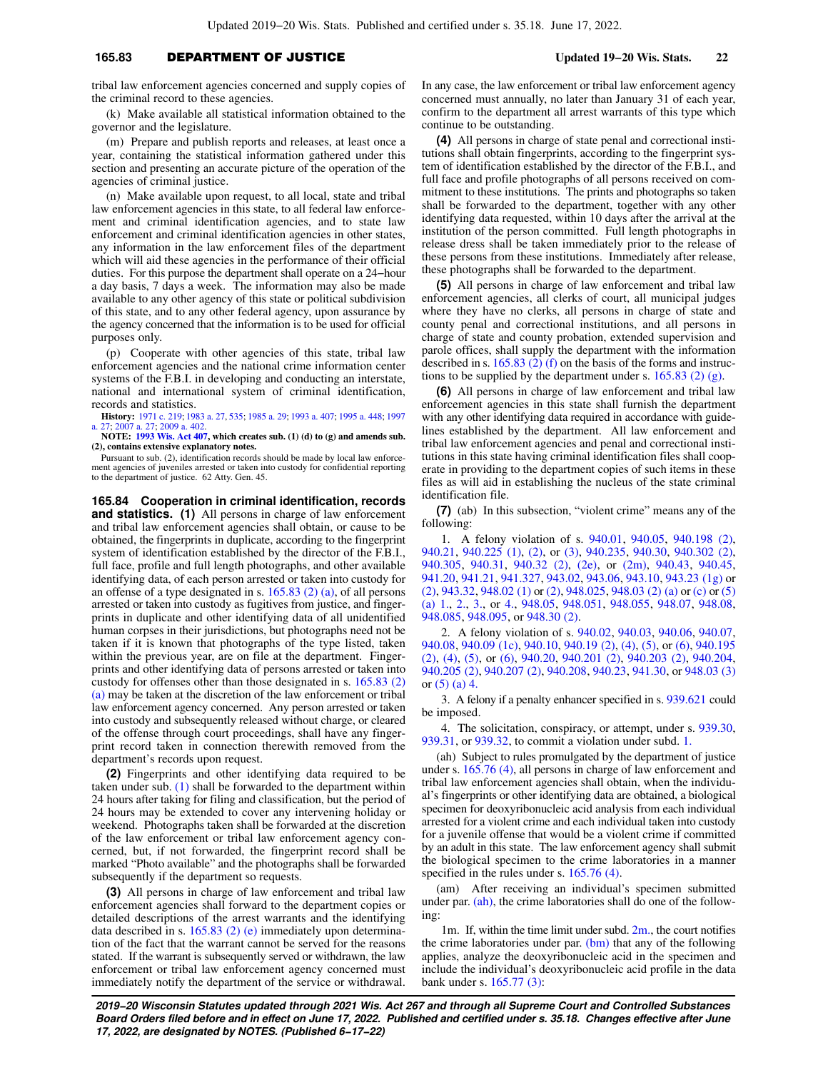tribal law enforcement agencies concerned and supply copies of the criminal record to these agencies.

(k) Make available all statistical information obtained to the governor and the legislature.

(m) Prepare and publish reports and releases, at least once a year, containing the statistical information gathered under this section and presenting an accurate picture of the operation of the agencies of criminal justice.

(n) Make available upon request, to all local, state and tribal law enforcement agencies in this state, to all federal law enforcement and criminal identification agencies, and to state law enforcement and criminal identification agencies in other states, any information in the law enforcement files of the department which will aid these agencies in the performance of their official duties. For this purpose the department shall operate on a 24−hour a day basis, 7 days a week. The information may also be made available to any other agency of this state or political subdivision of this state, and to any other federal agency, upon assurance by the agency concerned that the information is to be used for official purposes only.

(p) Cooperate with other agencies of this state, tribal law enforcement agencies and the national crime information center systems of the F.B.I. in developing and conducting an interstate, national and international system of criminal identification, records and statistics.

**History:** [1971 c. 219;](https://docs.legis.wisconsin.gov/document/acts/1971/219) [1983 a. 27](https://docs.legis.wisconsin.gov/document/acts/1983/27), [535](https://docs.legis.wisconsin.gov/document/acts/1983/535); [1985 a. 29;](https://docs.legis.wisconsin.gov/document/acts/1985/29) [1993 a. 407](https://docs.legis.wisconsin.gov/document/acts/1993/407); [1995 a. 448;](https://docs.legis.wisconsin.gov/document/acts/1995/448) [1997](https://docs.legis.wisconsin.gov/document/acts/1997/27) [a. 27](https://docs.legis.wisconsin.gov/document/acts/1997/27); [2007 a. 27;](https://docs.legis.wisconsin.gov/document/acts/2007/27) [2009 a. 402](https://docs.legis.wisconsin.gov/document/acts/2009/402).

**NOTE: [1993 Wis. Act 407,](https://docs.legis.wisconsin.gov/document/acts/1993/407) which creates sub. (1) (d) to (g) and amends sub. (2), contains extensive explanatory notes.**

Pursuant to sub. (2), identification records should be made by local law enforcement agencies of juveniles arrested or taken into custody for confidential reporting to the department of justice. 62 Atty. Gen. 45.

**165.84 Cooperation in criminal identification, records and statistics. (1)** All persons in charge of law enforcement and tribal law enforcement agencies shall obtain, or cause to be obtained, the fingerprints in duplicate, according to the fingerprint system of identification established by the director of the F.B.I., full face, profile and full length photographs, and other available identifying data, of each person arrested or taken into custody for an offense of a type designated in s. [165.83 \(2\) \(a\)](https://docs.legis.wisconsin.gov/document/statutes/165.83(2)(a)), of all persons arrested or taken into custody as fugitives from justice, and fingerprints in duplicate and other identifying data of all unidentified human corpses in their jurisdictions, but photographs need not be taken if it is known that photographs of the type listed, taken within the previous year, are on file at the department. Fingerprints and other identifying data of persons arrested or taken into custody for offenses other than those designated in s. [165.83 \(2\)](https://docs.legis.wisconsin.gov/document/statutes/165.83(2)(a)) [\(a\)](https://docs.legis.wisconsin.gov/document/statutes/165.83(2)(a)) may be taken at the discretion of the law enforcement or tribal law enforcement agency concerned. Any person arrested or taken into custody and subsequently released without charge, or cleared of the offense through court proceedings, shall have any fingerprint record taken in connection therewith removed from the department's records upon request.

**(2)** Fingerprints and other identifying data required to be taken under sub. [\(1\)](https://docs.legis.wisconsin.gov/document/statutes/165.84(1)) shall be forwarded to the department within 24 hours after taking for filing and classification, but the period of 24 hours may be extended to cover any intervening holiday or weekend. Photographs taken shall be forwarded at the discretion of the law enforcement or tribal law enforcement agency concerned, but, if not forwarded, the fingerprint record shall be marked "Photo available" and the photographs shall be forwarded subsequently if the department so requests.

**(3)** All persons in charge of law enforcement and tribal law enforcement agencies shall forward to the department copies or detailed descriptions of the arrest warrants and the identifying data described in s.  $165.83$  (2) (e) immediately upon determination of the fact that the warrant cannot be served for the reasons stated. If the warrant is subsequently served or withdrawn, the law enforcement or tribal law enforcement agency concerned must immediately notify the department of the service or withdrawal.

In any case, the law enforcement or tribal law enforcement agency concerned must annually, no later than January 31 of each year, confirm to the department all arrest warrants of this type which continue to be outstanding.

**(4)** All persons in charge of state penal and correctional institutions shall obtain fingerprints, according to the fingerprint system of identification established by the director of the F.B.I., and full face and profile photographs of all persons received on commitment to these institutions. The prints and photographs so taken shall be forwarded to the department, together with any other identifying data requested, within 10 days after the arrival at the institution of the person committed. Full length photographs in release dress shall be taken immediately prior to the release of these persons from these institutions. Immediately after release, these photographs shall be forwarded to the department.

**(5)** All persons in charge of law enforcement and tribal law enforcement agencies, all clerks of court, all municipal judges where they have no clerks, all persons in charge of state and county penal and correctional institutions, and all persons in charge of state and county probation, extended supervision and parole offices, shall supply the department with the information described in s.  $165.83$  (2) (f) on the basis of the forms and instructions to be supplied by the department under s. [165.83 \(2\) \(g\)](https://docs.legis.wisconsin.gov/document/statutes/165.83(2)(g)).

**(6)** All persons in charge of law enforcement and tribal law enforcement agencies in this state shall furnish the department with any other identifying data required in accordance with guidelines established by the department. All law enforcement and tribal law enforcement agencies and penal and correctional institutions in this state having criminal identification files shall cooperate in providing to the department copies of such items in these files as will aid in establishing the nucleus of the state criminal identification file.

**(7)** (ab) In this subsection, "violent crime" means any of the following:

1. A felony violation of s. [940.01,](https://docs.legis.wisconsin.gov/document/statutes/940.01) [940.05,](https://docs.legis.wisconsin.gov/document/statutes/940.05) [940.198 \(2\),](https://docs.legis.wisconsin.gov/document/statutes/940.198(2)) [940.21,](https://docs.legis.wisconsin.gov/document/statutes/940.21) [940.225 \(1\),](https://docs.legis.wisconsin.gov/document/statutes/940.225(1)) [\(2\)](https://docs.legis.wisconsin.gov/document/statutes/940.225(2)), or [\(3\)](https://docs.legis.wisconsin.gov/document/statutes/940.225(3)), [940.235](https://docs.legis.wisconsin.gov/document/statutes/940.235), [940.30](https://docs.legis.wisconsin.gov/document/statutes/940.30), [940.302 \(2\),](https://docs.legis.wisconsin.gov/document/statutes/940.302(2)) [940.305](https://docs.legis.wisconsin.gov/document/statutes/940.305), [940.31](https://docs.legis.wisconsin.gov/document/statutes/940.31), [940.32 \(2\)](https://docs.legis.wisconsin.gov/document/statutes/940.32(2)), [\(2e\),](https://docs.legis.wisconsin.gov/document/statutes/940.32(2e)) or [\(2m\)](https://docs.legis.wisconsin.gov/document/statutes/940.32(2m)), [940.43](https://docs.legis.wisconsin.gov/document/statutes/940.43), [940.45,](https://docs.legis.wisconsin.gov/document/statutes/940.45) [941.20,](https://docs.legis.wisconsin.gov/document/statutes/941.20) [941.21](https://docs.legis.wisconsin.gov/document/statutes/941.21), [941.327](https://docs.legis.wisconsin.gov/document/statutes/941.327), [943.02](https://docs.legis.wisconsin.gov/document/statutes/943.02), [943.06,](https://docs.legis.wisconsin.gov/document/statutes/943.06) [943.10](https://docs.legis.wisconsin.gov/document/statutes/943.10), [943.23 \(1g\)](https://docs.legis.wisconsin.gov/document/statutes/943.23(1g)) or [\(2\),](https://docs.legis.wisconsin.gov/document/statutes/943.23(2)) [943.32,](https://docs.legis.wisconsin.gov/document/statutes/943.32) [948.02 \(1\)](https://docs.legis.wisconsin.gov/document/statutes/948.02(1)) or [\(2\),](https://docs.legis.wisconsin.gov/document/statutes/948.02(2)) [948.025](https://docs.legis.wisconsin.gov/document/statutes/948.025), [948.03 \(2\) \(a\)](https://docs.legis.wisconsin.gov/document/statutes/948.03(2)(a)) or [\(c\)](https://docs.legis.wisconsin.gov/document/statutes/948.03(2)(c)) or [\(5\)](https://docs.legis.wisconsin.gov/document/statutes/948.03(5)(a)1.) [\(a\) 1.](https://docs.legis.wisconsin.gov/document/statutes/948.03(5)(a)1.), [2.,](https://docs.legis.wisconsin.gov/document/statutes/948.03(5)(a)2.) [3.,](https://docs.legis.wisconsin.gov/document/statutes/948.03(5)(a)3.) or [4.](https://docs.legis.wisconsin.gov/document/statutes/948.03(5)(a)4.), [948.05,](https://docs.legis.wisconsin.gov/document/statutes/948.05) [948.051,](https://docs.legis.wisconsin.gov/document/statutes/948.051) [948.055,](https://docs.legis.wisconsin.gov/document/statutes/948.055) [948.07](https://docs.legis.wisconsin.gov/document/statutes/948.07), [948.08,](https://docs.legis.wisconsin.gov/document/statutes/948.08) [948.085](https://docs.legis.wisconsin.gov/document/statutes/948.085), [948.095](https://docs.legis.wisconsin.gov/document/statutes/948.095), or [948.30 \(2\).](https://docs.legis.wisconsin.gov/document/statutes/948.30(2))

2. A felony violation of s. [940.02](https://docs.legis.wisconsin.gov/document/statutes/940.02), [940.03](https://docs.legis.wisconsin.gov/document/statutes/940.03), [940.06](https://docs.legis.wisconsin.gov/document/statutes/940.06), [940.07,](https://docs.legis.wisconsin.gov/document/statutes/940.07) [940.08,](https://docs.legis.wisconsin.gov/document/statutes/940.08) [940.09 \(1c\)](https://docs.legis.wisconsin.gov/document/statutes/940.09(1c)), [940.10,](https://docs.legis.wisconsin.gov/document/statutes/940.10) [940.19 \(2\)](https://docs.legis.wisconsin.gov/document/statutes/940.19(2)), [\(4\)](https://docs.legis.wisconsin.gov/document/statutes/940.19(4)), [\(5\)](https://docs.legis.wisconsin.gov/document/statutes/940.19(5)), or [\(6\)](https://docs.legis.wisconsin.gov/document/statutes/940.19(6)), [940.195](https://docs.legis.wisconsin.gov/document/statutes/940.195(2)) [\(2\),](https://docs.legis.wisconsin.gov/document/statutes/940.195(2)) [\(4\)](https://docs.legis.wisconsin.gov/document/statutes/940.195(4)), [\(5\)](https://docs.legis.wisconsin.gov/document/statutes/940.195(5)), or [\(6\),](https://docs.legis.wisconsin.gov/document/statutes/940.195(6)) [940.20,](https://docs.legis.wisconsin.gov/document/statutes/940.20) [940.201 \(2\)](https://docs.legis.wisconsin.gov/document/statutes/940.201(2)), [940.203 \(2\)](https://docs.legis.wisconsin.gov/document/statutes/940.203(2)), [940.204,](https://docs.legis.wisconsin.gov/document/statutes/940.204) [940.205 \(2\)](https://docs.legis.wisconsin.gov/document/statutes/940.205(2)), [940.207 \(2\)](https://docs.legis.wisconsin.gov/document/statutes/940.207(2)), [940.208](https://docs.legis.wisconsin.gov/document/statutes/940.208), [940.23](https://docs.legis.wisconsin.gov/document/statutes/940.23), [941.30,](https://docs.legis.wisconsin.gov/document/statutes/941.30) or [948.03 \(3\)](https://docs.legis.wisconsin.gov/document/statutes/948.03(3)) or  $(5)$  (a) 4.

3. A felony if a penalty enhancer specified in s. [939.621](https://docs.legis.wisconsin.gov/document/statutes/939.621) could be imposed.

4. The solicitation, conspiracy, or attempt, under s. [939.30,](https://docs.legis.wisconsin.gov/document/statutes/939.30) [939.31,](https://docs.legis.wisconsin.gov/document/statutes/939.31) or [939.32](https://docs.legis.wisconsin.gov/document/statutes/939.32), to commit a violation under subd. [1.](https://docs.legis.wisconsin.gov/document/statutes/165.84(7)(ab)1.)

(ah) Subject to rules promulgated by the department of justice under s. [165.76 \(4\),](https://docs.legis.wisconsin.gov/document/statutes/165.76(4)) all persons in charge of law enforcement and tribal law enforcement agencies shall obtain, when the individual's fingerprints or other identifying data are obtained, a biological specimen for deoxyribonucleic acid analysis from each individual arrested for a violent crime and each individual taken into custody for a juvenile offense that would be a violent crime if committed by an adult in this state. The law enforcement agency shall submit the biological specimen to the crime laboratories in a manner specified in the rules under s. [165.76 \(4\)](https://docs.legis.wisconsin.gov/document/statutes/165.76(4)).

(am) After receiving an individual's specimen submitted under par. [\(ah\),](https://docs.legis.wisconsin.gov/document/statutes/165.84(7)(ah)) the crime laboratories shall do one of the following:

1m. If, within the time limit under subd.  $2m$ , the court notifies the crime laboratories under par. [\(bm\)](https://docs.legis.wisconsin.gov/document/statutes/165.84(7)(bm)) that any of the following applies, analyze the deoxyribonucleic acid in the specimen and include the individual's deoxyribonucleic acid profile in the data bank under s. [165.77 \(3\):](https://docs.legis.wisconsin.gov/document/statutes/165.77(3))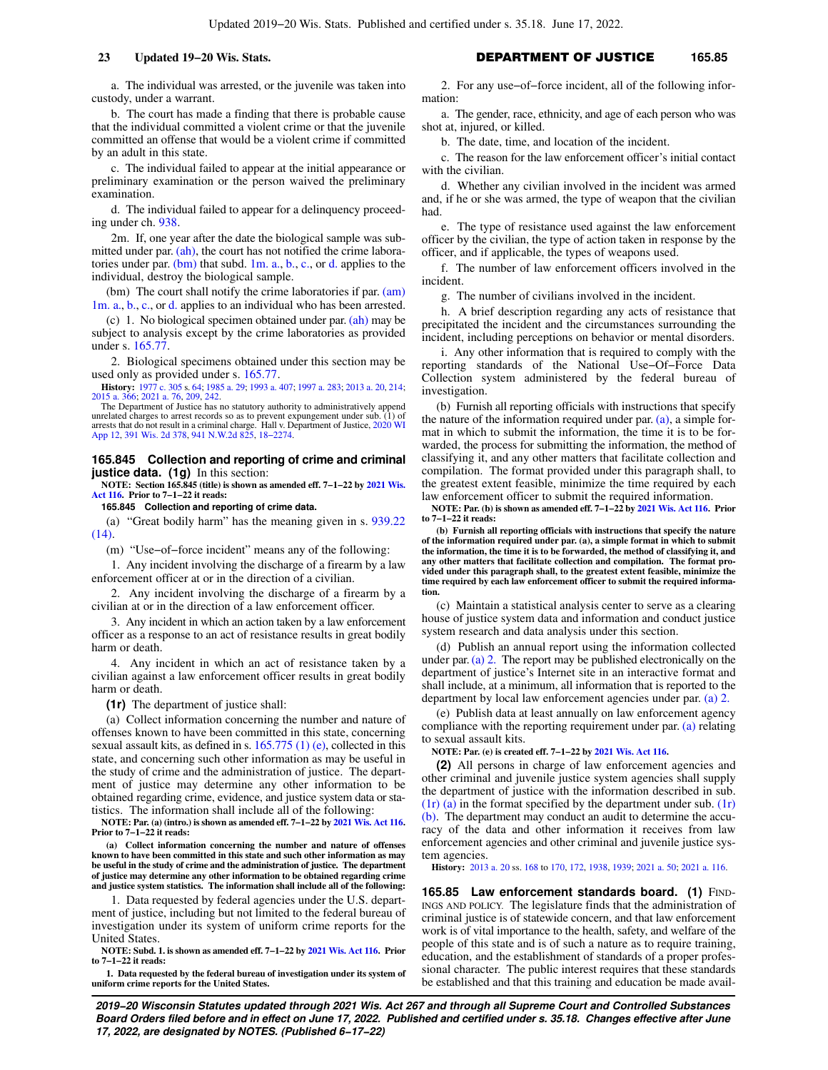a. The individual was arrested, or the juvenile was taken into custody, under a warrant.

b. The court has made a finding that there is probable cause that the individual committed a violent crime or that the juvenile committed an offense that would be a violent crime if committed by an adult in this state.

c. The individual failed to appear at the initial appearance or preliminary examination or the person waived the preliminary examination.

d. The individual failed to appear for a delinquency proceeding under ch. [938](https://docs.legis.wisconsin.gov/document/statutes/ch.%20938).

2m. If, one year after the date the biological sample was sub-mitted under par. [\(ah\),](https://docs.legis.wisconsin.gov/document/statutes/165.84(7)(ah)) the court has not notified the crime laboratories under par. [\(bm\)](https://docs.legis.wisconsin.gov/document/statutes/165.84(7)(bm)) that subd. [1m. a.](https://docs.legis.wisconsin.gov/document/statutes/165.84(7)(am)1m.a.), [b.](https://docs.legis.wisconsin.gov/document/statutes/165.84(7)(am)1m.b.), [c.](https://docs.legis.wisconsin.gov/document/statutes/165.84(7)(am)1m.c.), or [d.](https://docs.legis.wisconsin.gov/document/statutes/165.84(7)(am)1m.d.) applies to the individual, destroy the biological sample.

(bm) The court shall notify the crime laboratories if par. [\(am\)](https://docs.legis.wisconsin.gov/document/statutes/165.84(7)(am)1m.a.) [1m. a.,](https://docs.legis.wisconsin.gov/document/statutes/165.84(7)(am)1m.a.) [b.,](https://docs.legis.wisconsin.gov/document/statutes/165.84(7)(am)1m.b.) [c.](https://docs.legis.wisconsin.gov/document/statutes/165.84(7)(am)1m.c.), or [d.](https://docs.legis.wisconsin.gov/document/statutes/165.84(7)(am)1m.d.) applies to an individual who has been arrested.

(c) 1. No biological specimen obtained under par. [\(ah\)](https://docs.legis.wisconsin.gov/document/statutes/165.84(7)(ah)) may be subject to analysis except by the crime laboratories as provided under s. [165.77.](https://docs.legis.wisconsin.gov/document/statutes/165.77)

2. Biological specimens obtained under this section may be used only as provided under s. [165.77](https://docs.legis.wisconsin.gov/document/statutes/165.77).

**History:** [1977 c. 305](https://docs.legis.wisconsin.gov/document/acts/1977/305) s. [64](https://docs.legis.wisconsin.gov/document/acts/1977/305,%20s.%2064); [1985 a. 29](https://docs.legis.wisconsin.gov/document/acts/1985/29); [1993 a. 407;](https://docs.legis.wisconsin.gov/document/acts/1993/407) [1997 a. 283](https://docs.legis.wisconsin.gov/document/acts/1997/283); [2013 a. 20](https://docs.legis.wisconsin.gov/document/acts/2013/20), [214](https://docs.legis.wisconsin.gov/document/acts/2013/214); [2015 a. 366;](https://docs.legis.wisconsin.gov/document/acts/2015/366) [2021 a. 76,](https://docs.legis.wisconsin.gov/document/acts/2021/76) [209,](https://docs.legis.wisconsin.gov/document/acts/2021/209) [242](https://docs.legis.wisconsin.gov/document/acts/2021/242).

The Department of Justice has no statutory authority to administratively append unrelated charges to arrest records so as to prevent expungement under sub. (1) of arrests that do not result in a criminal charge. Hall v. Department of Justice, [2020 WI](https://docs.legis.wisconsin.gov/document/courts/2020%20WI%20App%2012) [App 12,](https://docs.legis.wisconsin.gov/document/courts/2020%20WI%20App%2012) [391 Wis. 2d 378](https://docs.legis.wisconsin.gov/document/courts/391%20Wis.%202d%20378), [941 N.W.2d 825,](https://docs.legis.wisconsin.gov/document/courts/941%20N.W.2d%20825) [18−2274](https://docs.legis.wisconsin.gov/document/wicourtofappeals/18-2274).

**165.845 Collection and reporting of crime and criminal justice data.** (1g) In this section:

**NOTE: Section 165.845 (title) is shown as amended eff. 7−1−22 by [2021 Wis.](https://docs.legis.wisconsin.gov/document/acts/2021/116) [Act 116](https://docs.legis.wisconsin.gov/document/acts/2021/116). Prior to 7−1−22 it reads:**

**165.845 Collection and reporting of crime data.**

(a) "Great bodily harm" has the meaning given in s. [939.22](https://docs.legis.wisconsin.gov/document/statutes/939.22(14)) [\(14\).](https://docs.legis.wisconsin.gov/document/statutes/939.22(14))

(m) "Use−of−force incident" means any of the following:

1. Any incident involving the discharge of a firearm by a law enforcement officer at or in the direction of a civilian.

2. Any incident involving the discharge of a firearm by a civilian at or in the direction of a law enforcement officer.

3. Any incident in which an action taken by a law enforcement officer as a response to an act of resistance results in great bodily harm or death.

4. Any incident in which an act of resistance taken by a civilian against a law enforcement officer results in great bodily harm or death.

**(1r)** The department of justice shall:

(a) Collect information concerning the number and nature of offenses known to have been committed in this state, concerning sexual assault kits, as defined in s. [165.775 \(1\) \(e\),](https://docs.legis.wisconsin.gov/document/statutes/165.775(1)(e)) collected in this state, and concerning such other information as may be useful in the study of crime and the administration of justice. The department of justice may determine any other information to be obtained regarding crime, evidence, and justice system data or statistics. The information shall include all of the following:

**NOTE: Par. (a) (intro.) is shown as amended eff. 7−1−22 by [2021 Wis. Act 116](https://docs.legis.wisconsin.gov/document/acts/2021/116). Prior to 7−1−22 it reads:**

**(a) Collect information concerning the number and nature of offenses known to have been committed in this state and such other information as may be useful in the study of crime and the administration of justice. The department of justice may determine any other information to be obtained regarding crime and justice system statistics. The information shall include all of the following:**

1. Data requested by federal agencies under the U.S. department of justice, including but not limited to the federal bureau of investigation under its system of uniform crime reports for the United States.

**NOTE: Subd. 1. is shown as amended eff. 7−1−22 by [2021 Wis. Act 116.](https://docs.legis.wisconsin.gov/document/acts/2021/116) Prior to 7−1−22 it reads:**

**1. Data requested by the federal bureau of investigation under its system of uniform crime reports for the United States.**

### **23 Updated 19−20 Wis. Stats.** DEPARTMENT OF JUSTICE **165.85**

2. For any use−of−force incident, all of the following information:

a. The gender, race, ethnicity, and age of each person who was shot at, injured, or killed.

b. The date, time, and location of the incident.

c. The reason for the law enforcement officer's initial contact with the civilian.

d. Whether any civilian involved in the incident was armed and, if he or she was armed, the type of weapon that the civilian had.

e. The type of resistance used against the law enforcement officer by the civilian, the type of action taken in response by the officer, and if applicable, the types of weapons used.

f. The number of law enforcement officers involved in the incident.

g. The number of civilians involved in the incident.

h. A brief description regarding any acts of resistance that precipitated the incident and the circumstances surrounding the incident, including perceptions on behavior or mental disorders.

i. Any other information that is required to comply with the reporting standards of the National Use−Of−Force Data Collection system administered by the federal bureau of investigation.

(b) Furnish all reporting officials with instructions that specify the nature of the information required under par.  $(a)$ , a simple format in which to submit the information, the time it is to be forwarded, the process for submitting the information, the method of classifying it, and any other matters that facilitate collection and compilation. The format provided under this paragraph shall, to the greatest extent feasible, minimize the time required by each law enforcement officer to submit the required information.

**NOTE: Par. (b) is shown as amended eff. 7−1−22 by [2021 Wis. Act 116.](https://docs.legis.wisconsin.gov/document/acts/2021/116) Prior to 7−1−22 it reads:**

**(b) Furnish all reporting officials with instructions that specify the nature of the information required under par. (a), a simple format in which to submit the information, the time it is to be forwarded, the method of classifying it, and any other matters that facilitate collection and compilation. The format provided under this paragraph shall, to the greatest extent feasible, minimize the time required by each law enforcement officer to submit the required information.**

(c) Maintain a statistical analysis center to serve as a clearing house of justice system data and information and conduct justice system research and data analysis under this section.

(d) Publish an annual report using the information collected under par. [\(a\) 2.](https://docs.legis.wisconsin.gov/document/statutes/165.845(1r)(a)2.) The report may be published electronically on the department of justice's Internet site in an interactive format and shall include, at a minimum, all information that is reported to the department by local law enforcement agencies under par. [\(a\) 2.](https://docs.legis.wisconsin.gov/document/statutes/165.845(1r)(a)2.)

(e) Publish data at least annually on law enforcement agency compliance with the reporting requirement under par. [\(a\)](https://docs.legis.wisconsin.gov/document/statutes/165.845(1r)(a)) relating to sexual assault kits.

**NOTE: Par. (e) is created eff. 7−1−22 by [2021 Wis. Act 116](https://docs.legis.wisconsin.gov/document/acts/2021/116).**

**(2)** All persons in charge of law enforcement agencies and other criminal and juvenile justice system agencies shall supply the department of justice with the information described in sub.  $(1r)$  (a) in the format specified by the department under sub.  $(1r)$ [\(b\).](https://docs.legis.wisconsin.gov/document/statutes/165.845(1r)(b)) The department may conduct an audit to determine the accuracy of the data and other information it receives from law enforcement agencies and other criminal and juvenile justice system agencies.

**History:** [2013 a. 20](https://docs.legis.wisconsin.gov/document/acts/2013/20) ss. [168](https://docs.legis.wisconsin.gov/document/acts/2013/20,%20s.%20168) to [170,](https://docs.legis.wisconsin.gov/document/acts/2013/20,%20s.%20170) [172,](https://docs.legis.wisconsin.gov/document/acts/2013/20,%20s.%20172) [1938](https://docs.legis.wisconsin.gov/document/acts/2013/20,%20s.%201938), [1939](https://docs.legis.wisconsin.gov/document/acts/2013/20,%20s.%201939); [2021 a. 50](https://docs.legis.wisconsin.gov/document/acts/2021/50); [2021 a. 116.](https://docs.legis.wisconsin.gov/document/acts/2021/116)

**165.85 Law enforcement standards board. (1)** FIND-INGS AND POLICY. The legislature finds that the administration of criminal justice is of statewide concern, and that law enforcement work is of vital importance to the health, safety, and welfare of the people of this state and is of such a nature as to require training, education, and the establishment of standards of a proper professional character. The public interest requires that these standards be established and that this training and education be made avail-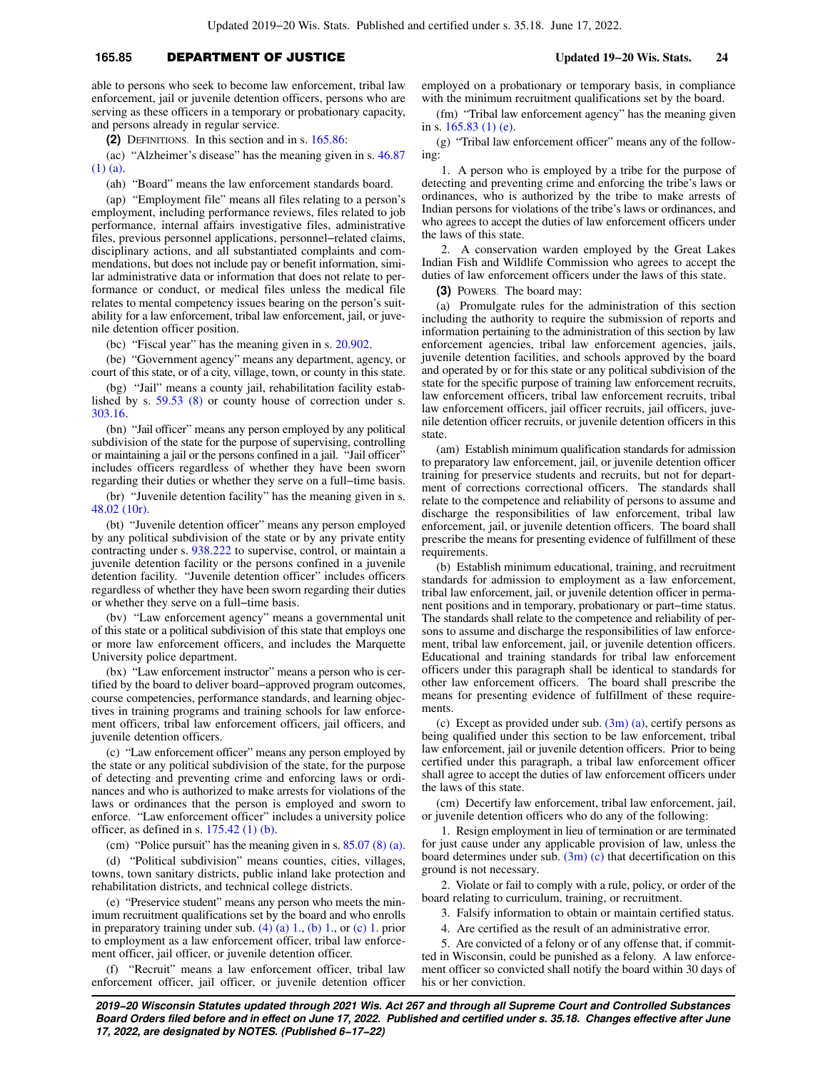### **165.85** DEPARTMENT OF JUSTICE **Updated 19−20 Wis. Stats. 24**

able to persons who seek to become law enforcement, tribal law enforcement, jail or juvenile detention officers, persons who are serving as these officers in a temporary or probationary capacity, and persons already in regular service.

**(2)** DEFINITIONS. In this section and in s. [165.86](https://docs.legis.wisconsin.gov/document/statutes/165.86):

(ac) "Alzheimer's disease" has the meaning given in s. [46.87](https://docs.legis.wisconsin.gov/document/statutes/46.87(1)(a)) [\(1\) \(a\).](https://docs.legis.wisconsin.gov/document/statutes/46.87(1)(a))

(ah) "Board" means the law enforcement standards board.

(ap) "Employment file" means all files relating to a person's employment, including performance reviews, files related to job performance, internal affairs investigative files, administrative files, previous personnel applications, personnel−related claims, disciplinary actions, and all substantiated complaints and commendations, but does not include pay or benefit information, similar administrative data or information that does not relate to performance or conduct, or medical files unless the medical file relates to mental competency issues bearing on the person's suitability for a law enforcement, tribal law enforcement, jail, or juvenile detention officer position.

(bc) "Fiscal year" has the meaning given in s. [20.902](https://docs.legis.wisconsin.gov/document/statutes/20.902).

(be) "Government agency" means any department, agency, or court of this state, or of a city, village, town, or county in this state.

(bg) "Jail" means a county jail, rehabilitation facility established by s. [59.53 \(8\)](https://docs.legis.wisconsin.gov/document/statutes/59.53(8)) or county house of correction under s. [303.16.](https://docs.legis.wisconsin.gov/document/statutes/303.16)

(bn) "Jail officer" means any person employed by any political subdivision of the state for the purpose of supervising, controlling or maintaining a jail or the persons confined in a jail. "Jail officer" includes officers regardless of whether they have been sworn regarding their duties or whether they serve on a full−time basis.

(br) "Juvenile detention facility" has the meaning given in s. [48.02 \(10r\).](https://docs.legis.wisconsin.gov/document/statutes/48.02(10r))

(bt) "Juvenile detention officer" means any person employed by any political subdivision of the state or by any private entity contracting under s. [938.222](https://docs.legis.wisconsin.gov/document/statutes/938.222) to supervise, control, or maintain a juvenile detention facility or the persons confined in a juvenile detention facility. "Juvenile detention officer" includes officers regardless of whether they have been sworn regarding their duties or whether they serve on a full−time basis.

(bv) "Law enforcement agency" means a governmental unit of this state or a political subdivision of this state that employs one or more law enforcement officers, and includes the Marquette University police department.

(bx) "Law enforcement instructor" means a person who is certified by the board to deliver board−approved program outcomes, course competencies, performance standards, and learning objectives in training programs and training schools for law enforcement officers, tribal law enforcement officers, jail officers, and juvenile detention officers.

(c) "Law enforcement officer" means any person employed by the state or any political subdivision of the state, for the purpose of detecting and preventing crime and enforcing laws or ordinances and who is authorized to make arrests for violations of the laws or ordinances that the person is employed and sworn to enforce. "Law enforcement officer" includes a university police officer, as defined in s. [175.42 \(1\) \(b\)](https://docs.legis.wisconsin.gov/document/statutes/175.42(1)(b)).

(cm) "Police pursuit" has the meaning given in s. [85.07 \(8\) \(a\).](https://docs.legis.wisconsin.gov/document/statutes/85.07(8)(a))

(d) "Political subdivision" means counties, cities, villages, towns, town sanitary districts, public inland lake protection and rehabilitation districts, and technical college districts.

(e) "Preservice student" means any person who meets the minimum recruitment qualifications set by the board and who enrolls in preparatory training under sub. [\(4\) \(a\) 1.,](https://docs.legis.wisconsin.gov/document/statutes/165.85(4)(a)1.) [\(b\) 1.](https://docs.legis.wisconsin.gov/document/statutes/165.85(4)(b)1.), or [\(c\) 1.](https://docs.legis.wisconsin.gov/document/statutes/165.85(4)(c)1.) prior to employment as a law enforcement officer, tribal law enforcement officer, jail officer, or juvenile detention officer.

(f) "Recruit" means a law enforcement officer, tribal law enforcement officer, jail officer, or juvenile detention officer employed on a probationary or temporary basis, in compliance with the minimum recruitment qualifications set by the board.

(fm) "Tribal law enforcement agency" has the meaning given in s. [165.83 \(1\) \(e\)](https://docs.legis.wisconsin.gov/document/statutes/165.83(1)(e)).

(g) "Tribal law enforcement officer" means any of the following:

1. A person who is employed by a tribe for the purpose of detecting and preventing crime and enforcing the tribe's laws or ordinances, who is authorized by the tribe to make arrests of Indian persons for violations of the tribe's laws or ordinances, and who agrees to accept the duties of law enforcement officers under the laws of this state.

2. A conservation warden employed by the Great Lakes Indian Fish and Wildlife Commission who agrees to accept the duties of law enforcement officers under the laws of this state.

**(3)** POWERS. The board may:

(a) Promulgate rules for the administration of this section including the authority to require the submission of reports and information pertaining to the administration of this section by law enforcement agencies, tribal law enforcement agencies, jails, juvenile detention facilities, and schools approved by the board and operated by or for this state or any political subdivision of the state for the specific purpose of training law enforcement recruits, law enforcement officers, tribal law enforcement recruits, tribal law enforcement officers, jail officer recruits, jail officers, juvenile detention officer recruits, or juvenile detention officers in this state.

(am) Establish minimum qualification standards for admission to preparatory law enforcement, jail, or juvenile detention officer training for preservice students and recruits, but not for department of corrections correctional officers. The standards shall relate to the competence and reliability of persons to assume and discharge the responsibilities of law enforcement, tribal law enforcement, jail, or juvenile detention officers. The board shall prescribe the means for presenting evidence of fulfillment of these requirements.

(b) Establish minimum educational, training, and recruitment standards for admission to employment as a law enforcement, tribal law enforcement, jail, or juvenile detention officer in permanent positions and in temporary, probationary or part−time status. The standards shall relate to the competence and reliability of persons to assume and discharge the responsibilities of law enforcement, tribal law enforcement, jail, or juvenile detention officers. Educational and training standards for tribal law enforcement officers under this paragraph shall be identical to standards for other law enforcement officers. The board shall prescribe the means for presenting evidence of fulfillment of these requirements.

(c) Except as provided under sub.  $(3m)$  (a), certify persons as being qualified under this section to be law enforcement, tribal law enforcement, jail or juvenile detention officers. Prior to being certified under this paragraph, a tribal law enforcement officer shall agree to accept the duties of law enforcement officers under the laws of this state.

(cm) Decertify law enforcement, tribal law enforcement, jail, or juvenile detention officers who do any of the following:

1. Resign employment in lieu of termination or are terminated for just cause under any applicable provision of law, unless the board determines under sub.  $(3m)$  (c) that decertification on this ground is not necessary.

2. Violate or fail to comply with a rule, policy, or order of the board relating to curriculum, training, or recruitment.

3. Falsify information to obtain or maintain certified status.

4. Are certified as the result of an administrative error.

5. Are convicted of a felony or of any offense that, if committed in Wisconsin, could be punished as a felony. A law enforcement officer so convicted shall notify the board within 30 days of his or her conviction.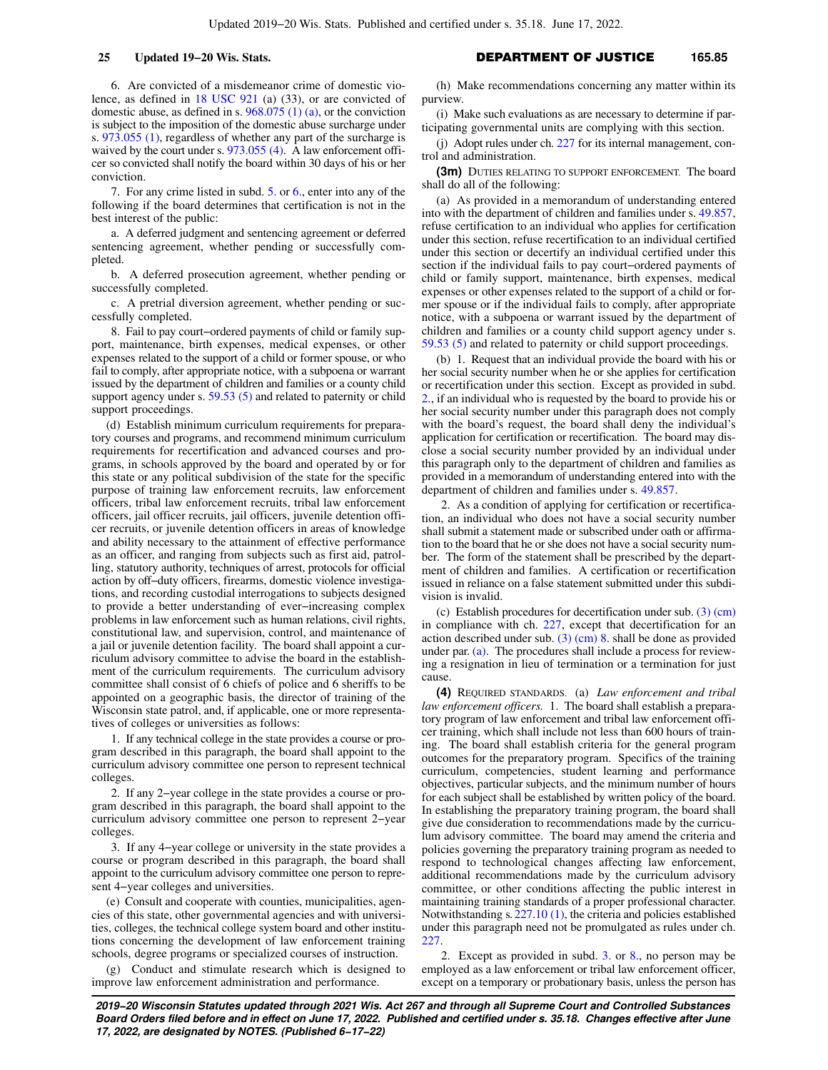6. Are convicted of a misdemeanor crime of domestic violence, as defined in [18 USC 921](https://docs.legis.wisconsin.gov/document/usc/18%20USC%20921) (a) (33), or are convicted of domestic abuse, as defined in s. [968.075 \(1\) \(a\)](https://docs.legis.wisconsin.gov/document/statutes/968.075(1)(a)), or the conviction is subject to the imposition of the domestic abuse surcharge under s. [973.055 \(1\),](https://docs.legis.wisconsin.gov/document/statutes/973.055(1)) regardless of whether any part of the surcharge is waived by the court under s. [973.055 \(4\).](https://docs.legis.wisconsin.gov/document/statutes/973.055(4)) A law enforcement officer so convicted shall notify the board within 30 days of his or her conviction.

7. For any crime listed in subd. [5.](https://docs.legis.wisconsin.gov/document/statutes/165.85(3)(cm)5.) or [6.](https://docs.legis.wisconsin.gov/document/statutes/165.85(3)(cm)6.), enter into any of the following if the board determines that certification is not in the best interest of the public:

a. A deferred judgment and sentencing agreement or deferred sentencing agreement, whether pending or successfully completed.

b. A deferred prosecution agreement, whether pending or successfully completed.

c. A pretrial diversion agreement, whether pending or successfully completed.

8. Fail to pay court−ordered payments of child or family support, maintenance, birth expenses, medical expenses, or other expenses related to the support of a child or former spouse, or who fail to comply, after appropriate notice, with a subpoena or warrant issued by the department of children and families or a county child support agency under s. [59.53 \(5\)](https://docs.legis.wisconsin.gov/document/statutes/59.53(5)) and related to paternity or child support proceedings.

(d) Establish minimum curriculum requirements for preparatory courses and programs, and recommend minimum curriculum requirements for recertification and advanced courses and programs, in schools approved by the board and operated by or for this state or any political subdivision of the state for the specific purpose of training law enforcement recruits, law enforcement officers, tribal law enforcement recruits, tribal law enforcement officers, jail officer recruits, jail officers, juvenile detention officer recruits, or juvenile detention officers in areas of knowledge and ability necessary to the attainment of effective performance as an officer, and ranging from subjects such as first aid, patrolling, statutory authority, techniques of arrest, protocols for official action by off−duty officers, firearms, domestic violence investigations, and recording custodial interrogations to subjects designed to provide a better understanding of ever−increasing complex problems in law enforcement such as human relations, civil rights, constitutional law, and supervision, control, and maintenance of a jail or juvenile detention facility. The board shall appoint a curriculum advisory committee to advise the board in the establishment of the curriculum requirements. The curriculum advisory committee shall consist of 6 chiefs of police and 6 sheriffs to be appointed on a geographic basis, the director of training of the Wisconsin state patrol, and, if applicable, one or more representatives of colleges or universities as follows:

1. If any technical college in the state provides a course or program described in this paragraph, the board shall appoint to the curriculum advisory committee one person to represent technical colleges.

2. If any 2−year college in the state provides a course or program described in this paragraph, the board shall appoint to the curriculum advisory committee one person to represent 2−year colleges.

3. If any 4−year college or university in the state provides a course or program described in this paragraph, the board shall appoint to the curriculum advisory committee one person to represent 4−year colleges and universities.

(e) Consult and cooperate with counties, municipalities, agencies of this state, other governmental agencies and with universities, colleges, the technical college system board and other institutions concerning the development of law enforcement training schools, degree programs or specialized courses of instruction.

(g) Conduct and stimulate research which is designed to improve law enforcement administration and performance.

(h) Make recommendations concerning any matter within its purview.

(i) Make such evaluations as are necessary to determine if participating governmental units are complying with this section.

(j) Adopt rules under ch. [227](https://docs.legis.wisconsin.gov/document/statutes/ch.%20227) for its internal management, control and administration.

**(3m)** DUTIES RELATING TO SUPPORT ENFORCEMENT. The board shall do all of the following:

(a) As provided in a memorandum of understanding entered into with the department of children and families under s. [49.857,](https://docs.legis.wisconsin.gov/document/statutes/49.857) refuse certification to an individual who applies for certification under this section, refuse recertification to an individual certified under this section or decertify an individual certified under this section if the individual fails to pay court−ordered payments of child or family support, maintenance, birth expenses, medical expenses or other expenses related to the support of a child or former spouse or if the individual fails to comply, after appropriate notice, with a subpoena or warrant issued by the department of children and families or a county child support agency under s. [59.53 \(5\)](https://docs.legis.wisconsin.gov/document/statutes/59.53(5)) and related to paternity or child support proceedings.

(b) 1. Request that an individual provide the board with his or her social security number when he or she applies for certification or recertification under this section. Except as provided in subd. [2.,](https://docs.legis.wisconsin.gov/document/statutes/165.85(3m)(b)2.) if an individual who is requested by the board to provide his or her social security number under this paragraph does not comply with the board's request, the board shall deny the individual's application for certification or recertification. The board may disclose a social security number provided by an individual under this paragraph only to the department of children and families as provided in a memorandum of understanding entered into with the department of children and families under s. [49.857](https://docs.legis.wisconsin.gov/document/statutes/49.857).

2. As a condition of applying for certification or recertification, an individual who does not have a social security number shall submit a statement made or subscribed under oath or affirmation to the board that he or she does not have a social security number. The form of the statement shall be prescribed by the department of children and families. A certification or recertification issued in reliance on a false statement submitted under this subdivision is invalid.

(c) Establish procedures for decertification under sub. [\(3\) \(cm\)](https://docs.legis.wisconsin.gov/document/statutes/165.85(3)(cm)) in compliance with ch. [227,](https://docs.legis.wisconsin.gov/document/statutes/ch.%20227) except that decertification for an action described under sub.  $(3)$  (cm) 8. shall be done as provided under par. [\(a\)](https://docs.legis.wisconsin.gov/document/statutes/165.85(3m)(a)). The procedures shall include a process for reviewing a resignation in lieu of termination or a termination for just cause.

**(4)** REQUIRED STANDARDS. (a) *Law enforcement and tribal law enforcement officers.* 1. The board shall establish a preparatory program of law enforcement and tribal law enforcement officer training, which shall include not less than 600 hours of training. The board shall establish criteria for the general program outcomes for the preparatory program. Specifics of the training curriculum, competencies, student learning and performance objectives, particular subjects, and the minimum number of hours for each subject shall be established by written policy of the board. In establishing the preparatory training program, the board shall give due consideration to recommendations made by the curriculum advisory committee. The board may amend the criteria and policies governing the preparatory training program as needed to respond to technological changes affecting law enforcement, additional recommendations made by the curriculum advisory committee, or other conditions affecting the public interest in maintaining training standards of a proper professional character. Notwithstanding s. [227.10 \(1\)](https://docs.legis.wisconsin.gov/document/statutes/227.10(1)), the criteria and policies established under this paragraph need not be promulgated as rules under ch. [227.](https://docs.legis.wisconsin.gov/document/statutes/ch.%20227)

2. Except as provided in subd. [3.](https://docs.legis.wisconsin.gov/document/statutes/165.85(4)(a)3.) or [8.,](https://docs.legis.wisconsin.gov/document/statutes/165.85(4)(a)8.) no person may be employed as a law enforcement or tribal law enforcement officer, except on a temporary or probationary basis, unless the person has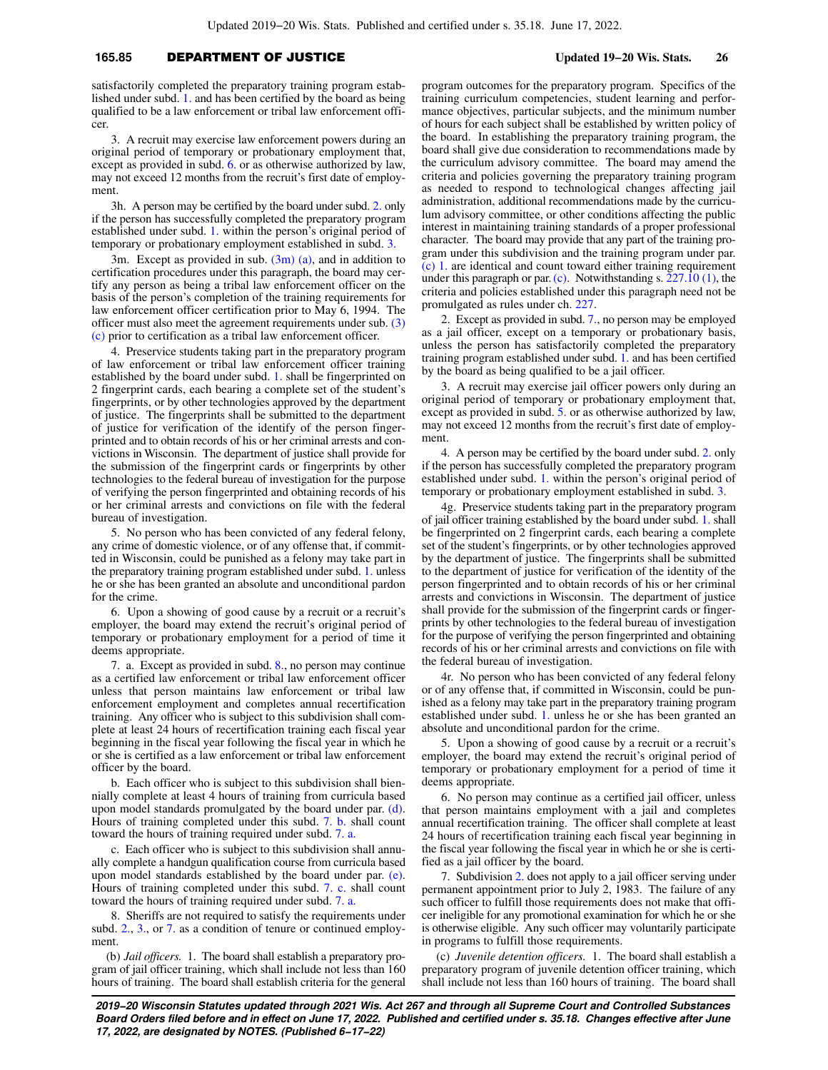### **165.85** DEPARTMENT OF JUSTICE **Updated 19−20 Wis. Stats. 26**

satisfactorily completed the preparatory training program established under subd. [1.](https://docs.legis.wisconsin.gov/document/statutes/165.85(4)(a)1.) and has been certified by the board as being qualified to be a law enforcement or tribal law enforcement officer.

3. A recruit may exercise law enforcement powers during an original period of temporary or probationary employment that, except as provided in subd. [6.](https://docs.legis.wisconsin.gov/document/statutes/165.85(4)(a)6.) or as otherwise authorized by law, may not exceed 12 months from the recruit's first date of employment.

3h. A person may be certified by the board under subd. [2.](https://docs.legis.wisconsin.gov/document/statutes/165.85(4)(a)2.) only if the person has successfully completed the preparatory program established under subd. [1.](https://docs.legis.wisconsin.gov/document/statutes/165.85(4)(a)1.) within the person's original period of temporary or probationary employment established in subd. [3.](https://docs.legis.wisconsin.gov/document/statutes/165.85(4)(a)3.)

3m. Except as provided in sub. [\(3m\) \(a\),](https://docs.legis.wisconsin.gov/document/statutes/165.85(3m)(a)) and in addition to certification procedures under this paragraph, the board may certify any person as being a tribal law enforcement officer on the basis of the person's completion of the training requirements for law enforcement officer certification prior to May 6, 1994. The officer must also meet the agreement requirements under sub. [\(3\)](https://docs.legis.wisconsin.gov/document/statutes/165.85(3)(c)) [\(c\)](https://docs.legis.wisconsin.gov/document/statutes/165.85(3)(c)) prior to certification as a tribal law enforcement officer.

4. Preservice students taking part in the preparatory program of law enforcement or tribal law enforcement officer training established by the board under subd. [1.](https://docs.legis.wisconsin.gov/document/statutes/165.85(4)(a)1.) shall be fingerprinted on 2 fingerprint cards, each bearing a complete set of the student's fingerprints, or by other technologies approved by the department of justice. The fingerprints shall be submitted to the department of justice for verification of the identify of the person fingerprinted and to obtain records of his or her criminal arrests and convictions in Wisconsin. The department of justice shall provide for the submission of the fingerprint cards or fingerprints by other technologies to the federal bureau of investigation for the purpose of verifying the person fingerprinted and obtaining records of his or her criminal arrests and convictions on file with the federal bureau of investigation.

5. No person who has been convicted of any federal felony, any crime of domestic violence, or of any offense that, if committed in Wisconsin, could be punished as a felony may take part in the preparatory training program established under subd. [1.](https://docs.legis.wisconsin.gov/document/statutes/165.85(4)(a)1.) unless he or she has been granted an absolute and unconditional pardon for the crime.

6. Upon a showing of good cause by a recruit or a recruit's employer, the board may extend the recruit's original period of temporary or probationary employment for a period of time it deems appropriate.

7. a. Except as provided in subd. [8.](https://docs.legis.wisconsin.gov/document/statutes/165.85(4)(a)8.), no person may continue as a certified law enforcement or tribal law enforcement officer unless that person maintains law enforcement or tribal law enforcement employment and completes annual recertification training. Any officer who is subject to this subdivision shall complete at least 24 hours of recertification training each fiscal year beginning in the fiscal year following the fiscal year in which he or she is certified as a law enforcement or tribal law enforcement officer by the board.

b. Each officer who is subject to this subdivision shall biennially complete at least 4 hours of training from curricula based upon model standards promulgated by the board under par. [\(d\).](https://docs.legis.wisconsin.gov/document/statutes/165.85(4)(d)) Hours of training completed under this subd. [7. b.](https://docs.legis.wisconsin.gov/document/statutes/165.85(4)(a)7.b.) shall count toward the hours of training required under subd. [7. a.](https://docs.legis.wisconsin.gov/document/statutes/165.85(4)(a)7.a.)

c. Each officer who is subject to this subdivision shall annually complete a handgun qualification course from curricula based upon model standards established by the board under par. [\(e\).](https://docs.legis.wisconsin.gov/document/statutes/165.85(4)(e)) Hours of training completed under this subd. [7. c.](https://docs.legis.wisconsin.gov/document/statutes/165.85(4)(a)7.c.) shall count toward the hours of training required under subd. [7. a.](https://docs.legis.wisconsin.gov/document/statutes/165.85(4)(a)7.a.)

8. Sheriffs are not required to satisfy the requirements under subd. [2.,](https://docs.legis.wisconsin.gov/document/statutes/165.85(4)(a)2.) [3.](https://docs.legis.wisconsin.gov/document/statutes/165.85(4)(a)3.), or [7.](https://docs.legis.wisconsin.gov/document/statutes/165.85(4)(a)7.) as a condition of tenure or continued employment.

(b) *Jail officers.* 1. The board shall establish a preparatory program of jail officer training, which shall include not less than 160 hours of training. The board shall establish criteria for the general

program outcomes for the preparatory program. Specifics of the training curriculum competencies, student learning and performance objectives, particular subjects, and the minimum number of hours for each subject shall be established by written policy of the board. In establishing the preparatory training program, the board shall give due consideration to recommendations made by the curriculum advisory committee. The board may amend the criteria and policies governing the preparatory training program as needed to respond to technological changes affecting jail administration, additional recommendations made by the curriculum advisory committee, or other conditions affecting the public interest in maintaining training standards of a proper professional character. The board may provide that any part of the training program under this subdivision and the training program under par. [\(c\) 1.](https://docs.legis.wisconsin.gov/document/statutes/165.85(4)(c)1.) are identical and count toward either training requirement under this paragraph or par.  $(c)$ . Notwithstanding s. 227.10  $(1)$ , the criteria and policies established under this paragraph need not be promulgated as rules under ch. [227](https://docs.legis.wisconsin.gov/document/statutes/ch.%20227).

2. Except as provided in subd. [7.,](https://docs.legis.wisconsin.gov/document/statutes/165.85(4)(b)7.) no person may be employed as a jail officer, except on a temporary or probationary basis, unless the person has satisfactorily completed the preparatory training program established under subd. [1.](https://docs.legis.wisconsin.gov/document/statutes/165.85(4)(b)1.) and has been certified by the board as being qualified to be a jail officer.

3. A recruit may exercise jail officer powers only during an original period of temporary or probationary employment that, except as provided in subd. [5.](https://docs.legis.wisconsin.gov/document/statutes/165.85(4)(b)5.) or as otherwise authorized by law, may not exceed 12 months from the recruit's first date of employment.

4. A person may be certified by the board under subd. [2.](https://docs.legis.wisconsin.gov/document/statutes/165.85(4)(b)2.) only if the person has successfully completed the preparatory program established under subd. [1.](https://docs.legis.wisconsin.gov/document/statutes/165.85(4)(b)1.) within the person's original period of temporary or probationary employment established in subd. [3.](https://docs.legis.wisconsin.gov/document/statutes/165.85(4)(b)3.)

4g. Preservice students taking part in the preparatory program of jail officer training established by the board under subd. [1.](https://docs.legis.wisconsin.gov/document/statutes/165.85(4)(b)1.) shall be fingerprinted on 2 fingerprint cards, each bearing a complete set of the student's fingerprints, or by other technologies approved by the department of justice. The fingerprints shall be submitted to the department of justice for verification of the identity of the person fingerprinted and to obtain records of his or her criminal arrests and convictions in Wisconsin. The department of justice shall provide for the submission of the fingerprint cards or fingerprints by other technologies to the federal bureau of investigation for the purpose of verifying the person fingerprinted and obtaining records of his or her criminal arrests and convictions on file with the federal bureau of investigation.

4r. No person who has been convicted of any federal felony or of any offense that, if committed in Wisconsin, could be punished as a felony may take part in the preparatory training program established under subd. [1.](https://docs.legis.wisconsin.gov/document/statutes/165.85(4)(b)1.) unless he or she has been granted an absolute and unconditional pardon for the crime.

5. Upon a showing of good cause by a recruit or a recruit's employer, the board may extend the recruit's original period of temporary or probationary employment for a period of time it deems appropriate.

6. No person may continue as a certified jail officer, unless that person maintains employment with a jail and completes annual recertification training. The officer shall complete at least 24 hours of recertification training each fiscal year beginning in the fiscal year following the fiscal year in which he or she is certified as a jail officer by the board.

7. Subdivision [2.](https://docs.legis.wisconsin.gov/document/statutes/165.85(4)(b)2.) does not apply to a jail officer serving under permanent appointment prior to July 2, 1983. The failure of any such officer to fulfill those requirements does not make that officer ineligible for any promotional examination for which he or she is otherwise eligible. Any such officer may voluntarily participate in programs to fulfill those requirements.

(c) *Juvenile detention officers.* 1. The board shall establish a preparatory program of juvenile detention officer training, which shall include not less than 160 hours of training. The board shall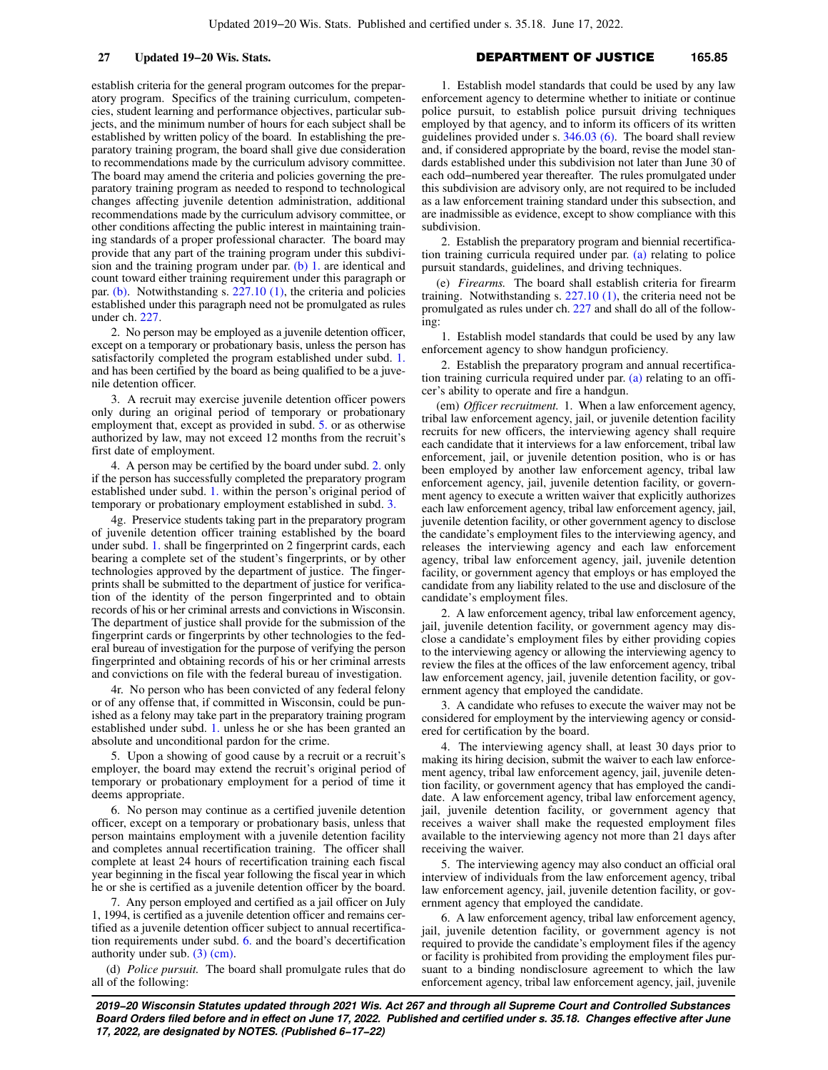establish criteria for the general program outcomes for the preparatory program. Specifics of the training curriculum, competencies, student learning and performance objectives, particular subjects, and the minimum number of hours for each subject shall be established by written policy of the board. In establishing the preparatory training program, the board shall give due consideration to recommendations made by the curriculum advisory committee. The board may amend the criteria and policies governing the preparatory training program as needed to respond to technological changes affecting juvenile detention administration, additional recommendations made by the curriculum advisory committee, or other conditions affecting the public interest in maintaining training standards of a proper professional character. The board may provide that any part of the training program under this subdivision and the training program under par. [\(b\) 1.](https://docs.legis.wisconsin.gov/document/statutes/165.85(4)(b)1.) are identical and count toward either training requirement under this paragraph or par. [\(b\)](https://docs.legis.wisconsin.gov/document/statutes/165.85(4)(b)). Notwithstanding s. [227.10 \(1\)](https://docs.legis.wisconsin.gov/document/statutes/227.10(1)), the criteria and policies established under this paragraph need not be promulgated as rules under ch. [227](https://docs.legis.wisconsin.gov/document/statutes/ch.%20227).

2. No person may be employed as a juvenile detention officer, except on a temporary or probationary basis, unless the person has satisfactorily completed the program established under subd. [1.](https://docs.legis.wisconsin.gov/document/statutes/165.85(4)(c)1.) and has been certified by the board as being qualified to be a juvenile detention officer.

3. A recruit may exercise juvenile detention officer powers only during an original period of temporary or probationary employment that, except as provided in subd. [5.](https://docs.legis.wisconsin.gov/document/statutes/165.85(4)(c)5.) or as otherwise authorized by law, may not exceed 12 months from the recruit's first date of employment.

4. A person may be certified by the board under subd. [2.](https://docs.legis.wisconsin.gov/document/statutes/165.85(4)(c)2.) only if the person has successfully completed the preparatory program established under subd. [1.](https://docs.legis.wisconsin.gov/document/statutes/165.85(4)(c)1.) within the person's original period of temporary or probationary employment established in subd. [3.](https://docs.legis.wisconsin.gov/document/statutes/165.85(4)(c)3.)

4g. Preservice students taking part in the preparatory program of juvenile detention officer training established by the board under subd. [1.](https://docs.legis.wisconsin.gov/document/statutes/165.85(4)(c)1.) shall be fingerprinted on 2 fingerprint cards, each bearing a complete set of the student's fingerprints, or by other technologies approved by the department of justice. The fingerprints shall be submitted to the department of justice for verification of the identity of the person fingerprinted and to obtain records of his or her criminal arrests and convictions in Wisconsin. The department of justice shall provide for the submission of the fingerprint cards or fingerprints by other technologies to the federal bureau of investigation for the purpose of verifying the person fingerprinted and obtaining records of his or her criminal arrests and convictions on file with the federal bureau of investigation.

4r. No person who has been convicted of any federal felony or of any offense that, if committed in Wisconsin, could be punished as a felony may take part in the preparatory training program established under subd. [1.](https://docs.legis.wisconsin.gov/document/statutes/165.85(4)(c)1.) unless he or she has been granted an absolute and unconditional pardon for the crime.

5. Upon a showing of good cause by a recruit or a recruit's employer, the board may extend the recruit's original period of temporary or probationary employment for a period of time it deems appropriate.

6. No person may continue as a certified juvenile detention officer, except on a temporary or probationary basis, unless that person maintains employment with a juvenile detention facility and completes annual recertification training. The officer shall complete at least 24 hours of recertification training each fiscal year beginning in the fiscal year following the fiscal year in which he or she is certified as a juvenile detention officer by the board.

7. Any person employed and certified as a jail officer on July 1, 1994, is certified as a juvenile detention officer and remains certified as a juvenile detention officer subject to annual recertification requirements under subd. [6.](https://docs.legis.wisconsin.gov/document/statutes/165.85(4)(c)6.) and the board's decertification authority under sub. [\(3\) \(cm\).](https://docs.legis.wisconsin.gov/document/statutes/165.85(3)(cm))

(d) *Police pursuit.* The board shall promulgate rules that do all of the following:

1. Establish model standards that could be used by any law enforcement agency to determine whether to initiate or continue police pursuit, to establish police pursuit driving techniques employed by that agency, and to inform its officers of its written guidelines provided under s.  $346.03$  (6). The board shall review and, if considered appropriate by the board, revise the model standards established under this subdivision not later than June 30 of each odd−numbered year thereafter. The rules promulgated under this subdivision are advisory only, are not required to be included as a law enforcement training standard under this subsection, and are inadmissible as evidence, except to show compliance with this subdivision.

2. Establish the preparatory program and biennial recertification training curricula required under par. [\(a\)](https://docs.legis.wisconsin.gov/document/statutes/165.85(4)(a)) relating to police pursuit standards, guidelines, and driving techniques.

(e) *Firearms.* The board shall establish criteria for firearm training. Notwithstanding s. [227.10 \(1\)](https://docs.legis.wisconsin.gov/document/statutes/227.10(1)), the criteria need not be promulgated as rules under ch. [227](https://docs.legis.wisconsin.gov/document/statutes/ch.%20227) and shall do all of the following:

1. Establish model standards that could be used by any law enforcement agency to show handgun proficiency.

2. Establish the preparatory program and annual recertification training curricula required under par. [\(a\)](https://docs.legis.wisconsin.gov/document/statutes/165.85(4)(a)) relating to an officer's ability to operate and fire a handgun.

(em) *Officer recruitment.* 1. When a law enforcement agency, tribal law enforcement agency, jail, or juvenile detention facility recruits for new officers, the interviewing agency shall require each candidate that it interviews for a law enforcement, tribal law enforcement, jail, or juvenile detention position, who is or has been employed by another law enforcement agency, tribal law enforcement agency, jail, juvenile detention facility, or government agency to execute a written waiver that explicitly authorizes each law enforcement agency, tribal law enforcement agency, jail, juvenile detention facility, or other government agency to disclose the candidate's employment files to the interviewing agency, and releases the interviewing agency and each law enforcement agency, tribal law enforcement agency, jail, juvenile detention facility, or government agency that employs or has employed the candidate from any liability related to the use and disclosure of the candidate's employment files.

2. A law enforcement agency, tribal law enforcement agency, jail, juvenile detention facility, or government agency may disclose a candidate's employment files by either providing copies to the interviewing agency or allowing the interviewing agency to review the files at the offices of the law enforcement agency, tribal law enforcement agency, jail, juvenile detention facility, or government agency that employed the candidate.

3. A candidate who refuses to execute the waiver may not be considered for employment by the interviewing agency or considered for certification by the board.

4. The interviewing agency shall, at least 30 days prior to making its hiring decision, submit the waiver to each law enforcement agency, tribal law enforcement agency, jail, juvenile detention facility, or government agency that has employed the candidate. A law enforcement agency, tribal law enforcement agency, jail, juvenile detention facility, or government agency that receives a waiver shall make the requested employment files available to the interviewing agency not more than 21 days after receiving the waiver.

5. The interviewing agency may also conduct an official oral interview of individuals from the law enforcement agency, tribal law enforcement agency, jail, juvenile detention facility, or government agency that employed the candidate.

6. A law enforcement agency, tribal law enforcement agency, jail, juvenile detention facility, or government agency is not required to provide the candidate's employment files if the agency or facility is prohibited from providing the employment files pursuant to a binding nondisclosure agreement to which the law enforcement agency, tribal law enforcement agency, jail, juvenile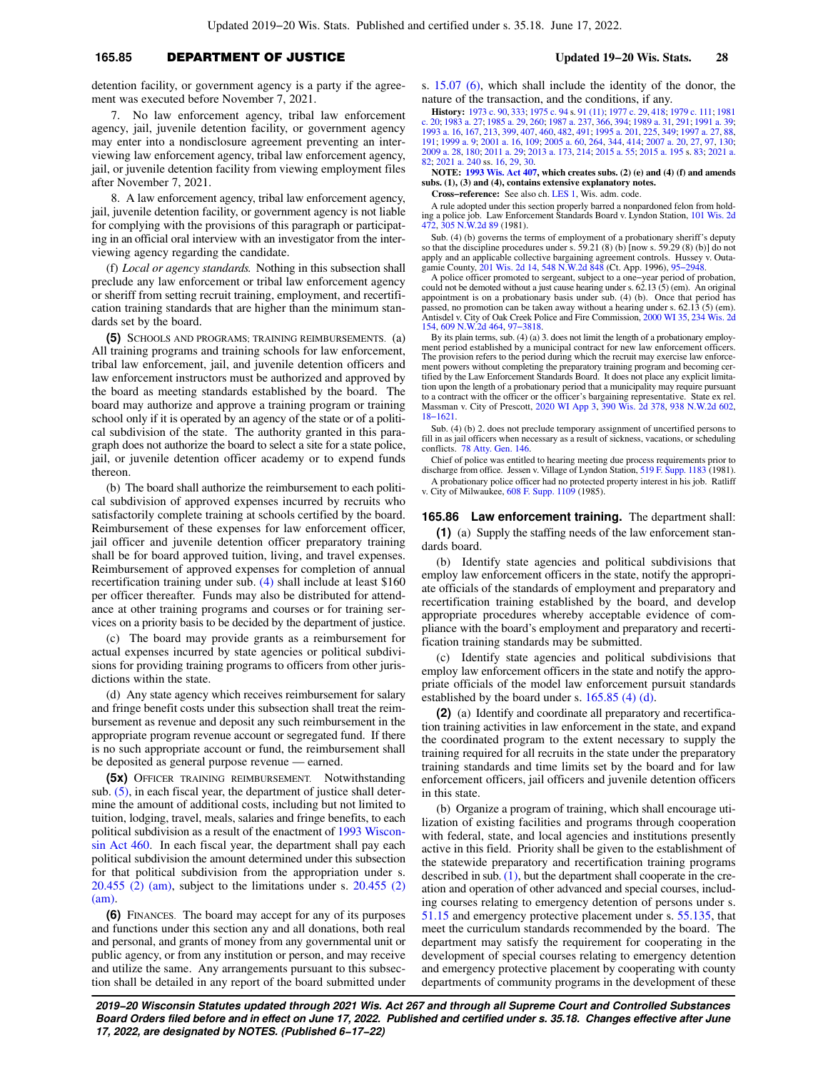### **165.85** DEPARTMENT OF JUSTICE **Updated 19−20 Wis. Stats. 28**

detention facility, or government agency is a party if the agreement was executed before November 7, 2021.

7. No law enforcement agency, tribal law enforcement agency, jail, juvenile detention facility, or government agency may enter into a nondisclosure agreement preventing an interviewing law enforcement agency, tribal law enforcement agency, jail, or juvenile detention facility from viewing employment files after November 7, 2021.

8. A law enforcement agency, tribal law enforcement agency, jail, juvenile detention facility, or government agency is not liable for complying with the provisions of this paragraph or participating in an official oral interview with an investigator from the interviewing agency regarding the candidate.

(f) *Local or agency standards.* Nothing in this subsection shall preclude any law enforcement or tribal law enforcement agency or sheriff from setting recruit training, employment, and recertification training standards that are higher than the minimum standards set by the board.

**(5)** SCHOOLS AND PROGRAMS; TRAINING REIMBURSEMENTS. (a) All training programs and training schools for law enforcement, tribal law enforcement, jail, and juvenile detention officers and law enforcement instructors must be authorized and approved by the board as meeting standards established by the board. The board may authorize and approve a training program or training school only if it is operated by an agency of the state or of a political subdivision of the state. The authority granted in this paragraph does not authorize the board to select a site for a state police, jail, or juvenile detention officer academy or to expend funds thereon.

(b) The board shall authorize the reimbursement to each political subdivision of approved expenses incurred by recruits who satisfactorily complete training at schools certified by the board. Reimbursement of these expenses for law enforcement officer, jail officer and juvenile detention officer preparatory training shall be for board approved tuition, living, and travel expenses. Reimbursement of approved expenses for completion of annual recertification training under sub. [\(4\)](https://docs.legis.wisconsin.gov/document/statutes/165.85(4)) shall include at least \$160 per officer thereafter. Funds may also be distributed for attendance at other training programs and courses or for training services on a priority basis to be decided by the department of justice.

(c) The board may provide grants as a reimbursement for actual expenses incurred by state agencies or political subdivisions for providing training programs to officers from other jurisdictions within the state.

(d) Any state agency which receives reimbursement for salary and fringe benefit costs under this subsection shall treat the reimbursement as revenue and deposit any such reimbursement in the appropriate program revenue account or segregated fund. If there is no such appropriate account or fund, the reimbursement shall be deposited as general purpose revenue — earned.

**(5x)** OFFICER TRAINING REIMBURSEMENT. Notwithstanding sub. [\(5\)](https://docs.legis.wisconsin.gov/document/statutes/165.85(5)), in each fiscal year, the department of justice shall determine the amount of additional costs, including but not limited to tuition, lodging, travel, meals, salaries and fringe benefits, to each political subdivision as a result of the enactment of [1993 Wiscon](https://docs.legis.wisconsin.gov/document/acts/1993/460)[sin Act 460](https://docs.legis.wisconsin.gov/document/acts/1993/460). In each fiscal year, the department shall pay each political subdivision the amount determined under this subsection for that political subdivision from the appropriation under s. [20.455 \(2\) \(am\),](https://docs.legis.wisconsin.gov/document/statutes/20.455(2)(am)) subject to the limitations under s. [20.455 \(2\)](https://docs.legis.wisconsin.gov/document/statutes/20.455(2)(am)) [\(am\).](https://docs.legis.wisconsin.gov/document/statutes/20.455(2)(am))

**(6)** FINANCES. The board may accept for any of its purposes and functions under this section any and all donations, both real and personal, and grants of money from any governmental unit or public agency, or from any institution or person, and may receive and utilize the same. Any arrangements pursuant to this subsection shall be detailed in any report of the board submitted under s. [15.07 \(6\)](https://docs.legis.wisconsin.gov/document/statutes/15.07(6)), which shall include the identity of the donor, the nature of the transaction, and the conditions, if any.

**History:** [1973 c. 90](https://docs.legis.wisconsin.gov/document/acts/1973/90), [333;](https://docs.legis.wisconsin.gov/document/acts/1973/333) [1975 c. 94](https://docs.legis.wisconsin.gov/document/acts/1975/94) s. [91 \(11\)](https://docs.legis.wisconsin.gov/document/acts/1975/94,%20s.%2091); [1977 c. 29,](https://docs.legis.wisconsin.gov/document/acts/1977/29) [418](https://docs.legis.wisconsin.gov/document/acts/1977/418); [1979 c. 111](https://docs.legis.wisconsin.gov/document/acts/1979/111); [1981](https://docs.legis.wisconsin.gov/document/acts/1981/20) [c. 20](https://docs.legis.wisconsin.gov/document/acts/1981/20); [1983 a. 27;](https://docs.legis.wisconsin.gov/document/acts/1983/27) [1985 a. 29,](https://docs.legis.wisconsin.gov/document/acts/1985/29) [260](https://docs.legis.wisconsin.gov/document/acts/1985/260); [1987 a. 237,](https://docs.legis.wisconsin.gov/document/acts/1987/237) [366](https://docs.legis.wisconsin.gov/document/acts/1987/366), [394;](https://docs.legis.wisconsin.gov/document/acts/1987/394) [1989 a. 31,](https://docs.legis.wisconsin.gov/document/acts/1989/31) [291](https://docs.legis.wisconsin.gov/document/acts/1989/291); [1991 a. 39](https://docs.legis.wisconsin.gov/document/acts/1991/39); [1993 a. 16,](https://docs.legis.wisconsin.gov/document/acts/1993/16) [167,](https://docs.legis.wisconsin.gov/document/acts/1993/167) [213](https://docs.legis.wisconsin.gov/document/acts/1993/213), [399,](https://docs.legis.wisconsin.gov/document/acts/1993/399) [407,](https://docs.legis.wisconsin.gov/document/acts/1993/407) [460](https://docs.legis.wisconsin.gov/document/acts/1993/460), [482](https://docs.legis.wisconsin.gov/document/acts/1993/482), [491;](https://docs.legis.wisconsin.gov/document/acts/1993/491) [1995 a. 201,](https://docs.legis.wisconsin.gov/document/acts/1995/201) [225](https://docs.legis.wisconsin.gov/document/acts/1995/225), [349](https://docs.legis.wisconsin.gov/document/acts/1995/349); [1997 a. 27](https://docs.legis.wisconsin.gov/document/acts/1997/27), [88](https://docs.legis.wisconsin.gov/document/acts/1997/88), [191;](https://docs.legis.wisconsin.gov/document/acts/1997/191) [1999 a. 9](https://docs.legis.wisconsin.gov/document/acts/1999/9); [2001 a. 16](https://docs.legis.wisconsin.gov/document/acts/2001/16), [109](https://docs.legis.wisconsin.gov/document/acts/2001/109); [2005 a. 60](https://docs.legis.wisconsin.gov/document/acts/2005/60), [264](https://docs.legis.wisconsin.gov/document/acts/2005/264), [344](https://docs.legis.wisconsin.gov/document/acts/2005/344), [414](https://docs.legis.wisconsin.gov/document/acts/2005/414); [2007 a. 20](https://docs.legis.wisconsin.gov/document/acts/2007/20), [27,](https://docs.legis.wisconsin.gov/document/acts/2007/27) [97](https://docs.legis.wisconsin.gov/document/acts/2007/97), [130](https://docs.legis.wisconsin.gov/document/acts/2007/130); [2009 a. 28](https://docs.legis.wisconsin.gov/document/acts/2009/28), [180;](https://docs.legis.wisconsin.gov/document/acts/2009/180) [2011 a. 29](https://docs.legis.wisconsin.gov/document/acts/2011/29); [2013 a. 173](https://docs.legis.wisconsin.gov/document/acts/2013/173), [214;](https://docs.legis.wisconsin.gov/document/acts/2013/214) [2015 a. 55;](https://docs.legis.wisconsin.gov/document/acts/2015/55) [2015 a. 195](https://docs.legis.wisconsin.gov/document/acts/2015/195) s. [83](https://docs.legis.wisconsin.gov/document/acts/2015/195,%20s.%2083); [2021 a.](https://docs.legis.wisconsin.gov/document/acts/2021/82) [82](https://docs.legis.wisconsin.gov/document/acts/2021/82); [2021 a. 240](https://docs.legis.wisconsin.gov/document/acts/2021/240) ss. [16](https://docs.legis.wisconsin.gov/document/acts/2021/240,%20s.%2016), [29,](https://docs.legis.wisconsin.gov/document/acts/2021/240,%20s.%2029) [30.](https://docs.legis.wisconsin.gov/document/acts/2021/240,%20s.%2030)

**NOTE: [1993 Wis. Act 407](https://docs.legis.wisconsin.gov/document/acts/1993/407), which creates subs. (2) (e) and (4) (f) and amends subs. (1), (3) and (4), contains extensive explanatory notes.**

**Cross−reference:** See also ch. [LES 1,](https://docs.legis.wisconsin.gov/document/administrativecode/ch.%20LES%201) Wis. adm. code.

A rule adopted under this section properly barred a nonpardoned felon from holding a police job. Law Enforcement Standards Board v. Lyndon Station, [101 Wis. 2d](https://docs.legis.wisconsin.gov/document/courts/101%20Wis.%202d%20472) [472,](https://docs.legis.wisconsin.gov/document/courts/101%20Wis.%202d%20472) [305 N.W.2d 89](https://docs.legis.wisconsin.gov/document/courts/305%20N.W.2d%2089) (1981).

Sub. (4) (b) governs the terms of employment of a probationary sheriff's deputy so that the discipline procedures under s. 59.21 (8) (b) [now s. 59.29 (8) (b)] do not apply and an applicable collective bargaining agreement controls. Hussey v. Outa-gamie County, [201 Wis. 2d 14](https://docs.legis.wisconsin.gov/document/courts/201%20Wis.%202d%2014), [548 N.W.2d 848](https://docs.legis.wisconsin.gov/document/courts/548%20N.W.2d%20848) (Ct. App. 1996), [95−2948](https://docs.legis.wisconsin.gov/document/wicourtofappeals/95-2948).

A police officer promoted to sergeant, subject to a one−year period of probation, could not be demoted without a just cause hearing under s. 62.13 (5) (em). An original appointment is on a probationary basis under sub. (4) (b). Once that period has passed, no promotion can be taken away without a hearing under s. 62.13 (5) (em). Antisdel v. City of Oak Creek Police and Fire Commission, [2000 WI 35](https://docs.legis.wisconsin.gov/document/courts/2000%20WI%2035), [234 Wis. 2d](https://docs.legis.wisconsin.gov/document/courts/234%20Wis.%202d%20154) [154,](https://docs.legis.wisconsin.gov/document/courts/234%20Wis.%202d%20154) [609 N.W.2d 464](https://docs.legis.wisconsin.gov/document/courts/609%20N.W.2d%20464), [97−3818](https://docs.legis.wisconsin.gov/document/wisupremecourt/97-3818).

By its plain terms, sub. (4) (a) 3. does not limit the length of a probationary employment period established by a municipal contract for new law enforcement officers. The provision refers to the period during which the recruit may exercise law enforce-ment powers without completing the preparatory training program and becoming certified by the Law Enforcement Standards Board. It does not place any explicit limitation upon the length of a probationary period that a municipality may require pursuant to a contract with the officer or the officer's bargaining representative. State ex rel. Massman v. City of Prescott, [2020 WI App 3](https://docs.legis.wisconsin.gov/document/courts/2020%20WI%20App%203), [390 Wis. 2d 378,](https://docs.legis.wisconsin.gov/document/courts/390%20Wis.%202d%20378) [938 N.W.2d 602](https://docs.legis.wisconsin.gov/document/courts/938%20N.W.2d%20602), [18−1621.](https://docs.legis.wisconsin.gov/document/wicourtofappeals/18-1621)

Sub. (4) (b) 2, does not preclude temporary assignment of uncertified persons to fill in as jail officers when necessary as a result of sickness, vacations, or scheduling conflicts. [78 Atty. Gen. 146](https://docs.legis.wisconsin.gov/document/oag/vol78-146).

Chief of police was entitled to hearing meeting due process requirements prior to discharge from office. Jessen v. Village of Lyndon Station, [519 F. Supp. 1183](https://docs.legis.wisconsin.gov/document/courts/519%20F.%20Supp.%201183) (1981).

A probationary police officer had no protected property interest in his job. Ratliff v. City of Milwaukee, [608 F. Supp. 1109](https://docs.legis.wisconsin.gov/document/courts/608%20F.%20Supp.%201109) (1985).

#### **165.86 Law enforcement training.** The department shall:

**(1)** (a) Supply the staffing needs of the law enforcement standards board.

(b) Identify state agencies and political subdivisions that employ law enforcement officers in the state, notify the appropriate officials of the standards of employment and preparatory and recertification training established by the board, and develop appropriate procedures whereby acceptable evidence of compliance with the board's employment and preparatory and recertification training standards may be submitted.

(c) Identify state agencies and political subdivisions that employ law enforcement officers in the state and notify the appropriate officials of the model law enforcement pursuit standards established by the board under s. [165.85 \(4\) \(d\).](https://docs.legis.wisconsin.gov/document/statutes/165.85(4)(d))

**(2)** (a) Identify and coordinate all preparatory and recertification training activities in law enforcement in the state, and expand the coordinated program to the extent necessary to supply the training required for all recruits in the state under the preparatory training standards and time limits set by the board and for law enforcement officers, jail officers and juvenile detention officers in this state.

(b) Organize a program of training, which shall encourage utilization of existing facilities and programs through cooperation with federal, state, and local agencies and institutions presently active in this field. Priority shall be given to the establishment of the statewide preparatory and recertification training programs described in sub.  $(1)$ , but the department shall cooperate in the creation and operation of other advanced and special courses, including courses relating to emergency detention of persons under s. [51.15](https://docs.legis.wisconsin.gov/document/statutes/51.15) and emergency protective placement under s. [55.135](https://docs.legis.wisconsin.gov/document/statutes/55.135), that meet the curriculum standards recommended by the board. The department may satisfy the requirement for cooperating in the development of special courses relating to emergency detention and emergency protective placement by cooperating with county departments of community programs in the development of these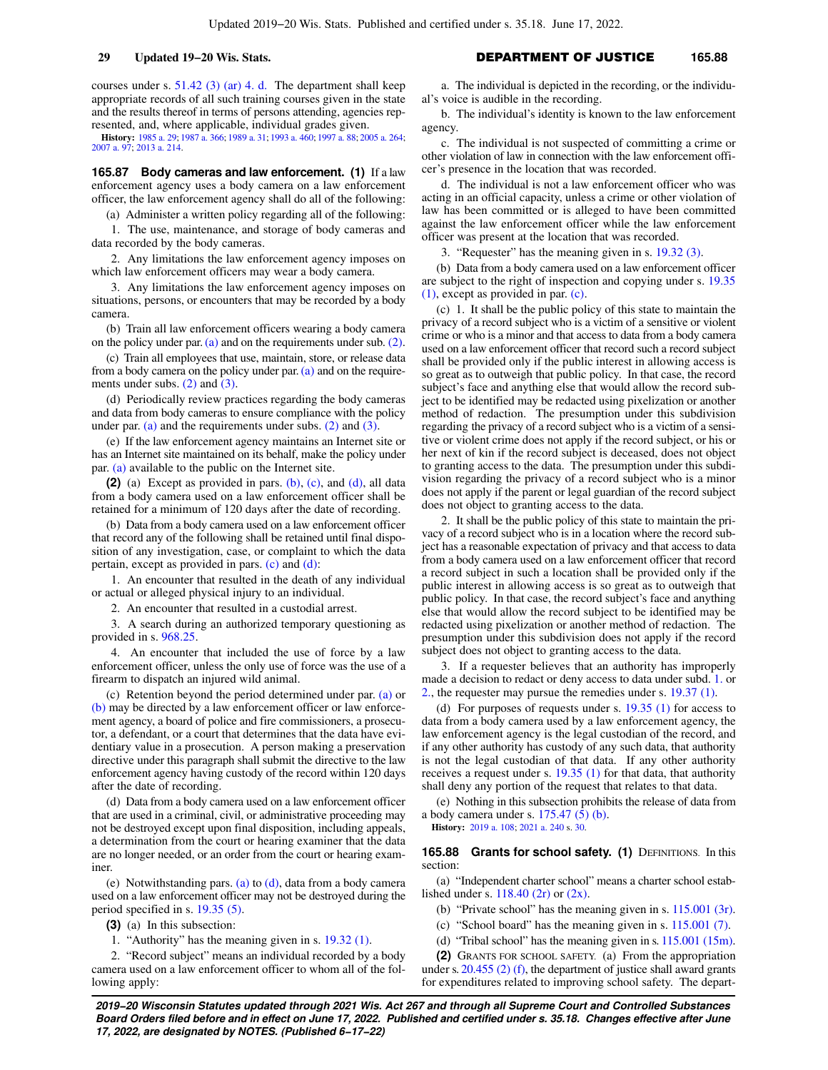courses under s. [51.42 \(3\) \(ar\) 4. d.](https://docs.legis.wisconsin.gov/document/statutes/51.42(3)(ar)4.d.) The department shall keep appropriate records of all such training courses given in the state and the results thereof in terms of persons attending, agencies represented, and, where applicable, individual grades given.

**History:** [1985 a. 29;](https://docs.legis.wisconsin.gov/document/acts/1985/29) [1987 a. 366;](https://docs.legis.wisconsin.gov/document/acts/1987/366) [1989 a. 31;](https://docs.legis.wisconsin.gov/document/acts/1989/31) [1993 a. 460;](https://docs.legis.wisconsin.gov/document/acts/1993/460) [1997 a. 88](https://docs.legis.wisconsin.gov/document/acts/1997/88); [2005 a. 264](https://docs.legis.wisconsin.gov/document/acts/2005/264); [2007 a. 97](https://docs.legis.wisconsin.gov/document/acts/2007/97); [2013 a. 214.](https://docs.legis.wisconsin.gov/document/acts/2013/214)

**165.87 Body cameras and law enforcement. (1)** If a law enforcement agency uses a body camera on a law enforcement officer, the law enforcement agency shall do all of the following:

(a) Administer a written policy regarding all of the following: 1. The use, maintenance, and storage of body cameras and

data recorded by the body cameras. 2. Any limitations the law enforcement agency imposes on which law enforcement officers may wear a body camera.

3. Any limitations the law enforcement agency imposes on situations, persons, or encounters that may be recorded by a body camera.

(b) Train all law enforcement officers wearing a body camera on the policy under par. [\(a\)](https://docs.legis.wisconsin.gov/document/statutes/165.87(1)(a)) and on the requirements under sub. [\(2\).](https://docs.legis.wisconsin.gov/document/statutes/165.87(2))

(c) Train all employees that use, maintain, store, or release data from a body camera on the policy under par. [\(a\)](https://docs.legis.wisconsin.gov/document/statutes/165.87(1)(a)) and on the require-ments under subs. [\(2\)](https://docs.legis.wisconsin.gov/document/statutes/165.87(2)) and [\(3\).](https://docs.legis.wisconsin.gov/document/statutes/165.87(3))

(d) Periodically review practices regarding the body cameras and data from body cameras to ensure compliance with the policy under par. [\(a\)](https://docs.legis.wisconsin.gov/document/statutes/165.87(1)(a)) and the requirements under subs.  $(2)$  and  $(3)$ .

(e) If the law enforcement agency maintains an Internet site or has an Internet site maintained on its behalf, make the policy under par. [\(a\)](https://docs.legis.wisconsin.gov/document/statutes/165.87(1)(a)) available to the public on the Internet site.

**(2)** (a) Except as provided in pars. [\(b\)](https://docs.legis.wisconsin.gov/document/statutes/165.87(2)(b)), [\(c\)](https://docs.legis.wisconsin.gov/document/statutes/165.87(2)(c)), and [\(d\)](https://docs.legis.wisconsin.gov/document/statutes/165.87(2)(d)), all data from a body camera used on a law enforcement officer shall be retained for a minimum of 120 days after the date of recording.

(b) Data from a body camera used on a law enforcement officer that record any of the following shall be retained until final disposition of any investigation, case, or complaint to which the data pertain, except as provided in pars. [\(c\)](https://docs.legis.wisconsin.gov/document/statutes/165.87(2)(c)) and [\(d\):](https://docs.legis.wisconsin.gov/document/statutes/165.87(2)(d))

1. An encounter that resulted in the death of any individual or actual or alleged physical injury to an individual.

2. An encounter that resulted in a custodial arrest.

3. A search during an authorized temporary questioning as provided in s. [968.25.](https://docs.legis.wisconsin.gov/document/statutes/968.25)

4. An encounter that included the use of force by a law enforcement officer, unless the only use of force was the use of a firearm to dispatch an injured wild animal.

(c) Retention beyond the period determined under par. [\(a\)](https://docs.legis.wisconsin.gov/document/statutes/165.87(2)(a)) or [\(b\)](https://docs.legis.wisconsin.gov/document/statutes/165.87(2)(b)) may be directed by a law enforcement officer or law enforcement agency, a board of police and fire commissioners, a prosecutor, a defendant, or a court that determines that the data have evidentiary value in a prosecution. A person making a preservation directive under this paragraph shall submit the directive to the law enforcement agency having custody of the record within 120 days after the date of recording.

(d) Data from a body camera used on a law enforcement officer that are used in a criminal, civil, or administrative proceeding may not be destroyed except upon final disposition, including appeals, a determination from the court or hearing examiner that the data are no longer needed, or an order from the court or hearing examiner.

(e) Notwithstanding pars.  $(a)$  to  $(d)$ , data from a body camera used on a law enforcement officer may not be destroyed during the period specified in s. [19.35 \(5\).](https://docs.legis.wisconsin.gov/document/statutes/19.35(5))

**(3)** (a) In this subsection:

1. "Authority" has the meaning given in s. [19.32 \(1\)](https://docs.legis.wisconsin.gov/document/statutes/19.32(1)).

2. "Record subject" means an individual recorded by a body camera used on a law enforcement officer to whom all of the following apply:

a. The individual is depicted in the recording, or the individual's voice is audible in the recording.

b. The individual's identity is known to the law enforcement agency.

c. The individual is not suspected of committing a crime or other violation of law in connection with the law enforcement officer's presence in the location that was recorded.

d. The individual is not a law enforcement officer who was acting in an official capacity, unless a crime or other violation of law has been committed or is alleged to have been committed against the law enforcement officer while the law enforcement officer was present at the location that was recorded.

3. "Requester" has the meaning given in s. [19.32 \(3\)](https://docs.legis.wisconsin.gov/document/statutes/19.32(3)).

(b) Data from a body camera used on a law enforcement officer are subject to the right of inspection and copying under s. [19.35](https://docs.legis.wisconsin.gov/document/statutes/19.35(1)) [\(1\),](https://docs.legis.wisconsin.gov/document/statutes/19.35(1)) except as provided in par. [\(c\)](https://docs.legis.wisconsin.gov/document/statutes/165.87(3)(c)).

(c) 1. It shall be the public policy of this state to maintain the privacy of a record subject who is a victim of a sensitive or violent crime or who is a minor and that access to data from a body camera used on a law enforcement officer that record such a record subject shall be provided only if the public interest in allowing access is so great as to outweigh that public policy. In that case, the record subject's face and anything else that would allow the record subject to be identified may be redacted using pixelization or another method of redaction. The presumption under this subdivision regarding the privacy of a record subject who is a victim of a sensitive or violent crime does not apply if the record subject, or his or her next of kin if the record subject is deceased, does not object to granting access to the data. The presumption under this subdivision regarding the privacy of a record subject who is a minor does not apply if the parent or legal guardian of the record subject does not object to granting access to the data.

2. It shall be the public policy of this state to maintain the privacy of a record subject who is in a location where the record subject has a reasonable expectation of privacy and that access to data from a body camera used on a law enforcement officer that record a record subject in such a location shall be provided only if the public interest in allowing access is so great as to outweigh that public policy. In that case, the record subject's face and anything else that would allow the record subject to be identified may be redacted using pixelization or another method of redaction. The presumption under this subdivision does not apply if the record subject does not object to granting access to the data.

3. If a requester believes that an authority has improperly made a decision to redact or deny access to data under subd. [1.](https://docs.legis.wisconsin.gov/document/statutes/165.87(3)(c)1.) or [2.,](https://docs.legis.wisconsin.gov/document/statutes/165.87(3)(c)2.) the requester may pursue the remedies under s. [19.37 \(1\).](https://docs.legis.wisconsin.gov/document/statutes/19.37(1))

(d) For purposes of requests under s.  $19.35$  (1) for access to data from a body camera used by a law enforcement agency, the law enforcement agency is the legal custodian of the record, and if any other authority has custody of any such data, that authority is not the legal custodian of that data. If any other authority receives a request under s. [19.35 \(1\)](https://docs.legis.wisconsin.gov/document/statutes/19.35(1)) for that data, that authority shall deny any portion of the request that relates to that data.

(e) Nothing in this subsection prohibits the release of data from a body camera under s. [175.47 \(5\) \(b\).](https://docs.legis.wisconsin.gov/document/statutes/175.47(5)(b))

**History:** [2019 a. 108;](https://docs.legis.wisconsin.gov/document/acts/2019/108) [2021 a. 240](https://docs.legis.wisconsin.gov/document/acts/2021/240) s. [30](https://docs.legis.wisconsin.gov/document/acts/2021/240,%20s.%2030).

165.88 Grants for school safety. (1) DEFINITIONS. In this section:

(a) "Independent charter school" means a charter school established under s.  $118.40$  (2r) or [\(2x\)](https://docs.legis.wisconsin.gov/document/statutes/118.40(2x)).

(b) "Private school" has the meaning given in s. [115.001 \(3r\).](https://docs.legis.wisconsin.gov/document/statutes/115.001(3r))

(c) "School board" has the meaning given in s. [115.001 \(7\).](https://docs.legis.wisconsin.gov/document/statutes/115.001(7))

(d) "Tribal school" has the meaning given in s. [115.001 \(15m\).](https://docs.legis.wisconsin.gov/document/statutes/115.001(15m))

**(2)** GRANTS FOR SCHOOL SAFETY. (a) From the appropriation under s. [20.455 \(2\) \(f\)](https://docs.legis.wisconsin.gov/document/statutes/20.455(2)(f)), the department of justice shall award grants for expenditures related to improving school safety. The depart-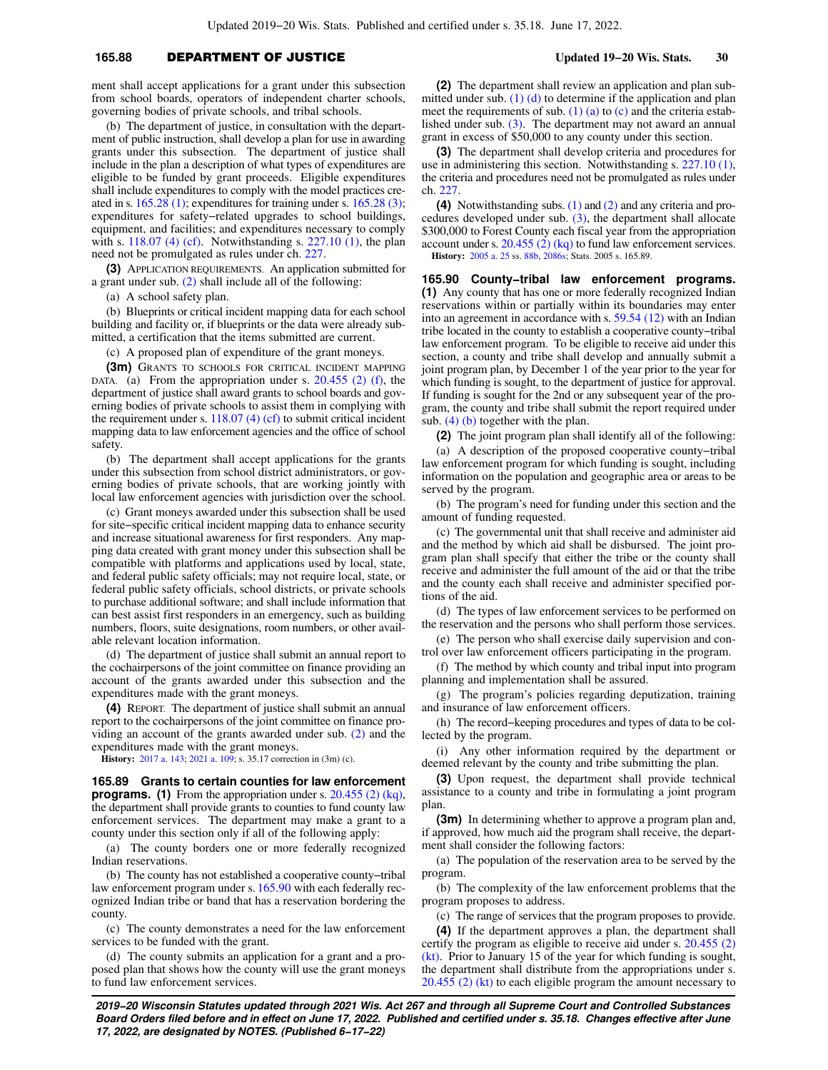### **165.88** DEPARTMENT OF JUSTICE **Updated 19−20 Wis. Stats. 30**

ment shall accept applications for a grant under this subsection from school boards, operators of independent charter schools, governing bodies of private schools, and tribal schools.

(b) The department of justice, in consultation with the department of public instruction, shall develop a plan for use in awarding grants under this subsection. The department of justice shall include in the plan a description of what types of expenditures are eligible to be funded by grant proceeds. Eligible expenditures shall include expenditures to comply with the model practices created in s.  $165.28$  (1); expenditures for training under s.  $165.28$  (3); expenditures for safety−related upgrades to school buildings, equipment, and facilities; and expenditures necessary to comply with s. [118.07 \(4\) \(cf\)](https://docs.legis.wisconsin.gov/document/statutes/118.07(4)(cf)). Notwithstanding s. [227.10 \(1\),](https://docs.legis.wisconsin.gov/document/statutes/227.10(1)) the plan need not be promulgated as rules under ch. [227](https://docs.legis.wisconsin.gov/document/statutes/ch.%20227).

**(3)** APPLICATION REQUIREMENTS. An application submitted for a grant under sub. [\(2\)](https://docs.legis.wisconsin.gov/document/statutes/165.88(2)) shall include all of the following:

(a) A school safety plan.

(b) Blueprints or critical incident mapping data for each school building and facility or, if blueprints or the data were already submitted, a certification that the items submitted are current.

(c) A proposed plan of expenditure of the grant moneys.

**(3m)** GRANTS TO SCHOOLS FOR CRITICAL INCIDENT MAPPING DATA. (a) From the appropriation under s.  $20.455$  (2) (f), the department of justice shall award grants to school boards and governing bodies of private schools to assist them in complying with the requirement under s. [118.07 \(4\) \(cf\)](https://docs.legis.wisconsin.gov/document/statutes/118.07(4)(cf)) to submit critical incident mapping data to law enforcement agencies and the office of school safety.

(b) The department shall accept applications for the grants under this subsection from school district administrators, or governing bodies of private schools, that are working jointly with local law enforcement agencies with jurisdiction over the school.

(c) Grant moneys awarded under this subsection shall be used for site−specific critical incident mapping data to enhance security and increase situational awareness for first responders. Any mapping data created with grant money under this subsection shall be compatible with platforms and applications used by local, state, and federal public safety officials; may not require local, state, or federal public safety officials, school districts, or private schools to purchase additional software; and shall include information that can best assist first responders in an emergency, such as building numbers, floors, suite designations, room numbers, or other available relevant location information.

(d) The department of justice shall submit an annual report to the cochairpersons of the joint committee on finance providing an account of the grants awarded under this subsection and the expenditures made with the grant moneys.

**(4)** REPORT. The department of justice shall submit an annual report to the cochairpersons of the joint committee on finance providing an account of the grants awarded under sub. [\(2\)](https://docs.legis.wisconsin.gov/document/statutes/165.88(2)) and the expenditures made with the grant moneys.

**History:** [2017 a. 143](https://docs.legis.wisconsin.gov/document/acts/2017/143); [2021 a. 109](https://docs.legis.wisconsin.gov/document/acts/2021/109); s. 35.17 correction in (3m) (c).

**165.89 Grants to certain counties for law enforcement programs. (1)** From the appropriation under s. [20.455 \(2\) \(kq\),](https://docs.legis.wisconsin.gov/document/statutes/20.455(2)(kq)) the department shall provide grants to counties to fund county law enforcement services. The department may make a grant to a county under this section only if all of the following apply:

(a) The county borders one or more federally recognized Indian reservations.

(b) The county has not established a cooperative county−tribal law enforcement program under s. [165.90](https://docs.legis.wisconsin.gov/document/statutes/165.90) with each federally recognized Indian tribe or band that has a reservation bordering the county.

(c) The county demonstrates a need for the law enforcement services to be funded with the grant.

(d) The county submits an application for a grant and a proposed plan that shows how the county will use the grant moneys to fund law enforcement services.

**(2)** The department shall review an application and plan submitted under sub. [\(1\) \(d\)](https://docs.legis.wisconsin.gov/document/statutes/165.89(1)(d)) to determine if the application and plan meet the requirements of sub.  $(1)$  (a) to [\(c\)](https://docs.legis.wisconsin.gov/document/statutes/165.89(1)(c)) and the criteria established under sub. [\(3\).](https://docs.legis.wisconsin.gov/document/statutes/165.89(3)) The department may not award an annual grant in excess of \$50,000 to any county under this section.

**(3)** The department shall develop criteria and procedures for use in administering this section. Notwithstanding s. [227.10 \(1\),](https://docs.legis.wisconsin.gov/document/statutes/227.10(1)) the criteria and procedures need not be promulgated as rules under ch. [227.](https://docs.legis.wisconsin.gov/document/statutes/ch.%20227)

**(4)** Notwithstanding subs. [\(1\)](https://docs.legis.wisconsin.gov/document/statutes/165.89(1)) and [\(2\)](https://docs.legis.wisconsin.gov/document/statutes/165.89(2)) and any criteria and procedures developed under sub. [\(3\)](https://docs.legis.wisconsin.gov/document/statutes/165.89(3)), the department shall allocate \$300,000 to Forest County each fiscal year from the appropriation account under s. [20.455 \(2\) \(kq\)](https://docs.legis.wisconsin.gov/document/statutes/20.455(2)(kq)) to fund law enforcement services. **History:** [2005 a. 25](https://docs.legis.wisconsin.gov/document/acts/2005/25) ss. [88b](https://docs.legis.wisconsin.gov/document/acts/2005/25,%20s.%2088b), [2086s;](https://docs.legis.wisconsin.gov/document/acts/2005/25,%20s.%202086s) Stats. 2005 s. 165.89.

**165.90 County−tribal law enforcement programs. (1)** Any county that has one or more federally recognized Indian reservations within or partially within its boundaries may enter into an agreement in accordance with s. [59.54 \(12\)](https://docs.legis.wisconsin.gov/document/statutes/59.54(12)) with an Indian tribe located in the county to establish a cooperative county−tribal law enforcement program. To be eligible to receive aid under this section, a county and tribe shall develop and annually submit a joint program plan, by December 1 of the year prior to the year for which funding is sought, to the department of justice for approval. If funding is sought for the 2nd or any subsequent year of the program, the county and tribe shall submit the report required under sub. [\(4\) \(b\)](https://docs.legis.wisconsin.gov/document/statutes/165.90(4)(b)) together with the plan.

**(2)** The joint program plan shall identify all of the following:

(a) A description of the proposed cooperative county−tribal law enforcement program for which funding is sought, including information on the population and geographic area or areas to be served by the program.

(b) The program's need for funding under this section and the amount of funding requested.

(c) The governmental unit that shall receive and administer aid and the method by which aid shall be disbursed. The joint program plan shall specify that either the tribe or the county shall receive and administer the full amount of the aid or that the tribe and the county each shall receive and administer specified portions of the aid.

(d) The types of law enforcement services to be performed on the reservation and the persons who shall perform those services.

(e) The person who shall exercise daily supervision and control over law enforcement officers participating in the program.

(f) The method by which county and tribal input into program planning and implementation shall be assured.

(g) The program's policies regarding deputization, training and insurance of law enforcement officers.

(h) The record−keeping procedures and types of data to be collected by the program.

(i) Any other information required by the department or deemed relevant by the county and tribe submitting the plan.

**(3)** Upon request, the department shall provide technical assistance to a county and tribe in formulating a joint program plan.

**(3m)** In determining whether to approve a program plan and, if approved, how much aid the program shall receive, the department shall consider the following factors:

(a) The population of the reservation area to be served by the program.

(b) The complexity of the law enforcement problems that the program proposes to address.

(c) The range of services that the program proposes to provide.

**(4)** If the department approves a plan, the department shall certify the program as eligible to receive aid under s. [20.455 \(2\)](https://docs.legis.wisconsin.gov/document/statutes/20.455(2)(kt)) [\(kt\)](https://docs.legis.wisconsin.gov/document/statutes/20.455(2)(kt)). Prior to January 15 of the year for which funding is sought, the department shall distribute from the appropriations under s. [20.455 \(2\) \(kt\)](https://docs.legis.wisconsin.gov/document/statutes/20.455(2)(kt)) to each eligible program the amount necessary to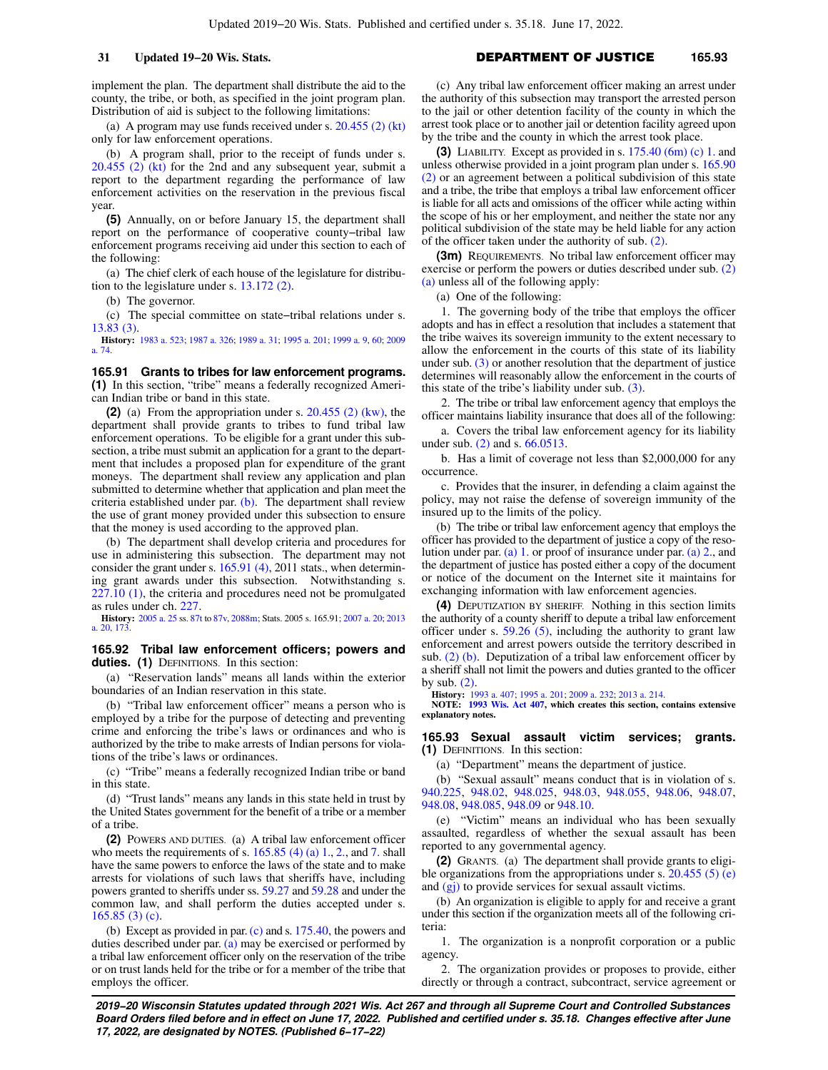implement the plan. The department shall distribute the aid to the county, the tribe, or both, as specified in the joint program plan. Distribution of aid is subject to the following limitations:

(a) A program may use funds received under s. [20.455 \(2\) \(kt\)](https://docs.legis.wisconsin.gov/document/statutes/20.455(2)(kt)) only for law enforcement operations.

(b) A program shall, prior to the receipt of funds under s. [20.455 \(2\) \(kt\)](https://docs.legis.wisconsin.gov/document/statutes/20.455(2)(kt)) for the 2nd and any subsequent year, submit a report to the department regarding the performance of law enforcement activities on the reservation in the previous fiscal year.

**(5)** Annually, on or before January 15, the department shall report on the performance of cooperative county−tribal law enforcement programs receiving aid under this section to each of the following:

(a) The chief clerk of each house of the legislature for distribution to the legislature under s. [13.172 \(2\)](https://docs.legis.wisconsin.gov/document/statutes/13.172(2)).

(b) The governor.

(c) The special committee on state−tribal relations under s. [13.83 \(3\).](https://docs.legis.wisconsin.gov/document/statutes/13.83(3))

**History:** [1983 a. 523](https://docs.legis.wisconsin.gov/document/acts/1983/523); [1987 a. 326;](https://docs.legis.wisconsin.gov/document/acts/1987/326) [1989 a. 31;](https://docs.legis.wisconsin.gov/document/acts/1989/31) [1995 a. 201](https://docs.legis.wisconsin.gov/document/acts/1995/201); [1999 a. 9,](https://docs.legis.wisconsin.gov/document/acts/1999/9) [60](https://docs.legis.wisconsin.gov/document/acts/1999/60); [2009](https://docs.legis.wisconsin.gov/document/acts/2009/74) [a. 74](https://docs.legis.wisconsin.gov/document/acts/2009/74).

**165.91 Grants to tribes for law enforcement programs. (1)** In this section, "tribe" means a federally recognized American Indian tribe or band in this state.

**(2)** (a) From the appropriation under s. [20.455 \(2\) \(kw\)](https://docs.legis.wisconsin.gov/document/statutes/20.455(2)(kw)), the department shall provide grants to tribes to fund tribal law enforcement operations. To be eligible for a grant under this subsection, a tribe must submit an application for a grant to the department that includes a proposed plan for expenditure of the grant moneys. The department shall review any application and plan submitted to determine whether that application and plan meet the criteria established under par.  $(b)$ . The department shall review the use of grant money provided under this subsection to ensure that the money is used according to the approved plan.

(b) The department shall develop criteria and procedures for use in administering this subsection. The department may not consider the grant under s. [165.91 \(4\),](https://docs.legis.wisconsin.gov/document/statutes/2011/165.91(4)) 2011 stats., when determining grant awards under this subsection. Notwithstanding s. [227.10 \(1\),](https://docs.legis.wisconsin.gov/document/statutes/227.10(1)) the criteria and procedures need not be promulgated as rules under ch. [227](https://docs.legis.wisconsin.gov/document/statutes/ch.%20227).

**History:** [2005 a. 25](https://docs.legis.wisconsin.gov/document/acts/2005/25) ss. [87t](https://docs.legis.wisconsin.gov/document/acts/2005/25,%20s.%2087t) to [87v,](https://docs.legis.wisconsin.gov/document/acts/2005/25,%20s.%2087v) [2088m](https://docs.legis.wisconsin.gov/document/acts/2005/25,%20s.%202088m); Stats. 2005 s. 165.91; [2007 a. 20;](https://docs.legis.wisconsin.gov/document/acts/2007/20) [2013](https://docs.legis.wisconsin.gov/document/acts/2013/20) [a. 20](https://docs.legis.wisconsin.gov/document/acts/2013/20), [173](https://docs.legis.wisconsin.gov/document/acts/2013/173).

#### **165.92 Tribal law enforcement officers; powers and duties. (1)** DEFINITIONS. In this section:

(a) "Reservation lands" means all lands within the exterior boundaries of an Indian reservation in this state.

(b) "Tribal law enforcement officer" means a person who is employed by a tribe for the purpose of detecting and preventing crime and enforcing the tribe's laws or ordinances and who is authorized by the tribe to make arrests of Indian persons for violations of the tribe's laws or ordinances.

(c) "Tribe" means a federally recognized Indian tribe or band in this state.

(d) "Trust lands" means any lands in this state held in trust by the United States government for the benefit of a tribe or a member of a tribe.

**(2)** POWERS AND DUTIES. (a) A tribal law enforcement officer who meets the requirements of s.  $165.85$  (4) (a) 1, 2, and [7.](https://docs.legis.wisconsin.gov/document/statutes/165.85(4)(a)7.) shall have the same powers to enforce the laws of the state and to make arrests for violations of such laws that sheriffs have, including powers granted to sheriffs under ss. [59.27](https://docs.legis.wisconsin.gov/document/statutes/59.27) and [59.28](https://docs.legis.wisconsin.gov/document/statutes/59.28) and under the common law, and shall perform the duties accepted under s. [165.85 \(3\) \(c\).](https://docs.legis.wisconsin.gov/document/statutes/165.85(3)(c))

(b) Except as provided in par. [\(c\)](https://docs.legis.wisconsin.gov/document/statutes/165.92(2)(c)) and s. [175.40,](https://docs.legis.wisconsin.gov/document/statutes/175.40) the powers and duties described under par. [\(a\)](https://docs.legis.wisconsin.gov/document/statutes/165.92(2)(a)) may be exercised or performed by a tribal law enforcement officer only on the reservation of the tribe or on trust lands held for the tribe or for a member of the tribe that employs the officer.

#### **31 Updated 19−20 Wis. Stats.** DEPARTMENT OF JUSTICE **165.93**

(c) Any tribal law enforcement officer making an arrest under the authority of this subsection may transport the arrested person to the jail or other detention facility of the county in which the arrest took place or to another jail or detention facility agreed upon by the tribe and the county in which the arrest took place.

**(3)** LIABILITY. Except as provided in s. [175.40 \(6m\) \(c\) 1.](https://docs.legis.wisconsin.gov/document/statutes/175.40(6m)(c)1.) and unless otherwise provided in a joint program plan under s. [165.90](https://docs.legis.wisconsin.gov/document/statutes/165.90(2)) [\(2\)](https://docs.legis.wisconsin.gov/document/statutes/165.90(2)) or an agreement between a political subdivision of this state and a tribe, the tribe that employs a tribal law enforcement officer is liable for all acts and omissions of the officer while acting within the scope of his or her employment, and neither the state nor any political subdivision of the state may be held liable for any action of the officer taken under the authority of sub. [\(2\).](https://docs.legis.wisconsin.gov/document/statutes/165.92(2))

**(3m)** REQUIREMENTS. No tribal law enforcement officer may exercise or perform the powers or duties described under sub. [\(2\)](https://docs.legis.wisconsin.gov/document/statutes/165.92(2)(a)) [\(a\)](https://docs.legis.wisconsin.gov/document/statutes/165.92(2)(a)) unless all of the following apply:

(a) One of the following:

1. The governing body of the tribe that employs the officer adopts and has in effect a resolution that includes a statement that the tribe waives its sovereign immunity to the extent necessary to allow the enforcement in the courts of this state of its liability under sub. [\(3\)](https://docs.legis.wisconsin.gov/document/statutes/165.92(3)) or another resolution that the department of justice determines will reasonably allow the enforcement in the courts of this state of the tribe's liability under sub.  $(3)$ .

2. The tribe or tribal law enforcement agency that employs the officer maintains liability insurance that does all of the following:

a. Covers the tribal law enforcement agency for its liability under sub. [\(2\)](https://docs.legis.wisconsin.gov/document/statutes/165.92(2)) and s. [66.0513.](https://docs.legis.wisconsin.gov/document/statutes/66.0513)

b. Has a limit of coverage not less than \$2,000,000 for any occurrence.

c. Provides that the insurer, in defending a claim against the policy, may not raise the defense of sovereign immunity of the insured up to the limits of the policy.

(b) The tribe or tribal law enforcement agency that employs the officer has provided to the department of justice a copy of the resolution under par. [\(a\) 1.](https://docs.legis.wisconsin.gov/document/statutes/165.92(3m)(a)1.) or proof of insurance under par. [\(a\) 2.](https://docs.legis.wisconsin.gov/document/statutes/165.92(3m)(a)2.), and the department of justice has posted either a copy of the document or notice of the document on the Internet site it maintains for exchanging information with law enforcement agencies.

**(4)** DEPUTIZATION BY SHERIFF. Nothing in this section limits the authority of a county sheriff to depute a tribal law enforcement officer under s. [59.26 \(5\)](https://docs.legis.wisconsin.gov/document/statutes/59.26(5)), including the authority to grant law enforcement and arrest powers outside the territory described in sub.  $(2)$  (b). Deputization of a tribal law enforcement officer by a sheriff shall not limit the powers and duties granted to the officer by sub.  $(2)$ .

**History:** [1993 a. 407;](https://docs.legis.wisconsin.gov/document/acts/1993/407) [1995 a. 201](https://docs.legis.wisconsin.gov/document/acts/1995/201); [2009 a. 232;](https://docs.legis.wisconsin.gov/document/acts/2009/232) [2013 a. 214.](https://docs.legis.wisconsin.gov/document/acts/2013/214)

**NOTE: [1993 Wis. Act 407,](https://docs.legis.wisconsin.gov/document/acts/1993/407) which creates this section, contains extensive explanatory notes.**

**165.93 Sexual assault victim services; grants. (1)** DEFINITIONS. In this section:

(a) "Department" means the department of justice.

(b) "Sexual assault" means conduct that is in violation of s. [940.225](https://docs.legis.wisconsin.gov/document/statutes/940.225), [948.02](https://docs.legis.wisconsin.gov/document/statutes/948.02), [948.025,](https://docs.legis.wisconsin.gov/document/statutes/948.025) [948.03,](https://docs.legis.wisconsin.gov/document/statutes/948.03) [948.055](https://docs.legis.wisconsin.gov/document/statutes/948.055), [948.06](https://docs.legis.wisconsin.gov/document/statutes/948.06), [948.07,](https://docs.legis.wisconsin.gov/document/statutes/948.07) [948.08,](https://docs.legis.wisconsin.gov/document/statutes/948.08) [948.085,](https://docs.legis.wisconsin.gov/document/statutes/948.085) [948.09](https://docs.legis.wisconsin.gov/document/statutes/948.09) or [948.10](https://docs.legis.wisconsin.gov/document/statutes/948.10).

(e) "Victim" means an individual who has been sexually assaulted, regardless of whether the sexual assault has been reported to any governmental agency.

**(2)** GRANTS. (a) The department shall provide grants to eligible organizations from the appropriations under s. [20.455 \(5\) \(e\)](https://docs.legis.wisconsin.gov/document/statutes/20.455(5)(e)) and [\(gj\)](https://docs.legis.wisconsin.gov/document/statutes/20.455(5)(gj)) to provide services for sexual assault victims.

(b) An organization is eligible to apply for and receive a grant under this section if the organization meets all of the following criteria:

1. The organization is a nonprofit corporation or a public agency.

2. The organization provides or proposes to provide, either directly or through a contract, subcontract, service agreement or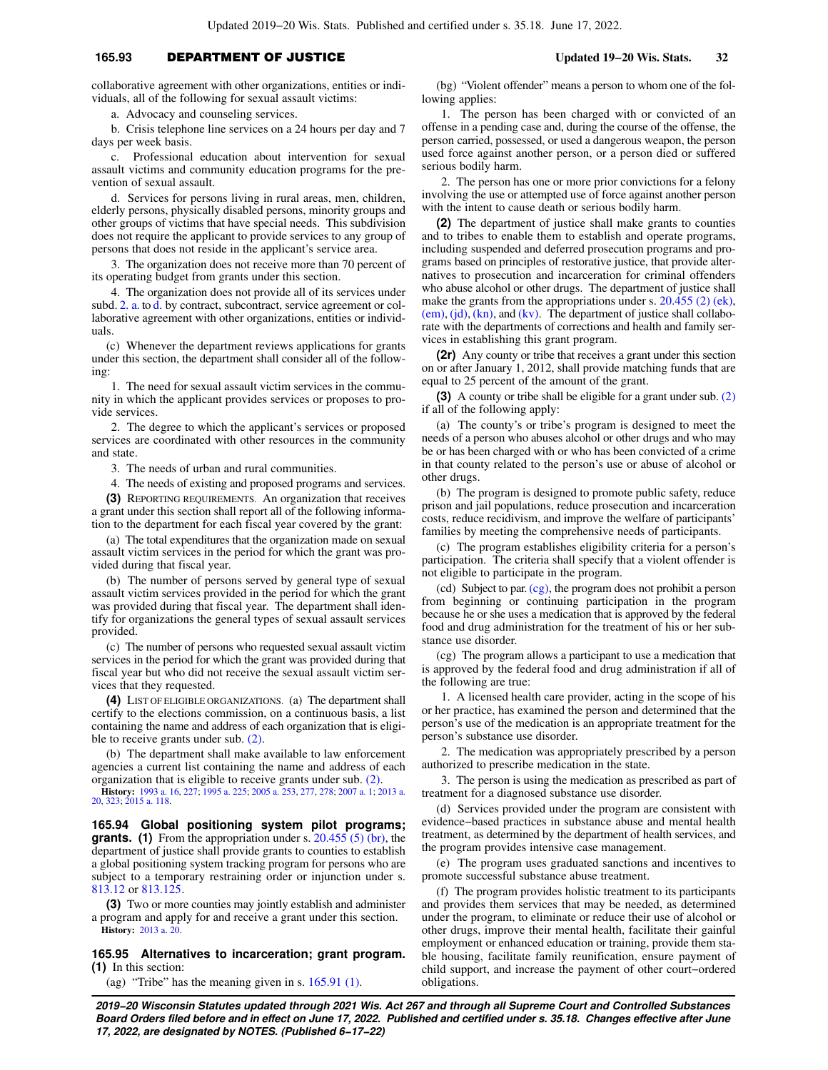### **165.93** DEPARTMENT OF JUSTICE **Updated 19−20 Wis. Stats. 32**

collaborative agreement with other organizations, entities or individuals, all of the following for sexual assault victims:

a. Advocacy and counseling services.

b. Crisis telephone line services on a 24 hours per day and 7 days per week basis.

c. Professional education about intervention for sexual assault victims and community education programs for the prevention of sexual assault.

d. Services for persons living in rural areas, men, children, elderly persons, physically disabled persons, minority groups and other groups of victims that have special needs. This subdivision does not require the applicant to provide services to any group of persons that does not reside in the applicant's service area.

3. The organization does not receive more than 70 percent of its operating budget from grants under this section.

4. The organization does not provide all of its services under subd. [2. a.](https://docs.legis.wisconsin.gov/document/statutes/165.93(2)(b)2.a.) to [d.](https://docs.legis.wisconsin.gov/document/statutes/165.93(2)(b)2.d.) by contract, subcontract, service agreement or collaborative agreement with other organizations, entities or individuals.

(c) Whenever the department reviews applications for grants under this section, the department shall consider all of the following:

1. The need for sexual assault victim services in the community in which the applicant provides services or proposes to provide services.

2. The degree to which the applicant's services or proposed services are coordinated with other resources in the community and state.

3. The needs of urban and rural communities.

4. The needs of existing and proposed programs and services.

**(3)** REPORTING REQUIREMENTS. An organization that receives a grant under this section shall report all of the following information to the department for each fiscal year covered by the grant:

(a) The total expenditures that the organization made on sexual assault victim services in the period for which the grant was provided during that fiscal year.

(b) The number of persons served by general type of sexual assault victim services provided in the period for which the grant was provided during that fiscal year. The department shall identify for organizations the general types of sexual assault services provided.

(c) The number of persons who requested sexual assault victim services in the period for which the grant was provided during that fiscal year but who did not receive the sexual assault victim services that they requested.

**(4)** LIST OF ELIGIBLE ORGANIZATIONS. (a) The department shall certify to the elections commission, on a continuous basis, a list containing the name and address of each organization that is eligible to receive grants under sub. [\(2\).](https://docs.legis.wisconsin.gov/document/statutes/165.93(2))

(b) The department shall make available to law enforcement agencies a current list containing the name and address of each organization that is eligible to receive grants under sub. [\(2\)](https://docs.legis.wisconsin.gov/document/statutes/165.93(2)).

**History:** [1993 a. 16](https://docs.legis.wisconsin.gov/document/acts/1993/16), [227](https://docs.legis.wisconsin.gov/document/acts/1993/227); [1995 a. 225;](https://docs.legis.wisconsin.gov/document/acts/1995/225) [2005 a. 253,](https://docs.legis.wisconsin.gov/document/acts/2005/253) [277,](https://docs.legis.wisconsin.gov/document/acts/2005/277) [278;](https://docs.legis.wisconsin.gov/document/acts/2005/278) [2007 a. 1;](https://docs.legis.wisconsin.gov/document/acts/2007/1) [2013 a.](https://docs.legis.wisconsin.gov/document/acts/2013/20) [20,](https://docs.legis.wisconsin.gov/document/acts/2013/20) [323;](https://docs.legis.wisconsin.gov/document/acts/2013/323) [2015 a. 118](https://docs.legis.wisconsin.gov/document/acts/2015/118).

**165.94 Global positioning system pilot programs; grants. (1)** From the appropriation under s. [20.455 \(5\) \(br\),](https://docs.legis.wisconsin.gov/document/statutes/20.455(5)(br)) the department of justice shall provide grants to counties to establish a global positioning system tracking program for persons who are subject to a temporary restraining order or injunction under s. [813.12](https://docs.legis.wisconsin.gov/document/statutes/813.12) or [813.125](https://docs.legis.wisconsin.gov/document/statutes/813.125).

**(3)** Two or more counties may jointly establish and administer a program and apply for and receive a grant under this section. **History:** [2013 a. 20.](https://docs.legis.wisconsin.gov/document/acts/2013/20)

**165.95 Alternatives to incarceration; grant program. (1)** In this section:

(ag) "Tribe" has the meaning given in s. [165.91 \(1\).](https://docs.legis.wisconsin.gov/document/statutes/165.91(1))

(bg) "Violent offender" means a person to whom one of the following applies:

1. The person has been charged with or convicted of an offense in a pending case and, during the course of the offense, the person carried, possessed, or used a dangerous weapon, the person used force against another person, or a person died or suffered serious bodily harm.

2. The person has one or more prior convictions for a felony involving the use or attempted use of force against another person with the intent to cause death or serious bodily harm.

**(2)** The department of justice shall make grants to counties and to tribes to enable them to establish and operate programs, including suspended and deferred prosecution programs and programs based on principles of restorative justice, that provide alternatives to prosecution and incarceration for criminal offenders who abuse alcohol or other drugs. The department of justice shall make the grants from the appropriations under s. [20.455 \(2\) \(ek\),](https://docs.legis.wisconsin.gov/document/statutes/20.455(2)(ek))  $(em)$ ,  $(id)$ ,  $(kn)$ , and  $(kv)$ . The department of justice shall collaborate with the departments of corrections and health and family services in establishing this grant program.

**(2r)** Any county or tribe that receives a grant under this section on or after January 1, 2012, shall provide matching funds that are equal to 25 percent of the amount of the grant.

**(3)** A county or tribe shall be eligible for a grant under sub. [\(2\)](https://docs.legis.wisconsin.gov/document/statutes/165.95(2)) if all of the following apply:

(a) The county's or tribe's program is designed to meet the needs of a person who abuses alcohol or other drugs and who may be or has been charged with or who has been convicted of a crime in that county related to the person's use or abuse of alcohol or other drugs.

(b) The program is designed to promote public safety, reduce prison and jail populations, reduce prosecution and incarceration costs, reduce recidivism, and improve the welfare of participants' families by meeting the comprehensive needs of participants.

(c) The program establishes eligibility criteria for a person's participation. The criteria shall specify that a violent offender is not eligible to participate in the program.

(cd) Subject to par. [\(cg\),](https://docs.legis.wisconsin.gov/document/statutes/165.95(3)(cg)) the program does not prohibit a person from beginning or continuing participation in the program because he or she uses a medication that is approved by the federal food and drug administration for the treatment of his or her substance use disorder.

(cg) The program allows a participant to use a medication that is approved by the federal food and drug administration if all of the following are true:

1. A licensed health care provider, acting in the scope of his or her practice, has examined the person and determined that the person's use of the medication is an appropriate treatment for the person's substance use disorder.

2. The medication was appropriately prescribed by a person authorized to prescribe medication in the state.

3. The person is using the medication as prescribed as part of treatment for a diagnosed substance use disorder.

(d) Services provided under the program are consistent with evidence−based practices in substance abuse and mental health treatment, as determined by the department of health services, and the program provides intensive case management.

(e) The program uses graduated sanctions and incentives to promote successful substance abuse treatment.

(f) The program provides holistic treatment to its participants and provides them services that may be needed, as determined under the program, to eliminate or reduce their use of alcohol or other drugs, improve their mental health, facilitate their gainful employment or enhanced education or training, provide them stable housing, facilitate family reunification, ensure payment of child support, and increase the payment of other court−ordered obligations.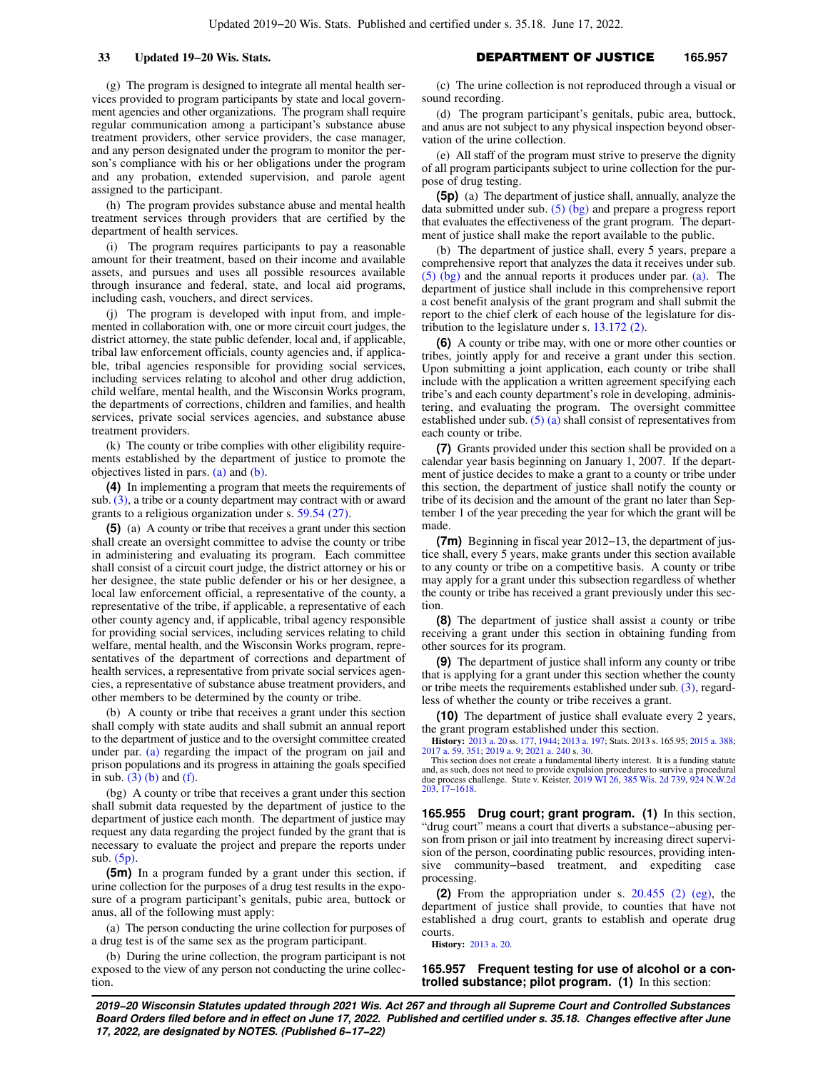(g) The program is designed to integrate all mental health services provided to program participants by state and local government agencies and other organizations. The program shall require regular communication among a participant's substance abuse treatment providers, other service providers, the case manager, and any person designated under the program to monitor the person's compliance with his or her obligations under the program and any probation, extended supervision, and parole agent assigned to the participant.

(h) The program provides substance abuse and mental health treatment services through providers that are certified by the department of health services.

(i) The program requires participants to pay a reasonable amount for their treatment, based on their income and available assets, and pursues and uses all possible resources available through insurance and federal, state, and local aid programs, including cash, vouchers, and direct services.

(j) The program is developed with input from, and implemented in collaboration with, one or more circuit court judges, the district attorney, the state public defender, local and, if applicable, tribal law enforcement officials, county agencies and, if applicable, tribal agencies responsible for providing social services, including services relating to alcohol and other drug addiction, child welfare, mental health, and the Wisconsin Works program, the departments of corrections, children and families, and health services, private social services agencies, and substance abuse treatment providers.

(k) The county or tribe complies with other eligibility requirements established by the department of justice to promote the objectives listed in pars. [\(a\)](https://docs.legis.wisconsin.gov/document/statutes/165.95(3)(a)) and [\(b\).](https://docs.legis.wisconsin.gov/document/statutes/165.95(3)(b))

**(4)** In implementing a program that meets the requirements of sub. [\(3\),](https://docs.legis.wisconsin.gov/document/statutes/165.95(3)) a tribe or a county department may contract with or award grants to a religious organization under s. [59.54 \(27\).](https://docs.legis.wisconsin.gov/document/statutes/59.54(27))

**(5)** (a) A county or tribe that receives a grant under this section shall create an oversight committee to advise the county or tribe in administering and evaluating its program. Each committee shall consist of a circuit court judge, the district attorney or his or her designee, the state public defender or his or her designee, a local law enforcement official, a representative of the county, a representative of the tribe, if applicable, a representative of each other county agency and, if applicable, tribal agency responsible for providing social services, including services relating to child welfare, mental health, and the Wisconsin Works program, representatives of the department of corrections and department of health services, a representative from private social services agencies, a representative of substance abuse treatment providers, and other members to be determined by the county or tribe.

(b) A county or tribe that receives a grant under this section shall comply with state audits and shall submit an annual report to the department of justice and to the oversight committee created under par. [\(a\)](https://docs.legis.wisconsin.gov/document/statutes/165.95(5)(a)) regarding the impact of the program on jail and prison populations and its progress in attaining the goals specified in sub.  $(3)$  (b) and [\(f\)](https://docs.legis.wisconsin.gov/document/statutes/165.95(3)(f)).

(bg) A county or tribe that receives a grant under this section shall submit data requested by the department of justice to the department of justice each month. The department of justice may request any data regarding the project funded by the grant that is necessary to evaluate the project and prepare the reports under sub. [\(5p\).](https://docs.legis.wisconsin.gov/document/statutes/165.95(5p))

**(5m)** In a program funded by a grant under this section, if urine collection for the purposes of a drug test results in the exposure of a program participant's genitals, pubic area, buttock or anus, all of the following must apply:

(a) The person conducting the urine collection for purposes of a drug test is of the same sex as the program participant.

(b) During the urine collection, the program participant is not exposed to the view of any person not conducting the urine collection.

(c) The urine collection is not reproduced through a visual or sound recording.

(d) The program participant's genitals, pubic area, buttock, and anus are not subject to any physical inspection beyond observation of the urine collection.

(e) All staff of the program must strive to preserve the dignity of all program participants subject to urine collection for the purpose of drug testing.

**(5p)** (a) The department of justice shall, annually, analyze the data submitted under sub.  $(5)$  (bg) and prepare a progress report that evaluates the effectiveness of the grant program. The department of justice shall make the report available to the public.

(b) The department of justice shall, every 5 years, prepare a comprehensive report that analyzes the data it receives under sub. [\(5\) \(bg\)](https://docs.legis.wisconsin.gov/document/statutes/165.95(5)(bg)) and the annual reports it produces under par. [\(a\)](https://docs.legis.wisconsin.gov/document/statutes/165.95(5p)(a)). The department of justice shall include in this comprehensive report a cost benefit analysis of the grant program and shall submit the report to the chief clerk of each house of the legislature for distribution to the legislature under s. [13.172 \(2\).](https://docs.legis.wisconsin.gov/document/statutes/13.172(2))

**(6)** A county or tribe may, with one or more other counties or tribes, jointly apply for and receive a grant under this section. Upon submitting a joint application, each county or tribe shall include with the application a written agreement specifying each tribe's and each county department's role in developing, administering, and evaluating the program. The oversight committee established under sub.  $(5)$  (a) shall consist of representatives from each county or tribe.

**(7)** Grants provided under this section shall be provided on a calendar year basis beginning on January 1, 2007. If the department of justice decides to make a grant to a county or tribe under this section, the department of justice shall notify the county or tribe of its decision and the amount of the grant no later than September 1 of the year preceding the year for which the grant will be made.

**(7m)** Beginning in fiscal year 2012−13, the department of justice shall, every 5 years, make grants under this section available to any county or tribe on a competitive basis. A county or tribe may apply for a grant under this subsection regardless of whether the county or tribe has received a grant previously under this section.

**(8)** The department of justice shall assist a county or tribe receiving a grant under this section in obtaining funding from other sources for its program.

**(9)** The department of justice shall inform any county or tribe that is applying for a grant under this section whether the county or tribe meets the requirements established under sub. [\(3\)](https://docs.legis.wisconsin.gov/document/statutes/165.95(3)), regardless of whether the county or tribe receives a grant.

**(10)** The department of justice shall evaluate every 2 years, the grant program established under this section.

**History:** [2013 a. 20](https://docs.legis.wisconsin.gov/document/acts/2013/20) ss. [177](https://docs.legis.wisconsin.gov/document/acts/2013/20,%20s.%20177), [1944](https://docs.legis.wisconsin.gov/document/acts/2013/20,%20s.%201944); [2013 a. 197](https://docs.legis.wisconsin.gov/document/acts/2013/197); Stats. 2013 s. 165.95; [2015 a. 388](https://docs.legis.wisconsin.gov/document/acts/2015/388); [2017 a. 59](https://docs.legis.wisconsin.gov/document/acts/2017/59), [351;](https://docs.legis.wisconsin.gov/document/acts/2017/351) [2019 a. 9](https://docs.legis.wisconsin.gov/document/acts/2019/9); [2021 a. 240](https://docs.legis.wisconsin.gov/document/acts/2021/240) s. [30.](https://docs.legis.wisconsin.gov/document/acts/2021/240,%20s.%2030)

This section does not create a fundamental liberty interest. It is a funding statute and, as such, does not need to provide expulsion procedures to survive a procedural due process challenge. State v. Keister, [2019 WI 26,](https://docs.legis.wisconsin.gov/document/courts/2019%20WI%2026) [385 Wis. 2d 739,](https://docs.legis.wisconsin.gov/document/courts/385%20Wis.%202d%20739) [924 N.W.2d](https://docs.legis.wisconsin.gov/document/courts/924%20N.W.2d%20203) [203,](https://docs.legis.wisconsin.gov/document/courts/924%20N.W.2d%20203) [17−1618.](https://docs.legis.wisconsin.gov/document/wisupremecourt/17-1618)

**165.955 Drug court; grant program. (1)** In this section, "drug court" means a court that diverts a substance−abusing person from prison or jail into treatment by increasing direct supervision of the person, coordinating public resources, providing intensive community−based treatment, and expediting case processing.

**(2)** From the appropriation under s. [20.455 \(2\) \(eg\)](https://docs.legis.wisconsin.gov/document/statutes/20.455(2)(eg)), the department of justice shall provide, to counties that have not established a drug court, grants to establish and operate drug courts.

**History:** [2013 a. 20](https://docs.legis.wisconsin.gov/document/acts/2013/20).

**165.957 Frequent testing for use of alcohol or a controlled substance; pilot program. (1)** In this section: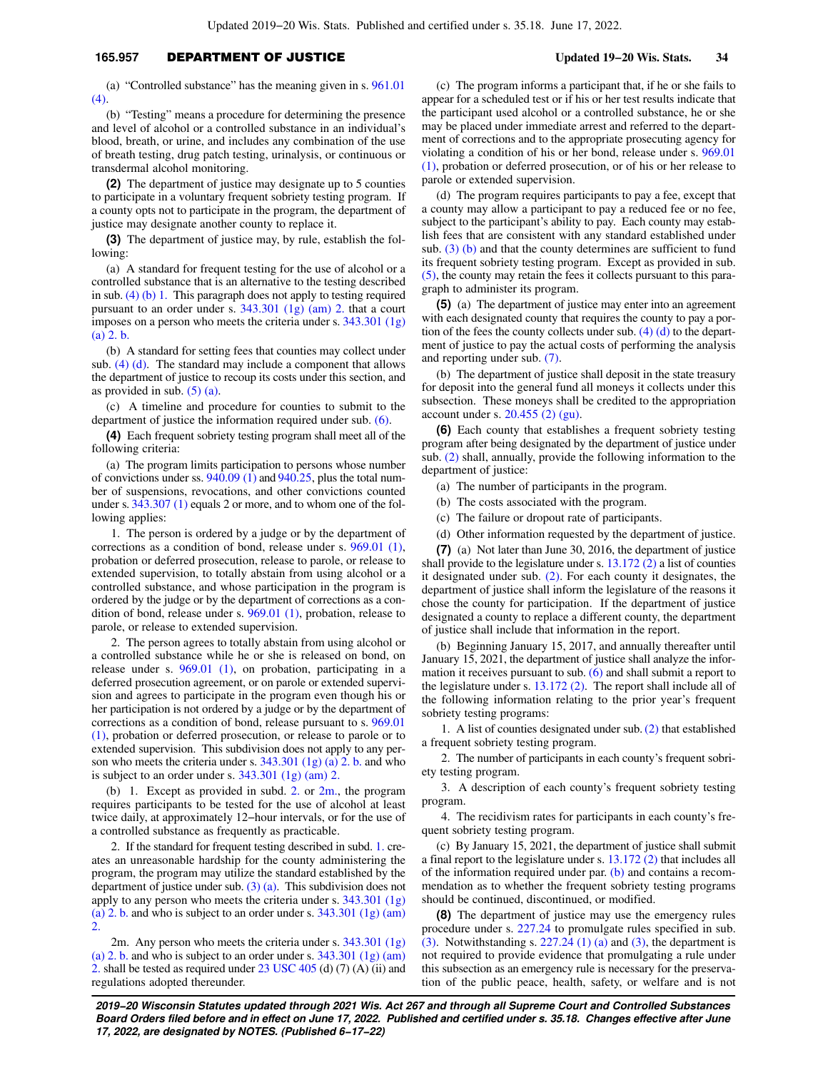### **165.957** DEPARTMENT OF JUSTICE **Updated 19−20 Wis. Stats. 34**

(a) "Controlled substance" has the meaning given in s. [961.01](https://docs.legis.wisconsin.gov/document/statutes/961.01(4)) [\(4\)](https://docs.legis.wisconsin.gov/document/statutes/961.01(4)).

(b) "Testing" means a procedure for determining the presence and level of alcohol or a controlled substance in an individual's blood, breath, or urine, and includes any combination of the use of breath testing, drug patch testing, urinalysis, or continuous or transdermal alcohol monitoring.

**(2)** The department of justice may designate up to 5 counties to participate in a voluntary frequent sobriety testing program. If a county opts not to participate in the program, the department of justice may designate another county to replace it.

**(3)** The department of justice may, by rule, establish the following:

(a) A standard for frequent testing for the use of alcohol or a controlled substance that is an alternative to the testing described in sub. [\(4\) \(b\) 1.](https://docs.legis.wisconsin.gov/document/statutes/165.957(4)(b)1.) This paragraph does not apply to testing required pursuant to an order under s. [343.301 \(1g\) \(am\) 2.](https://docs.legis.wisconsin.gov/document/statutes/343.301(1g)(am)2.) that a court imposes on a person who meets the criteria under s. [343.301 \(1g\)](https://docs.legis.wisconsin.gov/document/statutes/343.301(1g)(a)2.b.) [\(a\) 2. b.](https://docs.legis.wisconsin.gov/document/statutes/343.301(1g)(a)2.b.)

(b) A standard for setting fees that counties may collect under sub.  $(4)$   $(d)$ . The standard may include a component that allows the department of justice to recoup its costs under this section, and as provided in sub.  $(5)$  (a).

(c) A timeline and procedure for counties to submit to the department of justice the information required under sub. [\(6\).](https://docs.legis.wisconsin.gov/document/statutes/165.957(6))

**(4)** Each frequent sobriety testing program shall meet all of the following criteria:

(a) The program limits participation to persons whose number of convictions under ss. [940.09 \(1\)](https://docs.legis.wisconsin.gov/document/statutes/940.09(1)) and [940.25,](https://docs.legis.wisconsin.gov/document/statutes/940.25) plus the total number of suspensions, revocations, and other convictions counted under s. [343.307 \(1\)](https://docs.legis.wisconsin.gov/document/statutes/343.307(1)) equals 2 or more, and to whom one of the following applies:

1. The person is ordered by a judge or by the department of corrections as a condition of bond, release under s. [969.01 \(1\),](https://docs.legis.wisconsin.gov/document/statutes/969.01(1)) probation or deferred prosecution, release to parole, or release to extended supervision, to totally abstain from using alcohol or a controlled substance, and whose participation in the program is ordered by the judge or by the department of corrections as a condition of bond, release under s. [969.01 \(1\)](https://docs.legis.wisconsin.gov/document/statutes/969.01(1)), probation, release to parole, or release to extended supervision.

2. The person agrees to totally abstain from using alcohol or a controlled substance while he or she is released on bond, on release under s. [969.01 \(1\),](https://docs.legis.wisconsin.gov/document/statutes/969.01(1)) on probation, participating in a deferred prosecution agreement, or on parole or extended supervision and agrees to participate in the program even though his or her participation is not ordered by a judge or by the department of corrections as a condition of bond, release pursuant to s. [969.01](https://docs.legis.wisconsin.gov/document/statutes/969.01(1)) [\(1\)](https://docs.legis.wisconsin.gov/document/statutes/969.01(1)), probation or deferred prosecution, or release to parole or to extended supervision. This subdivision does not apply to any person who meets the criteria under s. [343.301 \(1g\) \(a\) 2. b.](https://docs.legis.wisconsin.gov/document/statutes/343.301(1g)(a)2.b.) and who is subject to an order under s.  $343.301$  (1g) (am) 2.

(b) 1. Except as provided in subd. [2.](https://docs.legis.wisconsin.gov/document/statutes/165.957(4)(b)2.) or  $2m$ , the program requires participants to be tested for the use of alcohol at least twice daily, at approximately 12−hour intervals, or for the use of a controlled substance as frequently as practicable.

2. If the standard for frequent testing described in subd. [1.](https://docs.legis.wisconsin.gov/document/statutes/165.957(4)(b)1.) creates an unreasonable hardship for the county administering the program, the program may utilize the standard established by the department of justice under sub. [\(3\) \(a\)](https://docs.legis.wisconsin.gov/document/statutes/165.957(3)(a)). This subdivision does not apply to any person who meets the criteria under s. [343.301 \(1g\)](https://docs.legis.wisconsin.gov/document/statutes/343.301(1g)(a)2.b.) [\(a\) 2. b.](https://docs.legis.wisconsin.gov/document/statutes/343.301(1g)(a)2.b.) and who is subject to an order under s.  $343.301$  (1g) (am)  $\overline{2}$ .

2m. Any person who meets the criteria under s. [343.301 \(1g\)](https://docs.legis.wisconsin.gov/document/statutes/343.301(1g)(a)2.b.) [\(a\) 2. b.](https://docs.legis.wisconsin.gov/document/statutes/343.301(1g)(a)2.b.) and who is subject to an order under s.  $343.301$  (1g) (am) [2.](https://docs.legis.wisconsin.gov/document/statutes/343.301(1g)(am)2.) shall be tested as required under  $23 \text{ USC } 405 \text{ (d) (7) (A) (ii) and}$ regulations adopted thereunder.

(c) The program informs a participant that, if he or she fails to appear for a scheduled test or if his or her test results indicate that the participant used alcohol or a controlled substance, he or she may be placed under immediate arrest and referred to the department of corrections and to the appropriate prosecuting agency for violating a condition of his or her bond, release under s. [969.01](https://docs.legis.wisconsin.gov/document/statutes/969.01(1)) [\(1\),](https://docs.legis.wisconsin.gov/document/statutes/969.01(1)) probation or deferred prosecution, or of his or her release to parole or extended supervision.

(d) The program requires participants to pay a fee, except that a county may allow a participant to pay a reduced fee or no fee, subject to the participant's ability to pay. Each county may establish fees that are consistent with any standard established under sub.  $(3)$  (b) and that the county determines are sufficient to fund its frequent sobriety testing program. Except as provided in sub. [\(5\),](https://docs.legis.wisconsin.gov/document/statutes/165.957(5)) the county may retain the fees it collects pursuant to this paragraph to administer its program.

**(5)** (a) The department of justice may enter into an agreement with each designated county that requires the county to pay a portion of the fees the county collects under sub.  $(4)$   $(d)$  to the department of justice to pay the actual costs of performing the analysis and reporting under sub. [\(7\)](https://docs.legis.wisconsin.gov/document/statutes/165.957(7)).

(b) The department of justice shall deposit in the state treasury for deposit into the general fund all moneys it collects under this subsection. These moneys shall be credited to the appropriation account under s. [20.455 \(2\) \(gu\)](https://docs.legis.wisconsin.gov/document/statutes/20.455(2)(gu)).

**(6)** Each county that establishes a frequent sobriety testing program after being designated by the department of justice under sub. [\(2\)](https://docs.legis.wisconsin.gov/document/statutes/165.957(2)) shall, annually, provide the following information to the department of justice:

- (a) The number of participants in the program.
- (b) The costs associated with the program.
- (c) The failure or dropout rate of participants.
- (d) Other information requested by the department of justice.

**(7)** (a) Not later than June 30, 2016, the department of justice shall provide to the legislature under s.  $13.172(2)$  a list of counties it designated under sub. [\(2\).](https://docs.legis.wisconsin.gov/document/statutes/165.957(2)) For each county it designates, the department of justice shall inform the legislature of the reasons it chose the county for participation. If the department of justice designated a county to replace a different county, the department of justice shall include that information in the report.

(b) Beginning January 15, 2017, and annually thereafter until January 15, 2021, the department of justice shall analyze the information it receives pursuant to sub. [\(6\)](https://docs.legis.wisconsin.gov/document/statutes/165.957(6)) and shall submit a report to the legislature under s. [13.172 \(2\)](https://docs.legis.wisconsin.gov/document/statutes/13.172(2)). The report shall include all of the following information relating to the prior year's frequent sobriety testing programs:

1. A list of counties designated under sub.[\(2\)](https://docs.legis.wisconsin.gov/document/statutes/165.957(2)) that established a frequent sobriety testing program.

2. The number of participants in each county's frequent sobriety testing program.

3. A description of each county's frequent sobriety testing program.

4. The recidivism rates for participants in each county's frequent sobriety testing program.

(c) By January 15, 2021, the department of justice shall submit a final report to the legislature under s. [13.172 \(2\)](https://docs.legis.wisconsin.gov/document/statutes/13.172(2)) that includes all of the information required under par. [\(b\)](https://docs.legis.wisconsin.gov/document/statutes/165.957(7)(b)) and contains a recommendation as to whether the frequent sobriety testing programs should be continued, discontinued, or modified.

**(8)** The department of justice may use the emergency rules procedure under s. [227.24](https://docs.legis.wisconsin.gov/document/statutes/227.24) to promulgate rules specified in sub. [\(3\).](https://docs.legis.wisconsin.gov/document/statutes/165.957(3)) Notwithstanding s.  $227.24$  (1) (a) and [\(3\),](https://docs.legis.wisconsin.gov/document/statutes/227.24(3)) the department is not required to provide evidence that promulgating a rule under this subsection as an emergency rule is necessary for the preservation of the public peace, health, safety, or welfare and is not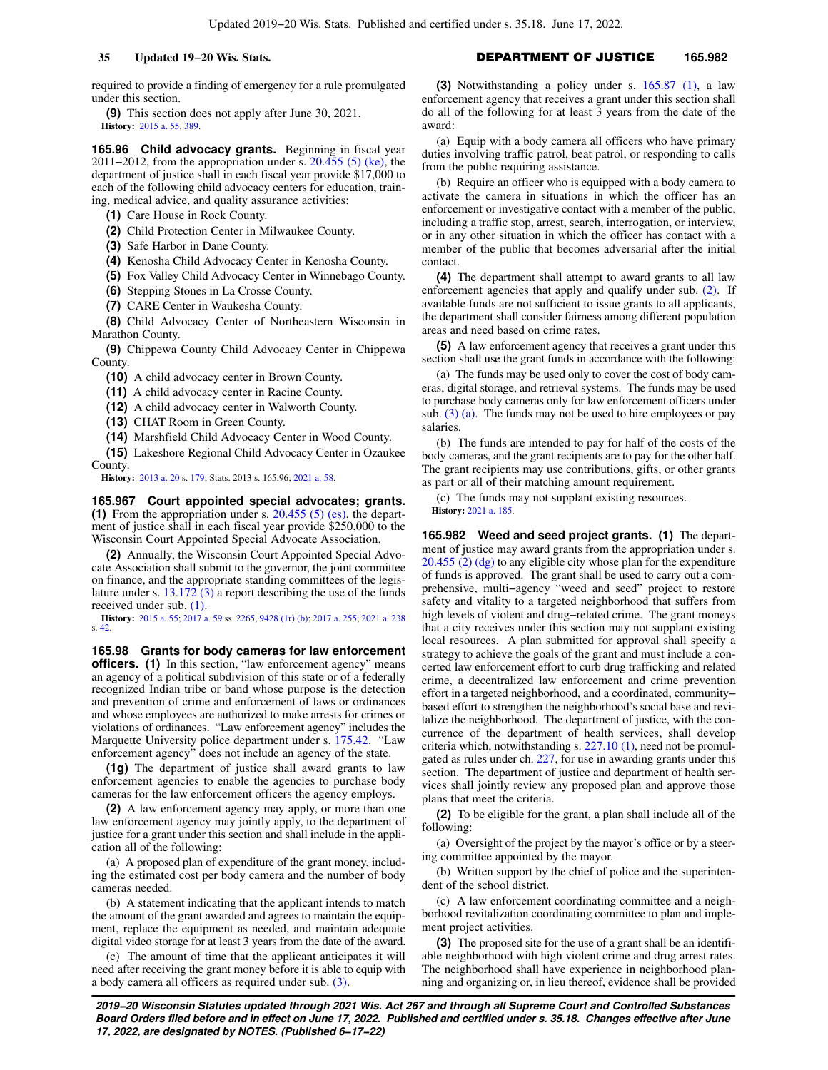required to provide a finding of emergency for a rule promulgated under this section.

**(9)** This section does not apply after June 30, 2021. **History:** [2015 a. 55,](https://docs.legis.wisconsin.gov/document/acts/2015/55) [389.](https://docs.legis.wisconsin.gov/document/acts/2015/389)

**165.96 Child advocacy grants.** Beginning in fiscal year 2011−2012, from the appropriation under s. [20.455 \(5\) \(ke\)](https://docs.legis.wisconsin.gov/document/statutes/20.455(5)(ke)), the department of justice shall in each fiscal year provide \$17,000 to each of the following child advocacy centers for education, training, medical advice, and quality assurance activities:

**(1)** Care House in Rock County.

**(2)** Child Protection Center in Milwaukee County.

**(3)** Safe Harbor in Dane County.

- **(4)** Kenosha Child Advocacy Center in Kenosha County.
- **(5)** Fox Valley Child Advocacy Center in Winnebago County.

**(6)** Stepping Stones in La Crosse County.

**(7)** CARE Center in Waukesha County.

**(8)** Child Advocacy Center of Northeastern Wisconsin in Marathon County.

**(9)** Chippewa County Child Advocacy Center in Chippewa County.

**(10)** A child advocacy center in Brown County.

**(11)** A child advocacy center in Racine County.

**(12)** A child advocacy center in Walworth County.

**(13)** CHAT Room in Green County.

**(14)** Marshfield Child Advocacy Center in Wood County.

**(15)** Lakeshore Regional Child Advocacy Center in Ozaukee County.

**History:** [2013 a. 20](https://docs.legis.wisconsin.gov/document/acts/2013/20) s. [179](https://docs.legis.wisconsin.gov/document/acts/2013/20,%20s.%20179); Stats. 2013 s. 165.96; [2021 a. 58.](https://docs.legis.wisconsin.gov/document/acts/2021/58)

**165.967 Court appointed special advocates; grants. (1)** From the appropriation under s. [20.455 \(5\) \(es\),](https://docs.legis.wisconsin.gov/document/statutes/20.455(5)(es)) the department of justice shall in each fiscal year provide \$250,000 to the Wisconsin Court Appointed Special Advocate Association.

**(2)** Annually, the Wisconsin Court Appointed Special Advocate Association shall submit to the governor, the joint committee on finance, and the appropriate standing committees of the legislature under s. [13.172 \(3\)](https://docs.legis.wisconsin.gov/document/statutes/13.172(3)) a report describing the use of the funds received under sub. [\(1\)](https://docs.legis.wisconsin.gov/document/statutes/165.967(1)).

**History:** [2015 a. 55;](https://docs.legis.wisconsin.gov/document/acts/2015/55) [2017 a. 59](https://docs.legis.wisconsin.gov/document/acts/2017/59) ss. [2265,](https://docs.legis.wisconsin.gov/document/acts/2017/59,%20s.%202265) [9428 \(1r\) \(b\);](https://docs.legis.wisconsin.gov/document/acts/2017/59,%20s.%209428) [2017 a. 255;](https://docs.legis.wisconsin.gov/document/acts/2017/255) [2021 a. 238](https://docs.legis.wisconsin.gov/document/acts/2021/238) s. [42](https://docs.legis.wisconsin.gov/document/acts/2021/238,%20s.%2042).

**165.98 Grants for body cameras for law enforcement officers.** (1) In this section, "law enforcement agency" means an agency of a political subdivision of this state or of a federally recognized Indian tribe or band whose purpose is the detection and prevention of crime and enforcement of laws or ordinances and whose employees are authorized to make arrests for crimes or violations of ordinances. "Law enforcement agency" includes the Marquette University police department under s. [175.42.](https://docs.legis.wisconsin.gov/document/statutes/175.42) "Law enforcement agency" does not include an agency of the state.

**(1g)** The department of justice shall award grants to law enforcement agencies to enable the agencies to purchase body cameras for the law enforcement officers the agency employs.

**(2)** A law enforcement agency may apply, or more than one law enforcement agency may jointly apply, to the department of justice for a grant under this section and shall include in the application all of the following:

(a) A proposed plan of expenditure of the grant money, including the estimated cost per body camera and the number of body cameras needed.

(b) A statement indicating that the applicant intends to match the amount of the grant awarded and agrees to maintain the equipment, replace the equipment as needed, and maintain adequate digital video storage for at least 3 years from the date of the award.

(c) The amount of time that the applicant anticipates it will need after receiving the grant money before it is able to equip with a body camera all officers as required under sub. [\(3\).](https://docs.legis.wisconsin.gov/document/statutes/165.98(3))

**35 Updated 19−20 Wis. Stats.** DEPARTMENT OF JUSTICE **165.982**

**(3)** Notwithstanding a policy under s. [165.87 \(1\)](https://docs.legis.wisconsin.gov/document/statutes/165.87(1)), a law enforcement agency that receives a grant under this section shall do all of the following for at least 3 years from the date of the award:

(a) Equip with a body camera all officers who have primary duties involving traffic patrol, beat patrol, or responding to calls from the public requiring assistance.

(b) Require an officer who is equipped with a body camera to activate the camera in situations in which the officer has an enforcement or investigative contact with a member of the public, including a traffic stop, arrest, search, interrogation, or interview, or in any other situation in which the officer has contact with a member of the public that becomes adversarial after the initial contact.

**(4)** The department shall attempt to award grants to all law enforcement agencies that apply and qualify under sub. [\(2\)](https://docs.legis.wisconsin.gov/document/statutes/165.98(2)). If available funds are not sufficient to issue grants to all applicants, the department shall consider fairness among different population areas and need based on crime rates.

**(5)** A law enforcement agency that receives a grant under this section shall use the grant funds in accordance with the following:

(a) The funds may be used only to cover the cost of body cameras, digital storage, and retrieval systems. The funds may be used to purchase body cameras only for law enforcement officers under sub.  $(3)$  (a). The funds may not be used to hire employees or pay salaries.

(b) The funds are intended to pay for half of the costs of the body cameras, and the grant recipients are to pay for the other half. The grant recipients may use contributions, gifts, or other grants as part or all of their matching amount requirement.

(c) The funds may not supplant existing resources. **History:** [2021 a. 185.](https://docs.legis.wisconsin.gov/document/acts/2021/185)

**165.982 Weed and seed project grants. (1)** The department of justice may award grants from the appropriation under s. [20.455 \(2\) \(dg\)](https://docs.legis.wisconsin.gov/document/statutes/20.455(2)(dg)) to any eligible city whose plan for the expenditure of funds is approved. The grant shall be used to carry out a comprehensive, multi−agency "weed and seed" project to restore safety and vitality to a targeted neighborhood that suffers from high levels of violent and drug−related crime. The grant moneys that a city receives under this section may not supplant existing local resources. A plan submitted for approval shall specify a strategy to achieve the goals of the grant and must include a concerted law enforcement effort to curb drug trafficking and related crime, a decentralized law enforcement and crime prevention effort in a targeted neighborhood, and a coordinated, community− based effort to strengthen the neighborhood's social base and revitalize the neighborhood. The department of justice, with the concurrence of the department of health services, shall develop criteria which, notwithstanding s. [227.10 \(1\)](https://docs.legis.wisconsin.gov/document/statutes/227.10(1)), need not be promulgated as rules under ch. [227,](https://docs.legis.wisconsin.gov/document/statutes/ch.%20227) for use in awarding grants under this section. The department of justice and department of health services shall jointly review any proposed plan and approve those plans that meet the criteria.

**(2)** To be eligible for the grant, a plan shall include all of the following:

(a) Oversight of the project by the mayor's office or by a steering committee appointed by the mayor.

(b) Written support by the chief of police and the superintendent of the school district.

(c) A law enforcement coordinating committee and a neighborhood revitalization coordinating committee to plan and implement project activities.

**(3)** The proposed site for the use of a grant shall be an identifiable neighborhood with high violent crime and drug arrest rates. The neighborhood shall have experience in neighborhood planning and organizing or, in lieu thereof, evidence shall be provided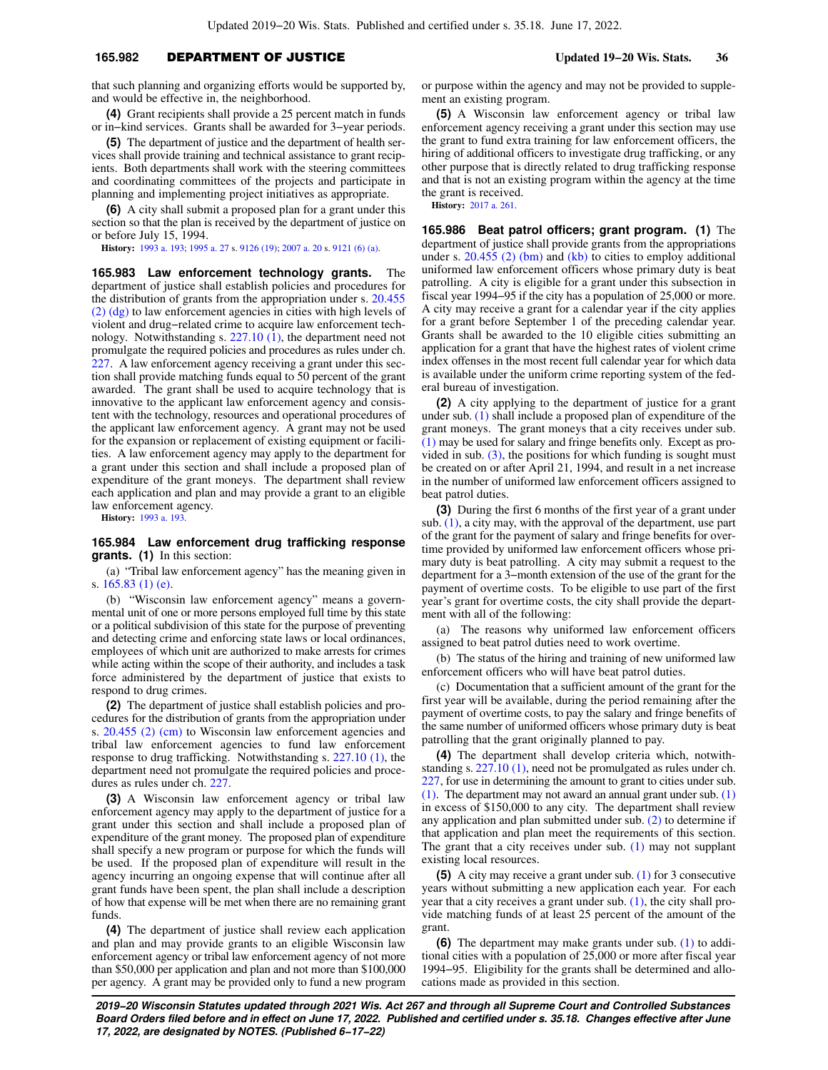### **165.982** DEPARTMENT OF JUSTICE **Updated 19−20 Wis. Stats. 36**

that such planning and organizing efforts would be supported by, and would be effective in, the neighborhood.

**(4)** Grant recipients shall provide a 25 percent match in funds or in−kind services. Grants shall be awarded for 3−year periods.

**(5)** The department of justice and the department of health services shall provide training and technical assistance to grant recipients. Both departments shall work with the steering committees and coordinating committees of the projects and participate in planning and implementing project initiatives as appropriate.

**(6)** A city shall submit a proposed plan for a grant under this section so that the plan is received by the department of justice on or before July 15, 1994.

**History:** [1993 a. 193](https://docs.legis.wisconsin.gov/document/acts/1993/193); [1995 a. 27](https://docs.legis.wisconsin.gov/document/acts/1995/27) s. [9126 \(19\)](https://docs.legis.wisconsin.gov/document/acts/1995/27,%20s.%209126); [2007 a. 20](https://docs.legis.wisconsin.gov/document/acts/2007/20) s. [9121 \(6\) \(a\).](https://docs.legis.wisconsin.gov/document/acts/2007/20,%20s.%209121)

**165.983 Law enforcement technology grants.** The department of justice shall establish policies and procedures for the distribution of grants from the appropriation under s. [20.455](https://docs.legis.wisconsin.gov/document/statutes/20.455(2)(dg)) [\(2\) \(dg\)](https://docs.legis.wisconsin.gov/document/statutes/20.455(2)(dg)) to law enforcement agencies in cities with high levels of violent and drug−related crime to acquire law enforcement technology. Notwithstanding s. [227.10 \(1\),](https://docs.legis.wisconsin.gov/document/statutes/227.10(1)) the department need not promulgate the required policies and procedures as rules under ch. [227](https://docs.legis.wisconsin.gov/document/statutes/ch.%20227). A law enforcement agency receiving a grant under this section shall provide matching funds equal to 50 percent of the grant awarded. The grant shall be used to acquire technology that is innovative to the applicant law enforcement agency and consistent with the technology, resources and operational procedures of the applicant law enforcement agency. A grant may not be used for the expansion or replacement of existing equipment or facilities. A law enforcement agency may apply to the department for a grant under this section and shall include a proposed plan of expenditure of the grant moneys. The department shall review each application and plan and may provide a grant to an eligible law enforcement agency.

**History:** [1993 a. 193](https://docs.legis.wisconsin.gov/document/acts/1993/193).

#### **165.984 Law enforcement drug trafficking response grants. (1)** In this section:

(a) "Tribal law enforcement agency" has the meaning given in s. [165.83 \(1\) \(e\).](https://docs.legis.wisconsin.gov/document/statutes/165.83(1)(e))

(b) "Wisconsin law enforcement agency" means a governmental unit of one or more persons employed full time by this state or a political subdivision of this state for the purpose of preventing and detecting crime and enforcing state laws or local ordinances, employees of which unit are authorized to make arrests for crimes while acting within the scope of their authority, and includes a task force administered by the department of justice that exists to respond to drug crimes.

**(2)** The department of justice shall establish policies and procedures for the distribution of grants from the appropriation under s. [20.455 \(2\) \(cm\)](https://docs.legis.wisconsin.gov/document/statutes/20.455(2)(cm)) to Wisconsin law enforcement agencies and tribal law enforcement agencies to fund law enforcement response to drug trafficking. Notwithstanding s. [227.10 \(1\)](https://docs.legis.wisconsin.gov/document/statutes/227.10(1)), the department need not promulgate the required policies and procedures as rules under ch. [227.](https://docs.legis.wisconsin.gov/document/statutes/ch.%20227)

**(3)** A Wisconsin law enforcement agency or tribal law enforcement agency may apply to the department of justice for a grant under this section and shall include a proposed plan of expenditure of the grant money. The proposed plan of expenditure shall specify a new program or purpose for which the funds will be used. If the proposed plan of expenditure will result in the agency incurring an ongoing expense that will continue after all grant funds have been spent, the plan shall include a description of how that expense will be met when there are no remaining grant funds.

**(4)** The department of justice shall review each application and plan and may provide grants to an eligible Wisconsin law enforcement agency or tribal law enforcement agency of not more than \$50,000 per application and plan and not more than \$100,000 per agency. A grant may be provided only to fund a new program or purpose within the agency and may not be provided to supplement an existing program.

**(5)** A Wisconsin law enforcement agency or tribal law enforcement agency receiving a grant under this section may use the grant to fund extra training for law enforcement officers, the hiring of additional officers to investigate drug trafficking, or any other purpose that is directly related to drug trafficking response and that is not an existing program within the agency at the time the grant is received.

**History:** [2017 a. 261.](https://docs.legis.wisconsin.gov/document/acts/2017/261)

**165.986 Beat patrol officers; grant program. (1)** The department of justice shall provide grants from the appropriations under s.  $20.455$  (2) (bm) and [\(kb\)](https://docs.legis.wisconsin.gov/document/statutes/20.455(2)(kb)) to cities to employ additional uniformed law enforcement officers whose primary duty is beat patrolling. A city is eligible for a grant under this subsection in fiscal year 1994−95 if the city has a population of 25,000 or more. A city may receive a grant for a calendar year if the city applies for a grant before September 1 of the preceding calendar year. Grants shall be awarded to the 10 eligible cities submitting an application for a grant that have the highest rates of violent crime index offenses in the most recent full calendar year for which data is available under the uniform crime reporting system of the federal bureau of investigation.

**(2)** A city applying to the department of justice for a grant under sub. [\(1\)](https://docs.legis.wisconsin.gov/document/statutes/165.986(1)) shall include a proposed plan of expenditure of the grant moneys. The grant moneys that a city receives under sub. [\(1\)](https://docs.legis.wisconsin.gov/document/statutes/165.986(1)) may be used for salary and fringe benefits only. Except as provided in sub.  $(3)$ , the positions for which funding is sought must be created on or after April 21, 1994, and result in a net increase in the number of uniformed law enforcement officers assigned to beat patrol duties.

**(3)** During the first 6 months of the first year of a grant under sub. [\(1\)](https://docs.legis.wisconsin.gov/document/statutes/165.986(1)), a city may, with the approval of the department, use part of the grant for the payment of salary and fringe benefits for overtime provided by uniformed law enforcement officers whose primary duty is beat patrolling. A city may submit a request to the department for a 3−month extension of the use of the grant for the payment of overtime costs. To be eligible to use part of the first year's grant for overtime costs, the city shall provide the department with all of the following:

(a) The reasons why uniformed law enforcement officers assigned to beat patrol duties need to work overtime.

(b) The status of the hiring and training of new uniformed law enforcement officers who will have beat patrol duties.

(c) Documentation that a sufficient amount of the grant for the first year will be available, during the period remaining after the payment of overtime costs, to pay the salary and fringe benefits of the same number of uniformed officers whose primary duty is beat patrolling that the grant originally planned to pay.

**(4)** The department shall develop criteria which, notwithstanding s. [227.10 \(1\)](https://docs.legis.wisconsin.gov/document/statutes/227.10(1)), need not be promulgated as rules under ch. [227,](https://docs.legis.wisconsin.gov/document/statutes/ch.%20227) for use in determining the amount to grant to cities under sub. [\(1\).](https://docs.legis.wisconsin.gov/document/statutes/165.986(1)) The department may not award an annual grant under sub. [\(1\)](https://docs.legis.wisconsin.gov/document/statutes/165.986(1)) in excess of \$150,000 to any city. The department shall review any application and plan submitted under sub. [\(2\)](https://docs.legis.wisconsin.gov/document/statutes/165.986(2)) to determine if that application and plan meet the requirements of this section. The grant that a city receives under sub. [\(1\)](https://docs.legis.wisconsin.gov/document/statutes/165.986(1)) may not supplant existing local resources.

**(5)** A city may receive a grant under sub. [\(1\)](https://docs.legis.wisconsin.gov/document/statutes/165.986(1)) for 3 consecutive years without submitting a new application each year. For each year that a city receives a grant under sub. [\(1\),](https://docs.legis.wisconsin.gov/document/statutes/165.986(1)) the city shall provide matching funds of at least 25 percent of the amount of the grant.

**(6)** The department may make grants under sub. [\(1\)](https://docs.legis.wisconsin.gov/document/statutes/165.986(1)) to additional cities with a population of 25,000 or more after fiscal year 1994−95. Eligibility for the grants shall be determined and allocations made as provided in this section.